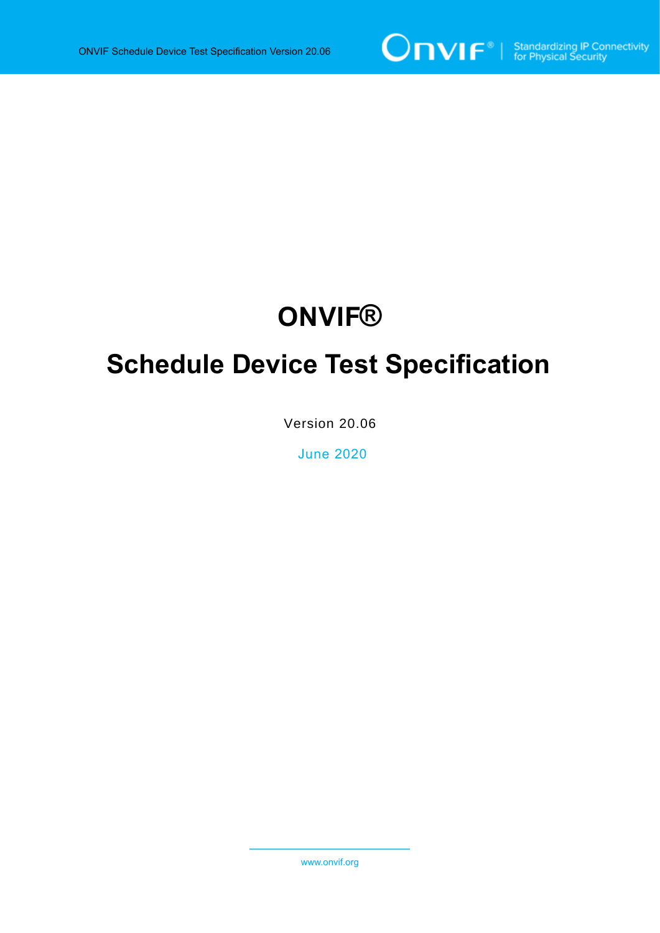

# **ONVIF®**

# **Schedule Device Test Specification**

Version 20.06

June 2020

www.onvif.org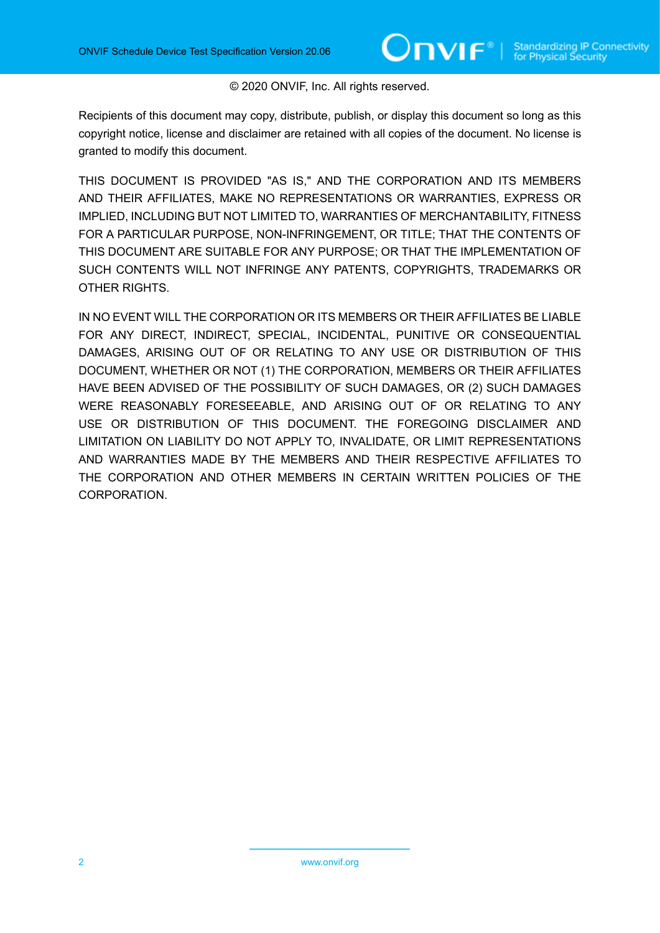#### © 2020 ONVIF, Inc. All rights reserved.

Recipients of this document may copy, distribute, publish, or display this document so long as this copyright notice, license and disclaimer are retained with all copies of the document. No license is granted to modify this document.

THIS DOCUMENT IS PROVIDED "AS IS," AND THE CORPORATION AND ITS MEMBERS AND THEIR AFFILIATES, MAKE NO REPRESENTATIONS OR WARRANTIES, EXPRESS OR IMPLIED, INCLUDING BUT NOT LIMITED TO, WARRANTIES OF MERCHANTABILITY, FITNESS FOR A PARTICULAR PURPOSE, NON-INFRINGEMENT, OR TITLE; THAT THE CONTENTS OF THIS DOCUMENT ARE SUITABLE FOR ANY PURPOSE; OR THAT THE IMPLEMENTATION OF SUCH CONTENTS WILL NOT INFRINGE ANY PATENTS, COPYRIGHTS, TRADEMARKS OR OTHER RIGHTS.

IN NO EVENT WILL THE CORPORATION OR ITS MEMBERS OR THEIR AFFILIATES BE LIABLE FOR ANY DIRECT, INDIRECT, SPECIAL, INCIDENTAL, PUNITIVE OR CONSEQUENTIAL DAMAGES, ARISING OUT OF OR RELATING TO ANY USE OR DISTRIBUTION OF THIS DOCUMENT, WHETHER OR NOT (1) THE CORPORATION, MEMBERS OR THEIR AFFILIATES HAVE BEEN ADVISED OF THE POSSIBILITY OF SUCH DAMAGES, OR (2) SUCH DAMAGES WERE REASONABLY FORESEEABLE, AND ARISING OUT OF OR RELATING TO ANY USE OR DISTRIBUTION OF THIS DOCUMENT. THE FOREGOING DISCLAIMER AND LIMITATION ON LIABILITY DO NOT APPLY TO, INVALIDATE, OR LIMIT REPRESENTATIONS AND WARRANTIES MADE BY THE MEMBERS AND THEIR RESPECTIVE AFFILIATES TO THE CORPORATION AND OTHER MEMBERS IN CERTAIN WRITTEN POLICIES OF THE CORPORATION.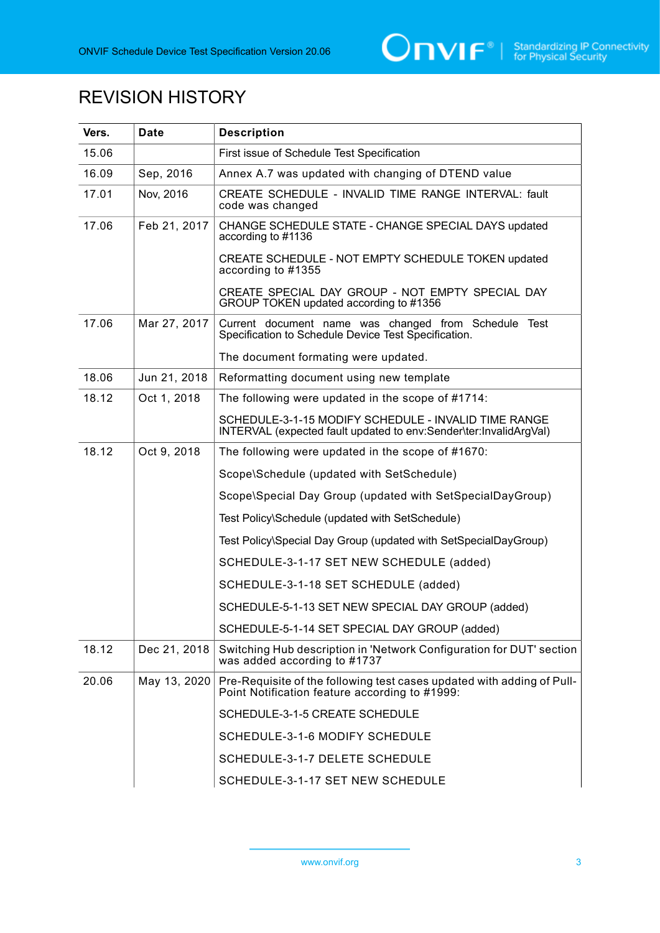

# REVISION HISTORY

| Vers. | Date         | <b>Description</b>                                                                                                        |
|-------|--------------|---------------------------------------------------------------------------------------------------------------------------|
| 15.06 |              | First issue of Schedule Test Specification                                                                                |
| 16.09 | Sep, 2016    | Annex A.7 was updated with changing of DTEND value                                                                        |
| 17.01 | Nov. 2016    | CREATE SCHEDULE - INVALID TIME RANGE INTERVAL: fault<br>code was changed                                                  |
| 17.06 | Feb 21, 2017 | CHANGE SCHEDULE STATE - CHANGE SPECIAL DAYS updated<br>according to #1136                                                 |
|       |              | CREATE SCHEDULE - NOT EMPTY SCHEDULE TOKEN updated<br>according to #1355                                                  |
|       |              | CREATE SPECIAL DAY GROUP - NOT EMPTY SPECIAL DAY<br>GROUP TOKEN updated according to #1356                                |
| 17.06 | Mar 27, 2017 | Current document name was changed from Schedule Test<br>Specification to Schedule Device Test Specification.              |
|       |              | The document formating were updated.                                                                                      |
| 18.06 | Jun 21, 2018 | Reformatting document using new template                                                                                  |
| 18.12 | Oct 1, 2018  | The following were updated in the scope of #1714:                                                                         |
|       |              | SCHEDULE-3-1-15 MODIFY SCHEDULE - INVALID TIME RANGE<br>INTERVAL (expected fault updated to env:Sender\ter:InvalidArgVal) |
| 18.12 | Oct 9, 2018  | The following were updated in the scope of #1670:                                                                         |
|       |              | Scope\Schedule (updated with SetSchedule)                                                                                 |
|       |              | Scope\Special Day Group (updated with SetSpecialDayGroup)                                                                 |
|       |              | Test Policy\Schedule (updated with SetSchedule)                                                                           |
|       |              | Test Policy\Special Day Group (updated with SetSpecialDayGroup)                                                           |
|       |              | SCHEDULE-3-1-17 SET NEW SCHEDULE (added)                                                                                  |
|       |              | SCHEDULE-3-1-18 SET SCHEDULE (added)                                                                                      |
|       |              | SCHEDULE-5-1-13 SET NEW SPECIAL DAY GROUP (added)                                                                         |
|       |              | SCHEDULE-5-1-14 SET SPECIAL DAY GROUP (added)                                                                             |
| 18.12 | Dec 21, 2018 | Switching Hub description in 'Network Configuration for DUT' section<br>was added according to #1737                      |
| 20.06 | May 13, 2020 | Pre-Requisite of the following test cases updated with adding of Pull-<br>Point Notification feature according to #1999:  |
|       |              | SCHEDULE-3-1-5 CREATE SCHEDULE                                                                                            |
|       |              | SCHEDULE-3-1-6 MODIFY SCHEDULE                                                                                            |
|       |              | SCHEDULE-3-1-7 DELETE SCHEDULE                                                                                            |
|       |              | SCHEDULE-3-1-17 SET NEW SCHEDULE                                                                                          |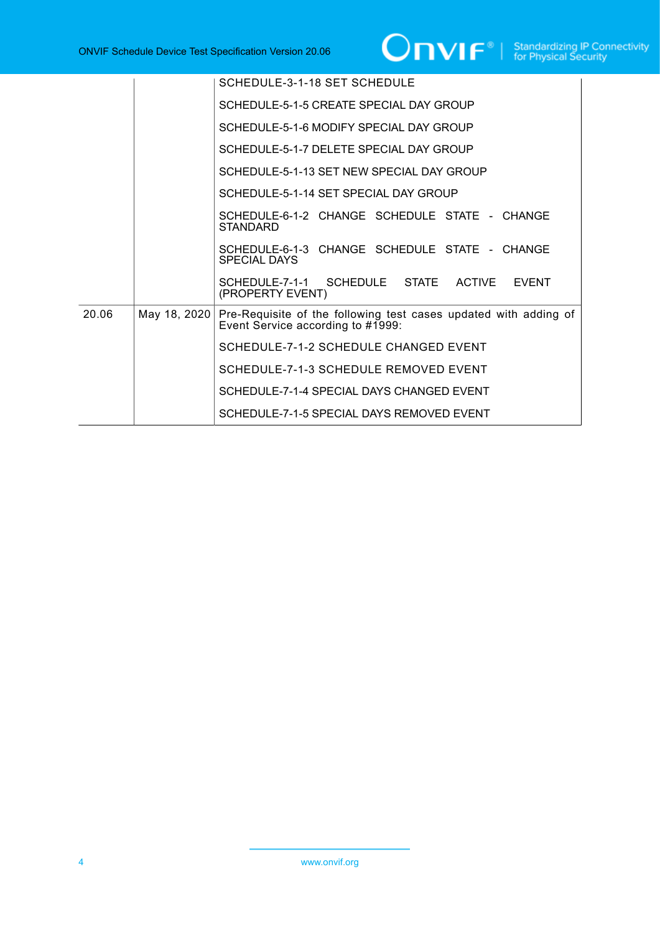# **ONVIF**<sup>®</sup> | Standardizing IP Connectivity

|       |              | SCHEDULE-3-1-18 SET SCHEDULE                                                                          |
|-------|--------------|-------------------------------------------------------------------------------------------------------|
|       |              | SCHEDULE-5-1-5 CREATE SPECIAL DAY GROUP                                                               |
|       |              | SCHEDULE-5-1-6 MODIFY SPECIAL DAY GROUP                                                               |
|       |              | SCHEDULE-5-1-7 DELETE SPECIAL DAY GROUP                                                               |
|       |              | SCHEDULE-5-1-13 SET NEW SPECIAL DAY GROUP                                                             |
|       |              | SCHEDULE-5-1-14 SET SPECIAL DAY GROUP                                                                 |
|       |              | SCHEDULE-6-1-2 CHANGE SCHEDULE STATE - CHANGE<br><b>STANDARD</b>                                      |
|       |              | SCHEDULE-6-1-3 CHANGE SCHEDULE STATE - CHANGE<br>SPECIAL DAYS                                         |
|       |              | SCHEDULE-7-1-1 SCHEDULE STATE ACTIVE<br><b>FVFNT</b><br>(PROPERTY EVENT)                              |
| 20.06 | May 18, 2020 | Pre-Requisite of the following test cases updated with adding of<br>Event Service according to #1999: |
|       |              | SCHEDULE-7-1-2 SCHEDULE CHANGED EVENT                                                                 |
|       |              | SCHEDULE-7-1-3 SCHEDULE REMOVED EVENT                                                                 |
|       |              | SCHEDULE-7-1-4 SPECIAL DAYS CHANGED EVENT                                                             |
|       |              | SCHEDULE-7-1-5 SPECIAL DAYS REMOVED EVENT                                                             |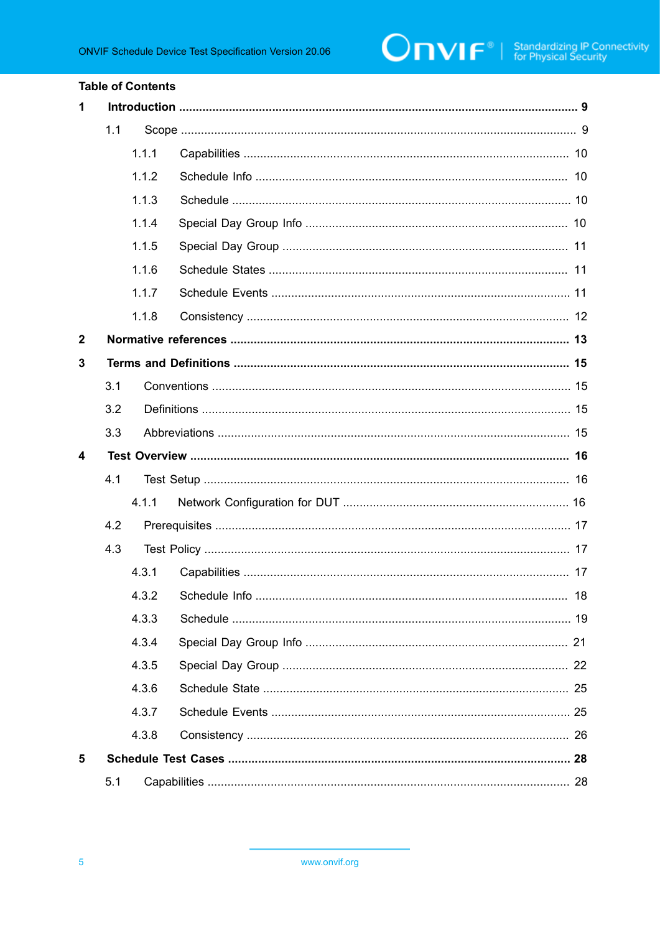#### **Table of Contents**

| $\mathbf{1}$     |     |       |                           |  |
|------------------|-----|-------|---------------------------|--|
|                  | 1.1 |       |                           |  |
|                  |     | 1.1.1 |                           |  |
|                  |     | 1.1.2 |                           |  |
|                  |     | 1.1.3 |                           |  |
|                  |     | 1.1.4 |                           |  |
|                  |     | 1.1.5 |                           |  |
|                  |     | 1.1.6 |                           |  |
|                  |     | 1.1.7 |                           |  |
|                  |     | 1.1.8 |                           |  |
| $\mathbf{2}$     |     |       |                           |  |
| 3                |     |       |                           |  |
|                  | 3.1 |       |                           |  |
|                  | 3.2 |       |                           |  |
|                  | 3.3 |       |                           |  |
| $\boldsymbol{4}$ |     |       |                           |  |
|                  | 4.1 |       |                           |  |
|                  |     | 4.1.1 |                           |  |
|                  | 4.2 |       |                           |  |
|                  | 4.3 |       |                           |  |
|                  |     | 4.3.1 |                           |  |
|                  |     |       | 4.3.2 Schedule Info<br>18 |  |
|                  |     | 4.3.3 |                           |  |
|                  |     | 4.3.4 |                           |  |
|                  |     | 4.3.5 |                           |  |
|                  |     | 4.3.6 |                           |  |
|                  |     | 4.3.7 |                           |  |
|                  |     | 4.3.8 |                           |  |
| 5                |     |       |                           |  |
|                  | 5.1 |       |                           |  |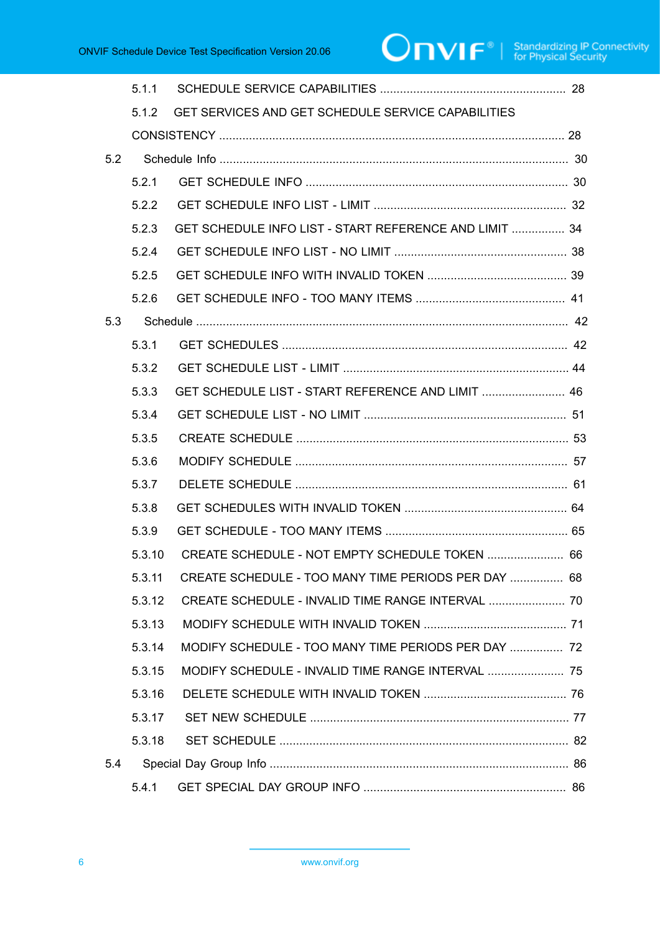|     | 5.1.1  |                                                           |  |
|-----|--------|-----------------------------------------------------------|--|
|     | 5.1.2  | <b>GET SERVICES AND GET SCHEDULE SERVICE CAPABILITIES</b> |  |
|     |        |                                                           |  |
| 5.2 |        |                                                           |  |
|     | 5.2.1  |                                                           |  |
|     | 5.2.2  |                                                           |  |
|     | 5.2.3  | GET SCHEDULE INFO LIST - START REFERENCE AND LIMIT  34    |  |
|     | 5.2.4  |                                                           |  |
|     | 5.2.5  |                                                           |  |
|     | 5.2.6  |                                                           |  |
| 5.3 |        |                                                           |  |
|     | 5.3.1  |                                                           |  |
|     | 5.3.2  |                                                           |  |
|     | 5.3.3  | GET SCHEDULE LIST - START REFERENCE AND LIMIT  46         |  |
|     | 5.3.4  |                                                           |  |
|     | 5.3.5  |                                                           |  |
|     | 5.3.6  |                                                           |  |
|     | 5.3.7  |                                                           |  |
|     | 5.3.8  |                                                           |  |
|     | 5.3.9  |                                                           |  |
|     | 5.3.10 | CREATE SCHEDULE - NOT EMPTY SCHEDULE TOKEN  66            |  |
|     | 5.3.11 | CREATE SCHEDULE - TOO MANY TIME PERIODS PER DAY  68       |  |
|     | 5.3.12 | CREATE SCHEDULE - INVALID TIME RANGE INTERVAL  70         |  |
|     | 5.3.13 |                                                           |  |
|     | 5.3.14 | MODIFY SCHEDULE - TOO MANY TIME PERIODS PER DAY  72       |  |
|     | 5.3.15 | MODIFY SCHEDULE - INVALID TIME RANGE INTERVAL  75         |  |
|     | 5.3.16 |                                                           |  |
|     | 5.3.17 |                                                           |  |
|     | 5.3.18 |                                                           |  |
| 5.4 |        |                                                           |  |
|     | 5.4.1  |                                                           |  |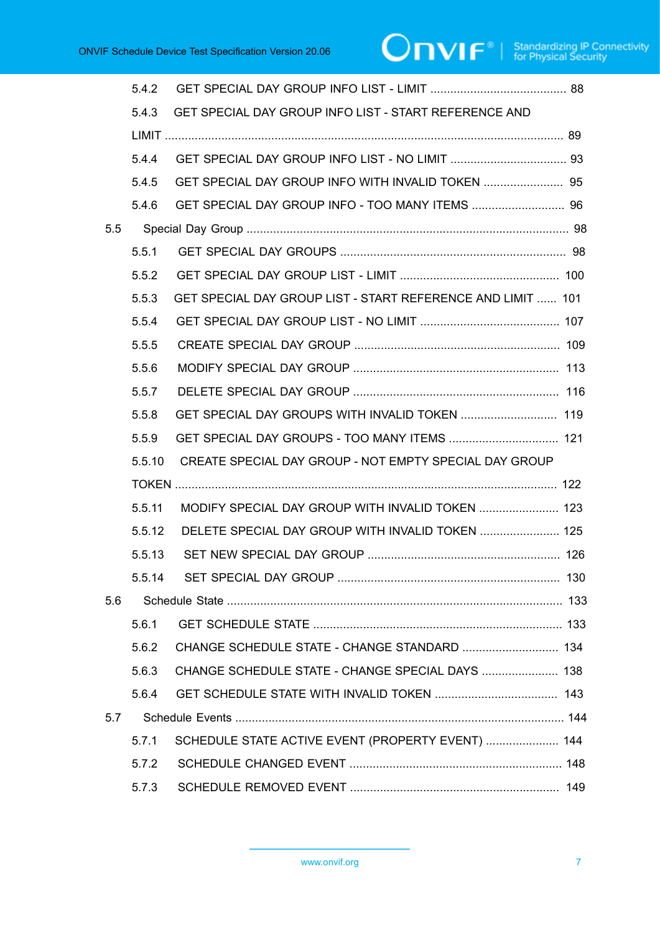|     | 5.4.2  |                                                             |  |
|-----|--------|-------------------------------------------------------------|--|
|     | 5.4.3  | GET SPECIAL DAY GROUP INFO LIST - START REFERENCE AND       |  |
|     |        |                                                             |  |
|     | 5.4.4  |                                                             |  |
|     | 5.4.5  |                                                             |  |
|     | 5.4.6  |                                                             |  |
| 5.5 |        |                                                             |  |
|     | 5.5.1  |                                                             |  |
|     | 5.5.2  |                                                             |  |
|     | 5.5.3  | GET SPECIAL DAY GROUP LIST - START REFERENCE AND LIMIT  101 |  |
|     | 5.5.4  |                                                             |  |
|     | 5.5.5  |                                                             |  |
|     | 5.5.6  |                                                             |  |
|     | 5.5.7  |                                                             |  |
|     | 5.5.8  | GET SPECIAL DAY GROUPS WITH INVALID TOKEN  119              |  |
|     | 5.5.9  | GET SPECIAL DAY GROUPS - TOO MANY ITEMS  121                |  |
|     | 5.5.10 | CREATE SPECIAL DAY GROUP - NOT EMPTY SPECIAL DAY GROUP      |  |
|     |        |                                                             |  |
|     | 5.5.11 | MODIFY SPECIAL DAY GROUP WITH INVALID TOKEN  123            |  |
|     | 5.5.12 | DELETE SPECIAL DAY GROUP WITH INVALID TOKEN  125            |  |
|     | 5.5.13 |                                                             |  |
|     |        |                                                             |  |
| 5.6 |        |                                                             |  |
|     | 5.6.1  |                                                             |  |
|     | 5.6.2  |                                                             |  |
|     | 5.6.3  | CHANGE SCHEDULE STATE - CHANGE SPECIAL DAYS  138            |  |
|     | 5.6.4  |                                                             |  |
| 5.7 |        |                                                             |  |
|     | 5.7.1  | SCHEDULE STATE ACTIVE EVENT (PROPERTY EVENT)  144           |  |
|     | 5.7.2  |                                                             |  |
|     | 5.7.3  |                                                             |  |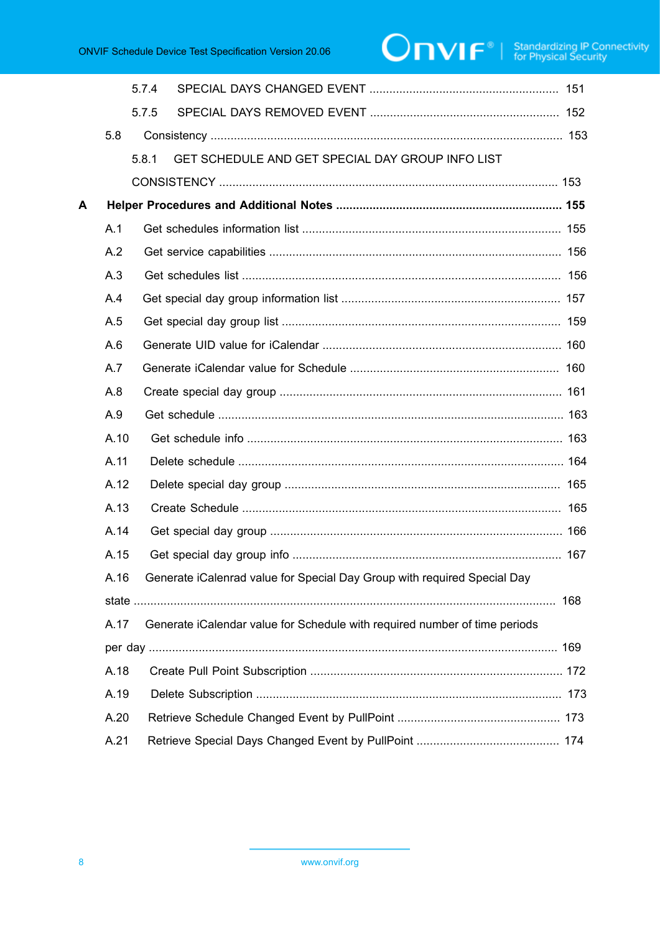# $\boxed{\color{red} \bigcap \mathbf{VIF}^{\text{@}} \mid \; \substack{\text{Standardizing IP Connectivity} \\ \text{for Physical Security}}}$

|   |      | 5.7.4 |                                                                               |  |
|---|------|-------|-------------------------------------------------------------------------------|--|
|   |      | 5.7.5 |                                                                               |  |
|   | 5.8  |       |                                                                               |  |
|   |      | 5.8.1 | GET SCHEDULE AND GET SPECIAL DAY GROUP INFO LIST                              |  |
|   |      |       |                                                                               |  |
| A |      |       |                                                                               |  |
|   | A.1  |       |                                                                               |  |
|   | A.2  |       |                                                                               |  |
|   | A.3  |       |                                                                               |  |
|   | A.4  |       |                                                                               |  |
|   | A.5  |       |                                                                               |  |
|   | A.6  |       |                                                                               |  |
|   | A.7  |       |                                                                               |  |
|   | A.8  |       |                                                                               |  |
|   | A.9  |       |                                                                               |  |
|   | A.10 |       |                                                                               |  |
|   | A.11 |       |                                                                               |  |
|   | A.12 |       |                                                                               |  |
|   | A.13 |       |                                                                               |  |
|   | A.14 |       |                                                                               |  |
|   | A.15 |       |                                                                               |  |
|   |      |       | A.16 Generate iCalenrad value for Special Day Group with required Special Day |  |
|   |      |       |                                                                               |  |
|   | A.17 |       | Generate iCalendar value for Schedule with required number of time periods    |  |
|   |      |       |                                                                               |  |
|   | A.18 |       |                                                                               |  |
|   | A.19 |       |                                                                               |  |
|   | A.20 |       |                                                                               |  |
|   | A.21 |       |                                                                               |  |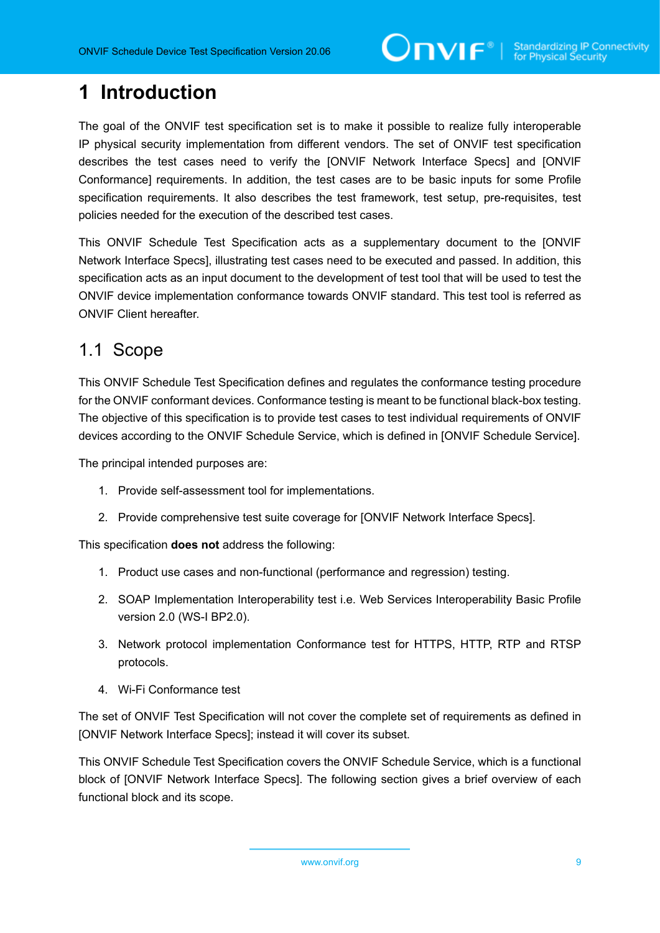## <span id="page-8-0"></span>**1 Introduction**

The goal of the ONVIF test specification set is to make it possible to realize fully interoperable IP physical security implementation from different vendors. The set of ONVIF test specification describes the test cases need to verify the [ONVIF Network Interface Specs] and [ONVIF Conformance] requirements. In addition, the test cases are to be basic inputs for some Profile specification requirements. It also describes the test framework, test setup, pre-requisites, test policies needed for the execution of the described test cases.

This ONVIF Schedule Test Specification acts as a supplementary document to the [ONVIF Network Interface Specs], illustrating test cases need to be executed and passed. In addition, this specification acts as an input document to the development of test tool that will be used to test the ONVIF device implementation conformance towards ONVIF standard. This test tool is referred as ONVIF Client hereafter.

## <span id="page-8-1"></span>1.1 Scope

This ONVIF Schedule Test Specification defines and regulates the conformance testing procedure for the ONVIF conformant devices. Conformance testing is meant to be functional black-box testing. The objective of this specification is to provide test cases to test individual requirements of ONVIF devices according to the ONVIF Schedule Service, which is defined in [ONVIF Schedule Service].

The principal intended purposes are:

- 1. Provide self-assessment tool for implementations.
- 2. Provide comprehensive test suite coverage for [ONVIF Network Interface Specs].

This specification **does not** address the following:

- 1. Product use cases and non-functional (performance and regression) testing.
- 2. SOAP Implementation Interoperability test i.e. Web Services Interoperability Basic Profile version 2.0 (WS-I BP2.0).
- 3. Network protocol implementation Conformance test for HTTPS, HTTP, RTP and RTSP protocols.
- 4. Wi-Fi Conformance test

The set of ONVIF Test Specification will not cover the complete set of requirements as defined in [ONVIF Network Interface Specs]; instead it will cover its subset.

This ONVIF Schedule Test Specification covers the ONVIF Schedule Service, which is a functional block of [ONVIF Network Interface Specs]. The following section gives a brief overview of each functional block and its scope.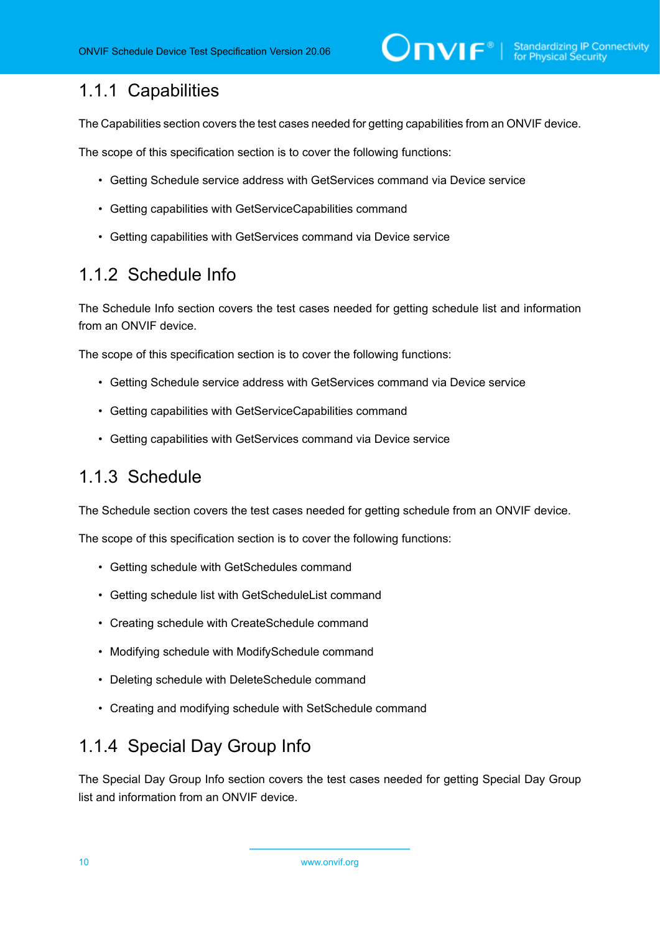## <span id="page-9-0"></span>1.1.1 Capabilities

The Capabilities section covers the test cases needed for getting capabilities from an ONVIF device.

The scope of this specification section is to cover the following functions:

- Getting Schedule service address with GetServices command via Device service
- Getting capabilities with GetServiceCapabilities command
- Getting capabilities with GetServices command via Device service

#### <span id="page-9-1"></span>1.1.2 Schedule Info

The Schedule Info section covers the test cases needed for getting schedule list and information from an ONVIF device.

The scope of this specification section is to cover the following functions:

- Getting Schedule service address with GetServices command via Device service
- Getting capabilities with GetServiceCapabilities command
- Getting capabilities with GetServices command via Device service

#### <span id="page-9-2"></span>1.1.3 Schedule

The Schedule section covers the test cases needed for getting schedule from an ONVIF device.

The scope of this specification section is to cover the following functions:

- Getting schedule with GetSchedules command
- Getting schedule list with GetScheduleList command
- Creating schedule with CreateSchedule command
- Modifying schedule with ModifySchedule command
- Deleting schedule with DeleteSchedule command
- Creating and modifying schedule with SetSchedule command

## <span id="page-9-3"></span>1.1.4 Special Day Group Info

The Special Day Group Info section covers the test cases needed for getting Special Day Group list and information from an ONVIF device.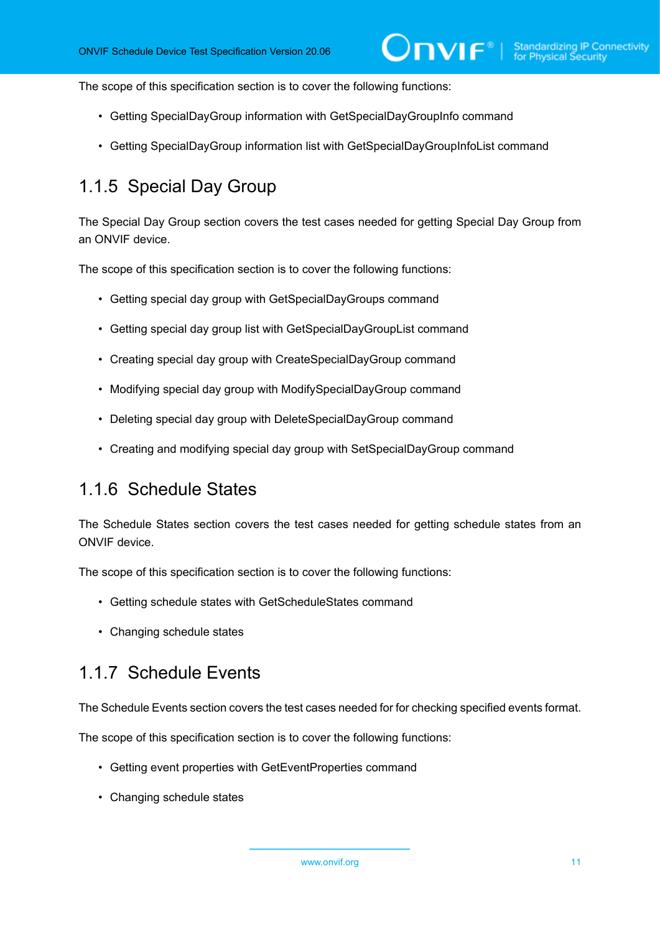The scope of this specification section is to cover the following functions:

- Getting SpecialDayGroup information with GetSpecialDayGroupInfo command
- Getting SpecialDayGroup information list with GetSpecialDayGroupInfoList command

## <span id="page-10-0"></span>1.1.5 Special Day Group

The Special Day Group section covers the test cases needed for getting Special Day Group from an ONVIF device.

The scope of this specification section is to cover the following functions:

- Getting special day group with GetSpecialDayGroups command
- Getting special day group list with GetSpecialDayGroupList command
- Creating special day group with CreateSpecialDayGroup command
- Modifying special day group with ModifySpecialDayGroup command
- Deleting special day group with DeleteSpecialDayGroup command
- <span id="page-10-1"></span>• Creating and modifying special day group with SetSpecialDayGroup command

#### 1.1.6 Schedule States

The Schedule States section covers the test cases needed for getting schedule states from an ONVIF device.

The scope of this specification section is to cover the following functions:

- Getting schedule states with GetScheduleStates command
- <span id="page-10-2"></span>• Changing schedule states

#### 1.1.7 Schedule Events

The Schedule Events section covers the test cases needed for for checking specified events format.

The scope of this specification section is to cover the following functions:

- Getting event properties with GetEventProperties command
- Changing schedule states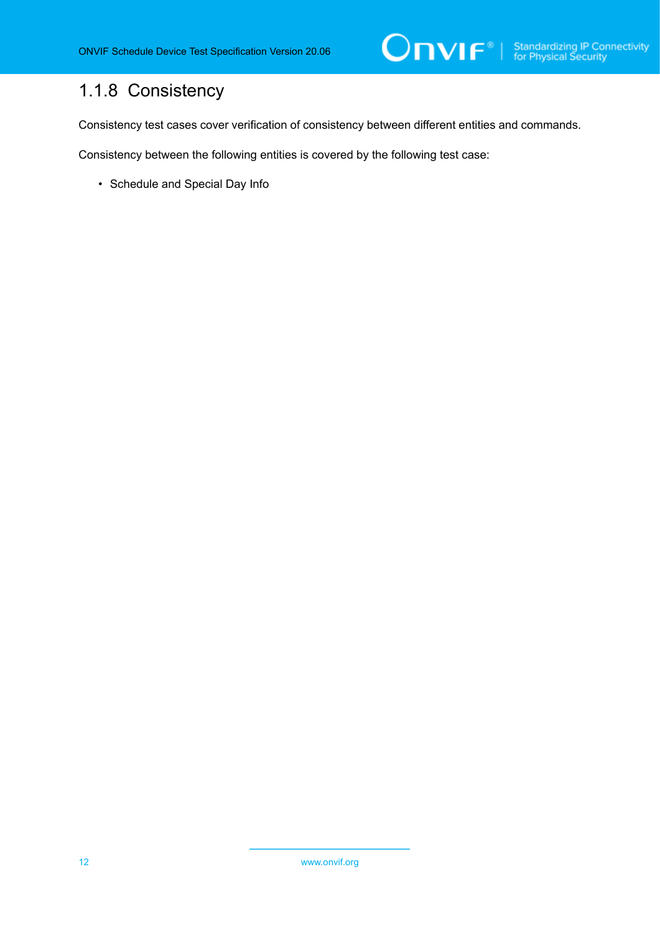## <span id="page-11-0"></span>1.1.8 Consistency

Consistency test cases cover verification of consistency between different entities and commands.

Consistency between the following entities is covered by the following test case:

• Schedule and Special Day Info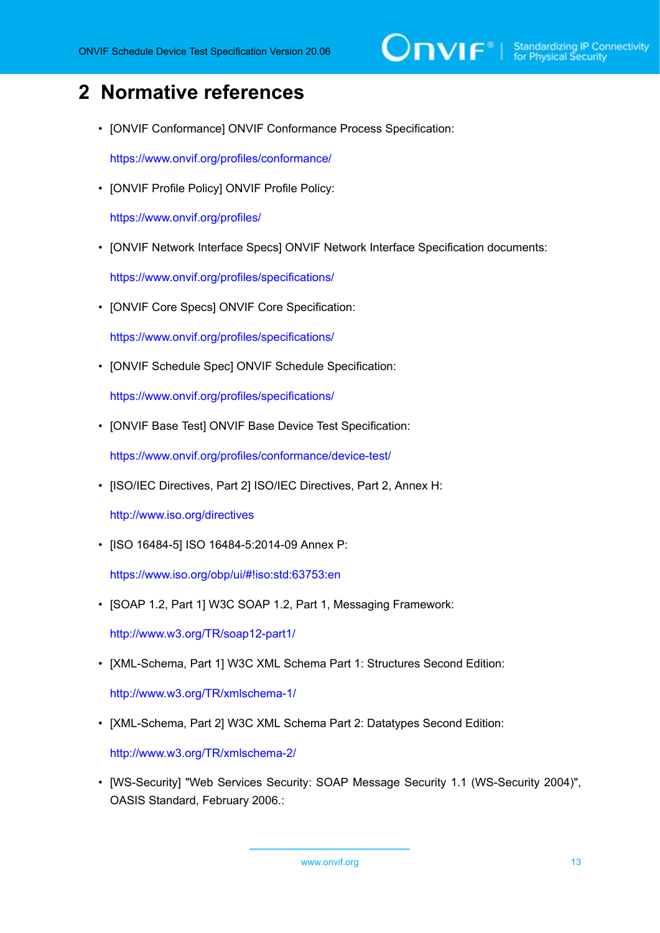## <span id="page-12-0"></span>**2 Normative references**

• [ONVIF Conformance] ONVIF Conformance Process Specification:

<https://www.onvif.org/profiles/conformance/>

• [ONVIF Profile Policy] ONVIF Profile Policy:

<https://www.onvif.org/profiles/>

• [ONVIF Network Interface Specs] ONVIF Network Interface Specification documents:

<https://www.onvif.org/profiles/specifications/>

• [ONVIF Core Specs] ONVIF Core Specification:

<https://www.onvif.org/profiles/specifications/>

• [ONVIF Schedule Spec] ONVIF Schedule Specification:

<https://www.onvif.org/profiles/specifications/>

• [ONVIF Base Test] ONVIF Base Device Test Specification:

<https://www.onvif.org/profiles/conformance/device-test/>

• [ISO/IEC Directives, Part 2] ISO/IEC Directives, Part 2, Annex H:

<http://www.iso.org/directives>

• [ISO 16484-5] ISO 16484-5:2014-09 Annex P:

<https://www.iso.org/obp/ui/#!iso:std:63753:en>

• [SOAP 1.2, Part 1] W3C SOAP 1.2, Part 1, Messaging Framework:

<http://www.w3.org/TR/soap12-part1/>

• [XML-Schema, Part 1] W3C XML Schema Part 1: Structures Second Edition:

<http://www.w3.org/TR/xmlschema-1/>

• [XML-Schema, Part 2] W3C XML Schema Part 2: Datatypes Second Edition:

<http://www.w3.org/TR/xmlschema-2/>

• [WS-Security] "Web Services Security: SOAP Message Security 1.1 (WS-Security 2004)", OASIS Standard, February 2006.: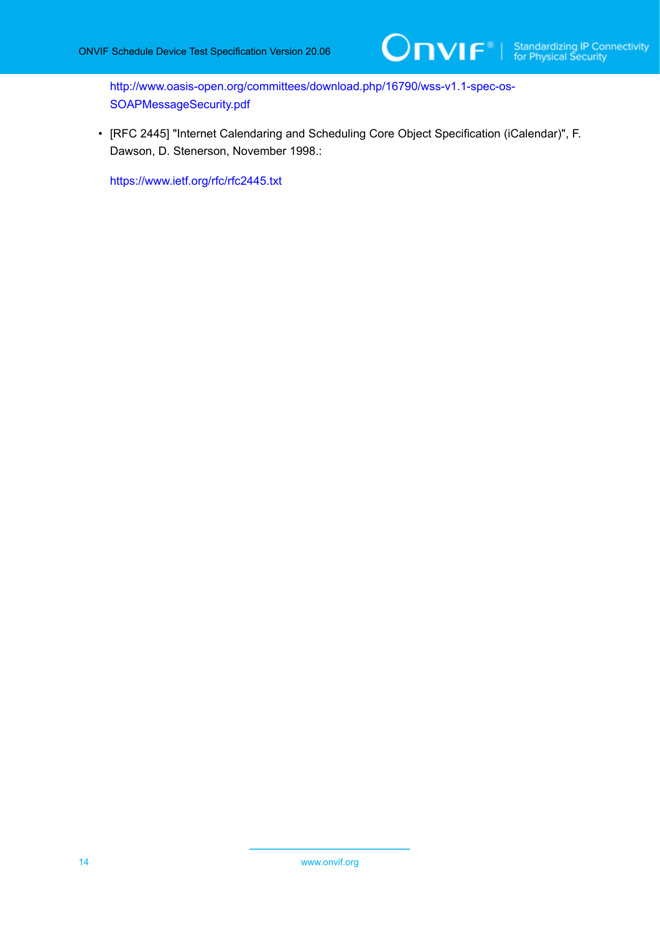[http://www.oasis-open.org/committees/download.php/16790/wss-v1.1-spec-os-](http://www.oasis-open.org/committees/download.php/16790/wss-v1.1-spec-os-SOAPMessageSecurity.pdf)[SOAPMessageSecurity.pdf](http://www.oasis-open.org/committees/download.php/16790/wss-v1.1-spec-os-SOAPMessageSecurity.pdf)

• [RFC 2445] "Internet Calendaring and Scheduling Core Object Specification (iCalendar)", F. Dawson, D. Stenerson, November 1998.:

<https://www.ietf.org/rfc/rfc2445.txt>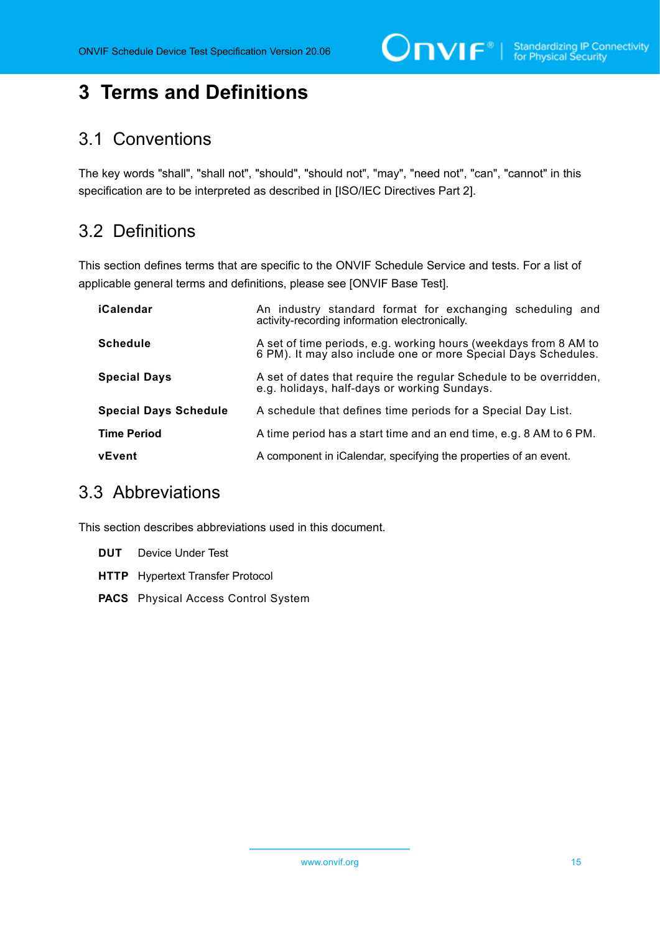$\bigcirc$   $\bigcap$   $\bigvee$   $\bigcap$   $\bigcirc$   $\bigcirc$   $\bigcirc$   $\bigcirc$   $\bigcirc$   $\bigcirc$   $\bigcirc$   $\bigcirc$   $\bigcirc$   $\bigcirc$   $\bigcirc$   $\bigcirc$   $\bigcirc$   $\bigcirc$   $\bigcirc$   $\bigcirc$   $\bigcirc$   $\bigcirc$   $\bigcirc$   $\bigcirc$   $\bigcirc$   $\bigcirc$   $\bigcirc$   $\bigcirc$   $\bigcirc$   $\bigcirc$   $\bigcirc$   $\bigcirc$   $\bigcirc$   $\bigcirc$   $\bigcirc$   $\bigcirc$   $\bigcirc$ 

# <span id="page-14-0"></span>**3 Terms and Definitions**

## <span id="page-14-1"></span>3.1 Conventions

The key words "shall", "shall not", "should", "should not", "may", "need not", "can", "cannot" in this specification are to be interpreted as described in [ISO/IEC Directives Part 2].

## <span id="page-14-2"></span>3.2 Definitions

This section defines terms that are specific to the ONVIF Schedule Service and tests. For a list of applicable general terms and definitions, please see [ONVIF Base Test].

| iCalendar                    | An industry standard format for exchanging scheduling and<br>activity-recording information electronically.                        |
|------------------------------|------------------------------------------------------------------------------------------------------------------------------------|
| <b>Schedule</b>              | A set of time periods, e.g. working hours (weekdays from 8 AM to<br>6 PM). It may also include one or more Special Days Schedules. |
| <b>Special Days</b>          | A set of dates that require the regular Schedule to be overridden,<br>e.g. holidays, half-days or working Sundays.                 |
| <b>Special Days Schedule</b> | A schedule that defines time periods for a Special Day List.                                                                       |
| <b>Time Period</b>           | A time period has a start time and an end time, e.g. 8 AM to 6 PM.                                                                 |
| vEvent                       | A component in iCalendar, specifying the properties of an event.                                                                   |

## <span id="page-14-3"></span>3.3 Abbreviations

This section describes abbreviations used in this document.

| <b>DUT</b> Device Under Test               |
|--------------------------------------------|
| <b>HTTP</b> Hypertext Transfer Protocol    |
| <b>PACS</b> Physical Access Control System |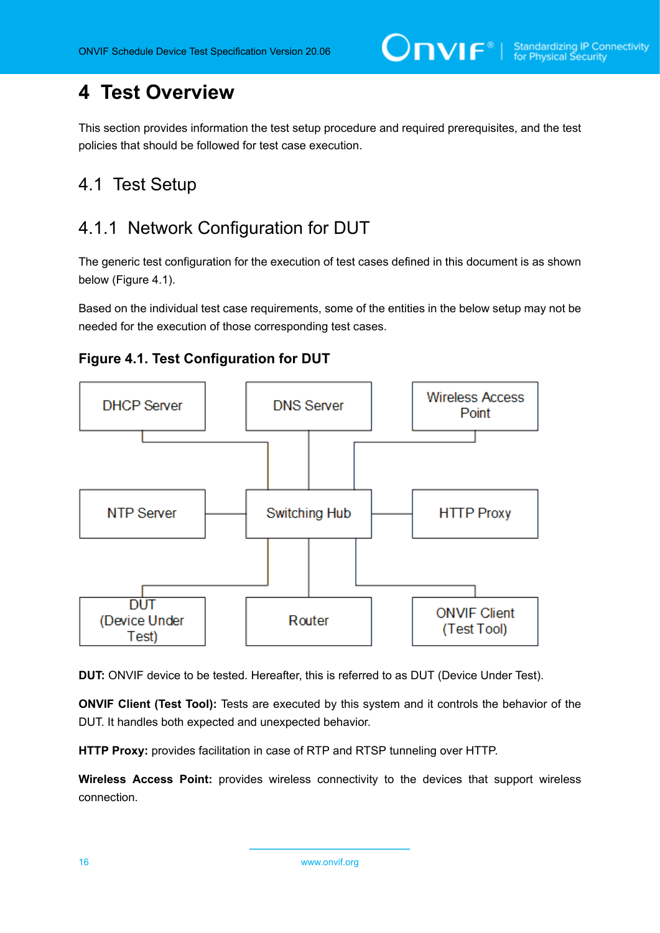## <span id="page-15-0"></span>**4 Test Overview**

This section provides information the test setup procedure and required prerequisites, and the test policies that should be followed for test case execution.

## <span id="page-15-1"></span>4.1 Test Setup

## <span id="page-15-2"></span>4.1.1 Network Configuration for DUT

The generic test configuration for the execution of test cases defined in this document is as shown below (Figure 4.1).

Based on the individual test case requirements, some of the entities in the below setup may not be needed for the execution of those corresponding test cases.





**DUT:** ONVIF device to be tested. Hereafter, this is referred to as DUT (Device Under Test).

**ONVIF Client (Test Tool):** Tests are executed by this system and it controls the behavior of the DUT. It handles both expected and unexpected behavior.

**HTTP Proxy:** provides facilitation in case of RTP and RTSP tunneling over HTTP.

**Wireless Access Point:** provides wireless connectivity to the devices that support wireless connection.

16 www.onvif.org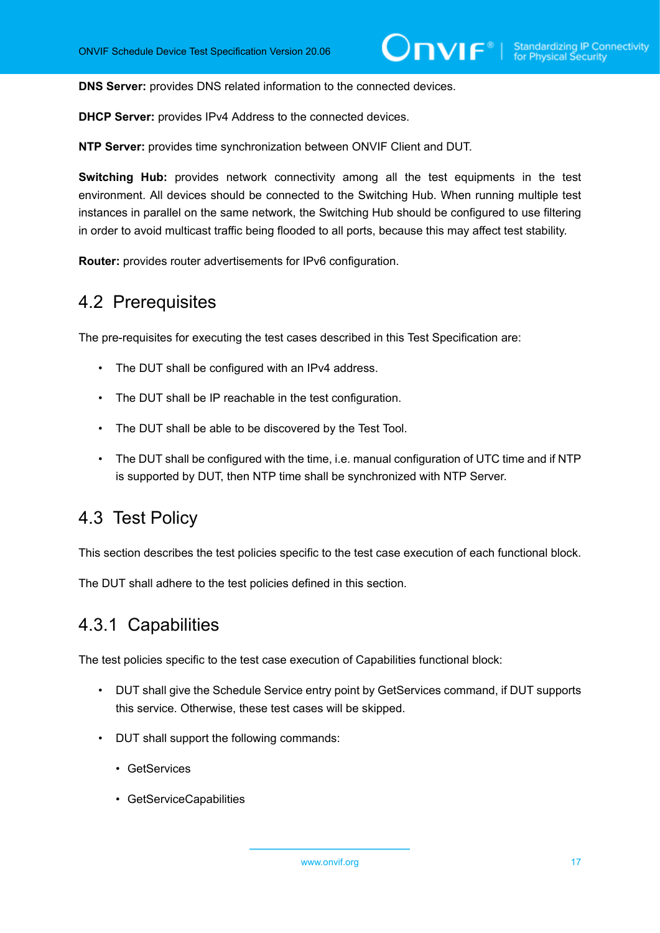**DNS Server:** provides DNS related information to the connected devices.

**DHCP Server:** provides IPv4 Address to the connected devices.

**NTP Server:** provides time synchronization between ONVIF Client and DUT.

**Switching Hub:** provides network connectivity among all the test equipments in the test environment. All devices should be connected to the Switching Hub. When running multiple test instances in parallel on the same network, the Switching Hub should be configured to use filtering in order to avoid multicast traffic being flooded to all ports, because this may affect test stability.

<span id="page-16-0"></span>**Router:** provides router advertisements for IPv6 configuration.

### 4.2 Prerequisites

The pre-requisites for executing the test cases described in this Test Specification are:

- The DUT shall be configured with an IPv4 address.
- The DUT shall be IP reachable in the test configuration.
- The DUT shall be able to be discovered by the Test Tool.
- The DUT shall be configured with the time, i.e. manual configuration of UTC time and if NTP is supported by DUT, then NTP time shall be synchronized with NTP Server.

### <span id="page-16-1"></span>4.3 Test Policy

This section describes the test policies specific to the test case execution of each functional block.

<span id="page-16-2"></span>The DUT shall adhere to the test policies defined in this section.

#### 4.3.1 Capabilities

The test policies specific to the test case execution of Capabilities functional block:

- DUT shall give the Schedule Service entry point by GetServices command, if DUT supports this service. Otherwise, these test cases will be skipped.
- DUT shall support the following commands:
	- GetServices
	- GetServiceCapabilities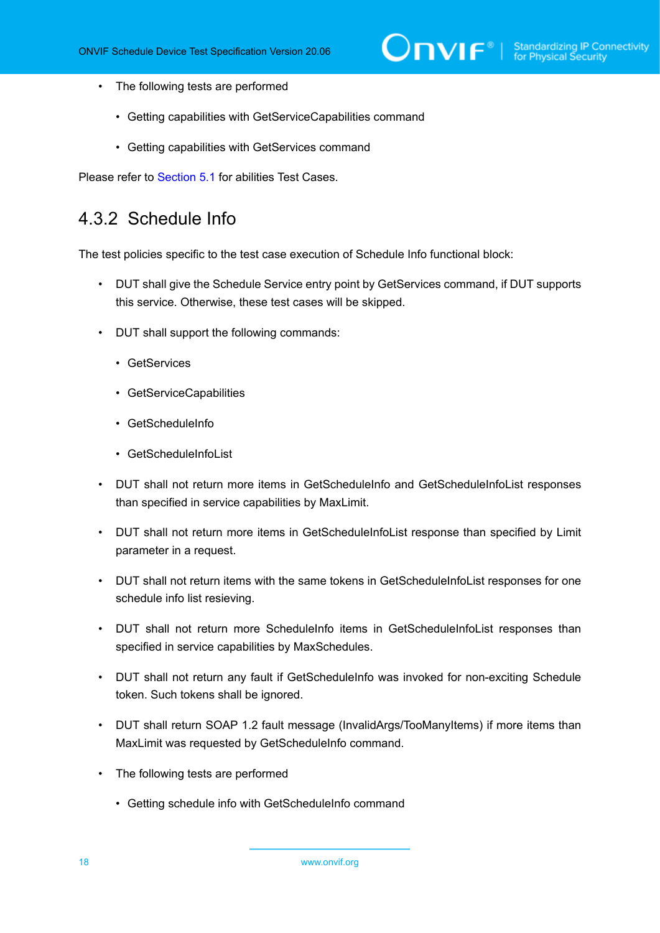- The following tests are performed
	- Getting capabilities with GetServiceCapabilities command
	- Getting capabilities with GetServices command

<span id="page-17-0"></span>Please refer to [Section 5.1](#page-27-1) for abilities Test Cases.

### 4.3.2 Schedule Info

The test policies specific to the test case execution of Schedule Info functional block:

- DUT shall give the Schedule Service entry point by GetServices command, if DUT supports this service. Otherwise, these test cases will be skipped.
- DUT shall support the following commands:
	- GetServices
	- GetServiceCapabilities
	- GetScheduleInfo
	- GetScheduleInfoList
- DUT shall not return more items in GetScheduleInfo and GetScheduleInfoList responses than specified in service capabilities by MaxLimit.
- DUT shall not return more items in GetScheduleInfoList response than specified by Limit parameter in a request.
- DUT shall not return items with the same tokens in GetScheduleInfoList responses for one schedule info list resieving.
- DUT shall not return more ScheduleInfo items in GetScheduleInfoList responses than specified in service capabilities by MaxSchedules.
- DUT shall not return any fault if GetScheduleInfo was invoked for non-exciting Schedule token. Such tokens shall be ignored.
- DUT shall return SOAP 1.2 fault message (InvalidArgs/TooManyItems) if more items than MaxLimit was requested by GetScheduleInfo command.
- The following tests are performed
	- Getting schedule info with GetScheduleInfo command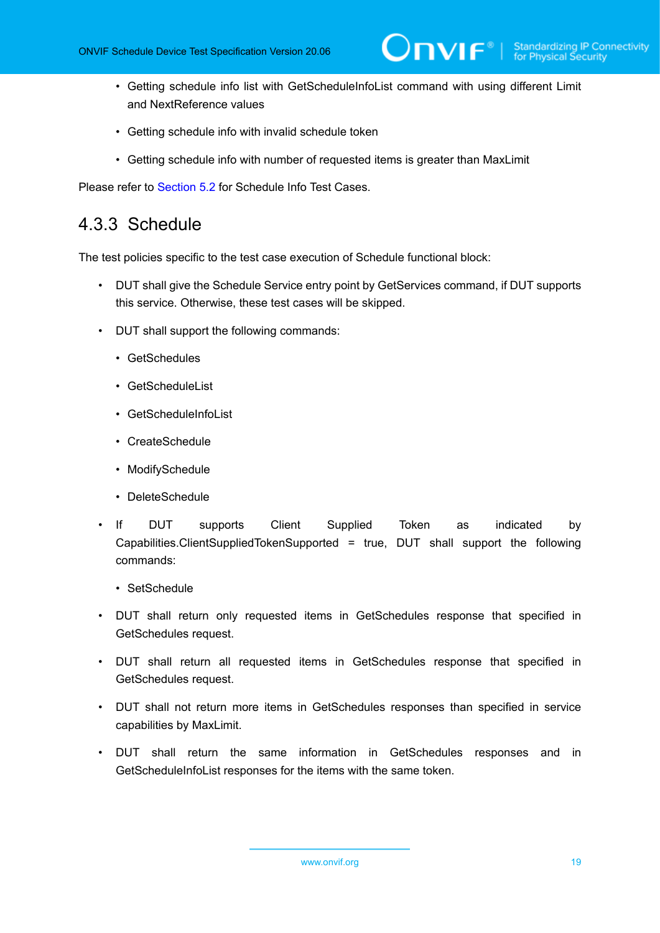- Getting schedule info list with GetScheduleInfoList command with using different Limit and NextReference values
- Getting schedule info with invalid schedule token
- Getting schedule info with number of requested items is greater than MaxLimit

<span id="page-18-0"></span>Please refer to [Section 5.2](#page-29-0) for Schedule Info Test Cases.

#### 4.3.3 Schedule

The test policies specific to the test case execution of Schedule functional block:

- DUT shall give the Schedule Service entry point by GetServices command, if DUT supports this service. Otherwise, these test cases will be skipped.
- DUT shall support the following commands:
	- GetSchedules
	- GetScheduleList
	- GetScheduleInfoList
	- CreateSchedule
	- ModifySchedule
	- DeleteSchedule
- If DUT supports Client Supplied Token as indicated by Capabilities.ClientSuppliedTokenSupported = true, DUT shall support the following commands:
	- SetSchedule
- DUT shall return only requested items in GetSchedules response that specified in GetSchedules request.
- DUT shall return all requested items in GetSchedules response that specified in GetSchedules request.
- DUT shall not return more items in GetSchedules responses than specified in service capabilities by MaxLimit.
- DUT shall return the same information in GetSchedules responses and in GetScheduleInfoList responses for the items with the same token.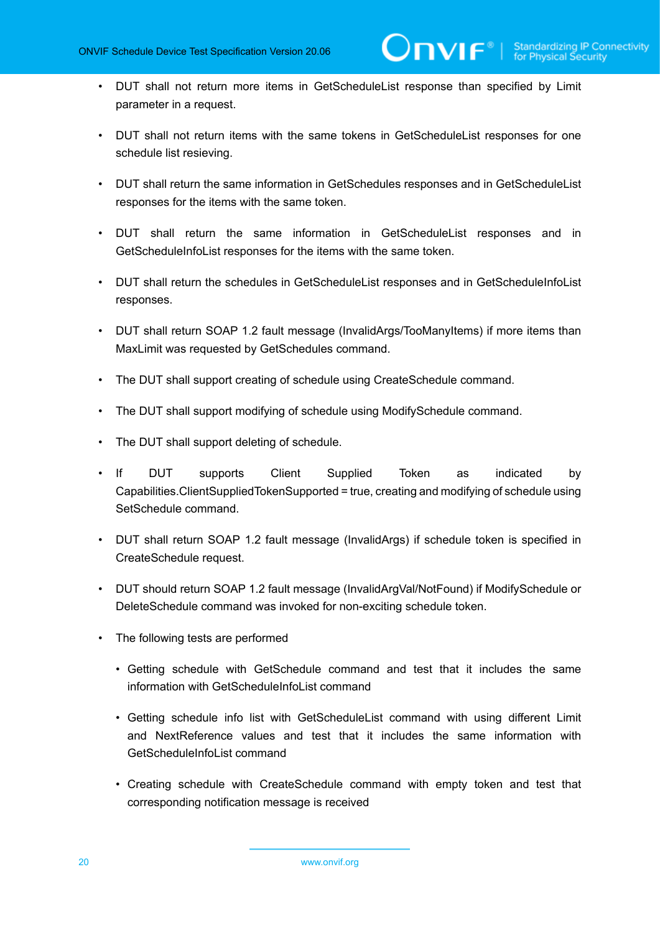- DUT shall not return more items in GetScheduleList response than specified by Limit parameter in a request.
- DUT shall not return items with the same tokens in GetScheduleList responses for one schedule list resieving.
- DUT shall return the same information in GetSchedules responses and in GetScheduleList responses for the items with the same token.
- DUT shall return the same information in GetScheduleList responses and in GetScheduleInfoList responses for the items with the same token.
- DUT shall return the schedules in GetScheduleList responses and in GetScheduleInfoList responses.
- DUT shall return SOAP 1.2 fault message (InvalidArgs/TooManyItems) if more items than MaxLimit was requested by GetSchedules command.
- The DUT shall support creating of schedule using CreateSchedule command.
- The DUT shall support modifying of schedule using ModifySchedule command.
- The DUT shall support deleting of schedule.
- If DUT supports Client Supplied Token as indicated by Capabilities.ClientSuppliedTokenSupported = true, creating and modifying of schedule using SetSchedule command.
- DUT shall return SOAP 1.2 fault message (InvalidArgs) if schedule token is specified in CreateSchedule request.
- DUT should return SOAP 1.2 fault message (InvalidArgVal/NotFound) if ModifySchedule or DeleteSchedule command was invoked for non-exciting schedule token.
- The following tests are performed
	- Getting schedule with GetSchedule command and test that it includes the same information with GetScheduleInfoList command
	- Getting schedule info list with GetScheduleList command with using different Limit and NextReference values and test that it includes the same information with GetScheduleInfoList command
	- Creating schedule with CreateSchedule command with empty token and test that corresponding notification message is received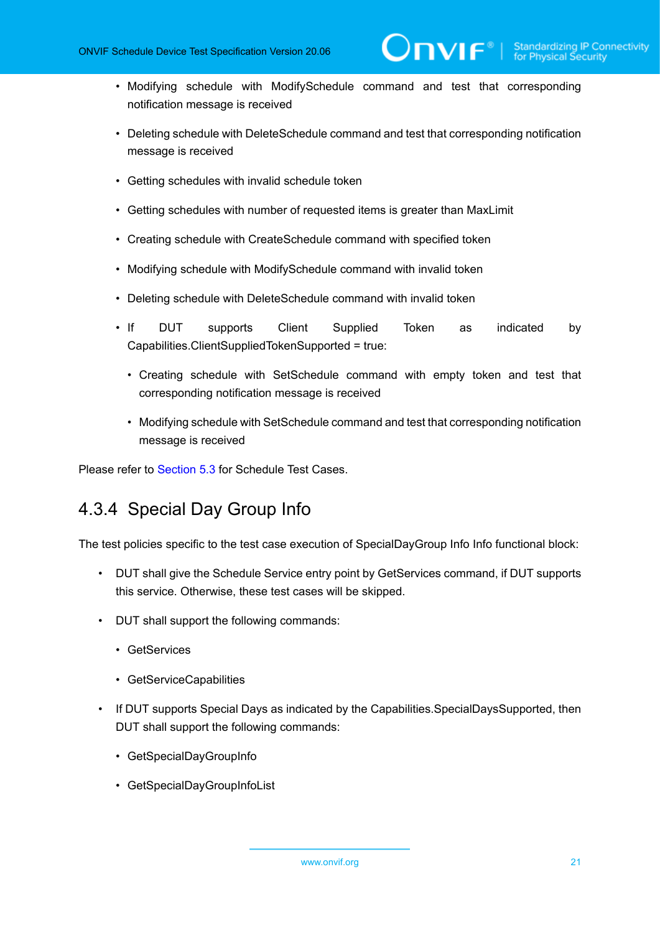• Modifying schedule with ModifySchedule command and test that corresponding notification message is received

 $\overline{\mathsf{DVIF}^*}$  )

- Deleting schedule with DeleteSchedule command and test that corresponding notification message is received
- Getting schedules with invalid schedule token
- Getting schedules with number of requested items is greater than MaxLimit
- Creating schedule with CreateSchedule command with specified token
- Modifying schedule with ModifySchedule command with invalid token
- Deleting schedule with DeleteSchedule command with invalid token
- If DUT supports Client Supplied Token as indicated by Capabilities.ClientSuppliedTokenSupported = true:
	- Creating schedule with SetSchedule command with empty token and test that corresponding notification message is received
	- Modifying schedule with SetSchedule command and test that corresponding notification message is received

<span id="page-20-0"></span>Please refer to [Section 5.3](#page-41-0) for Schedule Test Cases.

## 4.3.4 Special Day Group Info

The test policies specific to the test case execution of SpecialDayGroup Info Info functional block:

- DUT shall give the Schedule Service entry point by GetServices command, if DUT supports this service. Otherwise, these test cases will be skipped.
- DUT shall support the following commands:
	- GetServices
	- GetServiceCapabilities
- If DUT supports Special Days as indicated by the Capabilities.SpecialDaysSupported, then DUT shall support the following commands:
	- GetSpecialDayGroupInfo
	- GetSpecialDayGroupInfoList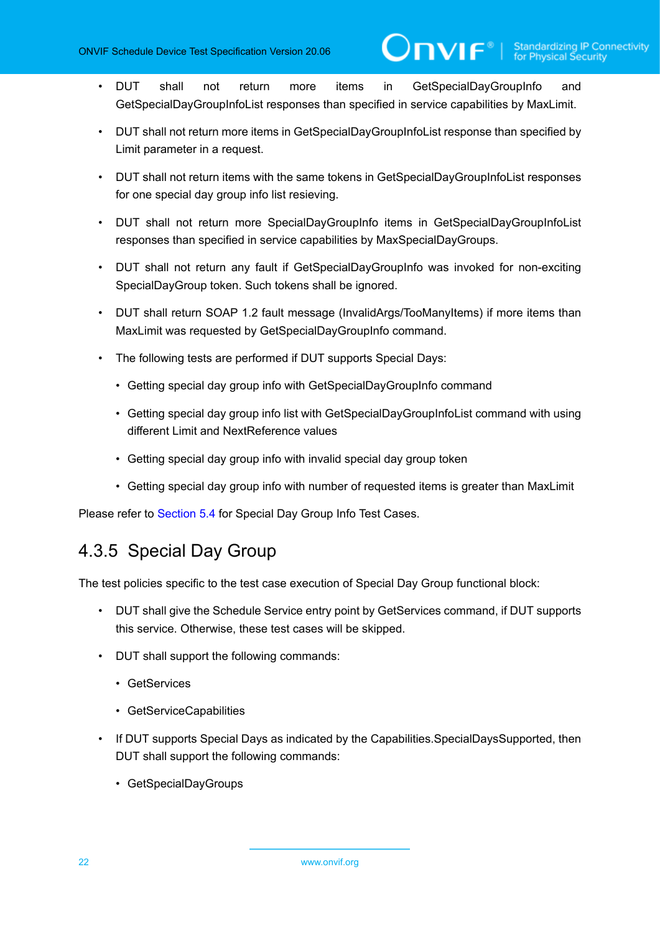- DUT shall not return more items in GetSpecialDayGroupInfo and GetSpecialDayGroupInfoList responses than specified in service capabilities by MaxLimit.
- DUT shall not return more items in GetSpecialDayGroupInfoList response than specified by Limit parameter in a request.
- DUT shall not return items with the same tokens in GetSpecialDayGroupInfoList responses for one special day group info list resieving.
- DUT shall not return more SpecialDayGroupInfo items in GetSpecialDayGroupInfoList responses than specified in service capabilities by MaxSpecialDayGroups.
- DUT shall not return any fault if GetSpecialDayGroupInfo was invoked for non-exciting SpecialDayGroup token. Such tokens shall be ignored.
- DUT shall return SOAP 1.2 fault message (InvalidArgs/TooManyItems) if more items than MaxLimit was requested by GetSpecialDayGroupInfo command.
- The following tests are performed if DUT supports Special Days:
	- Getting special day group info with GetSpecialDayGroupInfo command
	- Getting special day group info list with GetSpecialDayGroupInfoList command with using different Limit and NextReference values
	- Getting special day group info with invalid special day group token
	- Getting special day group info with number of requested items is greater than MaxLimit

<span id="page-21-0"></span>Please refer to [Section 5.4](#page-85-0) for Special Day Group Info Test Cases.

## 4.3.5 Special Day Group

The test policies specific to the test case execution of Special Day Group functional block:

- DUT shall give the Schedule Service entry point by GetServices command, if DUT supports this service. Otherwise, these test cases will be skipped.
- DUT shall support the following commands:
	- GetServices
	- GetServiceCapabilities
- If DUT supports Special Days as indicated by the Capabilities.SpecialDaysSupported, then DUT shall support the following commands:
	- GetSpecialDayGroups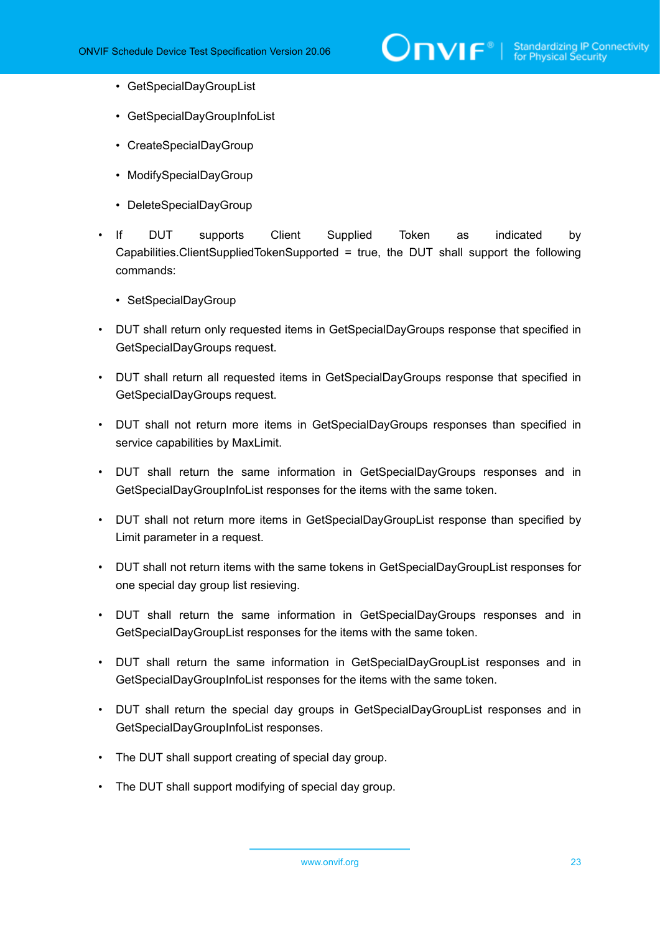- GetSpecialDayGroupList
- GetSpecialDayGroupInfoList
- CreateSpecialDayGroup
- ModifySpecialDayGroup
- DeleteSpecialDayGroup
- If DUT supports Client Supplied Token as indicated by Capabilities.ClientSuppliedTokenSupported = true, the DUT shall support the following commands:
	- SetSpecialDayGroup
- DUT shall return only requested items in GetSpecialDayGroups response that specified in GetSpecialDayGroups request.
- DUT shall return all requested items in GetSpecialDayGroups response that specified in GetSpecialDayGroups request.
- DUT shall not return more items in GetSpecialDayGroups responses than specified in service capabilities by MaxLimit.
- DUT shall return the same information in GetSpecialDayGroups responses and in GetSpecialDayGroupInfoList responses for the items with the same token.
- DUT shall not return more items in GetSpecialDayGroupList response than specified by Limit parameter in a request.
- DUT shall not return items with the same tokens in GetSpecialDayGroupList responses for one special day group list resieving.
- DUT shall return the same information in GetSpecialDayGroups responses and in GetSpecialDayGroupList responses for the items with the same token.
- DUT shall return the same information in GetSpecialDayGroupList responses and in GetSpecialDayGroupInfoList responses for the items with the same token.
- DUT shall return the special day groups in GetSpecialDayGroupList responses and in GetSpecialDayGroupInfoList responses.
- The DUT shall support creating of special day group.
- The DUT shall support modifying of special day group.

www.onvif.org 23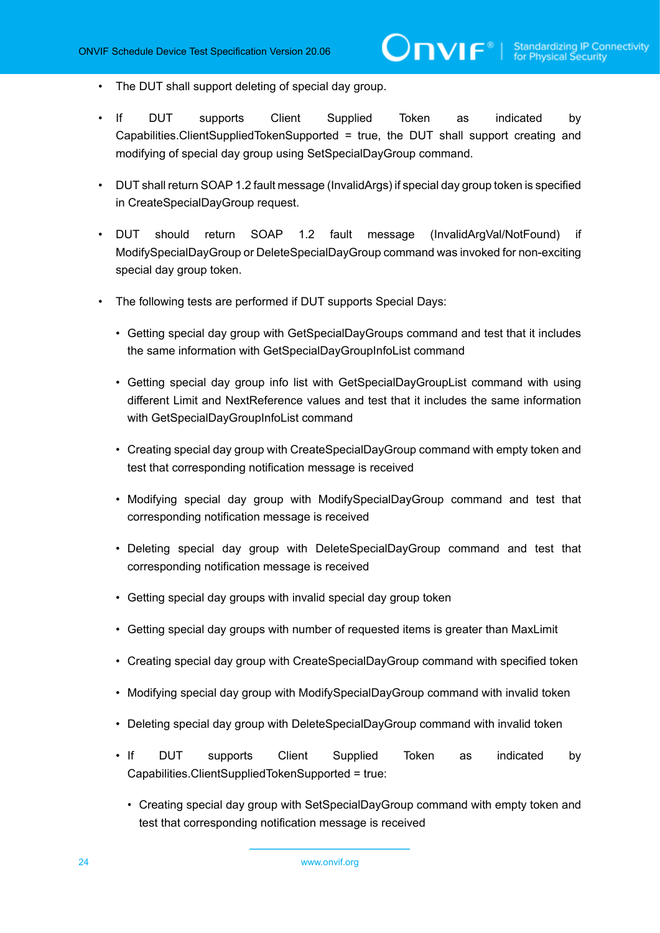- The DUT shall support deleting of special day group.
- If DUT supports Client Supplied Token as indicated by Capabilities.ClientSuppliedTokenSupported = true, the DUT shall support creating and modifying of special day group using SetSpecialDayGroup command.
- DUT shall return SOAP 1.2 fault message (InvalidArgs) if special day group token is specified in CreateSpecialDayGroup request.
- DUT should return SOAP 1.2 fault message (InvalidArgVal/NotFound) if ModifySpecialDayGroup or DeleteSpecialDayGroup command was invoked for non-exciting special day group token.
- The following tests are performed if DUT supports Special Days:
	- Getting special day group with GetSpecialDayGroups command and test that it includes the same information with GetSpecialDayGroupInfoList command
	- Getting special day group info list with GetSpecialDayGroupList command with using different Limit and NextReference values and test that it includes the same information with GetSpecialDayGroupInfoList command
	- Creating special day group with CreateSpecialDayGroup command with empty token and test that corresponding notification message is received
	- Modifying special day group with ModifySpecialDayGroup command and test that corresponding notification message is received
	- Deleting special day group with DeleteSpecialDayGroup command and test that corresponding notification message is received
	- Getting special day groups with invalid special day group token
	- Getting special day groups with number of requested items is greater than MaxLimit
	- Creating special day group with CreateSpecialDayGroup command with specified token
	- Modifying special day group with ModifySpecialDayGroup command with invalid token
	- Deleting special day group with DeleteSpecialDayGroup command with invalid token
	- If DUT supports Client Supplied Token as indicated by Capabilities.ClientSuppliedTokenSupported = true:
		- Creating special day group with SetSpecialDayGroup command with empty token and test that corresponding notification message is received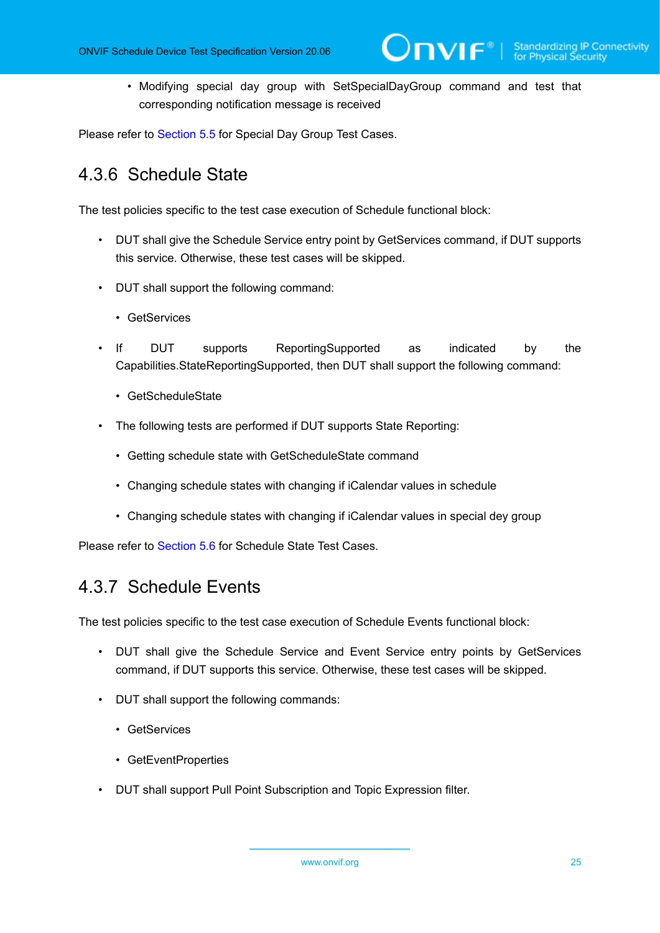• Modifying special day group with SetSpecialDayGroup command and test that corresponding notification message is received

<span id="page-24-0"></span>Please refer to [Section 5.5](#page-97-0) for Special Day Group Test Cases.

## 4.3.6 Schedule State

The test policies specific to the test case execution of Schedule functional block:

- DUT shall give the Schedule Service entry point by GetServices command, if DUT supports this service. Otherwise, these test cases will be skipped.
- DUT shall support the following command:
	- GetServices
- If DUT supports ReportingSupported as indicated by the Capabilities.StateReportingSupported, then DUT shall support the following command:
	- GetScheduleState
- The following tests are performed if DUT supports State Reporting:
	- Getting schedule state with GetScheduleState command
	- Changing schedule states with changing if iCalendar values in schedule
	- Changing schedule states with changing if iCalendar values in special dey group

<span id="page-24-1"></span>Please refer to [Section 5.6](#page-132-0) for Schedule State Test Cases.

## 4.3.7 Schedule Events

The test policies specific to the test case execution of Schedule Events functional block:

- DUT shall give the Schedule Service and Event Service entry points by GetServices command, if DUT supports this service. Otherwise, these test cases will be skipped.
- DUT shall support the following commands:
	- GetServices
	- GetEventProperties
- DUT shall support Pull Point Subscription and Topic Expression filter.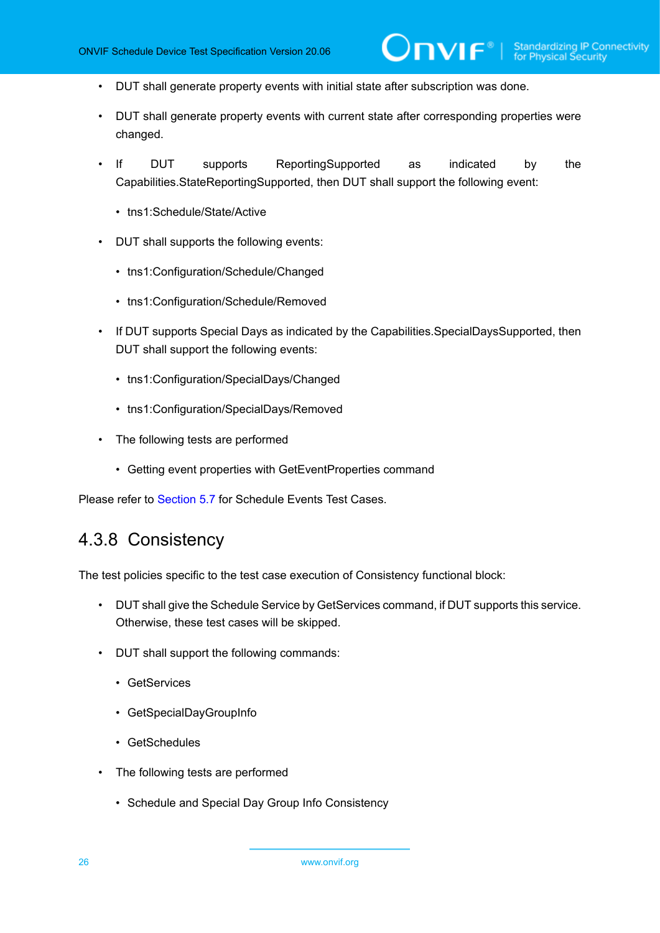$\mathsf{J}\mathsf{IVIF}^*$  i

- DUT shall generate property events with initial state after subscription was done.
- DUT shall generate property events with current state after corresponding properties were changed.
- If DUT supports ReportingSupported as indicated by the Capabilities.StateReportingSupported, then DUT shall support the following event:
	- tns1:Schedule/State/Active
- DUT shall supports the following events:
	- tns1:Configuration/Schedule/Changed
	- tns1:Configuration/Schedule/Removed
- If DUT supports Special Days as indicated by the Capabilities.SpecialDaysSupported, then DUT shall support the following events:
	- tns1:Configuration/SpecialDays/Changed
	- tns1:Configuration/SpecialDays/Removed
- The following tests are performed
	- Getting event properties with GetEventProperties command

<span id="page-25-0"></span>Please refer to [Section 5.7](#page-143-0) for Schedule Events Test Cases.

## 4.3.8 Consistency

The test policies specific to the test case execution of Consistency functional block:

- DUT shall give the Schedule Service by GetServices command, if DUT supports this service. Otherwise, these test cases will be skipped.
- DUT shall support the following commands:
	- GetServices
	- GetSpecialDayGroupInfo
	- GetSchedules
- The following tests are performed
	- Schedule and Special Day Group Info Consistency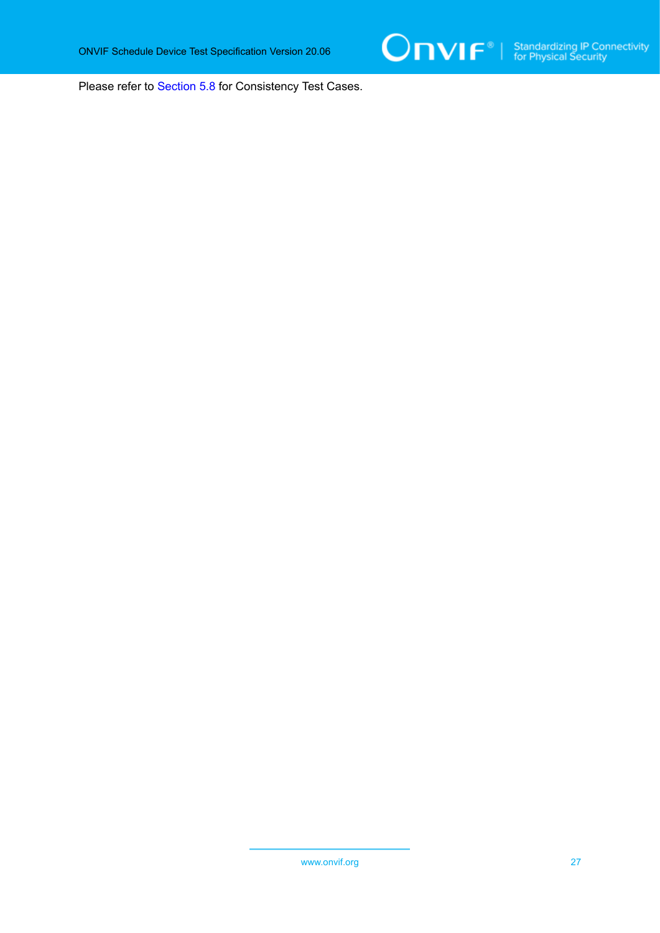

Please refer to [Section 5.8](#page-152-0) for Consistency Test Cases.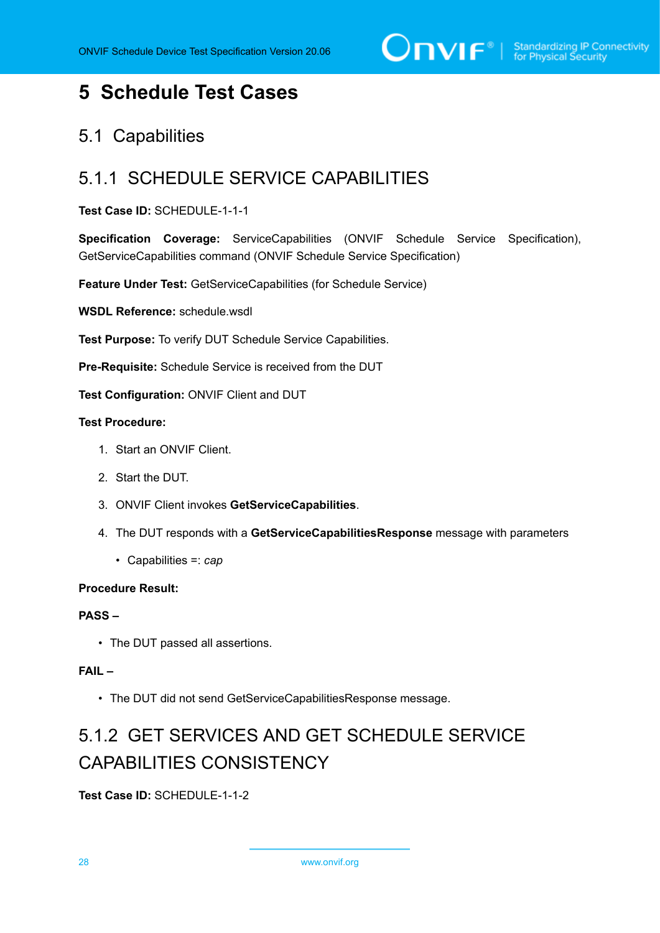# <span id="page-27-0"></span>**5 Schedule Test Cases**

## <span id="page-27-1"></span>5.1 Capabilities

## <span id="page-27-2"></span>5.1.1 SCHEDULE SERVICE CAPABILITIES

#### **Test Case ID:** SCHEDULE-1-1-1

**Specification Coverage:** ServiceCapabilities (ONVIF Schedule Service Specification), GetServiceCapabilities command (ONVIF Schedule Service Specification)

**Feature Under Test:** GetServiceCapabilities (for Schedule Service)

**WSDL Reference:** schedule.wsdl

**Test Purpose:** To verify DUT Schedule Service Capabilities.

**Pre-Requisite:** Schedule Service is received from the DUT

**Test Configuration:** ONVIF Client and DUT

#### **Test Procedure:**

- 1. Start an ONVIF Client.
- 2. Start the DUT.
- 3. ONVIF Client invokes **GetServiceCapabilities**.
- 4. The DUT responds with a **GetServiceCapabilitiesResponse** message with parameters
	- Capabilities =: *cap*

#### **Procedure Result:**

#### **PASS –**

• The DUT passed all assertions.

#### **FAIL –**

• The DUT did not send GetServiceCapabilitiesResponse message.

# <span id="page-27-3"></span>5.1.2 GET SERVICES AND GET SCHEDULE SERVICE CAPABILITIES CONSISTENCY

**Test Case ID:** SCHEDULE-1-1-2

28 www.onvif.org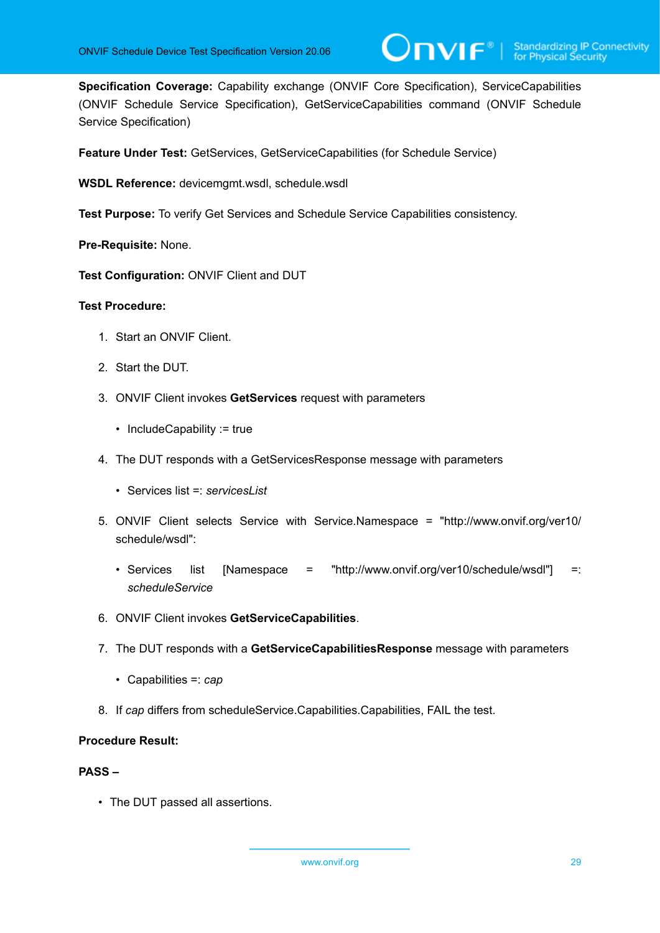**Specification Coverage:** Capability exchange (ONVIF Core Specification), ServiceCapabilities (ONVIF Schedule Service Specification), GetServiceCapabilities command (ONVIF Schedule Service Specification)

 $\mathsf{D}\mathbf{N}\mathsf{I}\mathsf{F}^\ast$ l

**Feature Under Test:** GetServices, GetServiceCapabilities (for Schedule Service)

**WSDL Reference:** devicemgmt.wsdl, schedule.wsdl

**Test Purpose:** To verify Get Services and Schedule Service Capabilities consistency.

**Pre-Requisite:** None.

**Test Configuration:** ONVIF Client and DUT

#### **Test Procedure:**

- 1. Start an ONVIF Client.
- 2. Start the DUT.
- 3. ONVIF Client invokes **GetServices** request with parameters
	- IncludeCapability := true
- 4. The DUT responds with a GetServicesResponse message with parameters
	- Services list =: *servicesList*
- 5. ONVIF Client selects Service with Service.Namespace = "http://www.onvif.org/ver10/ schedule/wsdl":
	- Services list [Namespace = "http://www.onvif.org/ver10/schedule/wsdl"] =: *scheduleService*
- 6. ONVIF Client invokes **GetServiceCapabilities**.
- 7. The DUT responds with a **GetServiceCapabilitiesResponse** message with parameters
	- Capabilities =: *cap*
- 8. If *cap* differs from scheduleService.Capabilities.Capabilities, FAIL the test.

#### **Procedure Result:**

#### **PASS –**

• The DUT passed all assertions.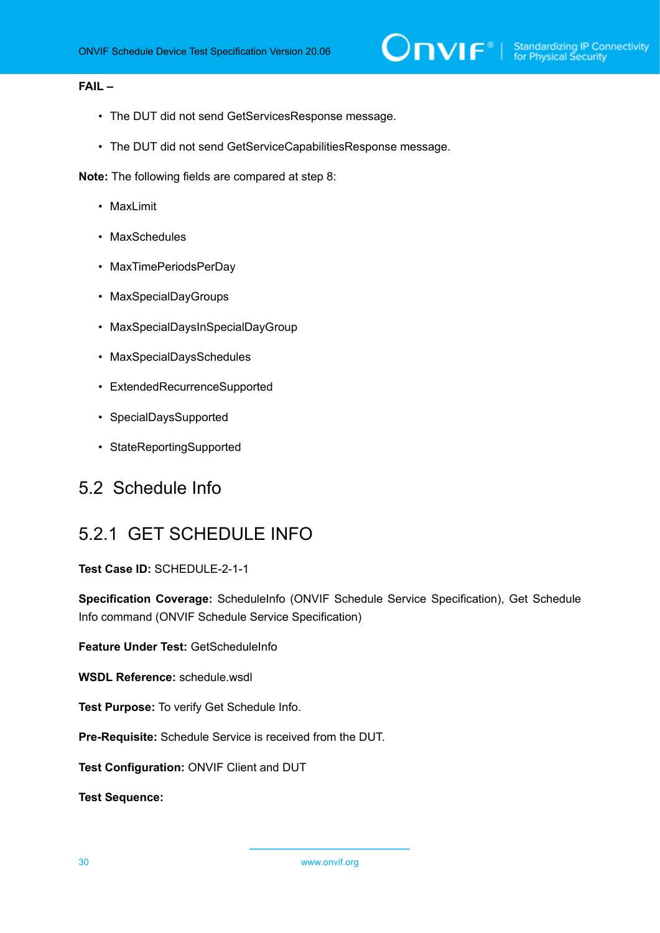#### **FAIL –**

- The DUT did not send GetServicesResponse message.
- The DUT did not send GetServiceCapabilitiesResponse message.

**Note:** The following fields are compared at step 8:

- MaxLimit
- MaxSchedules
- MaxTimePeriodsPerDay
- MaxSpecialDayGroups
- MaxSpecialDaysInSpecialDayGroup
- MaxSpecialDaysSchedules
- ExtendedRecurrenceSupported
- SpecialDaysSupported
- StateReportingSupported

#### <span id="page-29-1"></span><span id="page-29-0"></span>5.2 Schedule Info

## 5.2.1 GET SCHEDULE INFO

**Test Case ID:** SCHEDULE-2-1-1

**Specification Coverage:** ScheduleInfo (ONVIF Schedule Service Specification), Get Schedule Info command (ONVIF Schedule Service Specification)

**Feature Under Test:** GetScheduleInfo

**WSDL Reference:** schedule.wsdl

**Test Purpose:** To verify Get Schedule Info.

**Pre-Requisite:** Schedule Service is received from the DUT.

**Test Configuration:** ONVIF Client and DUT

**Test Sequence:**

30 www.onvif.org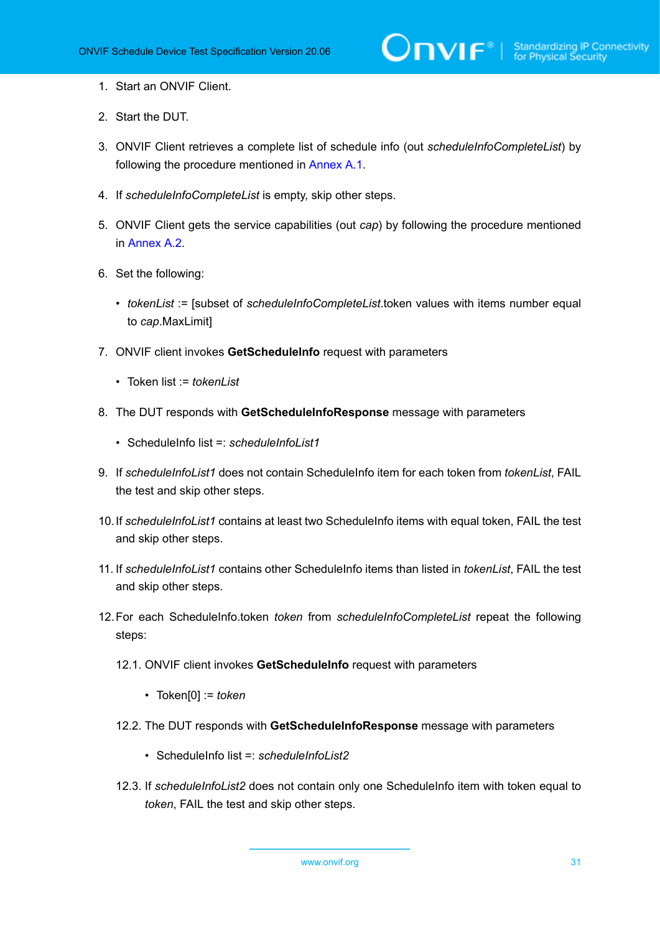- 1. Start an ONVIF Client.
- 2. Start the DUT.
- 3. ONVIF Client retrieves a complete list of schedule info (out *scheduleInfoCompleteList*) by following the procedure mentioned in [Annex A.1](#page-154-1).
- 4. If *scheduleInfoCompleteList* is empty, skip other steps.
- 5. ONVIF Client gets the service capabilities (out *cap*) by following the procedure mentioned in [Annex A.2.](#page-155-0)
- 6. Set the following:
	- *tokenList* := [subset of *scheduleInfoCompleteList*.token values with items number equal to *cap*.MaxLimit]
- 7. ONVIF client invokes **GetScheduleInfo** request with parameters
	- Token list := *tokenList*
- 8. The DUT responds with **GetScheduleInfoResponse** message with parameters
	- ScheduleInfo list =: *scheduleInfoList1*
- 9. If *scheduleInfoList1* does not contain ScheduleInfo item for each token from *tokenList*, FAIL the test and skip other steps.
- 10.If *scheduleInfoList1* contains at least two ScheduleInfo items with equal token, FAIL the test and skip other steps.
- 11. If *scheduleInfoList1* contains other ScheduleInfo items than listed in *tokenList*, FAIL the test and skip other steps.
- 12.For each ScheduleInfo.token *token* from *scheduleInfoCompleteList* repeat the following steps:
	- 12.1. ONVIF client invokes **GetScheduleInfo** request with parameters
		- Token[0] := *token*
	- 12.2. The DUT responds with **GetScheduleInfoResponse** message with parameters
		- ScheduleInfo list =: *scheduleInfoList2*
	- 12.3. If *scheduleInfoList2* does not contain only one ScheduleInfo item with token equal to *token*, FAIL the test and skip other steps.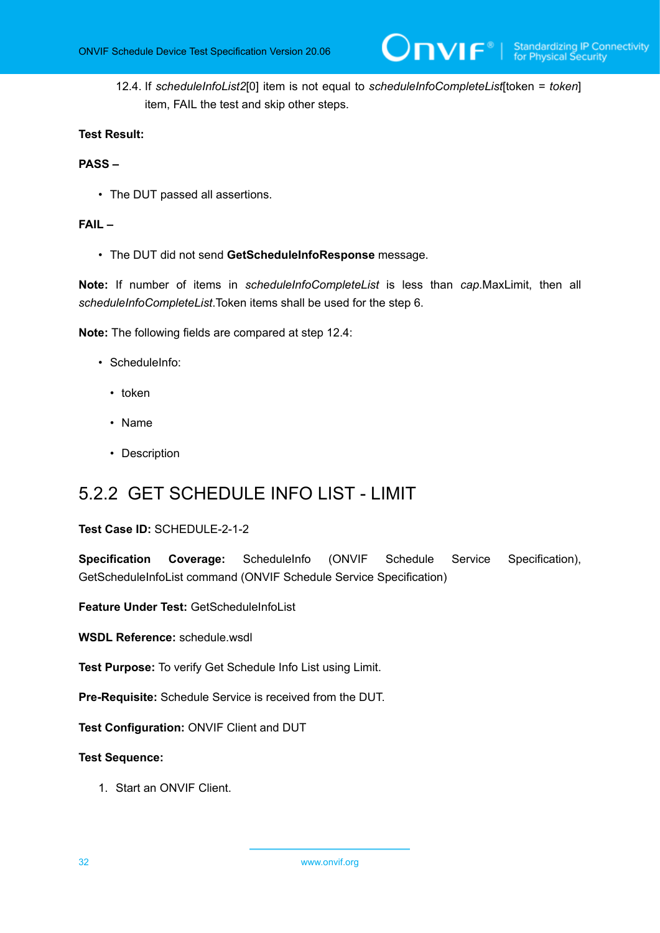12.4. If *scheduleInfoList2*[0] item is not equal to *scheduleInfoCompleteList*[token = *token*] item, FAIL the test and skip other steps.

#### **Test Result:**

#### **PASS –**

• The DUT passed all assertions.

#### **FAIL –**

• The DUT did not send **GetScheduleInfoResponse** message.

**Note:** If number of items in *scheduleInfoCompleteList* is less than *cap*.MaxLimit, then all *scheduleInfoCompleteList*.Token items shall be used for the step 6.

**Note:** The following fields are compared at step 12.4:

- ScheduleInfo:
	- token
	- Name
	- Description

## <span id="page-31-0"></span>5.2.2 GET SCHEDULE INFO LIST - LIMIT

#### **Test Case ID:** SCHEDULE-2-1-2

**Specification Coverage:** ScheduleInfo (ONVIF Schedule Service Specification), GetScheduleInfoList command (ONVIF Schedule Service Specification)

**Feature Under Test:** GetScheduleInfoList

**WSDL Reference:** schedule.wsdl

**Test Purpose:** To verify Get Schedule Info List using Limit.

**Pre-Requisite:** Schedule Service is received from the DUT.

**Test Configuration:** ONVIF Client and DUT

#### **Test Sequence:**

1. Start an ONVIF Client.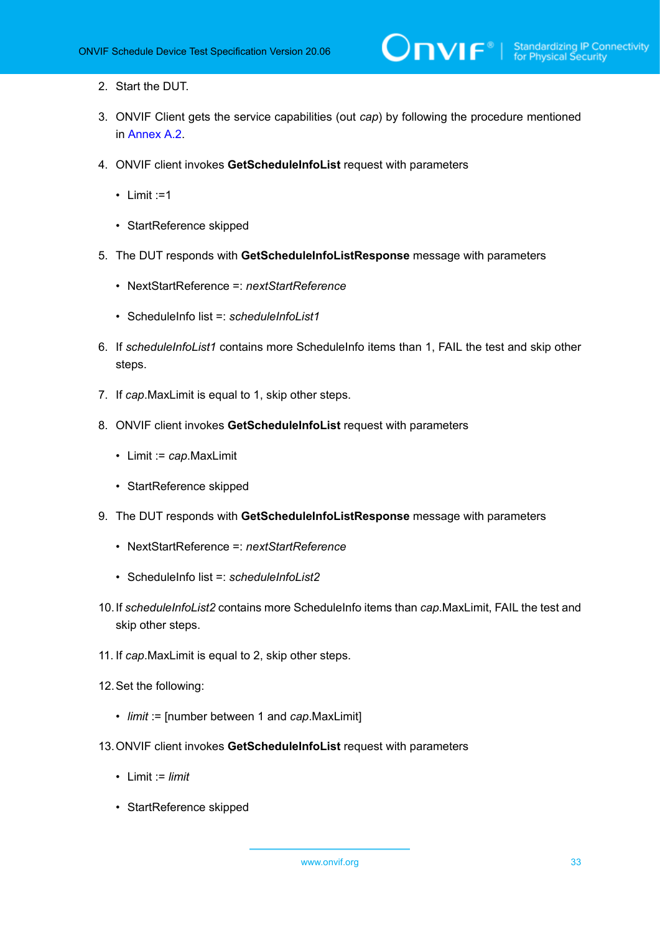- 2. Start the DUT.
- 3. ONVIF Client gets the service capabilities (out *cap*) by following the procedure mentioned in [Annex A.2.](#page-155-0)
- 4. ONVIF client invokes **GetScheduleInfoList** request with parameters
	- $\cdot$  Limit :=1
	- StartReference skipped
- 5. The DUT responds with **GetScheduleInfoListResponse** message with parameters
	- NextStartReference =: *nextStartReference*
	- ScheduleInfo list =: *scheduleInfoList1*
- 6. If *scheduleInfoList1* contains more ScheduleInfo items than 1, FAIL the test and skip other steps.
- 7. If *cap*.MaxLimit is equal to 1, skip other steps.
- 8. ONVIF client invokes **GetScheduleInfoList** request with parameters
	- Limit := *cap*.MaxLimit
	- StartReference skipped
- 9. The DUT responds with **GetScheduleInfoListResponse** message with parameters
	- NextStartReference =: *nextStartReference*
	- ScheduleInfo list =: *scheduleInfoList2*
- 10.If *scheduleInfoList2* contains more ScheduleInfo items than *cap*.MaxLimit, FAIL the test and skip other steps.
- 11. If *cap*.MaxLimit is equal to 2, skip other steps.
- 12.Set the following:
	- *limit* := [number between 1 and *cap*.MaxLimit]
- 13.ONVIF client invokes **GetScheduleInfoList** request with parameters
	- Limit := *limit*
	- StartReference skipped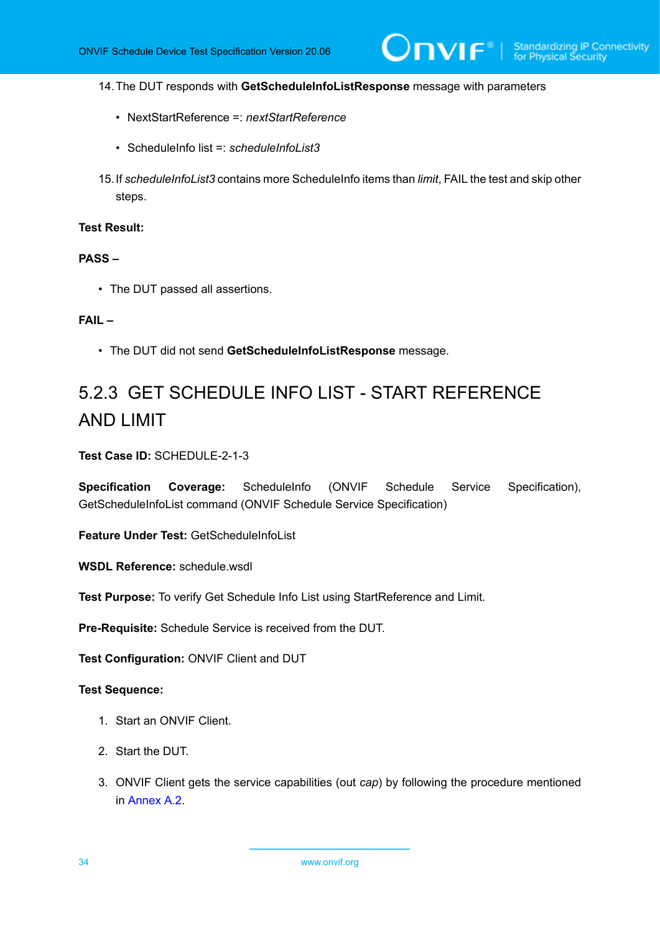$\mathsf{D}\mathbf{N}\mathsf{I}\mathsf{F}^\ast$ l

#### 14.The DUT responds with **GetScheduleInfoListResponse** message with parameters

- NextStartReference =: *nextStartReference*
- ScheduleInfo list =: *scheduleInfoList3*
- 15.If *scheduleInfoList3* contains more ScheduleInfo items than *limit*, FAIL the test and skip other steps.

#### **Test Result:**

#### **PASS –**

• The DUT passed all assertions.

#### **FAIL –**

• The DUT did not send **GetScheduleInfoListResponse** message.

# <span id="page-33-0"></span>5.2.3 GET SCHEDULE INFO LIST - START REFERENCE AND LIMIT

#### **Test Case ID:** SCHEDULE-2-1-3

**Specification Coverage:** ScheduleInfo (ONVIF Schedule Service Specification), GetScheduleInfoList command (ONVIF Schedule Service Specification)

**Feature Under Test:** GetScheduleInfoList

**WSDL Reference:** schedule.wsdl

**Test Purpose:** To verify Get Schedule Info List using StartReference and Limit.

**Pre-Requisite:** Schedule Service is received from the DUT.

**Test Configuration:** ONVIF Client and DUT

#### **Test Sequence:**

- 1. Start an ONVIF Client.
- 2. Start the DUT.
- 3. ONVIF Client gets the service capabilities (out *cap*) by following the procedure mentioned in [Annex A.2.](#page-155-0)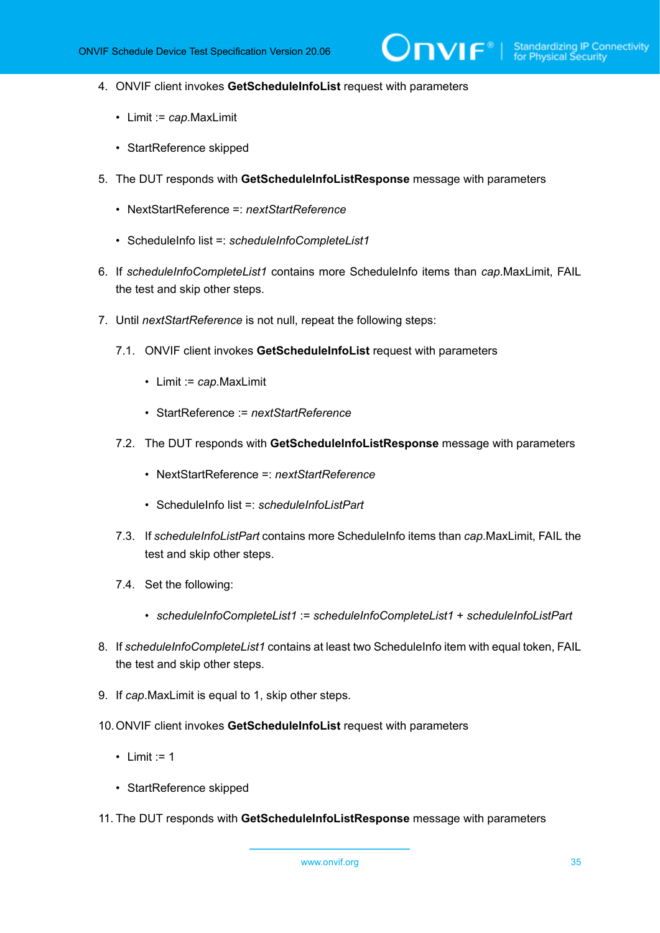- 4. ONVIF client invokes **GetScheduleInfoList** request with parameters
	- Limit := *cap*.MaxLimit
	- StartReference skipped
- 5. The DUT responds with **GetScheduleInfoListResponse** message with parameters
	- NextStartReference =: *nextStartReference*
	- ScheduleInfo list =: *scheduleInfoCompleteList1*
- 6. If *scheduleInfoCompleteList1* contains more ScheduleInfo items than *cap*.MaxLimit, FAIL the test and skip other steps.
- 7. Until *nextStartReference* is not null, repeat the following steps:
	- 7.1. ONVIF client invokes **GetScheduleInfoList** request with parameters
		- Limit := *cap*.MaxLimit
		- StartReference := *nextStartReference*
	- 7.2. The DUT responds with **GetScheduleInfoListResponse** message with parameters
		- NextStartReference =: *nextStartReference*
		- ScheduleInfo list =: *scheduleInfoListPart*
	- 7.3. If *scheduleInfoListPart* contains more ScheduleInfo items than *cap*.MaxLimit, FAIL the test and skip other steps.
	- 7.4. Set the following:
		- *scheduleInfoCompleteList1* := *scheduleInfoCompleteList1* + *scheduleInfoListPart*
- 8. If *scheduleInfoCompleteList1* contains at least two ScheduleInfo item with equal token, FAIL the test and skip other steps.
- 9. If *cap*.MaxLimit is equal to 1, skip other steps.
- 10.ONVIF client invokes **GetScheduleInfoList** request with parameters
	- Limit  $:= 1$
	- StartReference skipped
- 11. The DUT responds with **GetScheduleInfoListResponse** message with parameters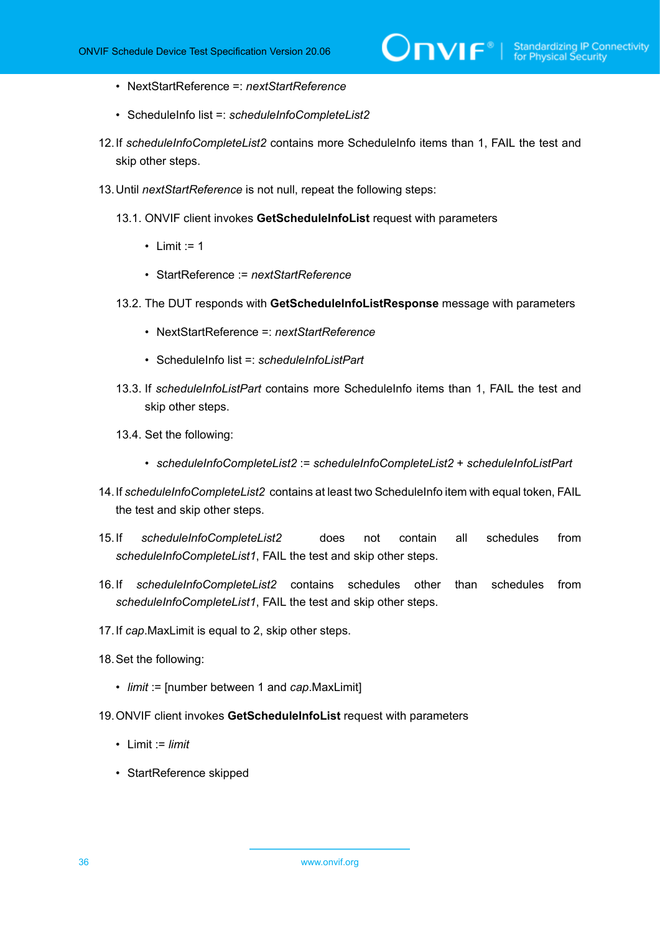- NextStartReference =: *nextStartReference*
- ScheduleInfo list =: *scheduleInfoCompleteList2*
- 12.If *scheduleInfoCompleteList2* contains more ScheduleInfo items than 1, FAIL the test and skip other steps.
- 13.Until *nextStartReference* is not null, repeat the following steps:
	- 13.1. ONVIF client invokes **GetScheduleInfoList** request with parameters
		- Limit  $:= 1$
		- StartReference := *nextStartReference*
	- 13.2. The DUT responds with **GetScheduleInfoListResponse** message with parameters
		- NextStartReference =: *nextStartReference*
		- ScheduleInfo list =: *scheduleInfoListPart*
	- 13.3. If *scheduleInfoListPart* contains more ScheduleInfo items than 1, FAIL the test and skip other steps.
	- 13.4. Set the following:
		- *scheduleInfoCompleteList2* := *scheduleInfoCompleteList2* + *scheduleInfoListPart*
- 14.If *scheduleInfoCompleteList2* contains at least two ScheduleInfo item with equal token, FAIL the test and skip other steps.
- 15.If *scheduleInfoCompleteList2* does not contain all schedules from *scheduleInfoCompleteList1*, FAIL the test and skip other steps.
- 16.If *scheduleInfoCompleteList2* contains schedules other than schedules from *scheduleInfoCompleteList1*, FAIL the test and skip other steps.
- 17.If *cap*.MaxLimit is equal to 2, skip other steps.
- 18.Set the following:
	- *limit* := [number between 1 and *cap*.MaxLimit]
- 19.ONVIF client invokes **GetScheduleInfoList** request with parameters
	- Limit := *limit*
	- StartReference skipped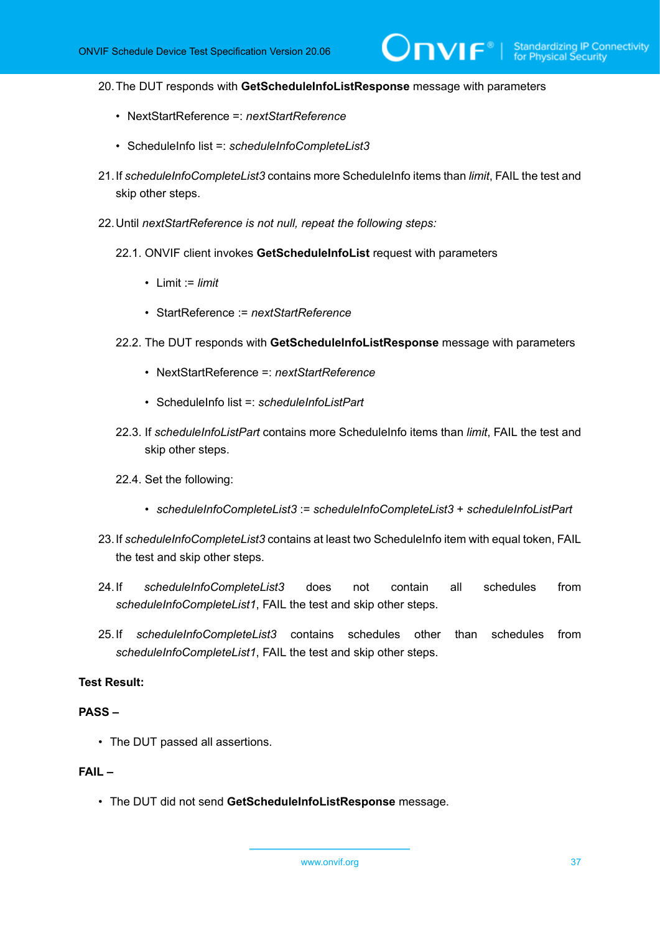$\mathsf{D}\mathbf{n}\mathsf{V}$ lf $^\circ$ l

#### 20.The DUT responds with **GetScheduleInfoListResponse** message with parameters

- NextStartReference =: *nextStartReference*
- ScheduleInfo list =: *scheduleInfoCompleteList3*
- 21.If *scheduleInfoCompleteList3* contains more ScheduleInfo items than *limit*, FAIL the test and skip other steps.
- 22.Until *nextStartReference is not null, repeat the following steps:*
	- 22.1. ONVIF client invokes **GetScheduleInfoList** request with parameters
		- Limit := *limit*
		- StartReference := *nextStartReference*
	- 22.2. The DUT responds with **GetScheduleInfoListResponse** message with parameters
		- NextStartReference =: *nextStartReference*
		- ScheduleInfo list =: *scheduleInfoListPart*
	- 22.3. If *scheduleInfoListPart* contains more ScheduleInfo items than *limit*, FAIL the test and skip other steps.
	- 22.4. Set the following:
		- *scheduleInfoCompleteList3* := *scheduleInfoCompleteList3* + *scheduleInfoListPart*
- 23.If *scheduleInfoCompleteList3* contains at least two ScheduleInfo item with equal token, FAIL the test and skip other steps.
- 24.If *scheduleInfoCompleteList3* does not contain all schedules from *scheduleInfoCompleteList1*, FAIL the test and skip other steps.
- 25.If *scheduleInfoCompleteList3* contains schedules other than schedules from *scheduleInfoCompleteList1*, FAIL the test and skip other steps.

# **Test Result:**

## **PASS –**

• The DUT passed all assertions.

# **FAIL –**

• The DUT did not send **GetScheduleInfoListResponse** message.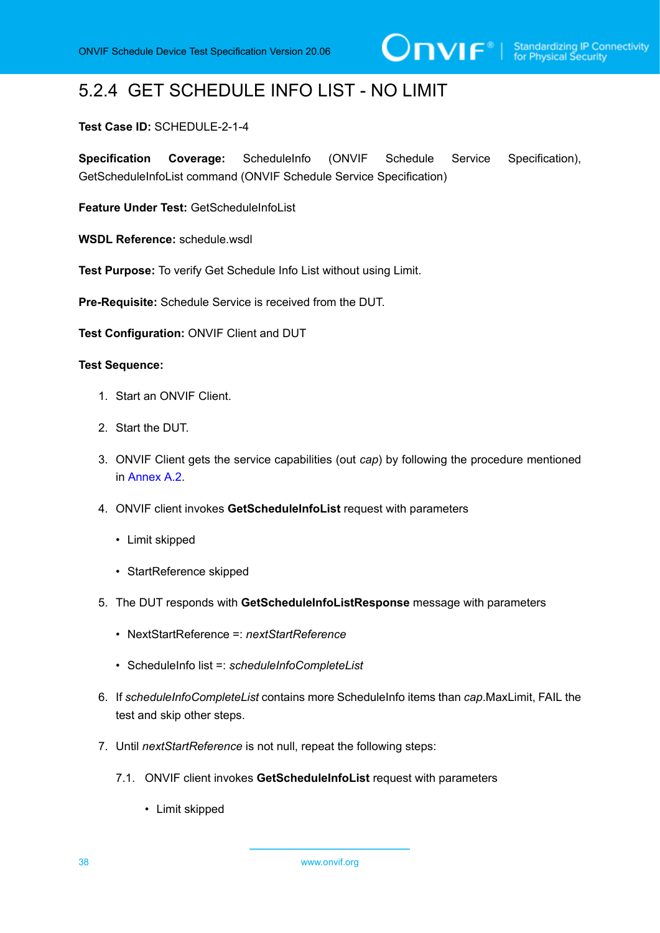# 5.2.4 GET SCHEDULE INFO LIST - NO LIMIT

# **Test Case ID:** SCHEDULE-2-1-4

**Specification Coverage:** ScheduleInfo (ONVIF Schedule Service Specification), GetScheduleInfoList command (ONVIF Schedule Service Specification)

**Feature Under Test:** GetScheduleInfoList

**WSDL Reference:** schedule.wsdl

**Test Purpose:** To verify Get Schedule Info List without using Limit.

**Pre-Requisite:** Schedule Service is received from the DUT.

**Test Configuration:** ONVIF Client and DUT

- 1. Start an ONVIF Client.
- 2. Start the DUT.
- 3. ONVIF Client gets the service capabilities (out *cap*) by following the procedure mentioned in [Annex A.2.](#page-155-0)
- 4. ONVIF client invokes **GetScheduleInfoList** request with parameters
	- Limit skipped
	- StartReference skipped
- 5. The DUT responds with **GetScheduleInfoListResponse** message with parameters
	- NextStartReference =: *nextStartReference*
	- ScheduleInfo list =: *scheduleInfoCompleteList*
- 6. If *scheduleInfoCompleteList* contains more ScheduleInfo items than *cap*.MaxLimit, FAIL the test and skip other steps.
- 7. Until *nextStartReference* is not null, repeat the following steps:
	- 7.1. ONVIF client invokes **GetScheduleInfoList** request with parameters
		- Limit skipped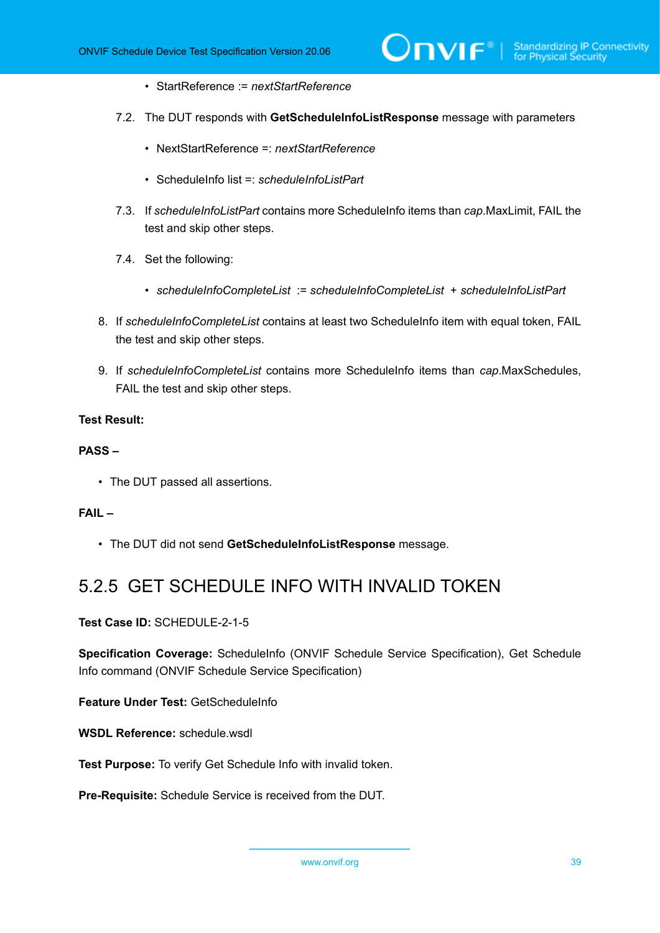- StartReference := *nextStartReference*
- 7.2. The DUT responds with **GetScheduleInfoListResponse** message with parameters
	- NextStartReference =: *nextStartReference*
	- ScheduleInfo list =: *scheduleInfoListPart*
- 7.3. If *scheduleInfoListPart* contains more ScheduleInfo items than *cap*.MaxLimit, FAIL the test and skip other steps.
- 7.4. Set the following:
	- *scheduleInfoCompleteList* := *scheduleInfoCompleteList* + *scheduleInfoListPart*
- 8. If *scheduleInfoCompleteList* contains at least two ScheduleInfo item with equal token, FAIL the test and skip other steps.
- 9. If *scheduleInfoCompleteList* contains more ScheduleInfo items than *cap*.MaxSchedules, FAIL the test and skip other steps.

#### **PASS –**

• The DUT passed all assertions.

#### **FAIL –**

• The DUT did not send **GetScheduleInfoListResponse** message.

# 5.2.5 GET SCHEDULE INFO WITH INVALID TOKEN

**Test Case ID:** SCHEDULE-2-1-5

**Specification Coverage:** ScheduleInfo (ONVIF Schedule Service Specification), Get Schedule Info command (ONVIF Schedule Service Specification)

**Feature Under Test:** GetScheduleInfo

**WSDL Reference:** schedule.wsdl

**Test Purpose:** To verify Get Schedule Info with invalid token.

**Pre-Requisite:** Schedule Service is received from the DUT.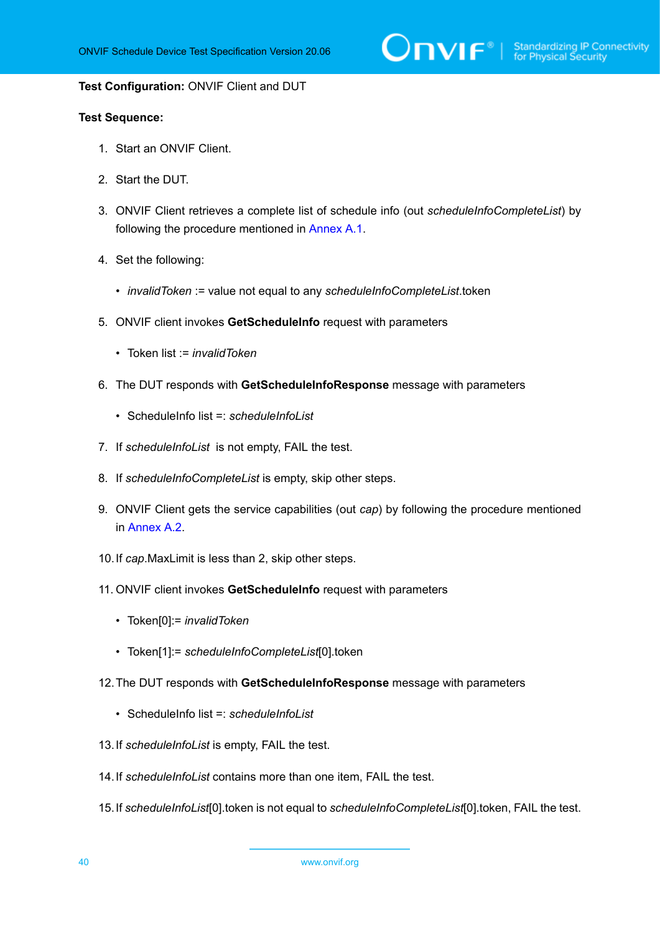$\sum_{\text{IVIF}^{\circledast}}$  | Standardizing IP Connectivity

#### **Test Configuration:** ONVIF Client and DUT

- 1. Start an ONVIF Client.
- 2. Start the DUT.
- 3. ONVIF Client retrieves a complete list of schedule info (out *scheduleInfoCompleteList*) by following the procedure mentioned in [Annex A.1](#page-154-0).
- 4. Set the following:
	- *invalidToken* := value not equal to any *scheduleInfoCompleteList*.token
- 5. ONVIF client invokes **GetScheduleInfo** request with parameters
	- Token list := *invalidToken*
- 6. The DUT responds with **GetScheduleInfoResponse** message with parameters
	- ScheduleInfo list =: *scheduleInfoList*
- 7. If *scheduleInfoList* is not empty, FAIL the test.
- 8. If *scheduleInfoCompleteList* is empty, skip other steps.
- 9. ONVIF Client gets the service capabilities (out *cap*) by following the procedure mentioned in [Annex A.2.](#page-155-0)
- 10.If *cap*.MaxLimit is less than 2, skip other steps.
- 11. ONVIF client invokes **GetScheduleInfo** request with parameters
	- Token[0]:= *invalidToken*
	- Token[1]:= *scheduleInfoCompleteList*[0].token
- 12.The DUT responds with **GetScheduleInfoResponse** message with parameters
	- ScheduleInfo list =: *scheduleInfoList*
- 13.If *scheduleInfoList* is empty, FAIL the test.
- 14.If *scheduleInfoList* contains more than one item, FAIL the test.
- 15.If *scheduleInfoList*[0].token is not equal to *scheduleInfoCompleteList*[0].token, FAIL the test.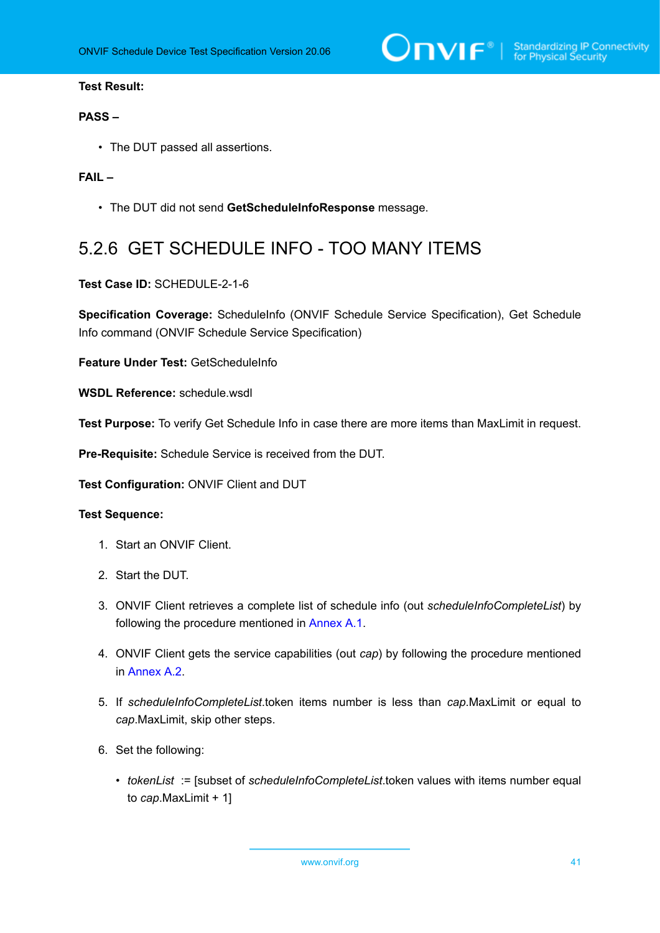$\sum_{\text{IVIF}^{\circledast}}$  | Standardizing IP Connectivity

## **Test Result:**

### **PASS –**

• The DUT passed all assertions.

## **FAIL –**

• The DUT did not send **GetScheduleInfoResponse** message.

# 5.2.6 GET SCHEDULE INFO - TOO MANY ITEMS

### **Test Case ID:** SCHEDULE-2-1-6

Specification Coverage: ScheduleInfo (ONVIF Schedule Service Specification), Get Schedule Info command (ONVIF Schedule Service Specification)

**Feature Under Test:** GetScheduleInfo

**WSDL Reference:** schedule.wsdl

**Test Purpose:** To verify Get Schedule Info in case there are more items than MaxLimit in request.

**Pre-Requisite:** Schedule Service is received from the DUT.

**Test Configuration:** ONVIF Client and DUT

- 1. Start an ONVIF Client.
- 2. Start the DUT.
- 3. ONVIF Client retrieves a complete list of schedule info (out *scheduleInfoCompleteList*) by following the procedure mentioned in [Annex A.1](#page-154-0).
- 4. ONVIF Client gets the service capabilities (out *cap*) by following the procedure mentioned in [Annex A.2.](#page-155-0)
- 5. If *scheduleInfoCompleteList*.token items number is less than *cap*.MaxLimit or equal to *cap*.MaxLimit, skip other steps.
- 6. Set the following:
	- *tokenList* := [subset of *scheduleInfoCompleteList*.token values with items number equal to *cap*.MaxLimit + 1]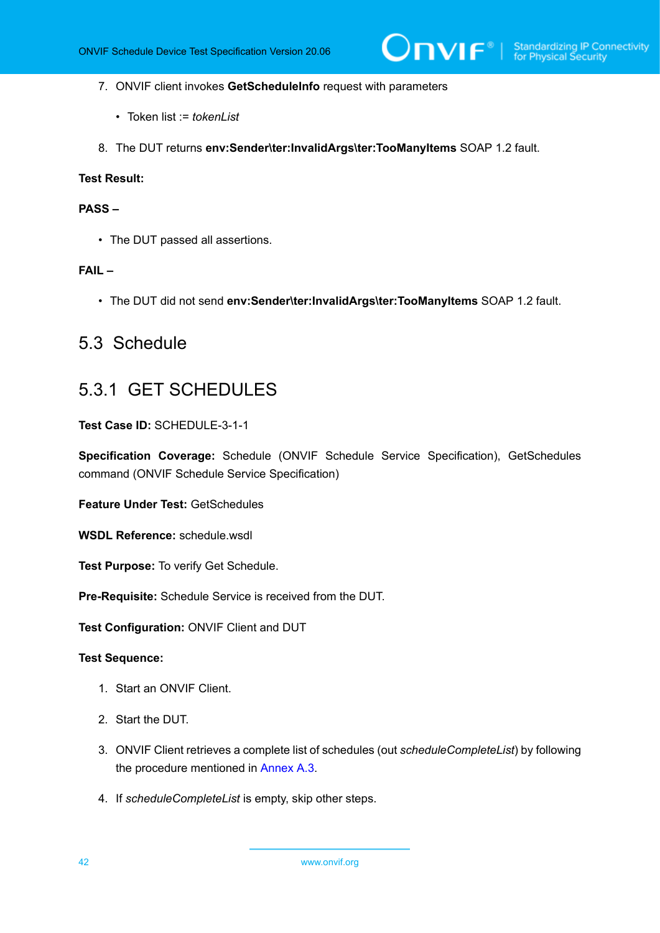- 7. ONVIF client invokes **GetScheduleInfo** request with parameters
	- Token list := *tokenList*
- 8. The DUT returns **env:Sender\ter:InvalidArgs\ter:TooManyItems** SOAP 1.2 fault.

## **PASS –**

• The DUT passed all assertions.

#### **FAIL –**

• The DUT did not send **env:Sender\ter:InvalidArgs\ter:TooManyItems** SOAP 1.2 fault.

# 5.3 Schedule

# 5.3.1 GET SCHEDULES

**Test Case ID:** SCHEDULE-3-1-1

**Specification Coverage:** Schedule (ONVIF Schedule Service Specification), GetSchedules command (ONVIF Schedule Service Specification)

**Feature Under Test:** GetSchedules

**WSDL Reference:** schedule.wsdl

**Test Purpose:** To verify Get Schedule.

**Pre-Requisite:** Schedule Service is received from the DUT.

**Test Configuration:** ONVIF Client and DUT

- 1. Start an ONVIF Client.
- 2. Start the DUT.
- 3. ONVIF Client retrieves a complete list of schedules (out *scheduleCompleteList*) by following the procedure mentioned in [Annex A.3.](#page-155-1)
- 4. If *scheduleCompleteList* is empty, skip other steps.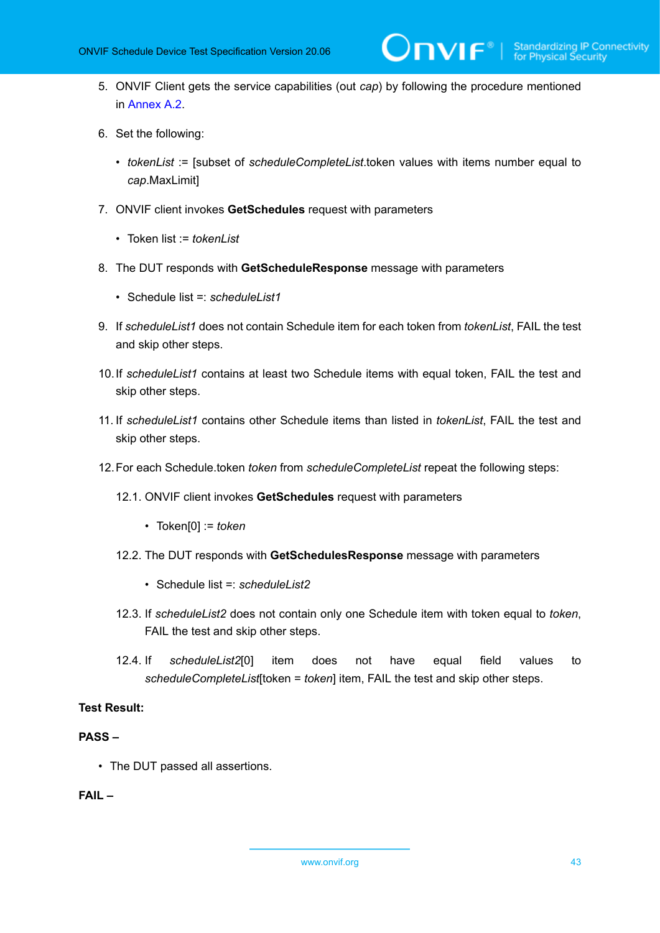5. ONVIF Client gets the service capabilities (out *cap*) by following the procedure mentioned in [Annex A.2.](#page-155-0)

 $\mathsf{D}\mathsf{VIF}^*$ 

- 6. Set the following:
	- *tokenList* := [subset of *scheduleCompleteList*.token values with items number equal to *cap*.MaxLimit]
- 7. ONVIF client invokes **GetSchedules** request with parameters
	- Token list := *tokenList*
- 8. The DUT responds with **GetScheduleResponse** message with parameters
	- Schedule list =: *scheduleList1*
- 9. If *scheduleList1* does not contain Schedule item for each token from *tokenList*, FAIL the test and skip other steps.
- 10.If *scheduleList1* contains at least two Schedule items with equal token, FAIL the test and skip other steps.
- 11. If *scheduleList1* contains other Schedule items than listed in *tokenList*, FAIL the test and skip other steps.
- 12.For each Schedule.token *token* from *scheduleCompleteList* repeat the following steps:
	- 12.1. ONVIF client invokes **GetSchedules** request with parameters
		- Token[0] := *token*
	- 12.2. The DUT responds with **GetSchedulesResponse** message with parameters
		- Schedule list =: *scheduleList2*
	- 12.3. If *scheduleList2* does not contain only one Schedule item with token equal to *token*, FAIL the test and skip other steps.
	- 12.4. If *scheduleList2*[0] item does not have equal field values to *scheduleCompleteList*[token = *token*] item, FAIL the test and skip other steps.

# **Test Result:**

# **PASS –**

• The DUT passed all assertions.

# **FAIL –**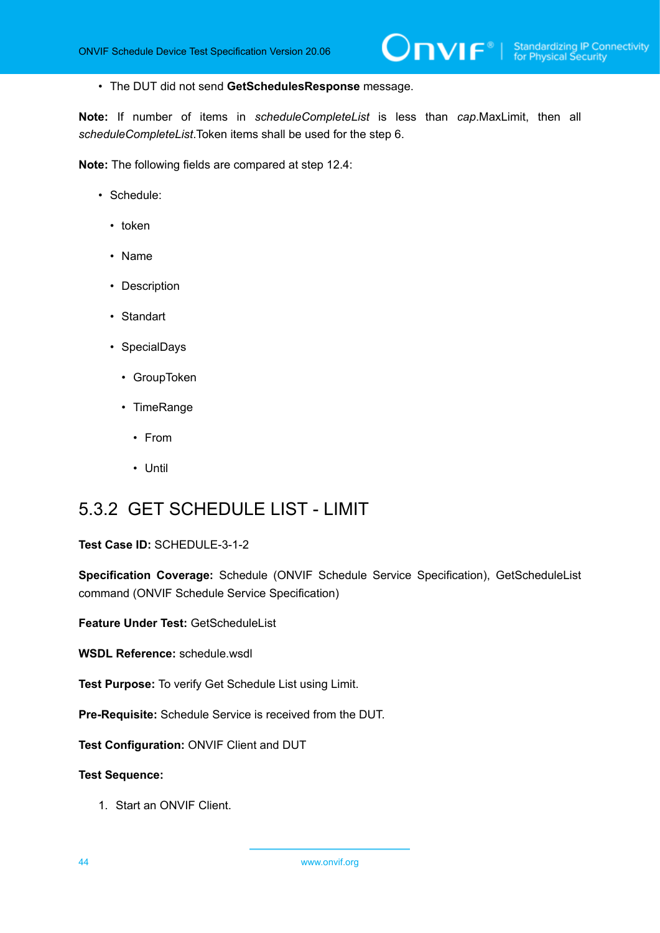• The DUT did not send **GetSchedulesResponse** message.

**Note:** If number of items in *scheduleCompleteList* is less than *cap*.MaxLimit, then all *scheduleCompleteList*.Token items shall be used for the step 6.

**Note:** The following fields are compared at step 12.4:

- Schedule:
	- token
	- Name
	- Description
	- Standart
	- SpecialDays
		- GroupToken
		- TimeRange
			- From
			- Until

# 5.3.2 GET SCHEDULE LIST - LIMIT

**Test Case ID:** SCHEDULE-3-1-2

**Specification Coverage:** Schedule (ONVIF Schedule Service Specification), GetScheduleList command (ONVIF Schedule Service Specification)

**Feature Under Test:** GetScheduleList

**WSDL Reference:** schedule.wsdl

**Test Purpose:** To verify Get Schedule List using Limit.

**Pre-Requisite:** Schedule Service is received from the DUT.

**Test Configuration:** ONVIF Client and DUT

**Test Sequence:**

1. Start an ONVIF Client.

44 www.onvif.org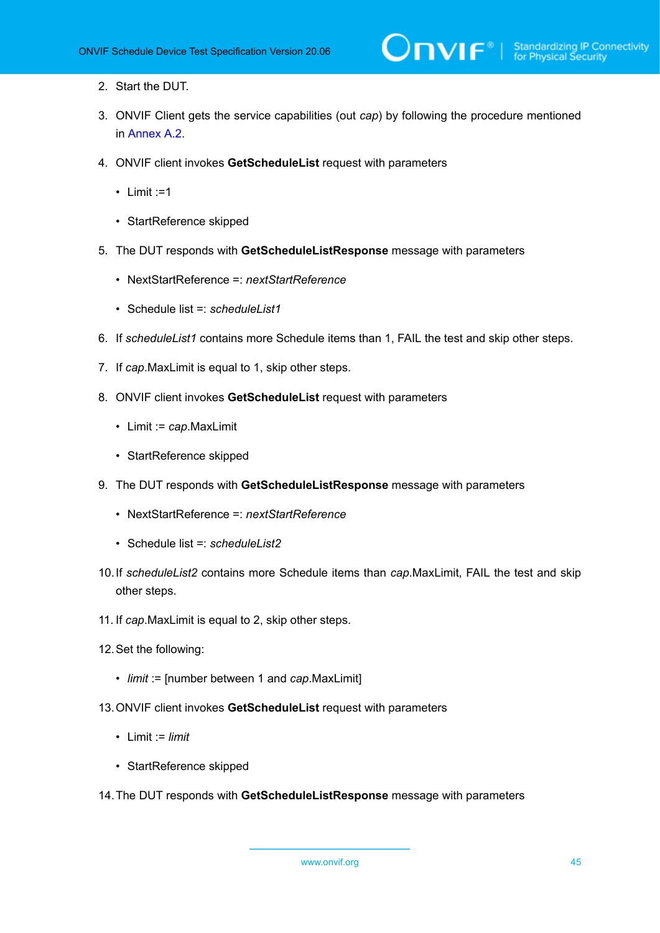- 2. Start the DUT.
- 3. ONVIF Client gets the service capabilities (out *cap*) by following the procedure mentioned in [Annex A.2.](#page-155-0)
- 4. ONVIF client invokes **GetScheduleList** request with parameters
	- $\cdot$  Limit :=1
	- StartReference skipped
- 5. The DUT responds with **GetScheduleListResponse** message with parameters
	- NextStartReference =: *nextStartReference*
	- Schedule list =: *scheduleList1*
- 6. If *scheduleList1* contains more Schedule items than 1, FAIL the test and skip other steps.
- 7. If *cap*.MaxLimit is equal to 1, skip other steps.
- 8. ONVIF client invokes **GetScheduleList** request with parameters
	- Limit := *cap*.MaxLimit
	- StartReference skipped
- 9. The DUT responds with **GetScheduleListResponse** message with parameters
	- NextStartReference =: *nextStartReference*
	- Schedule list =: *scheduleList2*
- 10.If *scheduleList2* contains more Schedule items than *cap*.MaxLimit, FAIL the test and skip other steps.
- 11. If *cap*.MaxLimit is equal to 2, skip other steps.
- 12.Set the following:
	- *limit* := [number between 1 and *cap*.MaxLimit]
- 13.ONVIF client invokes **GetScheduleList** request with parameters
	- Limit := *limit*
	- StartReference skipped
- 14.The DUT responds with **GetScheduleListResponse** message with parameters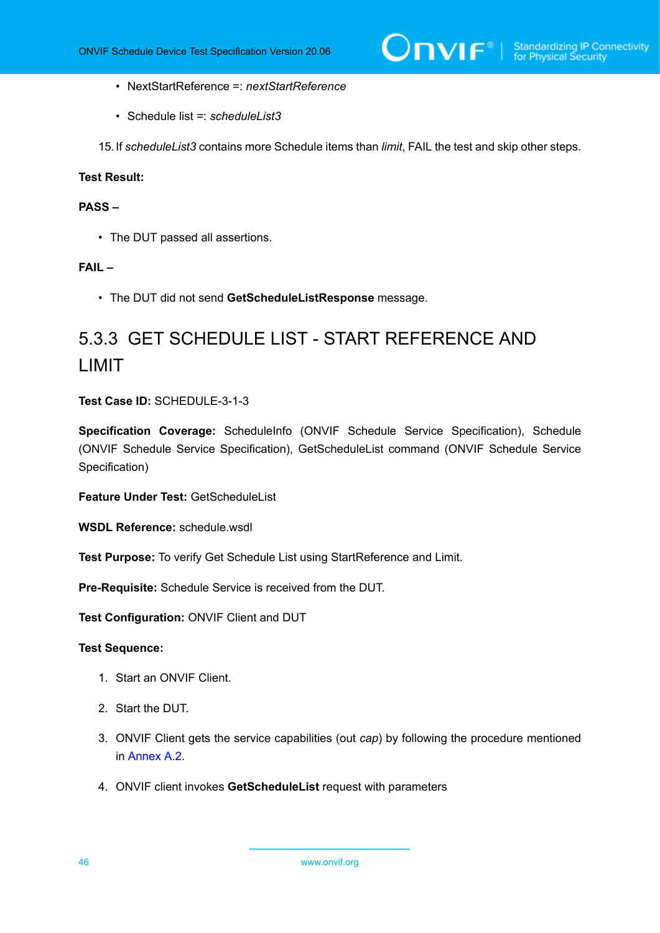- NextStartReference =: *nextStartReference*
- Schedule list =: *scheduleList3*
- 15.If *scheduleList3* contains more Schedule items than *limit*, FAIL the test and skip other steps.

# **PASS –**

• The DUT passed all assertions.

### **FAIL –**

• The DUT did not send **GetScheduleListResponse** message.

# 5.3.3 GET SCHEDULE LIST - START REFERENCE AND LIMIT

**Test Case ID:** SCHEDULE-3-1-3

**Specification Coverage:** ScheduleInfo (ONVIF Schedule Service Specification), Schedule (ONVIF Schedule Service Specification), GetScheduleList command (ONVIF Schedule Service Specification)

**Feature Under Test:** GetScheduleList

**WSDL Reference:** schedule.wsdl

**Test Purpose:** To verify Get Schedule List using StartReference and Limit.

**Pre-Requisite:** Schedule Service is received from the DUT.

**Test Configuration:** ONVIF Client and DUT

- 1. Start an ONVIF Client.
- 2. Start the DUT.
- 3. ONVIF Client gets the service capabilities (out *cap*) by following the procedure mentioned in [Annex A.2.](#page-155-0)
- 4. ONVIF client invokes **GetScheduleList** request with parameters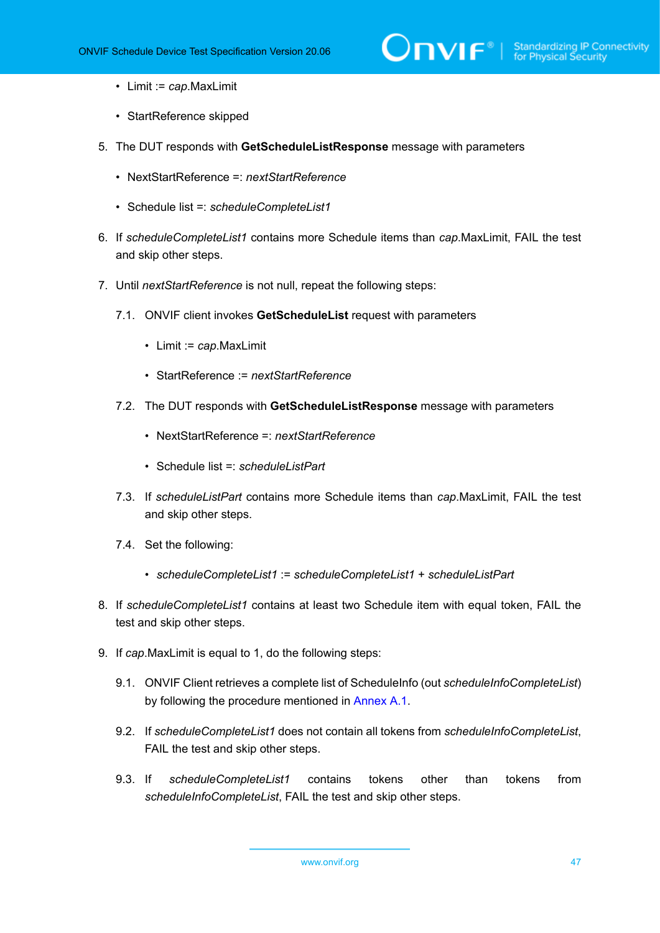- Limit := *cap*.MaxLimit
- StartReference skipped
- 5. The DUT responds with **GetScheduleListResponse** message with parameters
	- NextStartReference =: *nextStartReference*
	- Schedule list =: *scheduleCompleteList1*
- 6. If *scheduleCompleteList1* contains more Schedule items than *cap*.MaxLimit, FAIL the test and skip other steps.
- 7. Until *nextStartReference* is not null, repeat the following steps:
	- 7.1. ONVIF client invokes **GetScheduleList** request with parameters
		- Limit := *cap*.MaxLimit
		- StartReference := *nextStartReference*
	- 7.2. The DUT responds with **GetScheduleListResponse** message with parameters
		- NextStartReference =: *nextStartReference*
		- Schedule list =: *scheduleListPart*
	- 7.3. If *scheduleListPart* contains more Schedule items than *cap*.MaxLimit, FAIL the test and skip other steps.
	- 7.4. Set the following:
		- *scheduleCompleteList1* := *scheduleCompleteList1* + *scheduleListPart*
- 8. If *scheduleCompleteList1* contains at least two Schedule item with equal token, FAIL the test and skip other steps.
- 9. If *cap*.MaxLimit is equal to 1, do the following steps:
	- 9.1. ONVIF Client retrieves a complete list of ScheduleInfo (out *scheduleInfoCompleteList*) by following the procedure mentioned in [Annex A.1.](#page-154-0)
	- 9.2. If *scheduleCompleteList1* does not contain all tokens from *scheduleInfoCompleteList*, FAIL the test and skip other steps.
	- 9.3. If *scheduleCompleteList1* contains tokens other than tokens from *scheduleInfoCompleteList*, FAIL the test and skip other steps.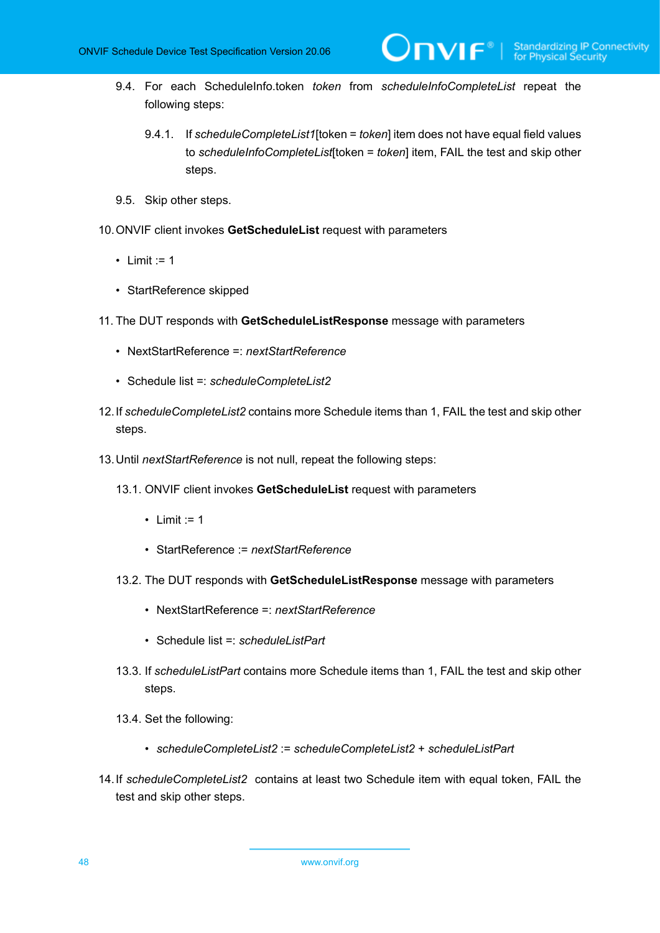- 9.4. For each ScheduleInfo.token *token* from *scheduleInfoCompleteList* repeat the following steps:
	- 9.4.1. If *scheduleCompleteList1*[token = *token*] item does not have equal field values to *scheduleInfoCompleteList*[token = *token*] item, FAIL the test and skip other steps.

 $\mathsf{D}\mathbf{n}\mathsf{V}\mathsf{I}\mathsf{F}^\circ$  :

- 9.5. Skip other steps.
- 10.ONVIF client invokes **GetScheduleList** request with parameters
	- Limit  $:= 1$
	- StartReference skipped
- 11. The DUT responds with **GetScheduleListResponse** message with parameters
	- NextStartReference =: *nextStartReference*
	- Schedule list =: *scheduleCompleteList2*
- 12.If *scheduleCompleteList2* contains more Schedule items than 1, FAIL the test and skip other steps.
- 13.Until *nextStartReference* is not null, repeat the following steps:
	- 13.1. ONVIF client invokes **GetScheduleList** request with parameters
		- Limit  $:= 1$
		- StartReference := *nextStartReference*
	- 13.2. The DUT responds with **GetScheduleListResponse** message with parameters
		- NextStartReference =: *nextStartReference*
		- Schedule list =: *scheduleListPart*
	- 13.3. If *scheduleListPart* contains more Schedule items than 1, FAIL the test and skip other steps.
	- 13.4. Set the following:
		- *scheduleCompleteList2* := *scheduleCompleteList2* + *scheduleListPart*
- 14.If *scheduleCompleteList2* contains at least two Schedule item with equal token, FAIL the test and skip other steps.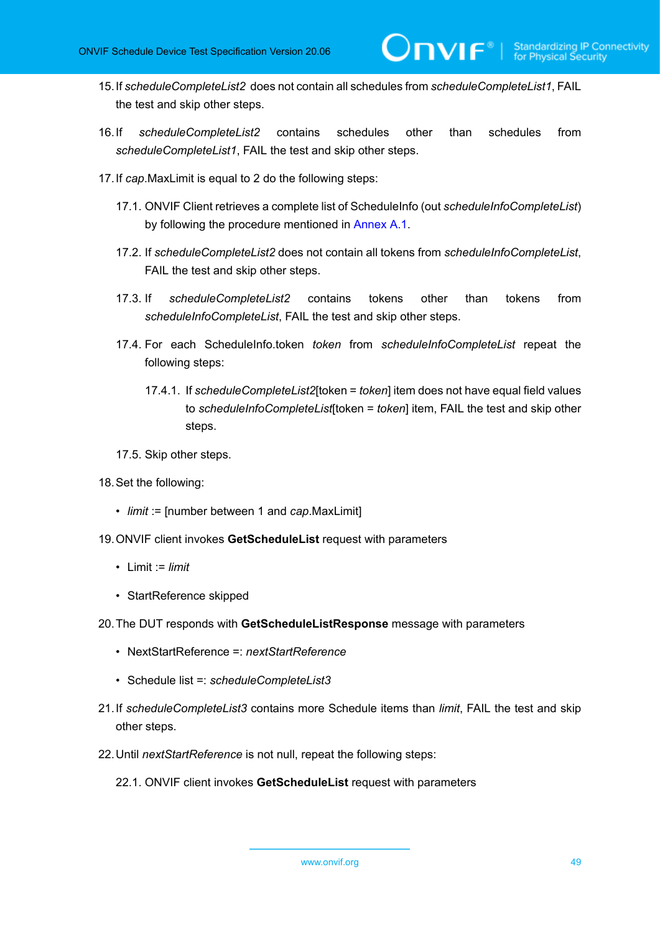15.If *scheduleCompleteList2* does not contain all schedules from *scheduleCompleteList1*, FAIL the test and skip other steps.

 $\mathsf{D}\mathbf{N}\mathsf{I}\mathsf{F}^\ast$ l

- 16.If *scheduleCompleteList2* contains schedules other than schedules from *scheduleCompleteList1*, FAIL the test and skip other steps.
- 17.If *cap*.MaxLimit is equal to 2 do the following steps:
	- 17.1. ONVIF Client retrieves a complete list of ScheduleInfo (out *scheduleInfoCompleteList*) by following the procedure mentioned in [Annex A.1.](#page-154-0)
	- 17.2. If *scheduleCompleteList2* does not contain all tokens from *scheduleInfoCompleteList*, FAIL the test and skip other steps.
	- 17.3. If *scheduleCompleteList2* contains tokens other than tokens from *scheduleInfoCompleteList*, FAIL the test and skip other steps.
	- 17.4. For each ScheduleInfo.token *token* from *scheduleInfoCompleteList* repeat the following steps:
		- 17.4.1. If *scheduleCompleteList2*[token = *token*] item does not have equal field values to *scheduleInfoCompleteList*[token = *token*] item, FAIL the test and skip other steps.
	- 17.5. Skip other steps.
- 18.Set the following:
	- *limit* := [number between 1 and *cap*.MaxLimit]
- 19.ONVIF client invokes **GetScheduleList** request with parameters
	- Limit := *limit*
	- StartReference skipped
- 20.The DUT responds with **GetScheduleListResponse** message with parameters
	- NextStartReference =: *nextStartReference*
	- Schedule list =: *scheduleCompleteList3*
- 21.If *scheduleCompleteList3* contains more Schedule items than *limit*, FAIL the test and skip other steps.
- 22.Until *nextStartReference* is not null, repeat the following steps:
	- 22.1. ONVIF client invokes **GetScheduleList** request with parameters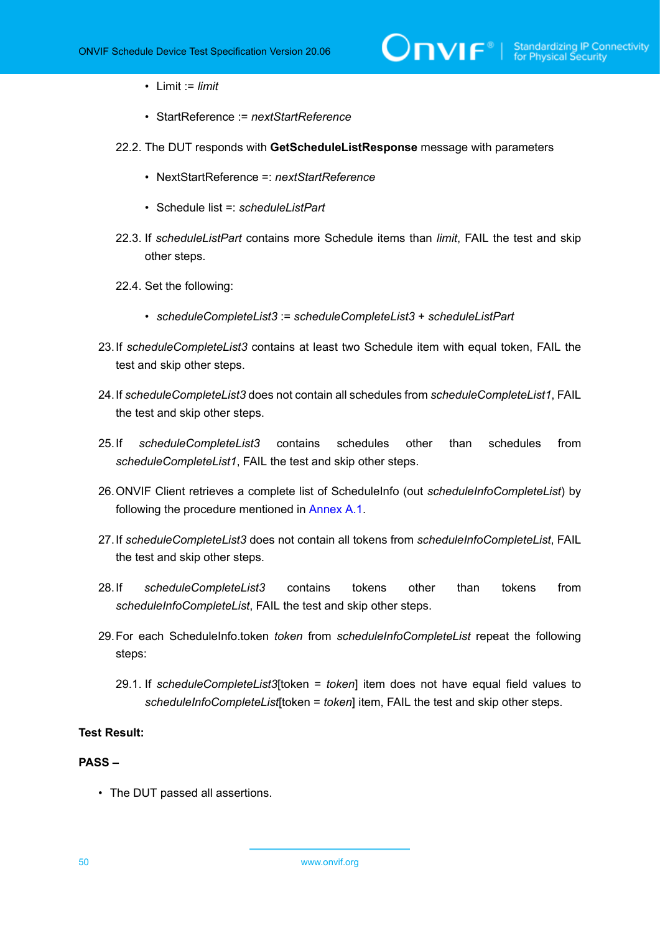- Limit := *limit*
- StartReference := *nextStartReference*
- 22.2. The DUT responds with **GetScheduleListResponse** message with parameters
	- NextStartReference =: *nextStartReference*
	- Schedule list =: *scheduleListPart*
- 22.3. If *scheduleListPart* contains more Schedule items than *limit*, FAIL the test and skip other steps.
- 22.4. Set the following:
	- *scheduleCompleteList3* := *scheduleCompleteList3* + *scheduleListPart*
- 23.If *scheduleCompleteList3* contains at least two Schedule item with equal token, FAIL the test and skip other steps.
- 24.If *scheduleCompleteList3* does not contain all schedules from *scheduleCompleteList1*, FAIL the test and skip other steps.
- 25.If *scheduleCompleteList3* contains schedules other than schedules from *scheduleCompleteList1*, FAIL the test and skip other steps.
- 26.ONVIF Client retrieves a complete list of ScheduleInfo (out *scheduleInfoCompleteList*) by following the procedure mentioned in [Annex A.1](#page-154-0).
- 27.If *scheduleCompleteList3* does not contain all tokens from *scheduleInfoCompleteList*, FAIL the test and skip other steps.
- 28.If *scheduleCompleteList3* contains tokens other than tokens from *scheduleInfoCompleteList*, FAIL the test and skip other steps.
- 29.For each ScheduleInfo.token *token* from *scheduleInfoCompleteList* repeat the following steps:
	- 29.1. If *scheduleCompleteList3*[token = *token*] item does not have equal field values to *scheduleInfoCompleteList*[token = *token*] item, FAIL the test and skip other steps.

### **PASS –**

• The DUT passed all assertions.

50 www.onvif.org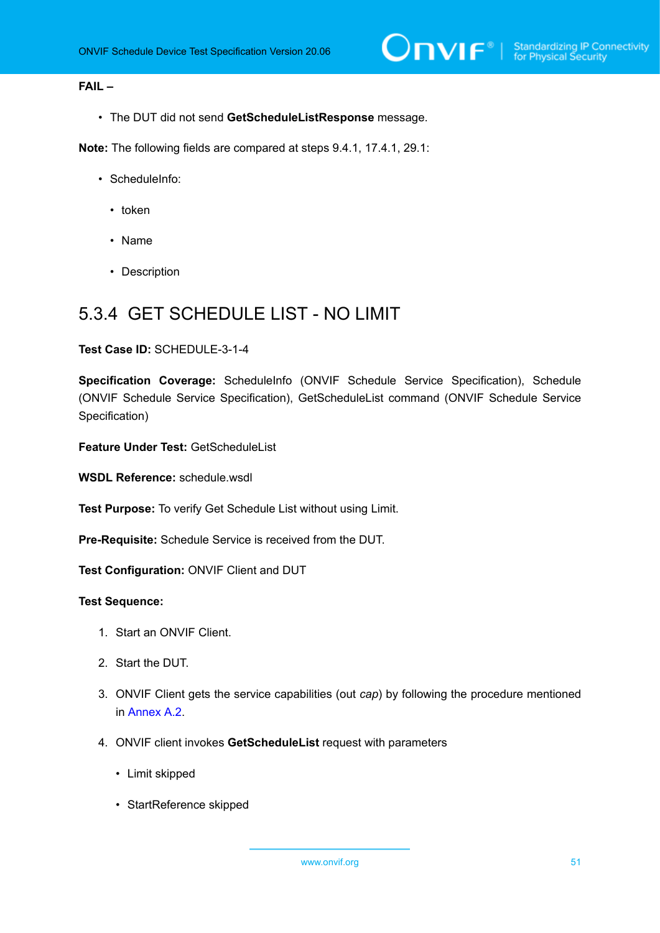# **FAIL –**

• The DUT did not send **GetScheduleListResponse** message.

**Note:** The following fields are compared at steps 9.4.1, 17.4.1, 29.1:

- ScheduleInfo:
	- token
	- Name
	- Description

# 5.3.4 GET SCHEDULE LIST - NO LIMIT

#### **Test Case ID:** SCHEDULE-3-1-4

**Specification Coverage:** ScheduleInfo (ONVIF Schedule Service Specification), Schedule (ONVIF Schedule Service Specification), GetScheduleList command (ONVIF Schedule Service Specification)

**Feature Under Test:** GetScheduleList

**WSDL Reference:** schedule.wsdl

**Test Purpose:** To verify Get Schedule List without using Limit.

**Pre-Requisite:** Schedule Service is received from the DUT.

**Test Configuration:** ONVIF Client and DUT

- 1. Start an ONVIF Client.
- 2. Start the DUT.
- 3. ONVIF Client gets the service capabilities (out *cap*) by following the procedure mentioned in [Annex A.2.](#page-155-0)
- 4. ONVIF client invokes **GetScheduleList** request with parameters
	- Limit skipped
	- StartReference skipped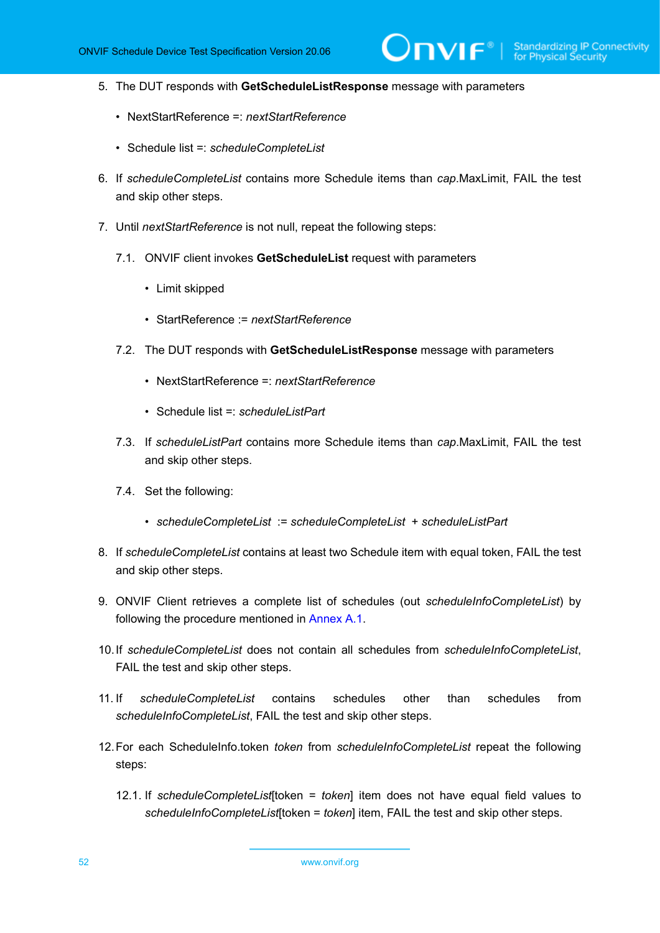$\mathsf{J}\mathsf{IVIF}^*$  :

- 5. The DUT responds with **GetScheduleListResponse** message with parameters
	- NextStartReference =: *nextStartReference*
	- Schedule list =: *scheduleCompleteList*
- 6. If *scheduleCompleteList* contains more Schedule items than *cap*.MaxLimit, FAIL the test and skip other steps.
- 7. Until *nextStartReference* is not null, repeat the following steps:
	- 7.1. ONVIF client invokes **GetScheduleList** request with parameters
		- Limit skipped
		- StartReference := *nextStartReference*
	- 7.2. The DUT responds with **GetScheduleListResponse** message with parameters
		- NextStartReference =: *nextStartReference*
		- Schedule list =: *scheduleListPart*
	- 7.3. If *scheduleListPart* contains more Schedule items than *cap*.MaxLimit, FAIL the test and skip other steps.
	- 7.4. Set the following:
		- *scheduleCompleteList* := *scheduleCompleteList* + *scheduleListPart*
- 8. If *scheduleCompleteList* contains at least two Schedule item with equal token, FAIL the test and skip other steps.
- 9. ONVIF Client retrieves a complete list of schedules (out *scheduleInfoCompleteList*) by following the procedure mentioned in [Annex A.1](#page-154-0).
- 10.If *scheduleCompleteList* does not contain all schedules from *scheduleInfoCompleteList*, FAIL the test and skip other steps.
- 11. If *scheduleCompleteList* contains schedules other than schedules from *scheduleInfoCompleteList*, FAIL the test and skip other steps.
- 12.For each ScheduleInfo.token *token* from *scheduleInfoCompleteList* repeat the following steps:
	- 12.1. If *scheduleCompleteList*[token = *token*] item does not have equal field values to *scheduleInfoCompleteList*[token = *token*] item, FAIL the test and skip other steps.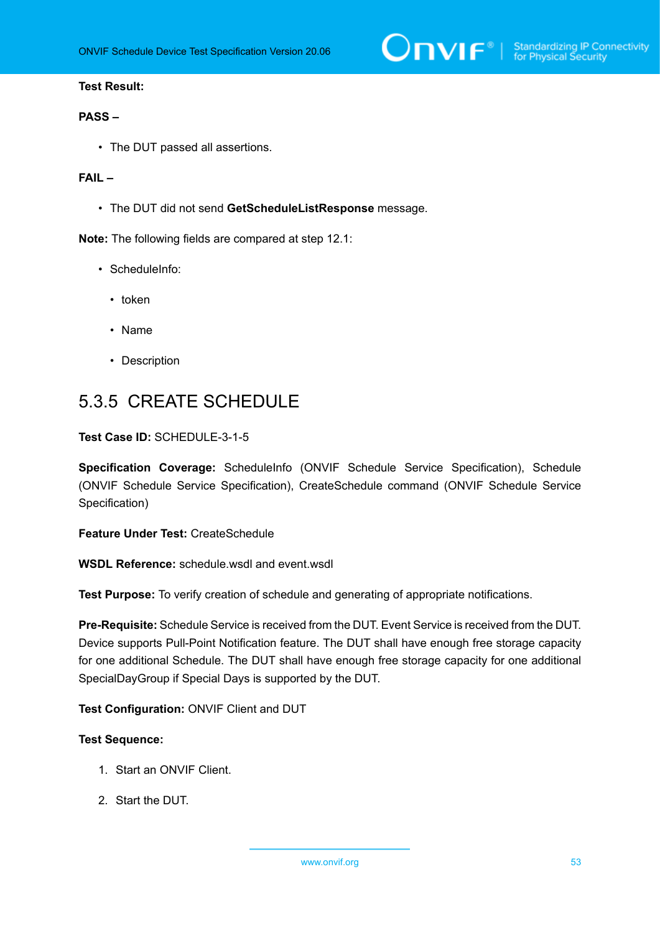# **PASS –**

• The DUT passed all assertions.

## **FAIL –**

• The DUT did not send **GetScheduleListResponse** message.

**Note:** The following fields are compared at step 12.1:

- ScheduleInfo:
	- token
	- Name
	- Description

# 5.3.5 CREATE SCHEDULE

### **Test Case ID:** SCHEDULE-3-1-5

**Specification Coverage:** ScheduleInfo (ONVIF Schedule Service Specification), Schedule (ONVIF Schedule Service Specification), CreateSchedule command (ONVIF Schedule Service Specification)

**Feature Under Test:** CreateSchedule

**WSDL Reference:** schedule.wsdl and event.wsdl

**Test Purpose:** To verify creation of schedule and generating of appropriate notifications.

**Pre-Requisite:** Schedule Service is received from the DUT. Event Service is received from the DUT. Device supports Pull-Point Notification feature. The DUT shall have enough free storage capacity for one additional Schedule. The DUT shall have enough free storage capacity for one additional SpecialDayGroup if Special Days is supported by the DUT.

**Test Configuration:** ONVIF Client and DUT

- 1. Start an ONVIF Client.
- 2. Start the DUT.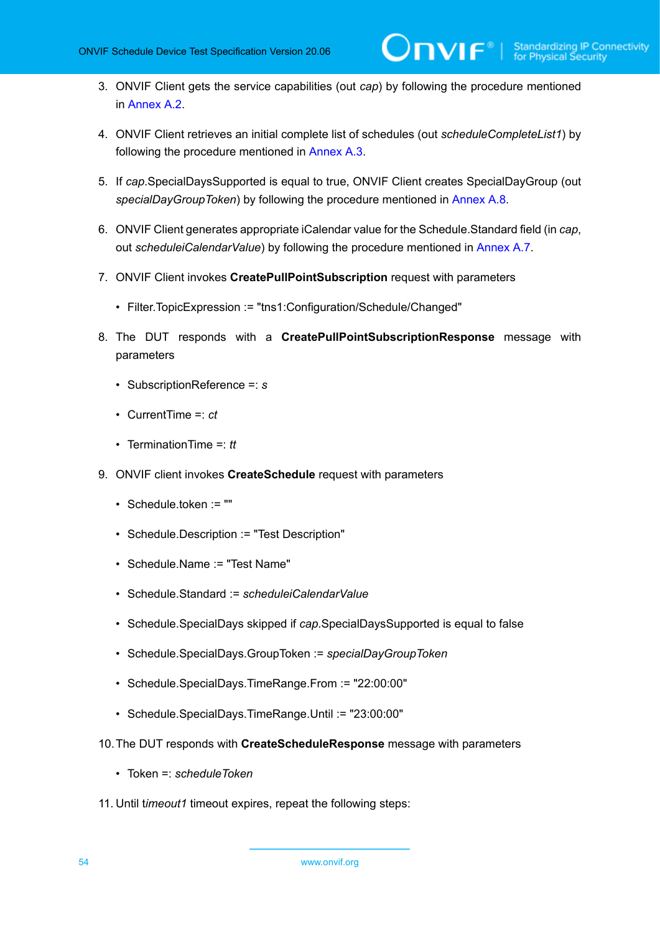- 3. ONVIF Client gets the service capabilities (out *cap*) by following the procedure mentioned in [Annex A.2.](#page-155-0)
- 4. ONVIF Client retrieves an initial complete list of schedules (out *scheduleCompleteList1*) by following the procedure mentioned in [Annex A.3](#page-155-1).
- 5. If *cap*.SpecialDaysSupported is equal to true, ONVIF Client creates SpecialDayGroup (out *specialDayGroupToken*) by following the procedure mentioned in [Annex A.8](#page-160-0).
- 6. ONVIF Client generates appropriate iCalendar value for the Schedule.Standard field (in *cap*, out *scheduleiCalendarValue*) by following the procedure mentioned in [Annex A.7.](#page-159-0)
- 7. ONVIF Client invokes **CreatePullPointSubscription** request with parameters
	- Filter.TopicExpression := "tns1:Configuration/Schedule/Changed"
- 8. The DUT responds with a **CreatePullPointSubscriptionResponse** message with parameters
	- SubscriptionReference =: *s*
	- CurrentTime =: *ct*
	- TerminationTime =: *tt*
- 9. ONVIF client invokes **CreateSchedule** request with parameters
	- Schedule.token := ""
	- Schedule.Description := "Test Description"
	- Schedule.Name := "Test Name"
	- Schedule.Standard := *scheduleiCalendarValue*
	- Schedule.SpecialDays skipped if *cap*.SpecialDaysSupported is equal to false
	- Schedule.SpecialDays.GroupToken := *specialDayGroupToken*
	- Schedule.SpecialDays.TimeRange.From := "22:00:00"
	- Schedule.SpecialDays.TimeRange.Until := "23:00:00"
- 10.The DUT responds with **CreateScheduleResponse** message with parameters
	- Token =: *scheduleToken*
- 11. Until t*imeout1* timeout expires, repeat the following steps: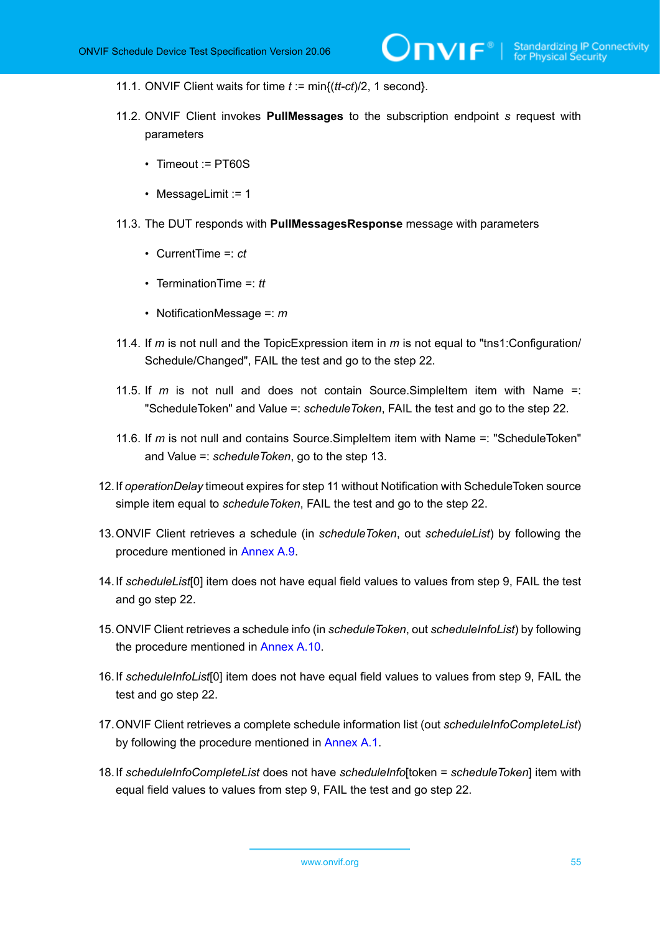- 11.1. ONVIF Client waits for time *t* := min{(*tt-ct*)/2, 1 second}.
- 11.2. ONVIF Client invokes **PullMessages** to the subscription endpoint *s* request with parameters
	- Timeout := PT60S
	- MessageLimit := 1
- 11.3. The DUT responds with **PullMessagesResponse** message with parameters
	- CurrentTime =: *ct*
	- TerminationTime =: *tt*
	- NotificationMessage =: *m*
- 11.4. If *m* is not null and the TopicExpression item in *m* is not equal to "tns1:Configuration/ Schedule/Changed", FAIL the test and go to the step 22.
- 11.5. If *m* is not null and does not contain Source.SimpleItem item with Name =: "ScheduleToken" and Value =: *scheduleToken*, FAIL the test and go to the step 22.
- 11.6. If *m* is not null and contains Source.SimpleItem item with Name =: "ScheduleToken" and Value =: *scheduleToken*, go to the step 13.
- 12.If *operationDelay* timeout expires for step 11 without Notification with ScheduleToken source simple item equal to *scheduleToken*, FAIL the test and go to the step 22.
- 13.ONVIF Client retrieves a schedule (in *scheduleToken*, out *scheduleList*) by following the procedure mentioned in [Annex A.9](#page-162-0).
- 14.If *scheduleList*[0] item does not have equal field values to values from step 9, FAIL the test and go step 22.
- 15.ONVIF Client retrieves a schedule info (in *scheduleToken*, out *scheduleInfoList*) by following the procedure mentioned in [Annex A.10](#page-162-1).
- 16.If *scheduleInfoList*[0] item does not have equal field values to values from step 9, FAIL the test and go step 22.
- 17.ONVIF Client retrieves a complete schedule information list (out *scheduleInfoCompleteList*) by following the procedure mentioned in [Annex A.1](#page-154-0).
- 18.If *scheduleInfoCompleteList* does not have *scheduleInfo*[token = *scheduleToken*] item with equal field values to values from step 9, FAIL the test and go step 22.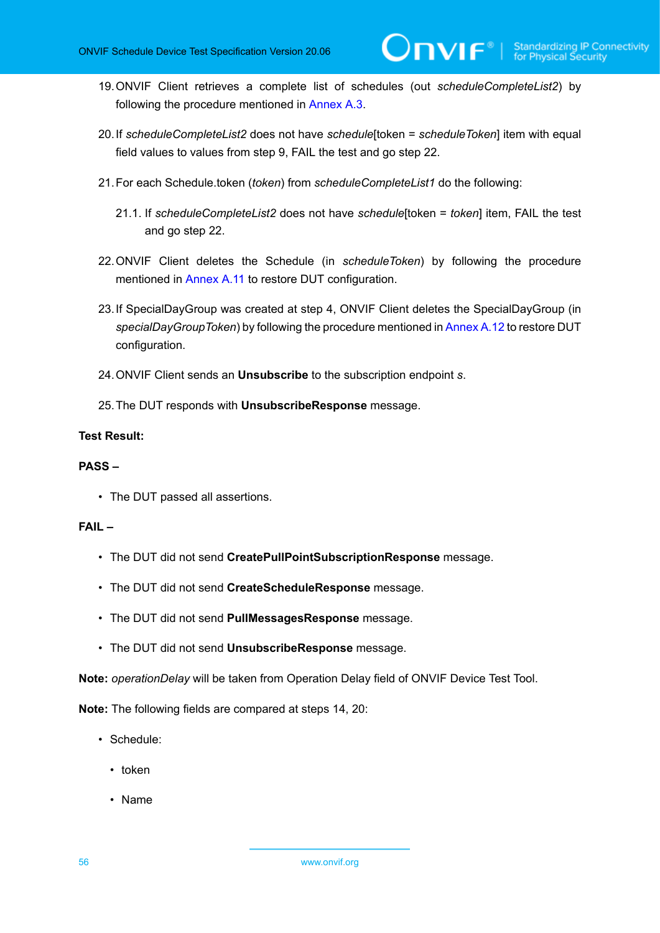- 19.ONVIF Client retrieves a complete list of schedules (out *scheduleCompleteList2*) by following the procedure mentioned in [Annex A.3](#page-155-1).
- 20.If *scheduleCompleteList2* does not have *schedule*[token = *scheduleToken*] item with equal field values to values from step 9, FAIL the test and go step 22.
- 21.For each Schedule.token (*token*) from *scheduleCompleteList1* do the following:
	- 21.1. If *scheduleCompleteList2* does not have *schedule*[token = *token*] item, FAIL the test and go step 22.
- 22.ONVIF Client deletes the Schedule (in *scheduleToken*) by following the procedure mentioned in [Annex](#page-163-0) A.11 to restore DUT configuration.
- 23.If SpecialDayGroup was created at step 4, ONVIF Client deletes the SpecialDayGroup (in *specialDayGroupToken*) by following the procedure mentioned in [Annex A.12](#page-164-0) to restore DUT configuration.
- 24.ONVIF Client sends an **Unsubscribe** to the subscription endpoint *s*.
- 25.The DUT responds with **UnsubscribeResponse** message.

#### **PASS –**

• The DUT passed all assertions.

### **FAIL –**

- The DUT did not send **CreatePullPointSubscriptionResponse** message.
- The DUT did not send **CreateScheduleResponse** message.
- The DUT did not send **PullMessagesResponse** message.
- The DUT did not send **UnsubscribeResponse** message.

**Note:** *operationDelay* will be taken from Operation Delay field of ONVIF Device Test Tool.

**Note:** The following fields are compared at steps 14, 20:

- Schedule:
	- token
	- Name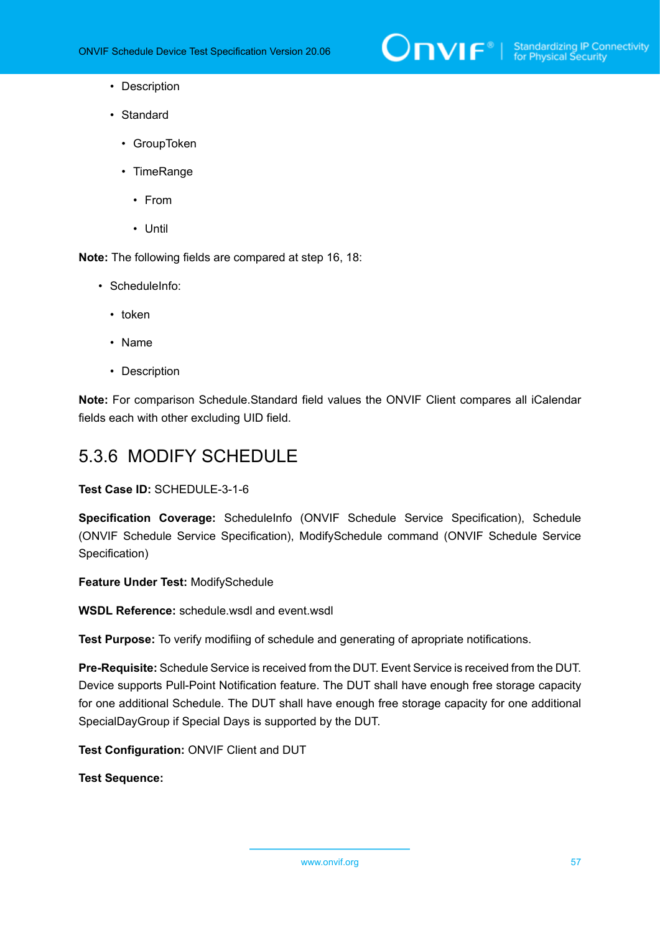

- Description
- Standard
	- GroupToken
	- TimeRange
		- From
		- Until

**Note:** The following fields are compared at step 16, 18:

- ScheduleInfo:
	- token
	- Name
	- Description

**Note:** For comparison Schedule.Standard field values the ONVIF Client compares all iCalendar fields each with other excluding UID field.

# 5.3.6 MODIFY SCHEDULE

**Test Case ID:** SCHEDULE-3-1-6

**Specification Coverage:** ScheduleInfo (ONVIF Schedule Service Specification), Schedule (ONVIF Schedule Service Specification), ModifySchedule command (ONVIF Schedule Service Specification)

**Feature Under Test:** ModifySchedule

**WSDL Reference:** schedule.wsdl and event.wsdl

**Test Purpose:** To verify modifiing of schedule and generating of apropriate notifications.

**Pre-Requisite:** Schedule Service is received from the DUT. Event Service is received from the DUT. Device supports Pull-Point Notification feature. The DUT shall have enough free storage capacity for one additional Schedule. The DUT shall have enough free storage capacity for one additional SpecialDayGroup if Special Days is supported by the DUT.

**Test Configuration:** ONVIF Client and DUT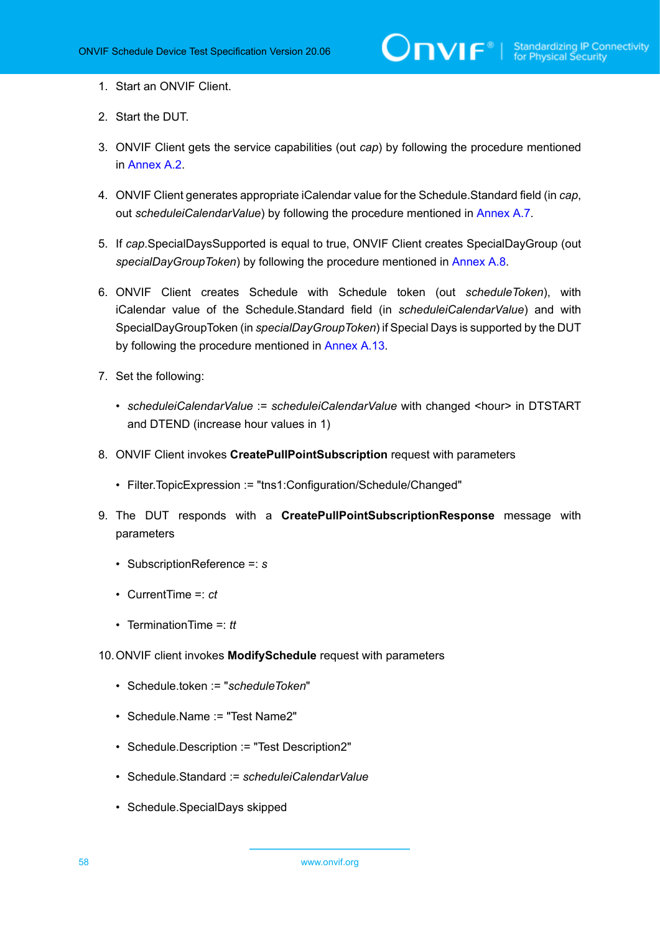- 1. Start an ONVIF Client.
- 2. Start the DUT.
- 3. ONVIF Client gets the service capabilities (out *cap*) by following the procedure mentioned in [Annex A.2.](#page-155-0)
- 4. ONVIF Client generates appropriate iCalendar value for the Schedule.Standard field (in *cap*, out *scheduleiCalendarValue*) by following the procedure mentioned in [Annex A.7.](#page-159-0)
- 5. If *cap*.SpecialDaysSupported is equal to true, ONVIF Client creates SpecialDayGroup (out *specialDayGroupToken*) by following the procedure mentioned in [Annex A.8](#page-160-0).
- 6. ONVIF Client creates Schedule with Schedule token (out *scheduleToken*), with iCalendar value of the Schedule.Standard field (in *scheduleiCalendarValue*) and with SpecialDayGroupToken (in *specialDayGroupToken*) if Special Days is supported by the DUT by following the procedure mentioned in [Annex A.13](#page-164-1).
- 7. Set the following:
	- *scheduleiCalendarValue* := *scheduleiCalendarValue* with changed <hour> in DTSTART and DTEND (increase hour values in 1)
- 8. ONVIF Client invokes **CreatePullPointSubscription** request with parameters
	- Filter.TopicExpression := "tns1:Configuration/Schedule/Changed"
- 9. The DUT responds with a **CreatePullPointSubscriptionResponse** message with parameters
	- SubscriptionReference =: *s*
	- CurrentTime =: *ct*
	- TerminationTime =: *tt*
- 10.ONVIF client invokes **ModifySchedule** request with parameters
	- Schedule.token := "*scheduleToken*"
	- Schedule.Name := "Test Name2"
	- Schedule.Description := "Test Description2"
	- Schedule.Standard := *scheduleiCalendarValue*
	- Schedule.SpecialDays skipped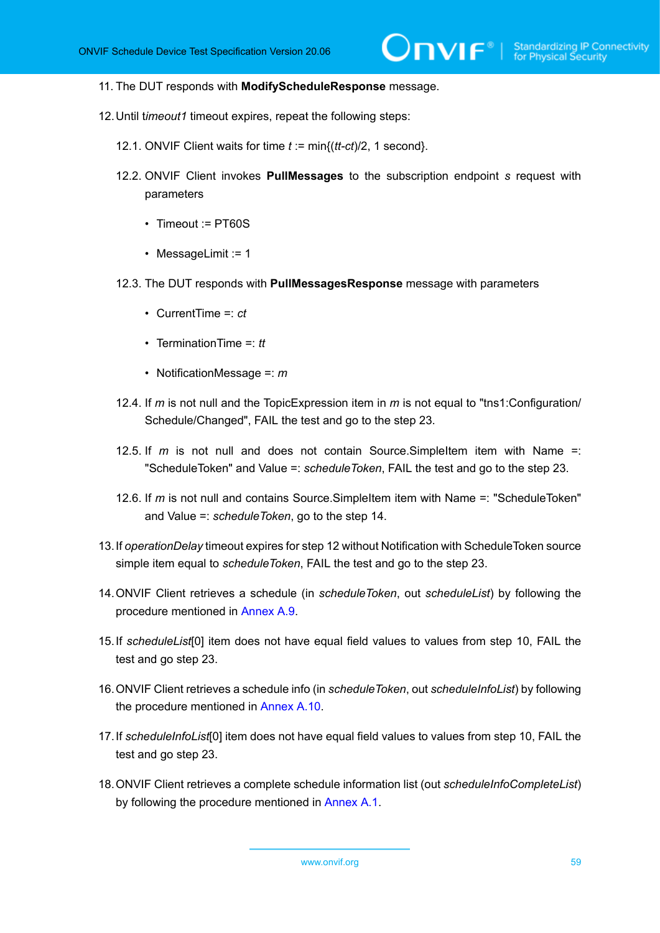- 11. The DUT responds with **ModifyScheduleResponse** message.
- 12.Until t*imeout1* timeout expires, repeat the following steps:
	- 12.1. ONVIF Client waits for time *t* := min{(*tt-ct*)/2, 1 second}.
	- 12.2. ONVIF Client invokes **PullMessages** to the subscription endpoint *s* request with parameters
		- Timeout := PT60S
		- MessageLimit := 1
	- 12.3. The DUT responds with **PullMessagesResponse** message with parameters
		- CurrentTime =: *ct*
		- TerminationTime =: *tt*
		- NotificationMessage =: *m*
	- 12.4. If *m* is not null and the TopicExpression item in *m* is not equal to "tns1:Configuration/ Schedule/Changed", FAIL the test and go to the step 23.
	- 12.5. If *m* is not null and does not contain Source.SimpleItem item with Name =: "ScheduleToken" and Value =: *scheduleToken*, FAIL the test and go to the step 23.
	- 12.6. If *m* is not null and contains Source.SimpleItem item with Name =: "ScheduleToken" and Value =: *scheduleToken*, go to the step 14.
- 13.If *operationDelay* timeout expires for step 12 without Notification with ScheduleToken source simple item equal to *scheduleToken*, FAIL the test and go to the step 23.
- 14.ONVIF Client retrieves a schedule (in *scheduleToken*, out *scheduleList*) by following the procedure mentioned in [Annex A.9](#page-162-0).
- 15.If *scheduleList*[0] item does not have equal field values to values from step 10, FAIL the test and go step 23.
- 16.ONVIF Client retrieves a schedule info (in *scheduleToken*, out *scheduleInfoList*) by following the procedure mentioned in [Annex A.10](#page-162-1).
- 17.If *scheduleInfoList*[0] item does not have equal field values to values from step 10, FAIL the test and go step 23.
- 18.ONVIF Client retrieves a complete schedule information list (out *scheduleInfoCompleteList*) by following the procedure mentioned in [Annex A.1](#page-154-0).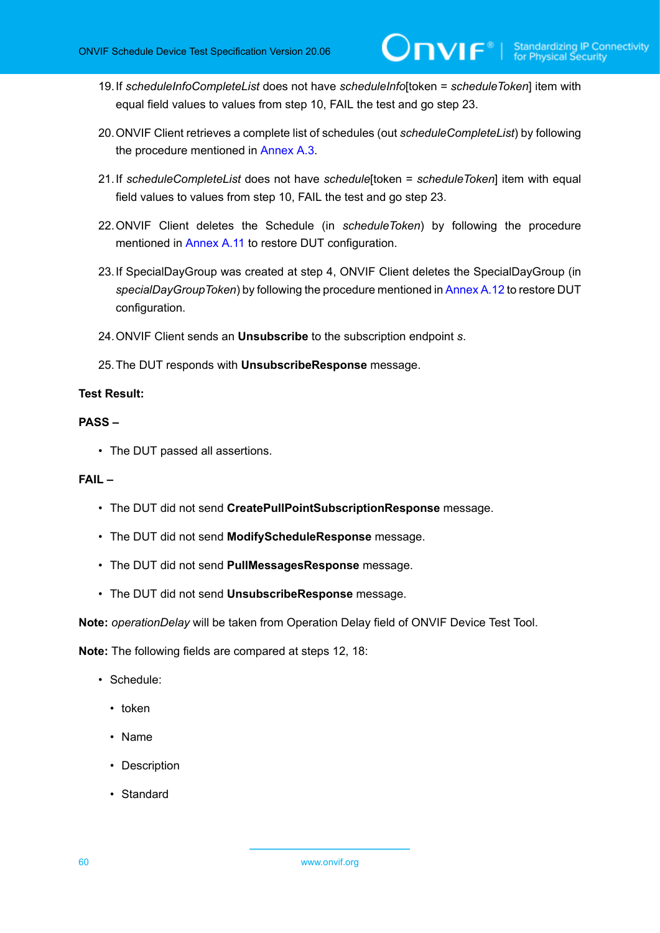- 19.If *scheduleInfoCompleteList* does not have *scheduleInfo*[token = *scheduleToken*] item with equal field values to values from step 10, FAIL the test and go step 23.
- 20.ONVIF Client retrieves a complete list of schedules (out *scheduleCompleteList*) by following the procedure mentioned in [Annex A.3.](#page-155-1)
- 21.If *scheduleCompleteList* does not have *schedule*[token = *scheduleToken*] item with equal field values to values from step 10, FAIL the test and go step 23.
- 22.ONVIF Client deletes the Schedule (in *scheduleToken*) by following the procedure mentioned in [Annex](#page-163-0) A.11 to restore DUT configuration.
- 23.If SpecialDayGroup was created at step 4, ONVIF Client deletes the SpecialDayGroup (in *specialDayGroupToken*) by following the procedure mentioned in [Annex A.12](#page-164-0) to restore DUT configuration.
- 24.ONVIF Client sends an **Unsubscribe** to the subscription endpoint *s*.
- 25.The DUT responds with **UnsubscribeResponse** message.

#### **PASS –**

• The DUT passed all assertions.

#### **FAIL –**

- The DUT did not send **CreatePullPointSubscriptionResponse** message.
- The DUT did not send **ModifyScheduleResponse** message.
- The DUT did not send **PullMessagesResponse** message.
- The DUT did not send **UnsubscribeResponse** message.

**Note:** *operationDelay* will be taken from Operation Delay field of ONVIF Device Test Tool.

**Note:** The following fields are compared at steps 12, 18:

- Schedule:
	- token
	- Name
	- Description
	- Standard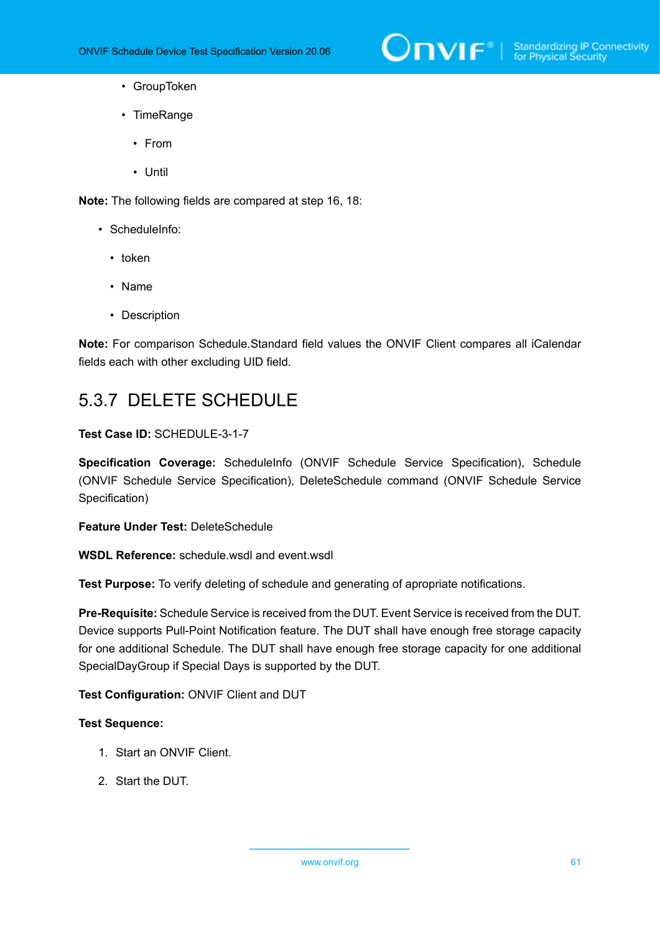

- GroupToken
- TimeRange
	- From
	- Until

**Note:** The following fields are compared at step 16, 18:

- ScheduleInfo:
	- token
	- Name
	- Description

**Note:** For comparison Schedule.Standard field values the ONVIF Client compares all iCalendar fields each with other excluding UID field.

# 5.3.7 DELETE SCHEDULE

# **Test Case ID:** SCHEDULE-3-1-7

**Specification Coverage:** ScheduleInfo (ONVIF Schedule Service Specification), Schedule (ONVIF Schedule Service Specification), DeleteSchedule command (ONVIF Schedule Service Specification)

**Feature Under Test:** DeleteSchedule

**WSDL Reference:** schedule.wsdl and event.wsdl

**Test Purpose:** To verify deleting of schedule and generating of apropriate notifications.

**Pre-Requisite:** Schedule Service is received from the DUT. Event Service is received from the DUT. Device supports Pull-Point Notification feature. The DUT shall have enough free storage capacity for one additional Schedule. The DUT shall have enough free storage capacity for one additional SpecialDayGroup if Special Days is supported by the DUT.

#### **Test Configuration:** ONVIF Client and DUT

- 1. Start an ONVIF Client.
- 2. Start the DUT.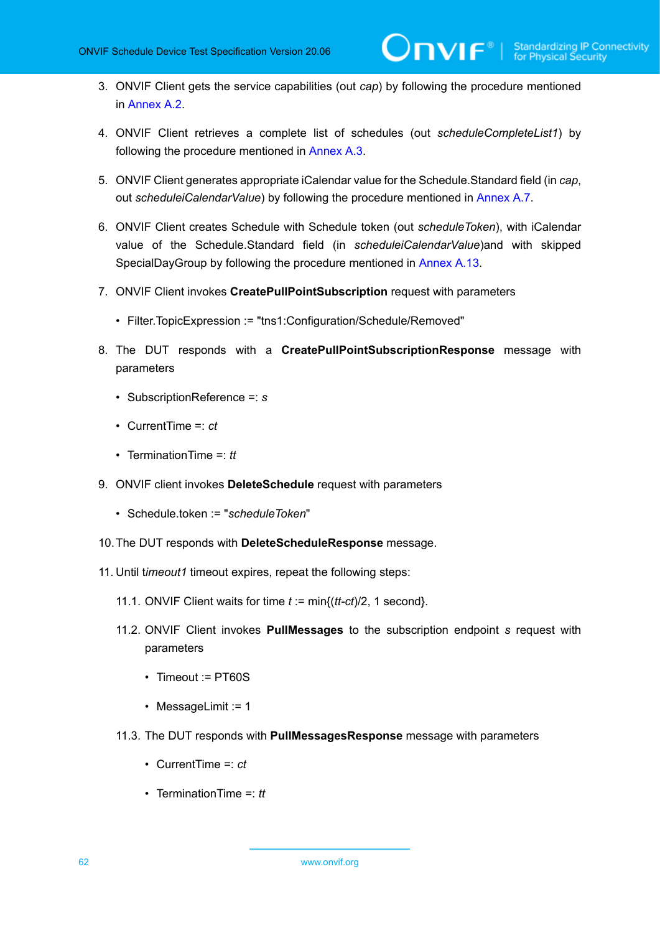- 3. ONVIF Client gets the service capabilities (out *cap*) by following the procedure mentioned in [Annex A.2.](#page-155-0)
- 4. ONVIF Client retrieves a complete list of schedules (out *scheduleCompleteList1*) by following the procedure mentioned in [Annex A.3](#page-155-1).
- 5. ONVIF Client generates appropriate iCalendar value for the Schedule.Standard field (in *cap*, out *scheduleiCalendarValue*) by following the procedure mentioned in [Annex A.7.](#page-159-0)
- 6. ONVIF Client creates Schedule with Schedule token (out *scheduleToken*), with iCalendar value of the Schedule.Standard field (in *scheduleiCalendarValue*)and with skipped SpecialDayGroup by following the procedure mentioned in [Annex A.13](#page-164-1).
- 7. ONVIF Client invokes **CreatePullPointSubscription** request with parameters
	- Filter.TopicExpression := "tns1:Configuration/Schedule/Removed"
- 8. The DUT responds with a **CreatePullPointSubscriptionResponse** message with parameters
	- SubscriptionReference =: *s*
	- CurrentTime =: *ct*
	- TerminationTime =: *tt*
- 9. ONVIF client invokes **DeleteSchedule** request with parameters
	- Schedule.token := "*scheduleToken*"
- 10.The DUT responds with **DeleteScheduleResponse** message.
- 11. Until t*imeout1* timeout expires, repeat the following steps:
	- 11.1. ONVIF Client waits for time *t* := min{(*tt-ct*)/2, 1 second}.
	- 11.2. ONVIF Client invokes **PullMessages** to the subscription endpoint *s* request with parameters
		- Timeout := PT60S
		- MessageLimit := 1
	- 11.3. The DUT responds with **PullMessagesResponse** message with parameters
		- CurrentTime =: *ct*
		- TerminationTime =: *tt*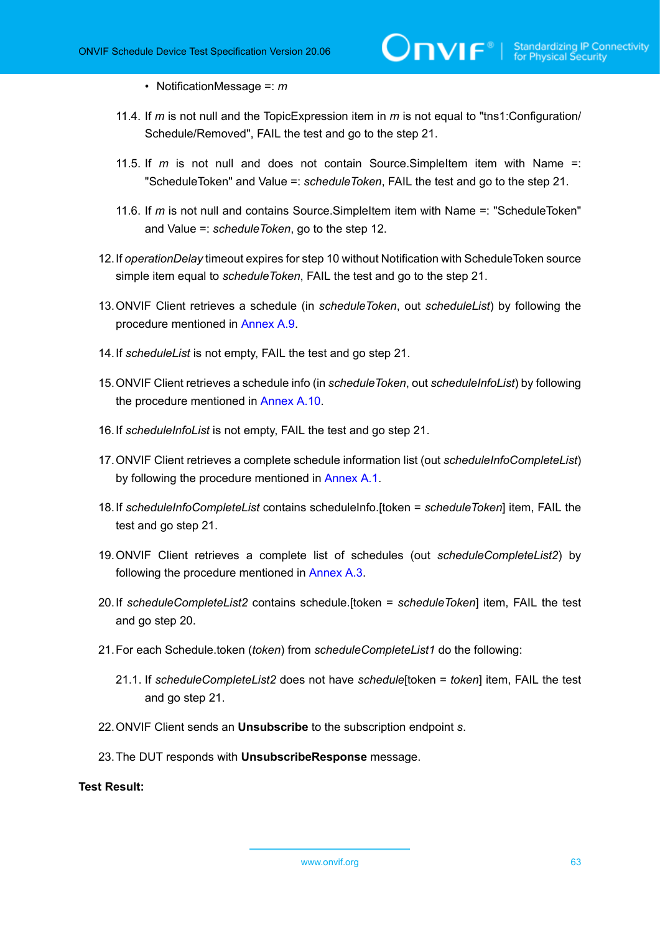- NotificationMessage =: *m*
- 11.4. If *m* is not null and the TopicExpression item in *m* is not equal to "tns1:Configuration/ Schedule/Removed", FAIL the test and go to the step 21.
- 11.5. If *m* is not null and does not contain Source.SimpleItem item with Name =: "ScheduleToken" and Value =: *scheduleToken*, FAIL the test and go to the step 21.
- 11.6. If *m* is not null and contains Source.SimpleItem item with Name =: "ScheduleToken" and Value =: *scheduleToken*, go to the step 12.
- 12.If *operationDelay* timeout expires for step 10 without Notification with ScheduleToken source simple item equal to *scheduleToken*, FAIL the test and go to the step 21.
- 13.ONVIF Client retrieves a schedule (in *scheduleToken*, out *scheduleList*) by following the procedure mentioned in [Annex A.9](#page-162-0).
- 14.If *scheduleList* is not empty, FAIL the test and go step 21.
- 15.ONVIF Client retrieves a schedule info (in *scheduleToken*, out *scheduleInfoList*) by following the procedure mentioned in [Annex A.10](#page-162-1).
- 16.If *scheduleInfoList* is not empty, FAIL the test and go step 21.
- 17.ONVIF Client retrieves a complete schedule information list (out *scheduleInfoCompleteList*) by following the procedure mentioned in [Annex A.1](#page-154-0).
- 18.If *scheduleInfoCompleteList* contains scheduleInfo.[token = *scheduleToken*] item, FAIL the test and go step 21.
- 19.ONVIF Client retrieves a complete list of schedules (out *scheduleCompleteList2*) by following the procedure mentioned in [Annex A.3](#page-155-1).
- 20.If *scheduleCompleteList2* contains schedule.[token = *scheduleToken*] item, FAIL the test and go step 20.
- 21.For each Schedule.token (*token*) from *scheduleCompleteList1* do the following:
	- 21.1. If *scheduleCompleteList2* does not have *schedule*[token = *token*] item, FAIL the test and go step 21.
- 22.ONVIF Client sends an **Unsubscribe** to the subscription endpoint *s*.
- 23.The DUT responds with **UnsubscribeResponse** message.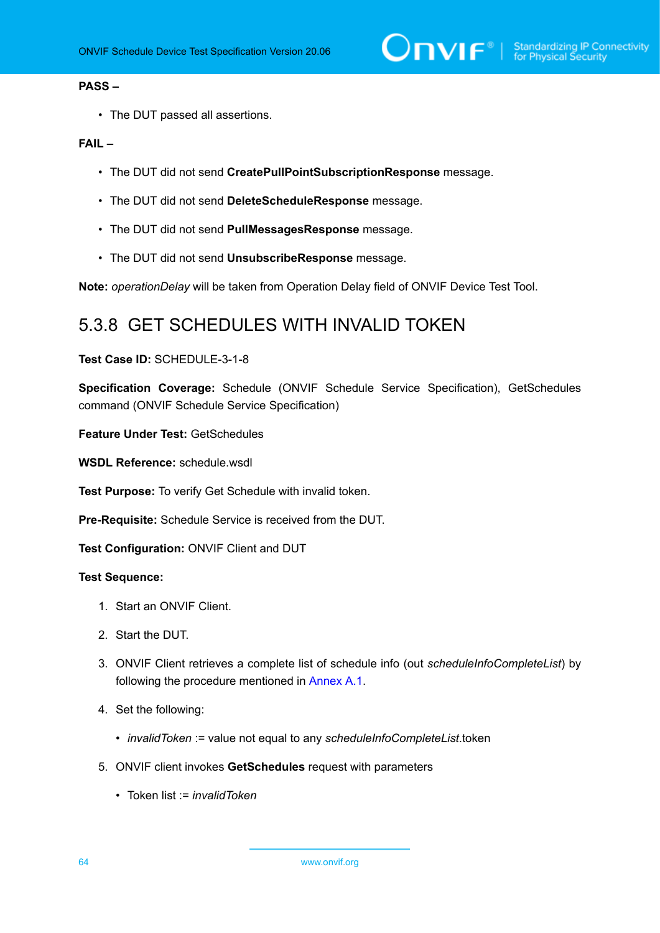# **PASS –**

• The DUT passed all assertions.

# **FAIL –**

- The DUT did not send **CreatePullPointSubscriptionResponse** message.
- The DUT did not send **DeleteScheduleResponse** message.
- The DUT did not send **PullMessagesResponse** message.
- The DUT did not send **UnsubscribeResponse** message.

**Note:** *operationDelay* will be taken from Operation Delay field of ONVIF Device Test Tool.

# 5.3.8 GET SCHEDULES WITH INVALID TOKEN

# **Test Case ID:** SCHEDULE-3-1-8

**Specification Coverage:** Schedule (ONVIF Schedule Service Specification), GetSchedules command (ONVIF Schedule Service Specification)

**Feature Under Test:** GetSchedules

**WSDL Reference:** schedule.wsdl

**Test Purpose:** To verify Get Schedule with invalid token.

**Pre-Requisite:** Schedule Service is received from the DUT.

**Test Configuration:** ONVIF Client and DUT

- 1. Start an ONVIF Client.
- 2. Start the DUT.
- 3. ONVIF Client retrieves a complete list of schedule info (out *scheduleInfoCompleteList*) by following the procedure mentioned in [Annex A.1](#page-154-0).
- 4. Set the following:
	- *invalidToken* := value not equal to any *scheduleInfoCompleteList*.token
- 5. ONVIF client invokes **GetSchedules** request with parameters
	- Token list := *invalidToken*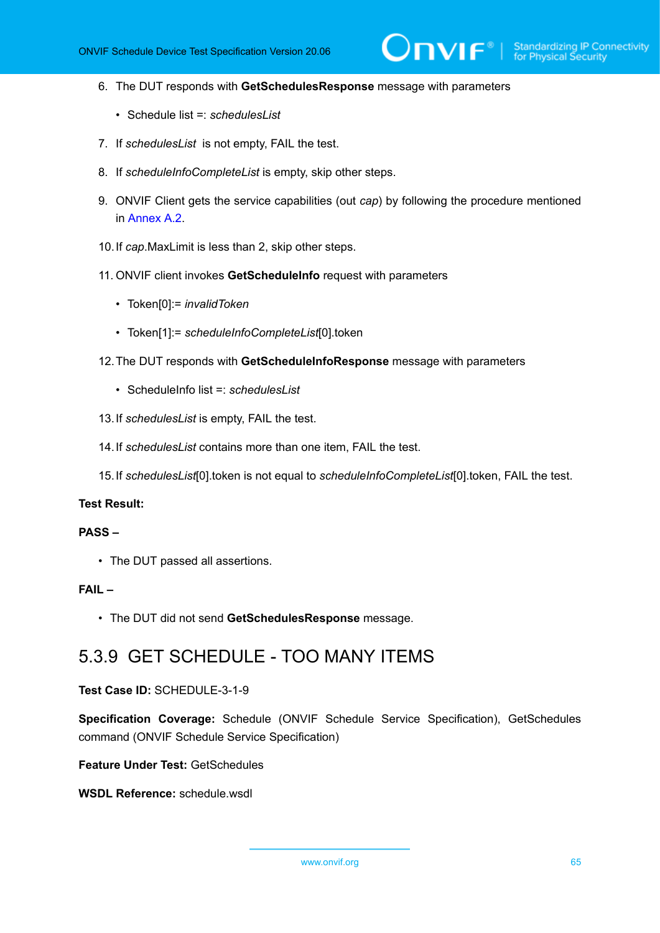- 6. The DUT responds with **GetSchedulesResponse** message with parameters
	- Schedule list =: *schedulesList*
- 7. If *schedulesList* is not empty, FAIL the test.
- 8. If *scheduleInfoCompleteList* is empty, skip other steps.
- 9. ONVIF Client gets the service capabilities (out *cap*) by following the procedure mentioned in [Annex A.2.](#page-155-0)
- 10.If *cap*.MaxLimit is less than 2, skip other steps.
- 11. ONVIF client invokes **GetScheduleInfo** request with parameters
	- Token[0]:= *invalidToken*
	- Token[1]:= *scheduleInfoCompleteList*[0].token
- 12.The DUT responds with **GetScheduleInfoResponse** message with parameters
	- ScheduleInfo list =: *schedulesList*
- 13.If *schedulesList* is empty, FAIL the test.
- 14.If *schedulesList* contains more than one item, FAIL the test.
- 15.If *schedulesList*[0].token is not equal to *scheduleInfoCompleteList*[0].token, FAIL the test.

## **PASS –**

• The DUT passed all assertions.

# **FAIL –**

• The DUT did not send **GetSchedulesResponse** message.

# 5.3.9 GET SCHEDULE - TOO MANY ITEMS

### **Test Case ID:** SCHEDULE-3-1-9

**Specification Coverage:** Schedule (ONVIF Schedule Service Specification), GetSchedules command (ONVIF Schedule Service Specification)

**Feature Under Test:** GetSchedules

**WSDL Reference:** schedule.wsdl

www.onvif.org 65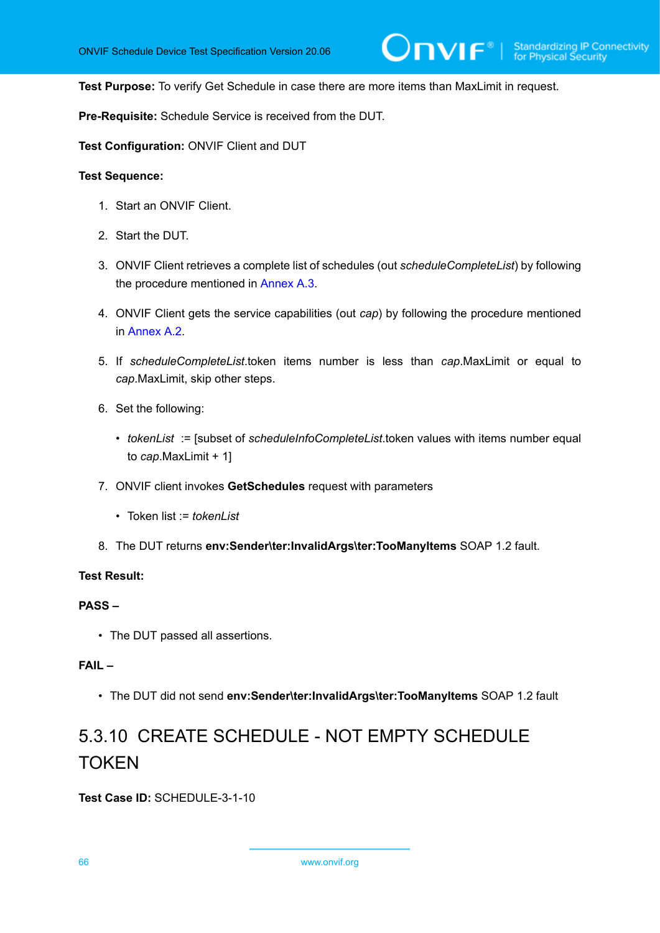**Test Purpose:** To verify Get Schedule in case there are more items than MaxLimit in request.

**Pre-Requisite:** Schedule Service is received from the DUT.

**Test Configuration:** ONVIF Client and DUT

#### **Test Sequence:**

- 1. Start an ONVIF Client.
- 2. Start the DUT.
- 3. ONVIF Client retrieves a complete list of schedules (out *scheduleCompleteList*) by following the procedure mentioned in [Annex A.3.](#page-155-1)
- 4. ONVIF Client gets the service capabilities (out *cap*) by following the procedure mentioned in [Annex A.2.](#page-155-0)
- 5. If *scheduleCompleteList*.token items number is less than *cap*.MaxLimit or equal to *cap*.MaxLimit, skip other steps.
- 6. Set the following:
	- *tokenList* := [subset of *scheduleInfoCompleteList*.token values with items number equal to *cap*.MaxLimit + 1]
- 7. ONVIF client invokes **GetSchedules** request with parameters
	- Token list := *tokenList*
- 8. The DUT returns **env:Sender\ter:InvalidArgs\ter:TooManyItems** SOAP 1.2 fault.

# **Test Result:**

# **PASS –**

• The DUT passed all assertions.

# **FAIL –**

• The DUT did not send **env:Sender\ter:InvalidArgs\ter:TooManyItems** SOAP 1.2 fault

# 5.3.10 CREATE SCHEDULE - NOT EMPTY SCHEDULE TOKEN

**Test Case ID:** SCHEDULE-3-1-10

66 www.onvif.org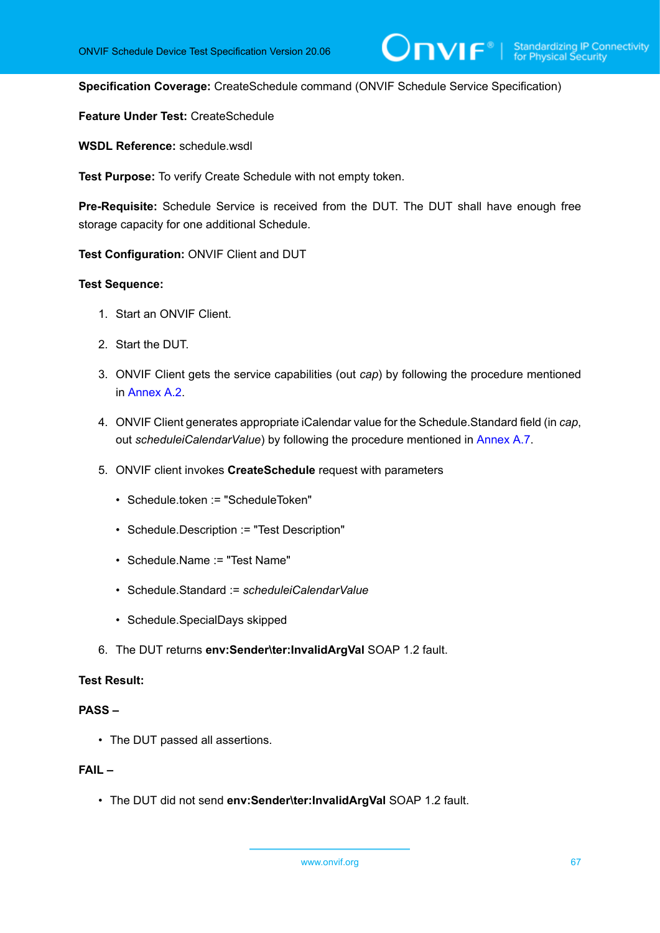**Specification Coverage:** CreateSchedule command (ONVIF Schedule Service Specification)

**Feature Under Test:** CreateSchedule

**WSDL Reference:** schedule.wsdl

**Test Purpose:** To verify Create Schedule with not empty token.

**Pre-Requisite:** Schedule Service is received from the DUT. The DUT shall have enough free storage capacity for one additional Schedule.

**Test Configuration:** ONVIF Client and DUT

# **Test Sequence:**

- 1. Start an ONVIF Client.
- 2. Start the DUT.
- 3. ONVIF Client gets the service capabilities (out *cap*) by following the procedure mentioned in [Annex A.2.](#page-155-0)
- 4. ONVIF Client generates appropriate iCalendar value for the Schedule.Standard field (in *cap*, out *scheduleiCalendarValue*) by following the procedure mentioned in [Annex A.7.](#page-159-0)
- 5. ONVIF client invokes **CreateSchedule** request with parameters
	- Schedule.token := "ScheduleToken"
	- Schedule.Description := "Test Description"
	- Schedule.Name := "Test Name"
	- Schedule.Standard := *scheduleiCalendarValue*
	- Schedule.SpecialDays skipped
- 6. The DUT returns **env:Sender\ter:InvalidArgVal** SOAP 1.2 fault.

# **Test Result:**

# **PASS –**

• The DUT passed all assertions.

# **FAIL –**

• The DUT did not send **env:Sender\ter:InvalidArgVal** SOAP 1.2 fault.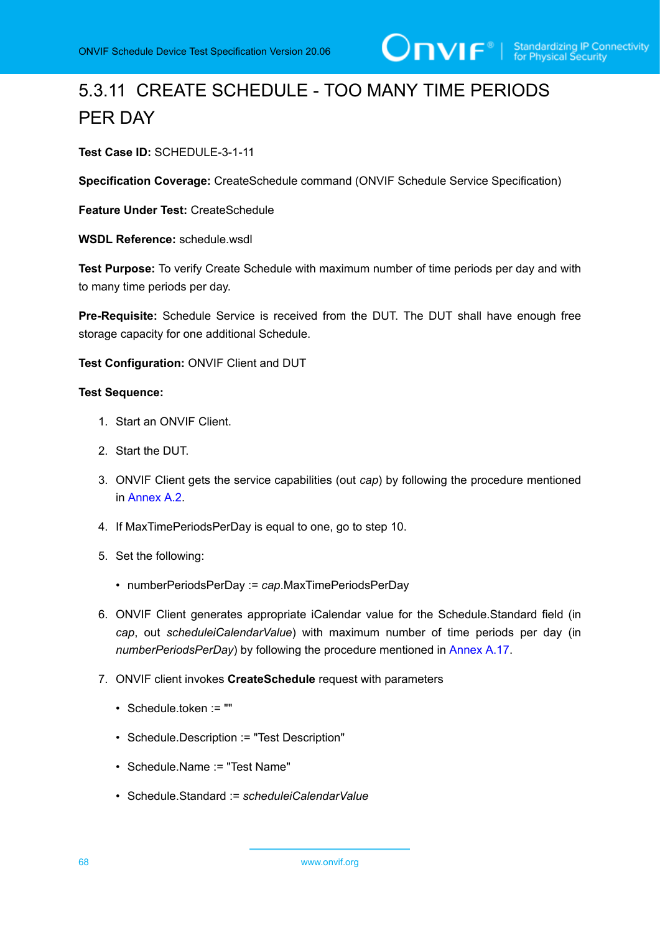# 5.3.11 CREATE SCHEDULE - TOO MANY TIME PERIODS PER DAY

**Test Case ID:** SCHEDULE-3-1-11

**Specification Coverage:** CreateSchedule command (ONVIF Schedule Service Specification)

**Feature Under Test:** CreateSchedule

WSDL Reference: schedule wsdl.

**Test Purpose:** To verify Create Schedule with maximum number of time periods per day and with to many time periods per day.

**Pre-Requisite:** Schedule Service is received from the DUT. The DUT shall have enough free storage capacity for one additional Schedule.

**Test Configuration:** ONVIF Client and DUT

- 1. Start an ONVIF Client.
- 2. Start the DUT.
- 3. ONVIF Client gets the service capabilities (out *cap*) by following the procedure mentioned in [Annex A.2.](#page-155-0)
- 4. If MaxTimePeriodsPerDay is equal to one, go to step 10.
- 5. Set the following:
	- numberPeriodsPerDay := *cap*.MaxTimePeriodsPerDay
- 6. ONVIF Client generates appropriate iCalendar value for the Schedule.Standard field (in *cap*, out *scheduleiCalendarValue*) with maximum number of time periods per day (in *numberPeriodsPerDay*) by following the procedure mentioned in [Annex A.17.](#page-168-0)
- 7. ONVIF client invokes **CreateSchedule** request with parameters
	- Schedule.token := ""
	- Schedule.Description := "Test Description"
	- Schedule.Name := "Test Name"
	- Schedule.Standard := *scheduleiCalendarValue*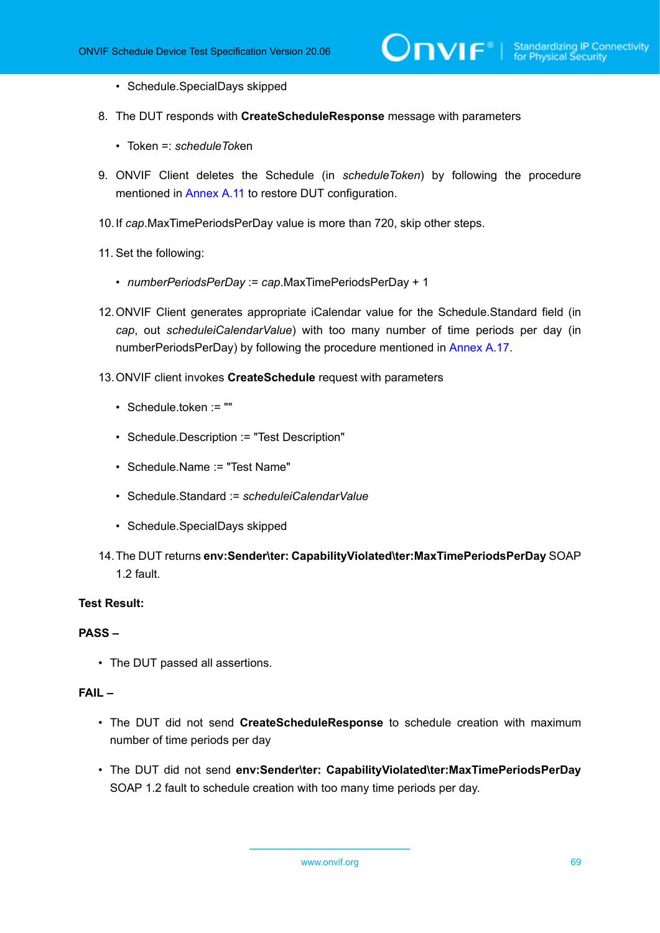- Schedule.SpecialDays skipped
- 8. The DUT responds with **CreateScheduleResponse** message with parameters
	- Token =: *scheduleTok*en
- 9. ONVIF Client deletes the Schedule (in *scheduleToken*) by following the procedure mentioned in [Annex](#page-163-0) A.11 to restore DUT configuration.
- 10.If *cap*.MaxTimePeriodsPerDay value is more than 720, skip other steps.
- 11. Set the following:
	- *numberPeriodsPerDay* := *cap*.MaxTimePeriodsPerDay + 1
- 12.ONVIF Client generates appropriate iCalendar value for the Schedule.Standard field (in *cap*, out *scheduleiCalendarValue*) with too many number of time periods per day (in numberPeriodsPerDay) by following the procedure mentioned in [Annex A.17.](#page-168-0)
- 13.ONVIF client invokes **CreateSchedule** request with parameters
	- Schedule.token := ""
	- Schedule.Description := "Test Description"
	- Schedule.Name := "Test Name"
	- Schedule.Standard := *scheduleiCalendarValue*
	- Schedule.SpecialDays skipped
- 14.The DUT returns **env:Sender\ter: CapabilityViolated\ter:MaxTimePeriodsPerDay** SOAP 1.2 fault.

#### **PASS –**

• The DUT passed all assertions.

#### **FAIL –**

- The DUT did not send **CreateScheduleResponse** to schedule creation with maximum number of time periods per day
- The DUT did not send **env:Sender\ter: CapabilityViolated\ter:MaxTimePeriodsPerDay** SOAP 1.2 fault to schedule creation with too many time periods per day.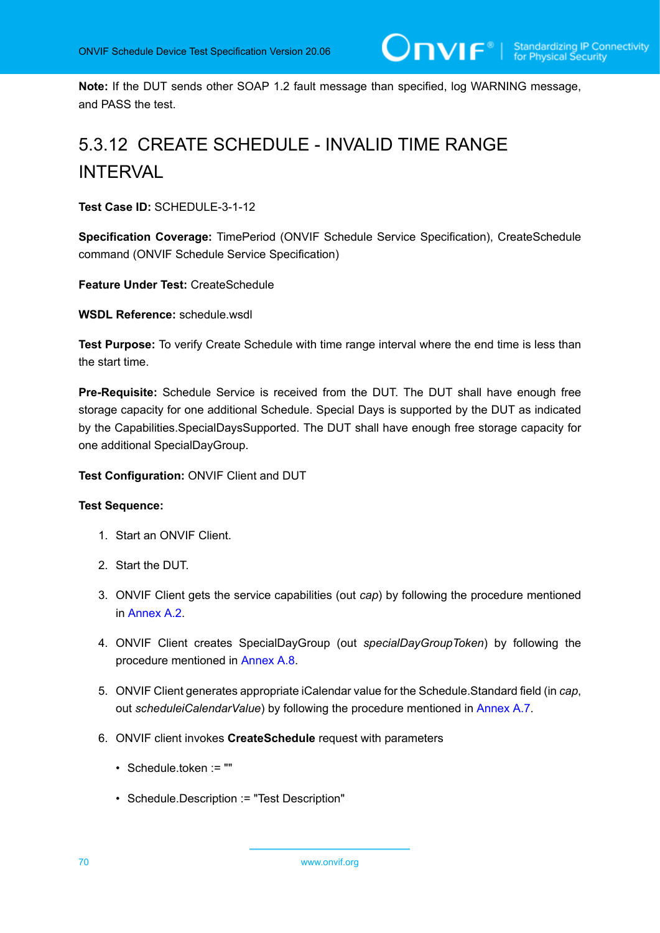**Note:** If the DUT sends other SOAP 1.2 fault message than specified, log WARNING message, and PASS the test.

# 5.3.12 CREATE SCHEDULE - INVALID TIME RANGE INTERVAL

**Test Case ID:** SCHEDULE-3-1-12

**Specification Coverage:** TimePeriod (ONVIF Schedule Service Specification), CreateSchedule command (ONVIF Schedule Service Specification)

**Feature Under Test:** CreateSchedule

**WSDL Reference:** schedule.wsdl

**Test Purpose:** To verify Create Schedule with time range interval where the end time is less than the start time.

**Pre-Requisite:** Schedule Service is received from the DUT. The DUT shall have enough free storage capacity for one additional Schedule. Special Days is supported by the DUT as indicated by the Capabilities.SpecialDaysSupported. The DUT shall have enough free storage capacity for one additional SpecialDayGroup.

# **Test Configuration:** ONVIF Client and DUT

- 1. Start an ONVIF Client.
- 2. Start the DUT.
- 3. ONVIF Client gets the service capabilities (out *cap*) by following the procedure mentioned in [Annex A.2.](#page-155-0)
- 4. ONVIF Client creates SpecialDayGroup (out *specialDayGroupToken*) by following the procedure mentioned in [Annex A.8](#page-160-0).
- 5. ONVIF Client generates appropriate iCalendar value for the Schedule.Standard field (in *cap*, out *scheduleiCalendarValue*) by following the procedure mentioned in [Annex A.7.](#page-159-0)
- 6. ONVIF client invokes **CreateSchedule** request with parameters
	- Schedule.token := ""
	- Schedule.Description := "Test Description"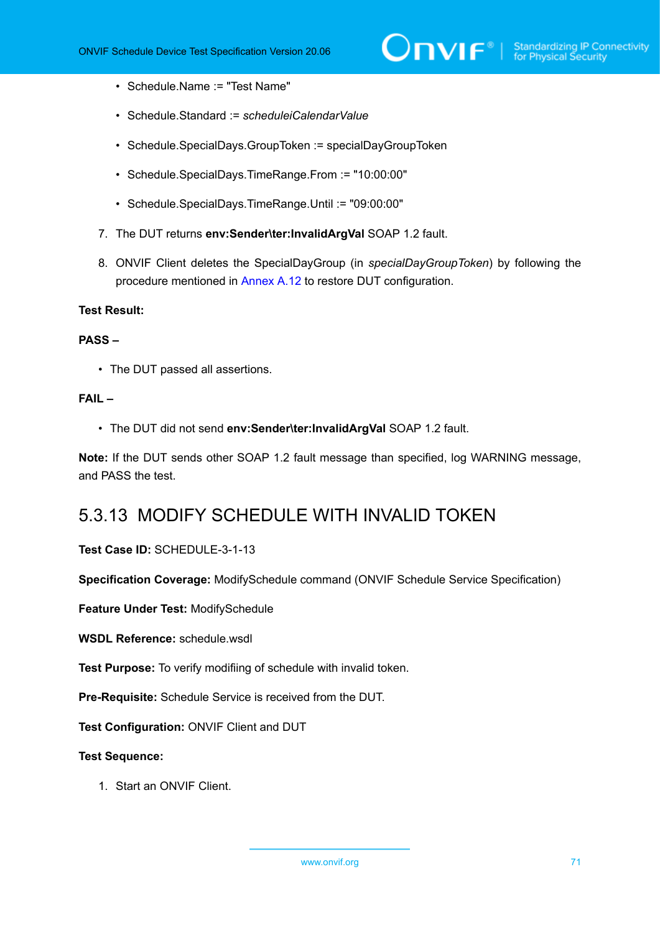- Schedule.Name := "Test Name"
- Schedule.Standard := *scheduleiCalendarValue*
- Schedule.SpecialDays.GroupToken := specialDayGroupToken
- Schedule.SpecialDays.TimeRange.From := "10:00:00"
- Schedule.SpecialDays.TimeRange.Until := "09:00:00"
- 7. The DUT returns **env:Sender\ter:InvalidArgVal** SOAP 1.2 fault.
- 8. ONVIF Client deletes the SpecialDayGroup (in *specialDayGroupToken*) by following the procedure mentioned in [Annex A.12](#page-164-0) to restore DUT configuration.

#### **PASS –**

• The DUT passed all assertions.

### **FAIL –**

• The DUT did not send **env:Sender\ter:InvalidArgVal** SOAP 1.2 fault.

**Note:** If the DUT sends other SOAP 1.2 fault message than specified, log WARNING message, and PASS the test.

# 5.3.13 MODIFY SCHEDULE WITH INVALID TOKEN

#### **Test Case ID:** SCHEDULE-3-1-13

**Specification Coverage:** ModifySchedule command (ONVIF Schedule Service Specification)

**Feature Under Test:** ModifySchedule

**WSDL Reference:** schedule wsdl

**Test Purpose:** To verify modifiing of schedule with invalid token.

**Pre-Requisite:** Schedule Service is received from the DUT.

**Test Configuration:** ONVIF Client and DUT

### **Test Sequence:**

1. Start an ONVIF Client.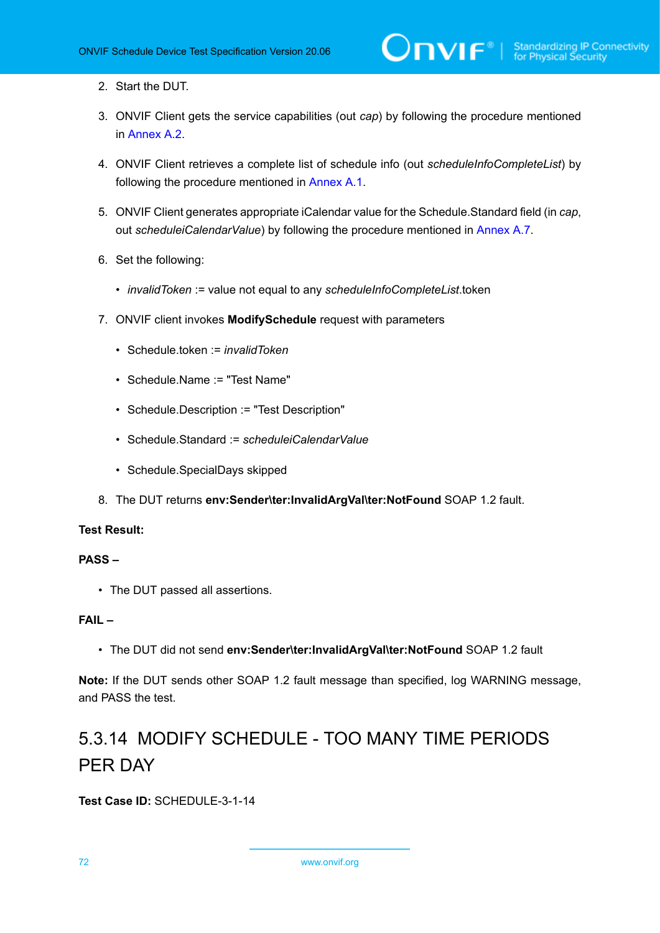- 2. Start the DUT.
- 3. ONVIF Client gets the service capabilities (out *cap*) by following the procedure mentioned in [Annex A.2.](#page-155-0)
- 4. ONVIF Client retrieves a complete list of schedule info (out *scheduleInfoCompleteList*) by following the procedure mentioned in [Annex A.1](#page-154-0).
- 5. ONVIF Client generates appropriate iCalendar value for the Schedule.Standard field (in *cap*, out *scheduleiCalendarValue*) by following the procedure mentioned in [Annex A.7.](#page-159-0)
- 6. Set the following:
	- *invalidToken* := value not equal to any *scheduleInfoCompleteList*.token
- 7. ONVIF client invokes **ModifySchedule** request with parameters
	- Schedule.token := *invalidToken*
	- Schedule.Name := "Test Name"
	- Schedule.Description := "Test Description"
	- Schedule.Standard := *scheduleiCalendarValue*
	- Schedule.SpecialDays skipped
- 8. The DUT returns **env:Sender\ter:InvalidArgVal\ter:NotFound** SOAP 1.2 fault.

# **PASS –**

• The DUT passed all assertions.

# **FAIL –**

• The DUT did not send **env:Sender\ter:InvalidArgVal\ter:NotFound** SOAP 1.2 fault

**Note:** If the DUT sends other SOAP 1.2 fault message than specified, log WARNING message, and PASS the test.

# 5.3.14 MODIFY SCHEDULE - TOO MANY TIME PERIODS PER DAY

**Test Case ID:** SCHEDULE-3-1-14

72 www.onvif.org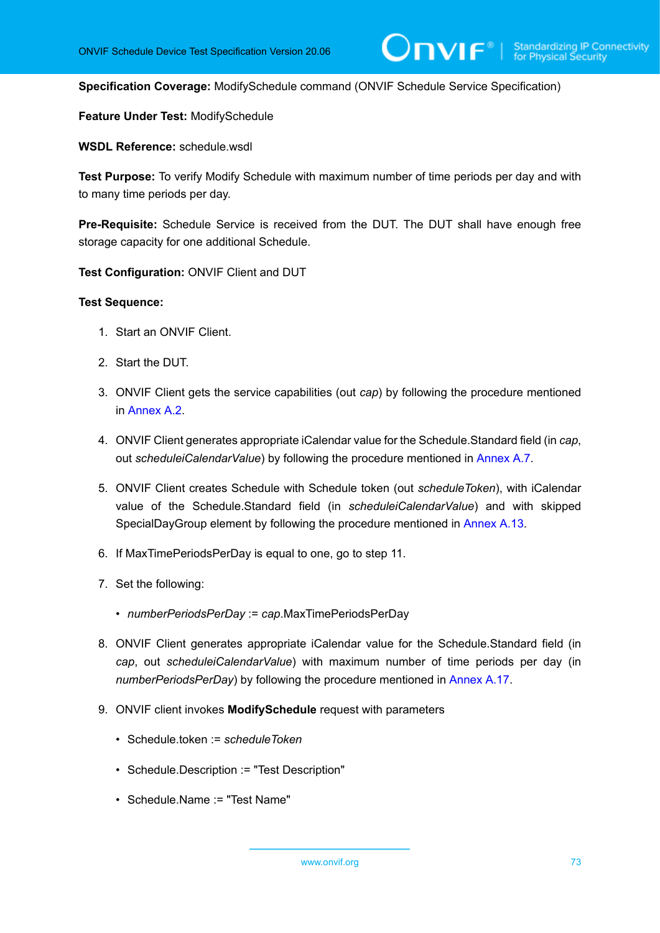**Specification Coverage:** ModifySchedule command (ONVIF Schedule Service Specification)

**Feature Under Test:** ModifySchedule

**WSDL Reference:** schedule.wsdl

**Test Purpose:** To verify Modify Schedule with maximum number of time periods per day and with to many time periods per day.

**Pre-Requisite:** Schedule Service is received from the DUT. The DUT shall have enough free storage capacity for one additional Schedule.

**Test Configuration:** ONVIF Client and DUT

- 1. Start an ONVIF Client.
- 2. Start the DUT.
- 3. ONVIF Client gets the service capabilities (out *cap*) by following the procedure mentioned in [Annex A.2.](#page-155-0)
- 4. ONVIF Client generates appropriate iCalendar value for the Schedule.Standard field (in *cap*, out *scheduleiCalendarValue*) by following the procedure mentioned in [Annex A.7.](#page-159-0)
- 5. ONVIF Client creates Schedule with Schedule token (out *scheduleToken*), with iCalendar value of the Schedule.Standard field (in *scheduleiCalendarValue*) and with skipped SpecialDayGroup element by following the procedure mentioned in [Annex A.13.](#page-164-0)
- 6. If MaxTimePeriodsPerDay is equal to one, go to step 11.
- 7. Set the following:
	- *numberPeriodsPerDay* := *cap*.MaxTimePeriodsPerDay
- 8. ONVIF Client generates appropriate iCalendar value for the Schedule.Standard field (in *cap*, out *scheduleiCalendarValue*) with maximum number of time periods per day (in *numberPeriodsPerDay*) by following the procedure mentioned in [Annex A.17.](#page-168-0)
- 9. ONVIF client invokes **ModifySchedule** request with parameters
	- Schedule.token := *scheduleToken*
	- Schedule.Description := "Test Description"
	- Schedule.Name := "Test Name"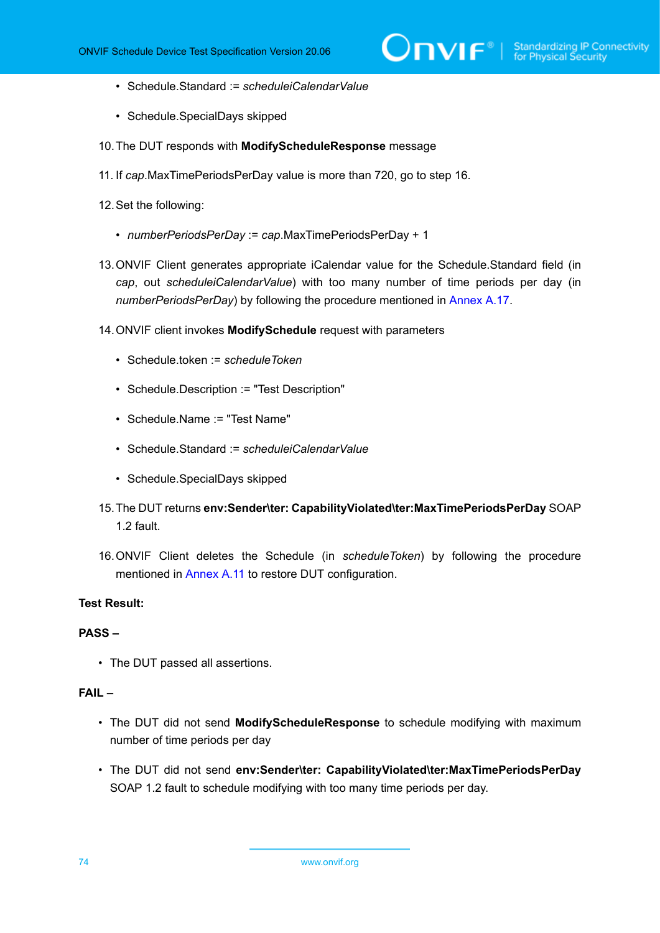- Schedule.Standard := *scheduleiCalendarValue*
- Schedule.SpecialDays skipped
- 10.The DUT responds with **ModifyScheduleResponse** message
- 11. If *cap*.MaxTimePeriodsPerDay value is more than 720, go to step 16.
- 12.Set the following:
	- *numberPeriodsPerDay* := *cap*.MaxTimePeriodsPerDay + 1
- 13.ONVIF Client generates appropriate iCalendar value for the Schedule.Standard field (in *cap*, out *scheduleiCalendarValue*) with too many number of time periods per day (in *numberPeriodsPerDay*) by following the procedure mentioned in [Annex A.17.](#page-168-0)
- 14.ONVIF client invokes **ModifySchedule** request with parameters
	- Schedule.token := *scheduleToken*
	- Schedule.Description := "Test Description"
	- Schedule.Name := "Test Name"
	- Schedule.Standard := *scheduleiCalendarValue*
	- Schedule.SpecialDays skipped
- 15.The DUT returns **env:Sender\ter: CapabilityViolated\ter:MaxTimePeriodsPerDay** SOAP 1.2 fault.
- 16.ONVIF Client deletes the Schedule (in *scheduleToken*) by following the procedure mentioned in [Annex](#page-163-0) A.11 to restore DUT configuration.

#### **PASS –**

• The DUT passed all assertions.

#### **FAIL –**

- The DUT did not send **ModifyScheduleResponse** to schedule modifying with maximum number of time periods per day
- The DUT did not send **env:Sender\ter: CapabilityViolated\ter:MaxTimePeriodsPerDay** SOAP 1.2 fault to schedule modifying with too many time periods per day.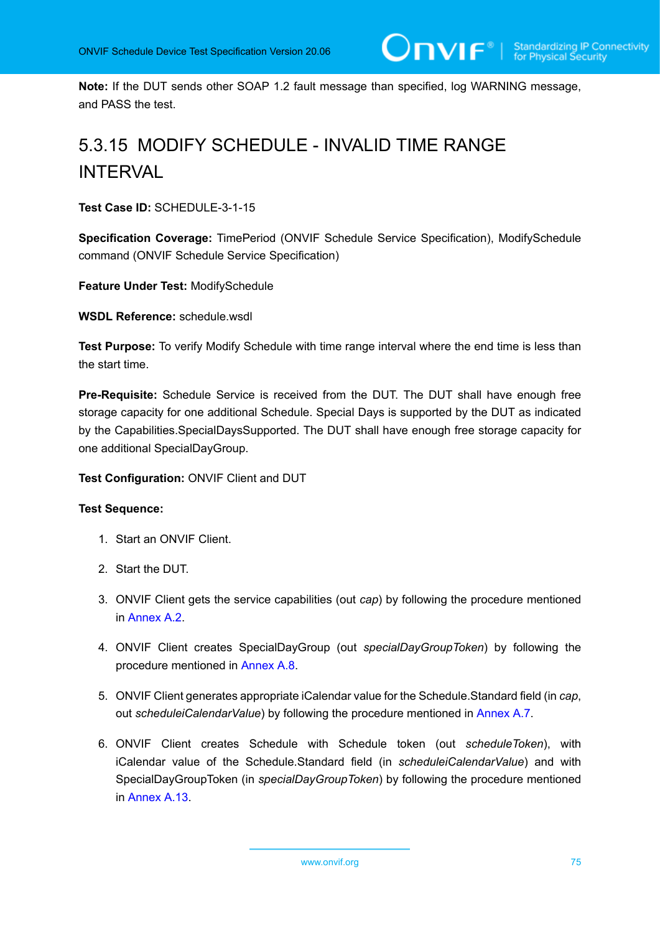**Note:** If the DUT sends other SOAP 1.2 fault message than specified, log WARNING message, and PASS the test.

# 5.3.15 MODIFY SCHEDULE - INVALID TIME RANGE INTERVAL

**Test Case ID:** SCHEDULE-3-1-15

**Specification Coverage:** TimePeriod (ONVIF Schedule Service Specification), ModifySchedule command (ONVIF Schedule Service Specification)

**Feature Under Test:** ModifySchedule

**WSDL Reference:** schedule.wsdl

**Test Purpose:** To verify Modify Schedule with time range interval where the end time is less than the start time.

**Pre-Requisite:** Schedule Service is received from the DUT. The DUT shall have enough free storage capacity for one additional Schedule. Special Days is supported by the DUT as indicated by the Capabilities.SpecialDaysSupported. The DUT shall have enough free storage capacity for one additional SpecialDayGroup.

#### **Test Configuration:** ONVIF Client and DUT

- 1. Start an ONVIF Client.
- 2. Start the DUT.
- 3. ONVIF Client gets the service capabilities (out *cap*) by following the procedure mentioned in [Annex A.2.](#page-155-0)
- 4. ONVIF Client creates SpecialDayGroup (out *specialDayGroupToken*) by following the procedure mentioned in [Annex A.8](#page-160-0).
- 5. ONVIF Client generates appropriate iCalendar value for the Schedule.Standard field (in *cap*, out *scheduleiCalendarValue*) by following the procedure mentioned in [Annex A.7.](#page-159-0)
- 6. ONVIF Client creates Schedule with Schedule token (out *scheduleToken*), with iCalendar value of the Schedule.Standard field (in *scheduleiCalendarValue*) and with SpecialDayGroupToken (in *specialDayGroupToken*) by following the procedure mentioned in [Annex A.13.](#page-164-0)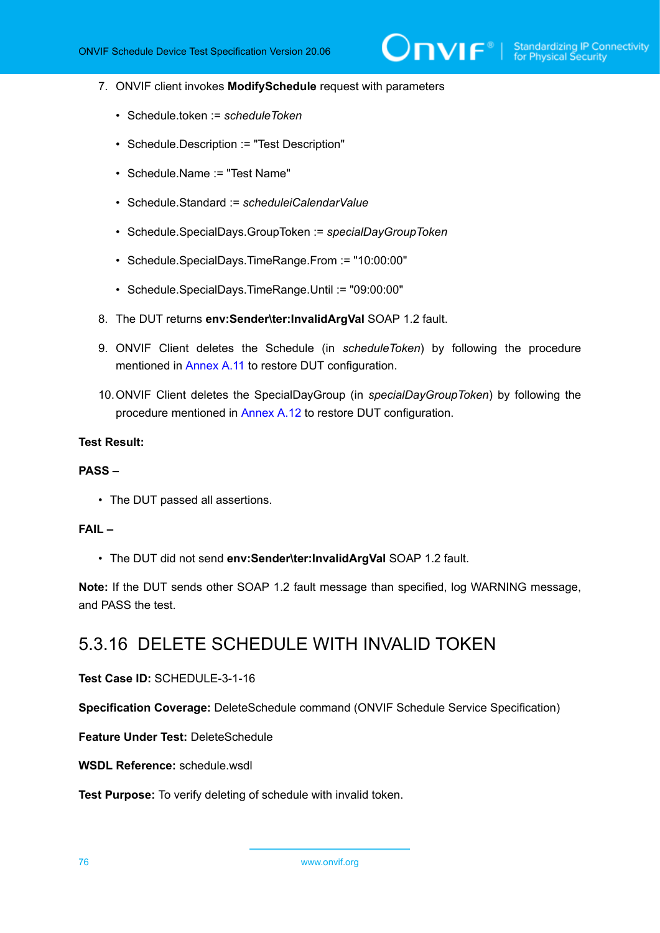- 7. ONVIF client invokes **ModifySchedule** request with parameters
	- Schedule.token := *scheduleToken*
	- Schedule.Description := "Test Description"
	- Schedule.Name := "Test Name"
	- Schedule.Standard := *scheduleiCalendarValue*
	- Schedule.SpecialDays.GroupToken := *specialDayGroupToken*
	- Schedule.SpecialDays.TimeRange.From := "10:00:00"
	- Schedule.SpecialDays.TimeRange.Until := "09:00:00"
- 8. The DUT returns **env:Sender\ter:InvalidArgVal** SOAP 1.2 fault.
- 9. ONVIF Client deletes the Schedule (in *scheduleToken*) by following the procedure mentioned in [Annex](#page-163-0) A.11 to restore DUT configuration.
- 10.ONVIF Client deletes the SpecialDayGroup (in *specialDayGroupToken*) by following the procedure mentioned in [Annex A.12](#page-164-1) to restore DUT configuration.

#### **PASS –**

• The DUT passed all assertions.

#### **FAIL –**

• The DUT did not send **env:Sender\ter:InvalidArgVal** SOAP 1.2 fault.

**Note:** If the DUT sends other SOAP 1.2 fault message than specified, log WARNING message, and PASS the test.

## 5.3.16 DELETE SCHEDULE WITH INVALID TOKEN

**Test Case ID:** SCHEDULE-3-1-16

**Specification Coverage:** DeleteSchedule command (ONVIF Schedule Service Specification)

**Feature Under Test:** DeleteSchedule

**WSDL Reference:** schedule.wsdl

**Test Purpose:** To verify deleting of schedule with invalid token.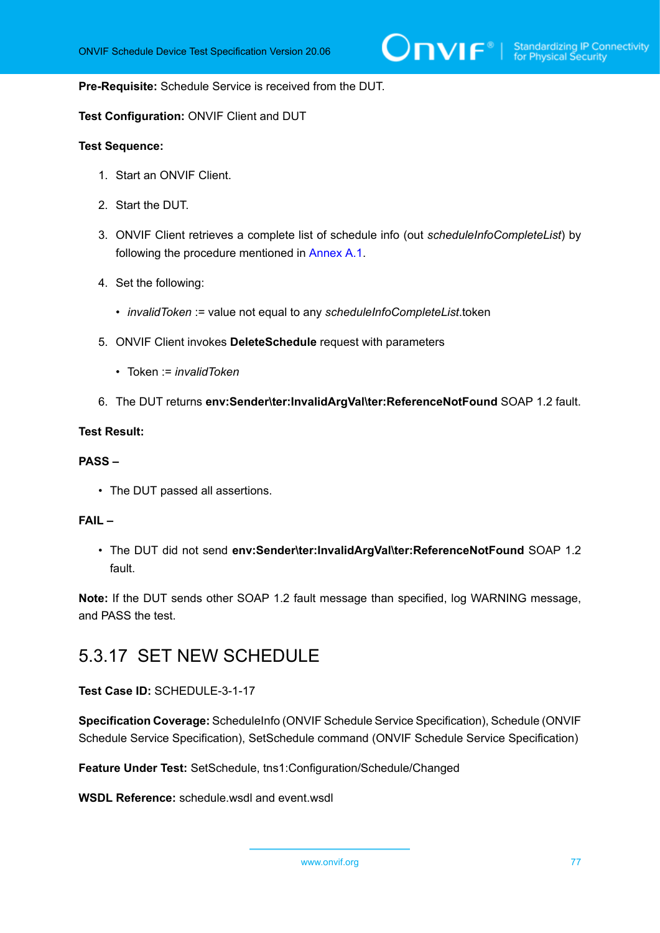#### **Pre-Requisite:** Schedule Service is received from the DUT.

#### **Test Configuration:** ONVIF Client and DUT

#### **Test Sequence:**

- 1. Start an ONVIF Client.
- 2. Start the DUT.
- 3. ONVIF Client retrieves a complete list of schedule info (out *scheduleInfoCompleteList*) by following the procedure mentioned in [Annex A.1](#page-154-0).
- 4. Set the following:
	- *invalidToken* := value not equal to any *scheduleInfoCompleteList*.token
- 5. ONVIF Client invokes **DeleteSchedule** request with parameters
	- Token := *invalidToken*
- 6. The DUT returns **env:Sender\ter:InvalidArgVal\ter:ReferenceNotFound** SOAP 1.2 fault.

#### **Test Result:**

#### **PASS –**

• The DUT passed all assertions.

#### **FAIL –**

• The DUT did not send **env:Sender\ter:InvalidArgVal\ter:ReferenceNotFound** SOAP 1.2 fault.

**Note:** If the DUT sends other SOAP 1.2 fault message than specified, log WARNING message, and PASS the test.

### 5.3.17 SET NEW SCHEDULE

**Test Case ID:** SCHEDULE-3-1-17

**Specification Coverage:** ScheduleInfo (ONVIF Schedule Service Specification), Schedule (ONVIF Schedule Service Specification), SetSchedule command (ONVIF Schedule Service Specification)

**Feature Under Test:** SetSchedule, tns1:Configuration/Schedule/Changed

**WSDL Reference:** schedule.wsdl and event.wsdl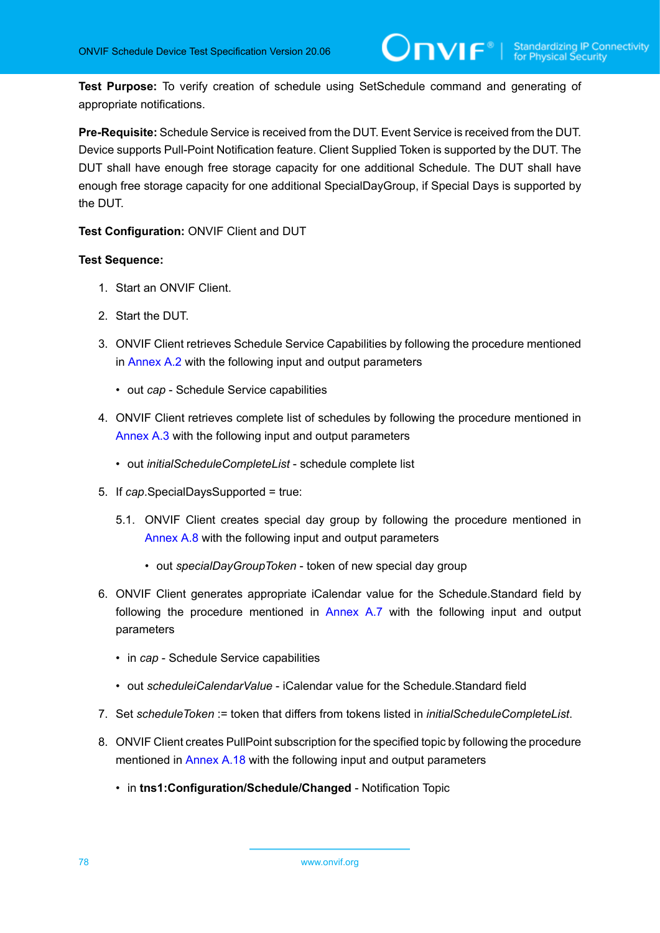**Test Purpose:** To verify creation of schedule using SetSchedule command and generating of appropriate notifications.

**Pre-Requisite:** Schedule Service is received from the DUT. Event Service is received from the DUT. Device supports Pull-Point Notification feature. Client Supplied Token is supported by the DUT. The DUT shall have enough free storage capacity for one additional Schedule. The DUT shall have enough free storage capacity for one additional SpecialDayGroup, if Special Days is supported by the DUT.

**Test Configuration:** ONVIF Client and DUT

- 1. Start an ONVIF Client.
- 2. Start the DUT.
- 3. ONVIF Client retrieves Schedule Service Capabilities by following the procedure mentioned in [Annex A.2](#page-155-0) with the following input and output parameters
	- out *cap* Schedule Service capabilities
- 4. ONVIF Client retrieves complete list of schedules by following the procedure mentioned in [Annex A.3](#page-155-1) with the following input and output parameters
	- out *initialScheduleCompleteList* schedule complete list
- 5. If *cap*.SpecialDaysSupported = true:
	- 5.1. ONVIF Client creates special day group by following the procedure mentioned in [Annex A.8](#page-160-0) with the following input and output parameters
		- out *specialDayGroupToken* token of new special day group
- 6. ONVIF Client generates appropriate iCalendar value for the Schedule.Standard field by following the procedure mentioned in [Annex A.7](#page-159-0) with the following input and output parameters
	- in *cap* Schedule Service capabilities
	- out *scheduleiCalendarValue* iCalendar value for the Schedule.Standard field
- 7. Set *scheduleToken* := token that differs from tokens listed in *initialScheduleCompleteList*.
- 8. ONVIF Client creates PullPoint subscription for the specified topic by following the procedure mentioned in [Annex A.18](#page-171-0) with the following input and output parameters
	- in **tns1:Configuration/Schedule/Changed** Notification Topic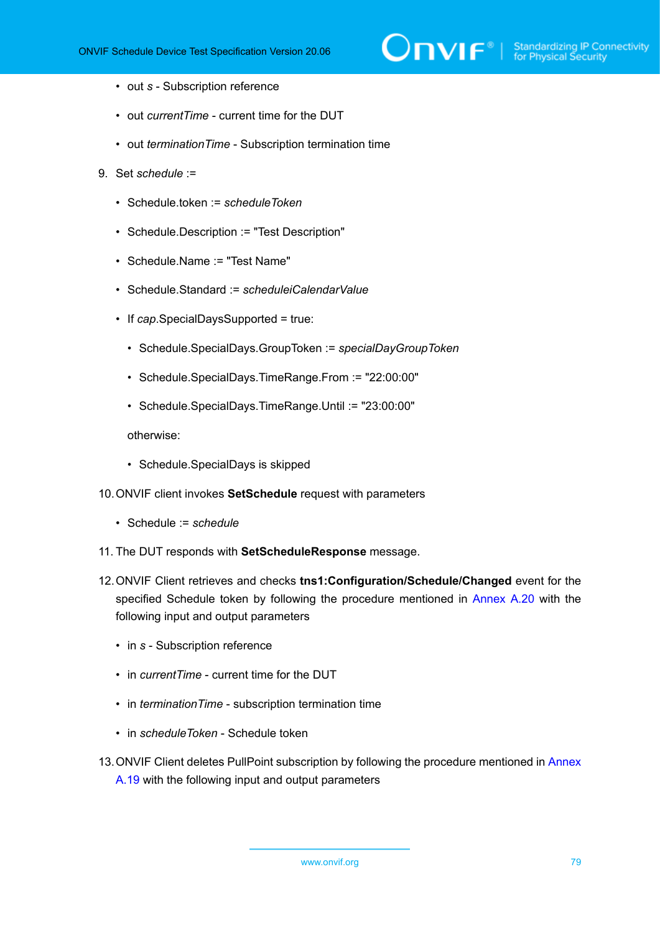

- out *s* Subscription reference
- out *currentTime* current time for the DUT
- out *terminationTime* Subscription termination time
- 9. Set *schedule* :=
	- Schedule.token := *scheduleToken*
	- Schedule.Description := "Test Description"
	- Schedule.Name := "Test Name"
	- Schedule.Standard := *scheduleiCalendarValue*
	- If *cap*.SpecialDaysSupported = true:
		- Schedule.SpecialDays.GroupToken := *specialDayGroupToken*
		- Schedule.SpecialDays.TimeRange.From := "22:00:00"
		- Schedule.SpecialDays.TimeRange.Until := "23:00:00"

otherwise:

- Schedule.SpecialDays is skipped
- 10.ONVIF client invokes **SetSchedule** request with parameters
	- Schedule := *schedule*
- 11. The DUT responds with **SetScheduleResponse** message.
- 12.ONVIF Client retrieves and checks **tns1:Configuration/Schedule/Changed** event for the specified Schedule token by following the procedure mentioned in [Annex A.20](#page-172-0) with the following input and output parameters
	- in *s* Subscription reference
	- in *currentTime* current time for the DUT
	- in *terminationTime* subscription termination time
	- in *scheduleToken* Schedule token
- 13.ONVIF Client deletes PullPoint subscription by following the procedure mentioned in [Annex](#page-172-1) [A.19](#page-172-1) with the following input and output parameters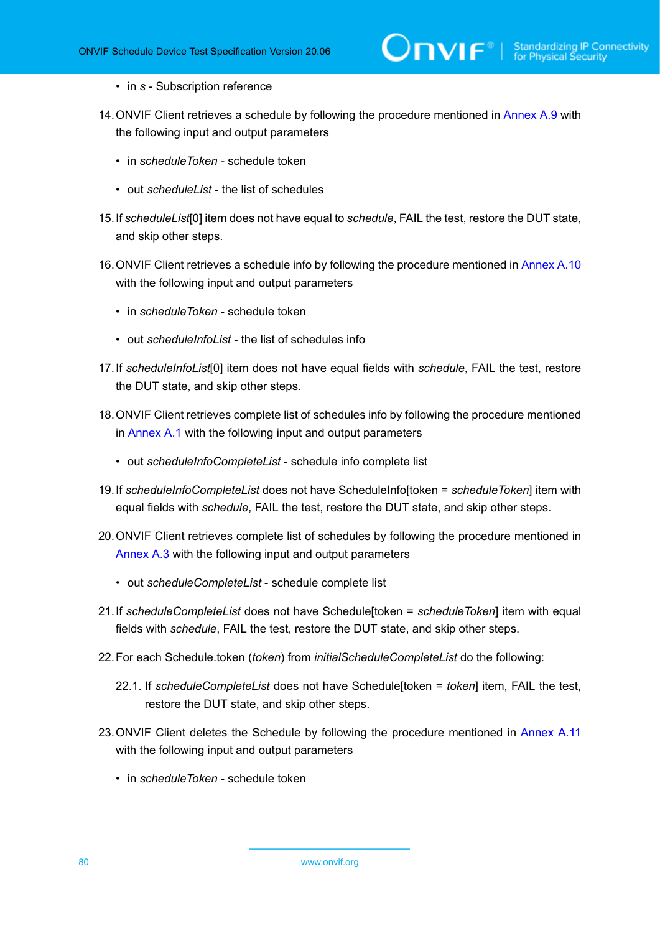- in *s* Subscription reference
- 14.ONVIF Client retrieves a schedule by following the procedure mentioned in [Annex A.9](#page-162-0) with the following input and output parameters
	- in *scheduleToken* schedule token
	- out *scheduleList* the list of schedules
- <span id="page-79-0"></span>15.If *scheduleList*[0] item does not have equal to *schedule*, FAIL the test, restore the DUT state, and skip other steps.
- 16.ONVIF Client retrieves a schedule info by following the procedure mentioned in [Annex A.10](#page-162-1) with the following input and output parameters
	- in *scheduleToken* schedule token
	- out *scheduleInfoList* the list of schedules info
- <span id="page-79-2"></span>17.If *scheduleInfoList*[0] item does not have equal fields with *schedule*, FAIL the test, restore the DUT state, and skip other steps.
- 18.ONVIF Client retrieves complete list of schedules info by following the procedure mentioned in [Annex A.1](#page-154-0) with the following input and output parameters
	- out *scheduleInfoCompleteList* schedule info complete list
- <span id="page-79-3"></span>19.If *scheduleInfoCompleteList* does not have ScheduleInfo[token = *scheduleToken*] item with equal fields with *schedule*, FAIL the test, restore the DUT state, and skip other steps.
- 20.ONVIF Client retrieves complete list of schedules by following the procedure mentioned in [Annex A.3](#page-155-1) with the following input and output parameters
	- out *scheduleCompleteList* schedule complete list
- <span id="page-79-1"></span>21.If *scheduleCompleteList* does not have Schedule[token = *scheduleToken*] item with equal fields with *schedule*, FAIL the test, restore the DUT state, and skip other steps.
- 22.For each Schedule.token (*token*) from *initialScheduleCompleteList* do the following:
	- 22.1. If *scheduleCompleteList* does not have Schedule[token = *token*] item, FAIL the test, restore the DUT state, and skip other steps.
- 23. ONVIF Client deletes the Schedule by following the procedure mentioned in [Annex](#page-163-0) A.11 with the following input and output parameters
	- in *scheduleToken* schedule token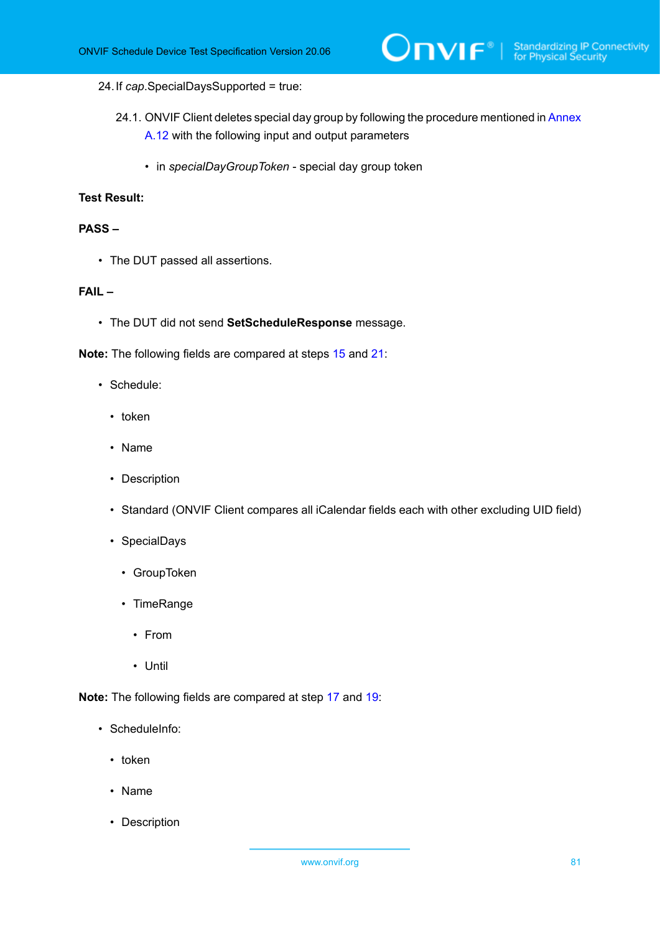#### 24.If *cap*.SpecialDaysSupported = true:

- 24.1. ONVIF Client deletes special day group by following the procedure mentioned in [Annex](#page-164-1) [A.12](#page-164-1) with the following input and output parameters
	- in *specialDayGroupToken* special day group token

#### **Test Result:**

#### **PASS –**

• The DUT passed all assertions.

#### **FAIL –**

• The DUT did not send **SetScheduleResponse** message.

**Note:** The following fields are compared at steps [15](#page-79-0) and [21:](#page-79-1)

- Schedule:
	- token
	- Name
	- Description
	- Standard (ONVIF Client compares all iCalendar fields each with other excluding UID field)
	- SpecialDays
		- GroupToken
		- TimeRange
			- From
			- Until

**Note:** The following fields are compared at step [17](#page-79-2) and [19](#page-79-3):

- ScheduleInfo:
	- token
	- Name
	- Description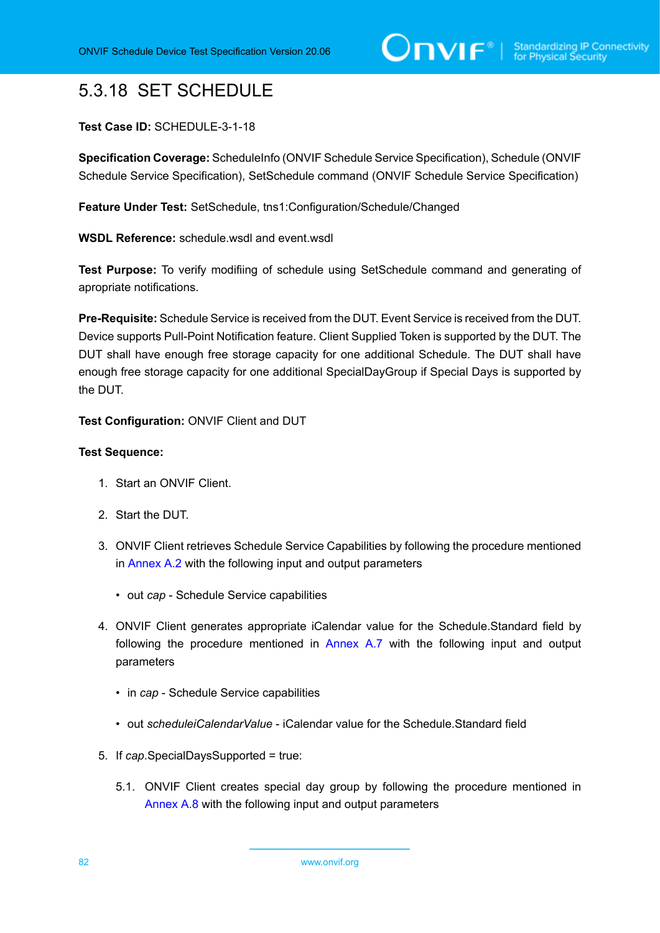# 5.3.18 SET SCHEDULE

#### **Test Case ID:** SCHEDULE-3-1-18

**Specification Coverage:** ScheduleInfo (ONVIF Schedule Service Specification), Schedule (ONVIF Schedule Service Specification), SetSchedule command (ONVIF Schedule Service Specification)

**Feature Under Test:** SetSchedule, tns1:Configuration/Schedule/Changed

**WSDL Reference:** schedule.wsdl and event.wsdl

**Test Purpose:** To verify modifiing of schedule using SetSchedule command and generating of apropriate notifications.

**Pre-Requisite:** Schedule Service is received from the DUT. Event Service is received from the DUT. Device supports Pull-Point Notification feature. Client Supplied Token is supported by the DUT. The DUT shall have enough free storage capacity for one additional Schedule. The DUT shall have enough free storage capacity for one additional SpecialDayGroup if Special Days is supported by the DUT.

**Test Configuration:** ONVIF Client and DUT

- 1. Start an ONVIF Client.
- 2. Start the DUT.
- 3. ONVIF Client retrieves Schedule Service Capabilities by following the procedure mentioned in [Annex A.2](#page-155-0) with the following input and output parameters
	- out *cap* Schedule Service capabilities
- 4. ONVIF Client generates appropriate iCalendar value for the Schedule.Standard field by following the procedure mentioned in [Annex A.7](#page-159-0) with the following input and output parameters
	- in *cap* Schedule Service capabilities
	- out *scheduleiCalendarValue* iCalendar value for the Schedule.Standard field
- 5. If *cap*.SpecialDaysSupported = true:
	- 5.1. ONVIF Client creates special day group by following the procedure mentioned in [Annex A.8](#page-160-0) with the following input and output parameters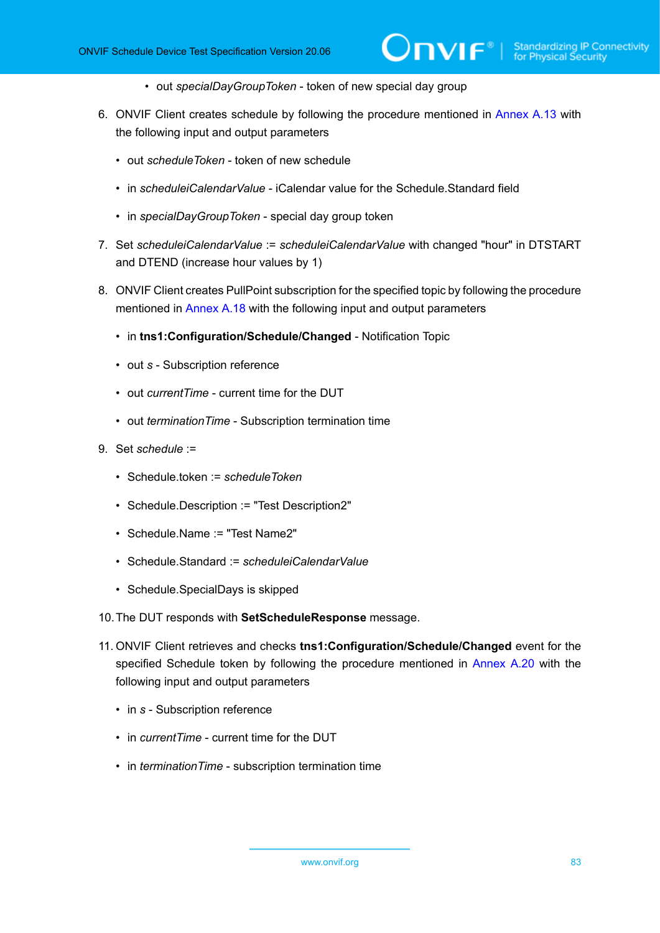- out *specialDayGroupToken* token of new special day group
- 6. ONVIF Client creates schedule by following the procedure mentioned in [Annex A.13](#page-164-0) with the following input and output parameters
	- out *scheduleToken* token of new schedule
	- in *scheduleiCalendarValue* iCalendar value for the Schedule.Standard field
	- in *specialDayGroupToken* special day group token
- 7. Set *scheduleiCalendarValue* := *scheduleiCalendarValue* with changed "hour" in DTSTART and DTEND (increase hour values by 1)
- 8. ONVIF Client creates PullPoint subscription for the specified topic by following the procedure mentioned in [Annex A.18](#page-171-0) with the following input and output parameters
	- in **tns1:Configuration/Schedule/Changed** Notification Topic
	- out *s* Subscription reference
	- out *currentTime* current time for the DUT
	- out *terminationTime* Subscription termination time
- 9. Set *schedule* :=
	- Schedule.token := *scheduleToken*
	- Schedule.Description := "Test Description2"
	- Schedule.Name := "Test Name2"
	- Schedule.Standard := *scheduleiCalendarValue*
	- Schedule.SpecialDays is skipped
- 10.The DUT responds with **SetScheduleResponse** message.
- 11. ONVIF Client retrieves and checks **tns1:Configuration/Schedule/Changed** event for the specified Schedule token by following the procedure mentioned in [Annex A.20](#page-172-0) with the following input and output parameters
	- in *s* Subscription reference
	- in *currentTime* current time for the DUT
	- in *terminationTime* subscription termination time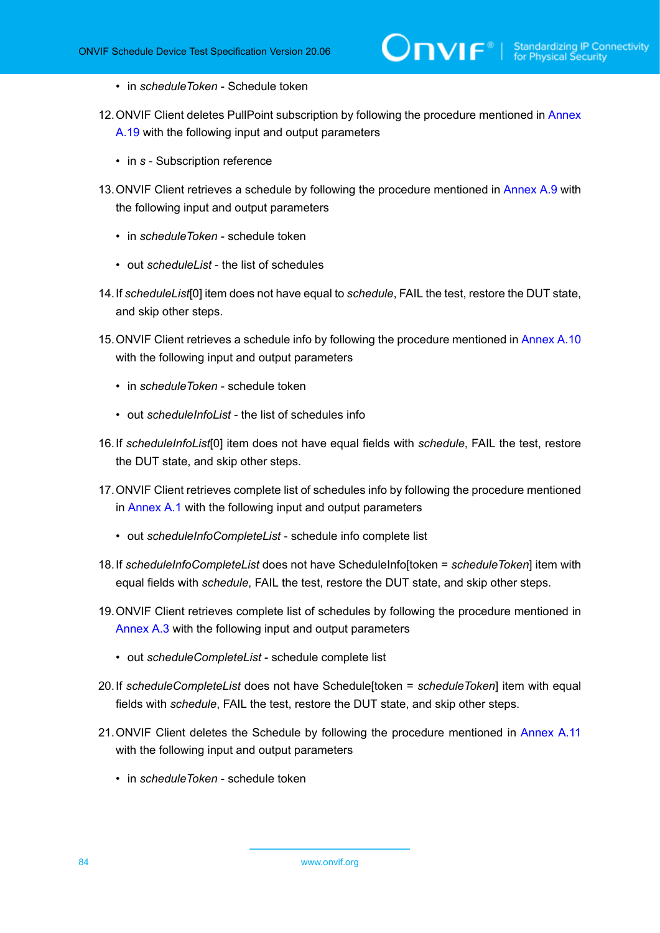- in *scheduleToken* Schedule token
- 12. ONVIF Client deletes PullPoint subscription by following the procedure mentioned in [Annex](#page-172-1) [A.19](#page-172-1) with the following input and output parameters
	- in *s* Subscription reference
- 13. ONVIF Client retrieves a schedule by following the procedure mentioned in [Annex A.9](#page-162-0) with the following input and output parameters
	- in *scheduleToken* schedule token
	- out *scheduleList* the list of schedules
- <span id="page-83-0"></span>14.If *scheduleList*[0] item does not have equal to *schedule*, FAIL the test, restore the DUT state, and skip other steps.
- 15.ONVIF Client retrieves a schedule info by following the procedure mentioned in [Annex A.10](#page-162-1) with the following input and output parameters
	- in *scheduleToken* schedule token
	- out *scheduleInfoList* the list of schedules info
- <span id="page-83-2"></span>16.If *scheduleInfoList*[0] item does not have equal fields with *schedule*, FAIL the test, restore the DUT state, and skip other steps.
- 17.ONVIF Client retrieves complete list of schedules info by following the procedure mentioned in [Annex A.1](#page-154-0) with the following input and output parameters
	- out *scheduleInfoCompleteList* schedule info complete list
- <span id="page-83-3"></span>18.If *scheduleInfoCompleteList* does not have ScheduleInfo[token = *scheduleToken*] item with equal fields with *schedule*, FAIL the test, restore the DUT state, and skip other steps.
- 19.ONVIF Client retrieves complete list of schedules by following the procedure mentioned in [Annex A.3](#page-155-1) with the following input and output parameters
	- out *scheduleCompleteList* schedule complete list
- <span id="page-83-1"></span>20.If *scheduleCompleteList* does not have Schedule[token = *scheduleToken*] item with equal fields with *schedule*, FAIL the test, restore the DUT state, and skip other steps.
- 21.ONVIF Client deletes the Schedule by following the procedure mentioned in [Annex](#page-163-0) A.11 with the following input and output parameters
	- in *scheduleToken* schedule token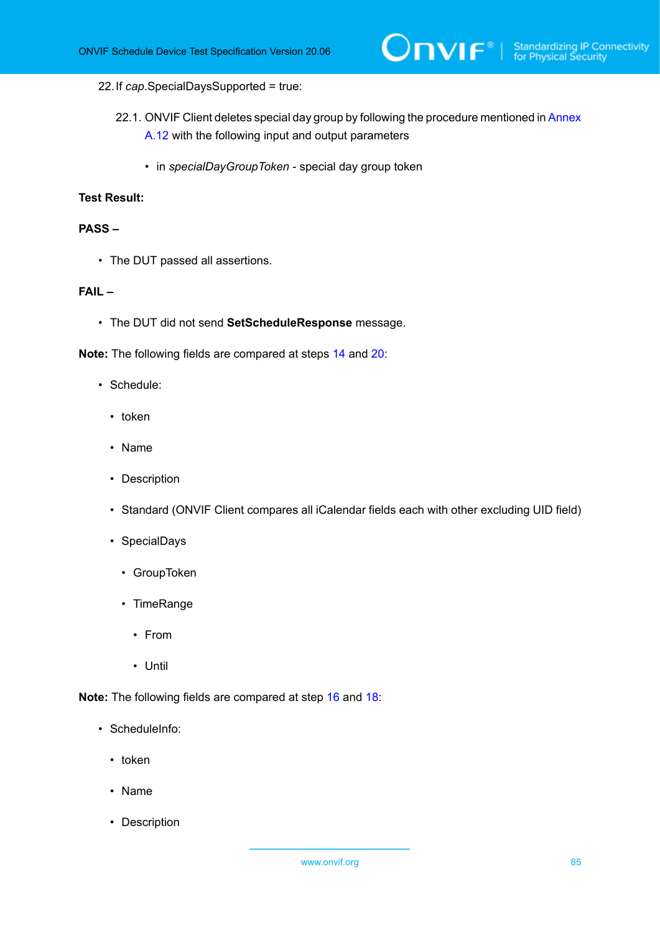#### 22.If *cap*.SpecialDaysSupported = true:

- 22.1. ONVIF Client deletes special day group by following the procedure mentioned in [Annex](#page-164-1) [A.12](#page-164-1) with the following input and output parameters
	- in *specialDayGroupToken* special day group token

#### **Test Result:**

#### **PASS –**

• The DUT passed all assertions.

#### **FAIL –**

• The DUT did not send **SetScheduleResponse** message.

**Note:** The following fields are compared at steps [14](#page-83-0) and [20:](#page-83-1)

- Schedule:
	- token
	- Name
	- Description
	- Standard (ONVIF Client compares all iCalendar fields each with other excluding UID field)
	- SpecialDays
		- GroupToken
		- TimeRange
			- From
			- Until

**Note:** The following fields are compared at step [16](#page-83-2) and [18](#page-83-3):

- ScheduleInfo:
	- token
	- Name
	- Description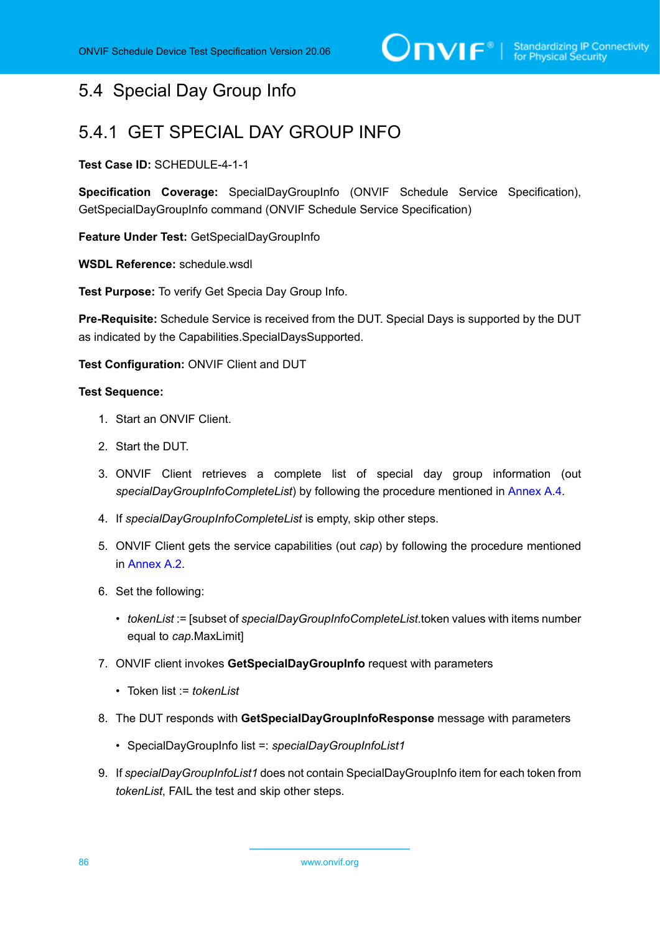## 5.4 Special Day Group Info

## 5.4.1 GET SPECIAL DAY GROUP INFO

#### **Test Case ID:** SCHEDULE-4-1-1

**Specification Coverage:** SpecialDayGroupInfo (ONVIF Schedule Service Specification), GetSpecialDayGroupInfo command (ONVIF Schedule Service Specification)

**Feature Under Test:** GetSpecialDayGroupInfo

**WSDL Reference:** schedule.wsdl

**Test Purpose:** To verify Get Specia Day Group Info.

**Pre-Requisite:** Schedule Service is received from the DUT. Special Days is supported by the DUT as indicated by the Capabilities.SpecialDaysSupported.

**Test Configuration:** ONVIF Client and DUT

- 1. Start an ONVIF Client.
- 2. Start the DUT.
- 3. ONVIF Client retrieves a complete list of special day group information (out *specialDayGroupInfoCompleteList*) by following the procedure mentioned in [Annex A.4.](#page-156-0)
- 4. If *specialDayGroupInfoCompleteList* is empty, skip other steps.
- 5. ONVIF Client gets the service capabilities (out *cap*) by following the procedure mentioned in [Annex A.2.](#page-155-0)
- 6. Set the following:
	- *tokenList* := [subset of *specialDayGroupInfoCompleteList*.token values with items number equal to *cap*.MaxLimit]
- 7. ONVIF client invokes **GetSpecialDayGroupInfo** request with parameters
	- Token list := *tokenList*
- 8. The DUT responds with **GetSpecialDayGroupInfoResponse** message with parameters
	- SpecialDayGroupInfo list =: *specialDayGroupInfoList1*
- 9. If *specialDayGroupInfoList1* does not contain SpecialDayGroupInfo item for each token from *tokenList*, FAIL the test and skip other steps.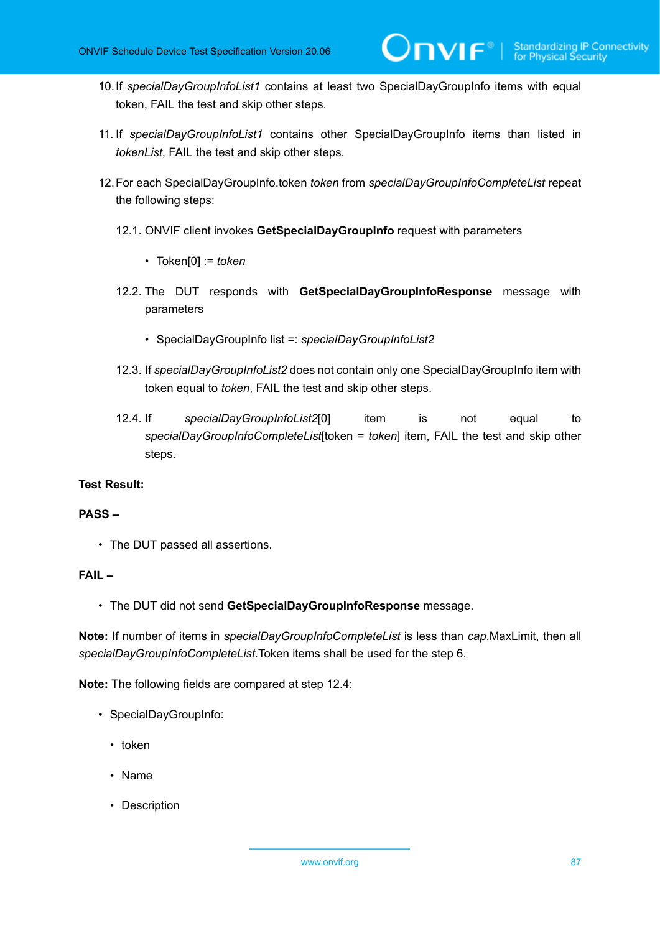10.If *specialDayGroupInfoList1* contains at least two SpecialDayGroupInfo items with equal token, FAIL the test and skip other steps.

 $\mathsf{D}\mathsf{VIF}^*$ 

- 11. If *specialDayGroupInfoList1* contains other SpecialDayGroupInfo items than listed in *tokenList*, FAIL the test and skip other steps.
- 12.For each SpecialDayGroupInfo.token *token* from *specialDayGroupInfoCompleteList* repeat the following steps:
	- 12.1. ONVIF client invokes **GetSpecialDayGroupInfo** request with parameters
		- Token[0] := *token*
	- 12.2. The DUT responds with **GetSpecialDayGroupInfoResponse** message with parameters
		- SpecialDayGroupInfo list =: *specialDayGroupInfoList2*
	- 12.3. If *specialDayGroupInfoList2* does not contain only one SpecialDayGroupInfo item with token equal to *token*, FAIL the test and skip other steps.
	- 12.4. If *specialDayGroupInfoList2*[0] item is not equal to *specialDayGroupInfoCompleteList*[token = *token*] item, FAIL the test and skip other steps.

#### **Test Result:**

#### **PASS –**

• The DUT passed all assertions.

#### **FAIL –**

• The DUT did not send **GetSpecialDayGroupInfoResponse** message.

**Note:** If number of items in *specialDayGroupInfoCompleteList* is less than *cap*.MaxLimit, then all *specialDayGroupInfoCompleteList*.Token items shall be used for the step 6.

**Note:** The following fields are compared at step 12.4:

- SpecialDayGroupInfo:
	- token
	- Name
	- Description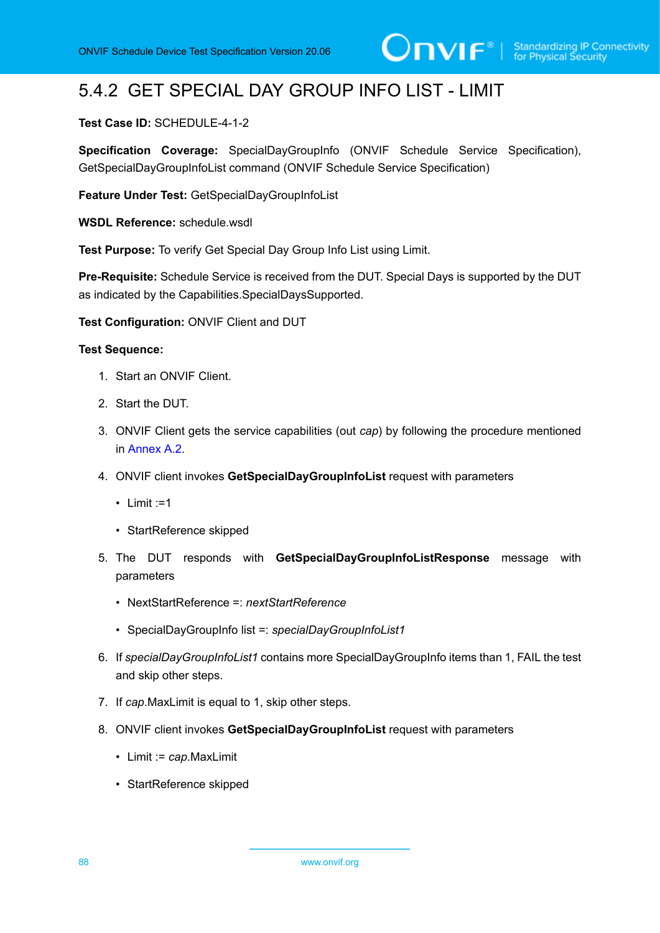# 5.4.2 GET SPECIAL DAY GROUP INFO LIST - LIMIT

#### **Test Case ID:** SCHEDULE-4-1-2

**Specification Coverage:** SpecialDayGroupInfo (ONVIF Schedule Service Specification), GetSpecialDayGroupInfoList command (ONVIF Schedule Service Specification)

**Feature Under Test:** GetSpecialDayGroupInfoList

**WSDL Reference:** schedule.wsdl

**Test Purpose:** To verify Get Special Day Group Info List using Limit.

**Pre-Requisite:** Schedule Service is received from the DUT. Special Days is supported by the DUT as indicated by the Capabilities.SpecialDaysSupported.

**Test Configuration:** ONVIF Client and DUT

- 1. Start an ONVIF Client.
- 2. Start the DUT.
- 3. ONVIF Client gets the service capabilities (out *cap*) by following the procedure mentioned in [Annex A.2.](#page-155-0)
- 4. ONVIF client invokes **GetSpecialDayGroupInfoList** request with parameters
	- Limit :=1
	- StartReference skipped
- 5. The DUT responds with **GetSpecialDayGroupInfoListResponse** message with parameters
	- NextStartReference =: *nextStartReference*
	- SpecialDayGroupInfo list =: *specialDayGroupInfoList1*
- 6. If *specialDayGroupInfoList1* contains more SpecialDayGroupInfo items than 1, FAIL the test and skip other steps.
- 7. If *cap*.MaxLimit is equal to 1, skip other steps.
- 8. ONVIF client invokes **GetSpecialDayGroupInfoList** request with parameters
	- Limit := *cap*.MaxLimit
	- StartReference skipped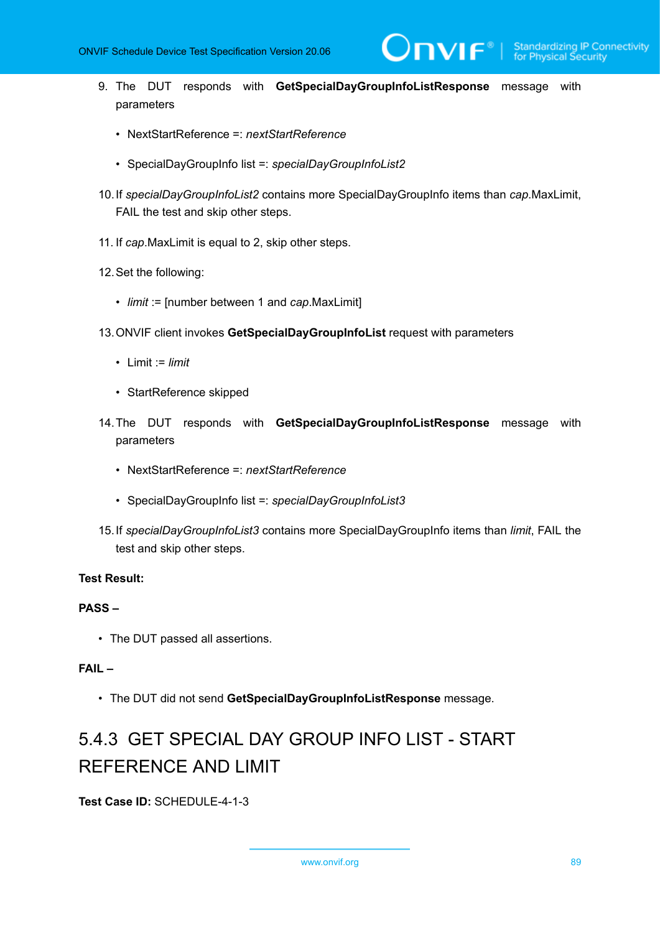9. The DUT responds with **GetSpecialDayGroupInfoListResponse** message with parameters

 $\mathsf{D}\mathbf{N}\mathsf{I}\mathsf{F}^*$ l

- NextStartReference =: *nextStartReference*
- SpecialDayGroupInfo list =: *specialDayGroupInfoList2*
- 10.If *specialDayGroupInfoList2* contains more SpecialDayGroupInfo items than *cap*.MaxLimit, FAIL the test and skip other steps.
- 11. If *cap*.MaxLimit is equal to 2, skip other steps.
- 12.Set the following:
	- *limit* := [number between 1 and *cap*.MaxLimit]
- 13.ONVIF client invokes **GetSpecialDayGroupInfoList** request with parameters
	- Limit := *limit*
	- StartReference skipped
- 14.The DUT responds with **GetSpecialDayGroupInfoListResponse** message with parameters
	- NextStartReference =: *nextStartReference*
	- SpecialDayGroupInfo list =: *specialDayGroupInfoList3*
- 15.If *specialDayGroupInfoList3* contains more SpecialDayGroupInfo items than *limit*, FAIL the test and skip other steps.

#### **Test Result:**

#### **PASS –**

• The DUT passed all assertions.

#### **FAIL –**

• The DUT did not send **GetSpecialDayGroupInfoListResponse** message.

# 5.4.3 GET SPECIAL DAY GROUP INFO LIST - START REFERENCE AND LIMIT

**Test Case ID:** SCHEDULE-4-1-3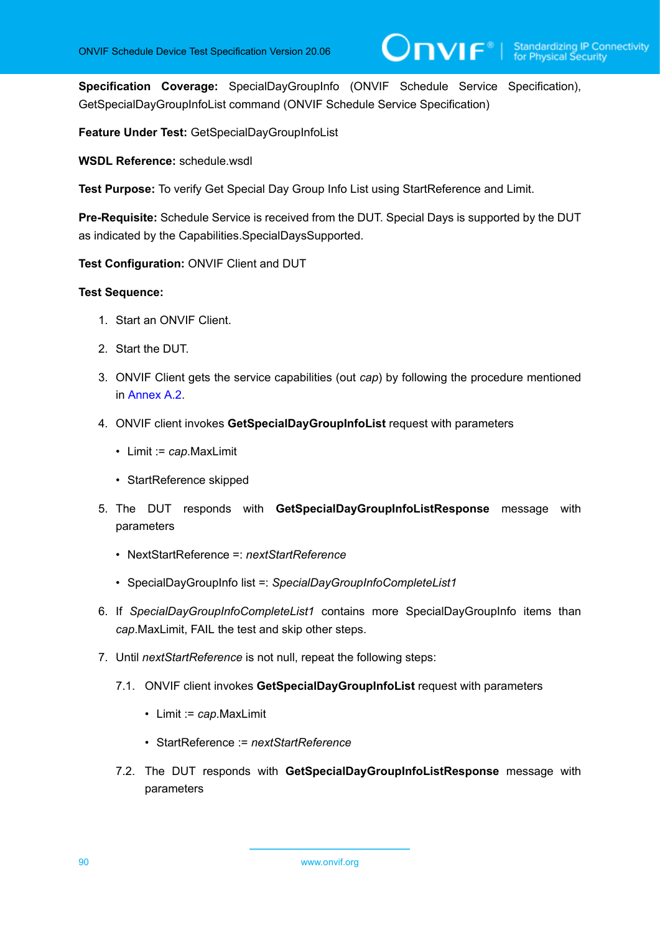**Specification Coverage:** SpecialDayGroupInfo (ONVIF Schedule Service Specification), GetSpecialDayGroupInfoList command (ONVIF Schedule Service Specification)

**Feature Under Test:** GetSpecialDayGroupInfoList

**WSDL Reference:** schedule.wsdl

**Test Purpose:** To verify Get Special Day Group Info List using StartReference and Limit.

**Pre-Requisite:** Schedule Service is received from the DUT. Special Days is supported by the DUT as indicated by the Capabilities.SpecialDaysSupported.

**Test Configuration:** ONVIF Client and DUT

- 1. Start an ONVIF Client.
- 2. Start the DUT.
- 3. ONVIF Client gets the service capabilities (out *cap*) by following the procedure mentioned in [Annex A.2.](#page-155-0)
- 4. ONVIF client invokes **GetSpecialDayGroupInfoList** request with parameters
	- Limit := *cap*.MaxLimit
	- StartReference skipped
- 5. The DUT responds with **GetSpecialDayGroupInfoListResponse** message with parameters
	- NextStartReference =: *nextStartReference*
	- SpecialDayGroupInfo list =: *SpecialDayGroupInfoCompleteList1*
- 6. If *SpecialDayGroupInfoCompleteList1* contains more SpecialDayGroupInfo items than *cap*.MaxLimit, FAIL the test and skip other steps.
- 7. Until *nextStartReference* is not null, repeat the following steps:
	- 7.1. ONVIF client invokes **GetSpecialDayGroupInfoList** request with parameters
		- Limit := *cap*.MaxLimit
		- StartReference := *nextStartReference*
	- 7.2. The DUT responds with **GetSpecialDayGroupInfoListResponse** message with parameters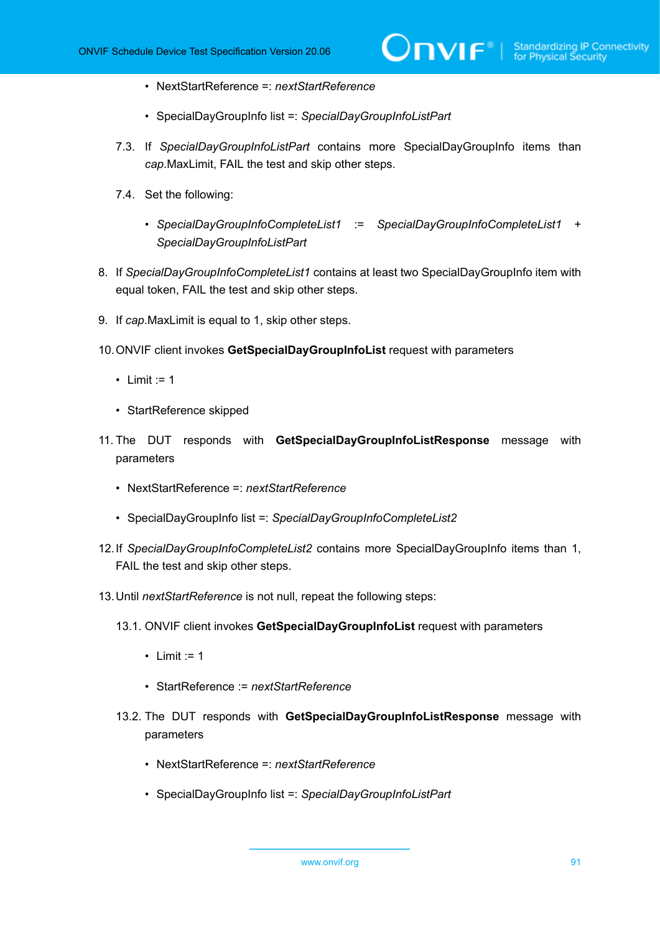- NextStartReference =: *nextStartReference*
- SpecialDayGroupInfo list =: *SpecialDayGroupInfoListPart*
- 7.3. If *SpecialDayGroupInfoListPart* contains more SpecialDayGroupInfo items than *cap*.MaxLimit, FAIL the test and skip other steps.
- 7.4. Set the following:
	- *SpecialDayGroupInfoCompleteList1* := *SpecialDayGroupInfoCompleteList1* + *SpecialDayGroupInfoListPart*
- 8. If *SpecialDayGroupInfoCompleteList1* contains at least two SpecialDayGroupInfo item with equal token, FAIL the test and skip other steps.
- 9. If *cap*.MaxLimit is equal to 1, skip other steps.
- 10.ONVIF client invokes **GetSpecialDayGroupInfoList** request with parameters
	- Limit  $:= 1$
	- StartReference skipped
- 11. The DUT responds with **GetSpecialDayGroupInfoListResponse** message with parameters
	- NextStartReference =: *nextStartReference*
	- SpecialDayGroupInfo list =: *SpecialDayGroupInfoCompleteList2*
- 12.If *SpecialDayGroupInfoCompleteList2* contains more SpecialDayGroupInfo items than 1, FAIL the test and skip other steps.
- 13.Until *nextStartReference* is not null, repeat the following steps:
	- 13.1. ONVIF client invokes **GetSpecialDayGroupInfoList** request with parameters
		- Limit  $:= 1$
		- StartReference := *nextStartReference*
	- 13.2. The DUT responds with **GetSpecialDayGroupInfoListResponse** message with parameters
		- NextStartReference =: *nextStartReference*
		- SpecialDayGroupInfo list =: *SpecialDayGroupInfoListPart*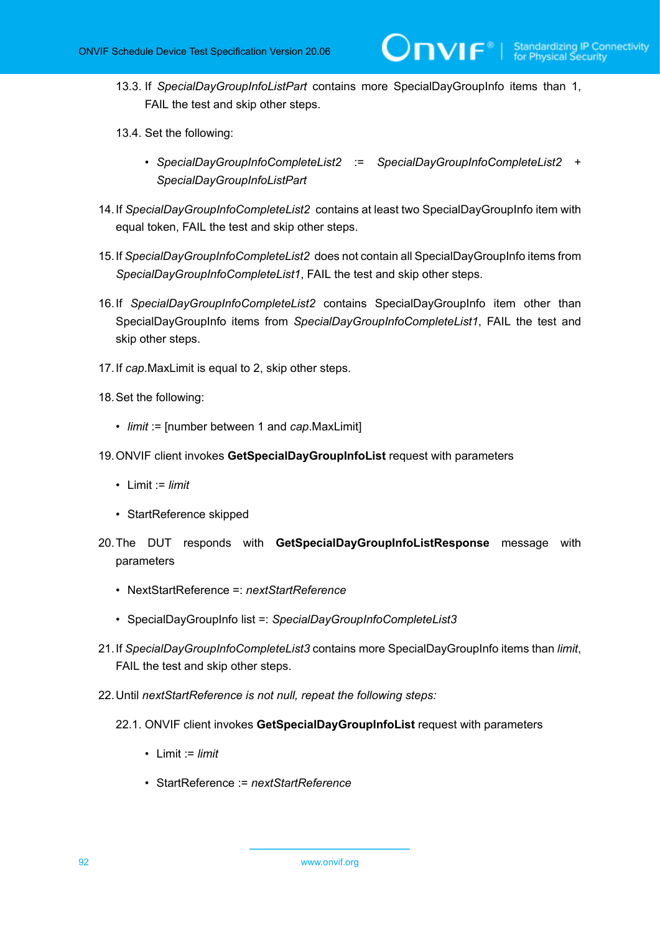- 13.3. If *SpecialDayGroupInfoListPart* contains more SpecialDayGroupInfo items than 1, FAIL the test and skip other steps.
- 13.4. Set the following:
	- *SpecialDayGroupInfoCompleteList2* := *SpecialDayGroupInfoCompleteList2* + *SpecialDayGroupInfoListPart*
- 14.If *SpecialDayGroupInfoCompleteList2* contains at least two SpecialDayGroupInfo item with equal token, FAIL the test and skip other steps.
- 15.If *SpecialDayGroupInfoCompleteList2* does not contain all SpecialDayGroupInfo items from *SpecialDayGroupInfoCompleteList1*, FAIL the test and skip other steps.
- 16.If *SpecialDayGroupInfoCompleteList2* contains SpecialDayGroupInfo item other than SpecialDayGroupInfo items from *SpecialDayGroupInfoCompleteList1*, FAIL the test and skip other steps.
- 17.If *cap*.MaxLimit is equal to 2, skip other steps.
- 18.Set the following:
	- *limit* := [number between 1 and *cap*.MaxLimit]
- 19.ONVIF client invokes **GetSpecialDayGroupInfoList** request with parameters
	- Limit := *limit*
	- StartReference skipped
- 20.The DUT responds with **GetSpecialDayGroupInfoListResponse** message with parameters
	- NextStartReference =: *nextStartReference*
	- SpecialDayGroupInfo list =: *SpecialDayGroupInfoCompleteList3*
- 21.If *SpecialDayGroupInfoCompleteList3* contains more SpecialDayGroupInfo items than *limit*, FAIL the test and skip other steps.
- 22.Until *nextStartReference is not null, repeat the following steps:*
	- 22.1. ONVIF client invokes **GetSpecialDayGroupInfoList** request with parameters
		- Limit := *limit*
		- StartReference := *nextStartReference*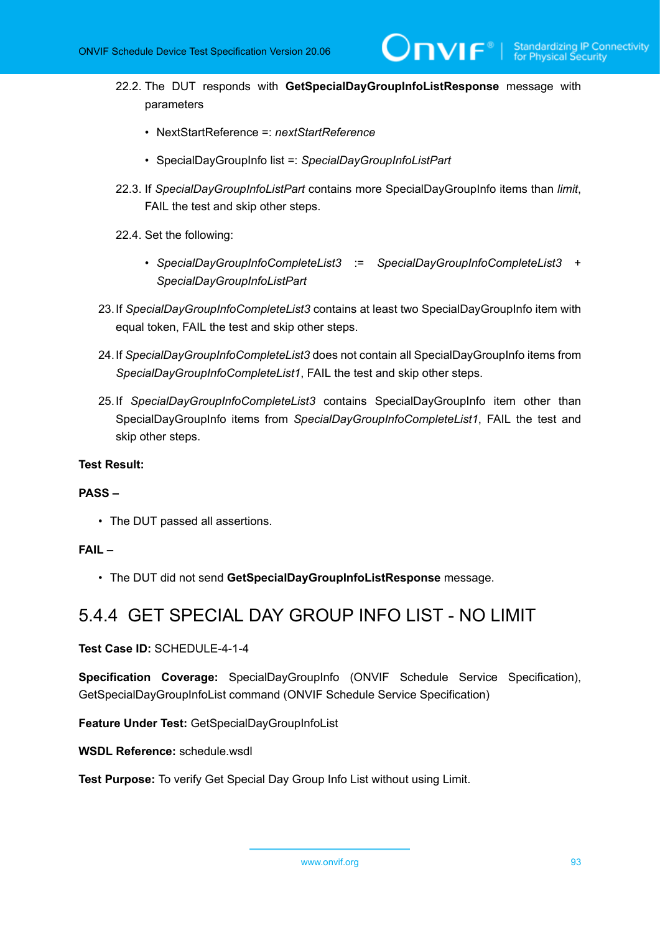- 22.2. The DUT responds with **GetSpecialDayGroupInfoListResponse** message with parameters
	- NextStartReference =: *nextStartReference*
	- SpecialDayGroupInfo list =: *SpecialDayGroupInfoListPart*
- 22.3. If *SpecialDayGroupInfoListPart* contains more SpecialDayGroupInfo items than *limit*, FAIL the test and skip other steps.
- 22.4. Set the following:
	- *SpecialDayGroupInfoCompleteList3* := *SpecialDayGroupInfoCompleteList3* + *SpecialDayGroupInfoListPart*
- 23.If *SpecialDayGroupInfoCompleteList3* contains at least two SpecialDayGroupInfo item with equal token, FAIL the test and skip other steps.
- 24.If *SpecialDayGroupInfoCompleteList3* does not contain all SpecialDayGroupInfo items from *SpecialDayGroupInfoCompleteList1*, FAIL the test and skip other steps.
- 25.If *SpecialDayGroupInfoCompleteList3* contains SpecialDayGroupInfo item other than SpecialDayGroupInfo items from *SpecialDayGroupInfoCompleteList1*, FAIL the test and skip other steps.

#### **PASS –**

• The DUT passed all assertions.

#### **FAIL –**

• The DUT did not send **GetSpecialDayGroupInfoListResponse** message.

### 5.4.4 GET SPECIAL DAY GROUP INFO LIST - NO LIMIT

**Test Case ID:** SCHEDULE-4-1-4

**Specification Coverage:** SpecialDayGroupInfo (ONVIF Schedule Service Specification), GetSpecialDayGroupInfoList command (ONVIF Schedule Service Specification)

**Feature Under Test:** GetSpecialDayGroupInfoList

**WSDL Reference:** schedule.wsdl

**Test Purpose:** To verify Get Special Day Group Info List without using Limit.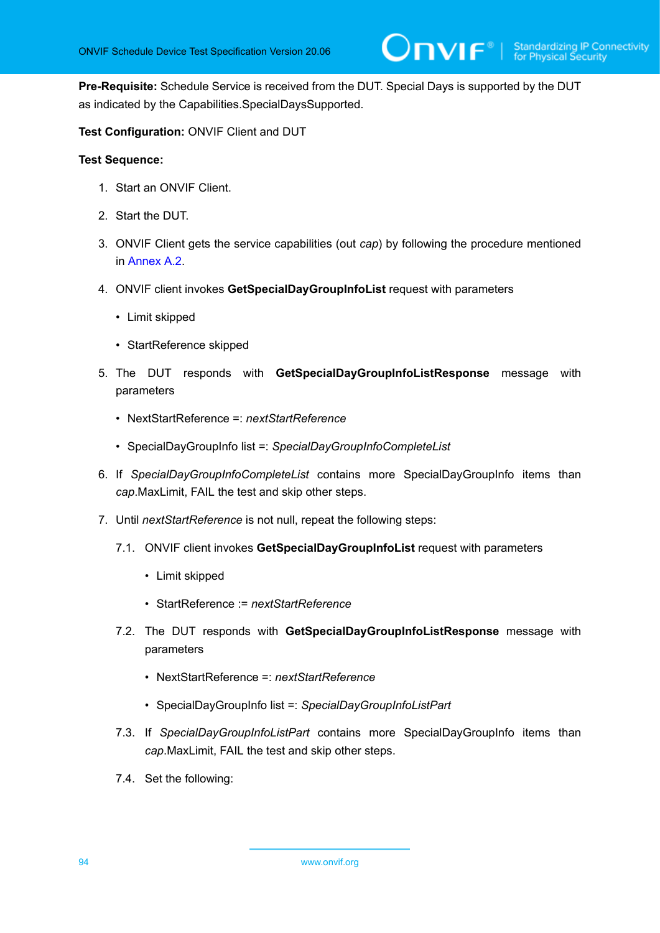**Pre-Requisite:** Schedule Service is received from the DUT. Special Days is supported by the DUT as indicated by the Capabilities.SpecialDaysSupported.

**Test Configuration:** ONVIF Client and DUT

- 1. Start an ONVIF Client.
- 2. Start the DUT.
- 3. ONVIF Client gets the service capabilities (out *cap*) by following the procedure mentioned in [Annex A.2.](#page-155-0)
- 4. ONVIF client invokes **GetSpecialDayGroupInfoList** request with parameters
	- Limit skipped
	- StartReference skipped
- 5. The DUT responds with **GetSpecialDayGroupInfoListResponse** message with parameters
	- NextStartReference =: *nextStartReference*
	- SpecialDayGroupInfo list =: *SpecialDayGroupInfoCompleteList*
- 6. If *SpecialDayGroupInfoCompleteList* contains more SpecialDayGroupInfo items than *cap*.MaxLimit, FAIL the test and skip other steps.
- 7. Until *nextStartReference* is not null, repeat the following steps:
	- 7.1. ONVIF client invokes **GetSpecialDayGroupInfoList** request with parameters
		- Limit skipped
		- StartReference := *nextStartReference*
	- 7.2. The DUT responds with **GetSpecialDayGroupInfoListResponse** message with parameters
		- NextStartReference =: *nextStartReference*
		- SpecialDayGroupInfo list =: *SpecialDayGroupInfoListPart*
	- 7.3. If *SpecialDayGroupInfoListPart* contains more SpecialDayGroupInfo items than *cap*.MaxLimit, FAIL the test and skip other steps.
	- 7.4. Set the following: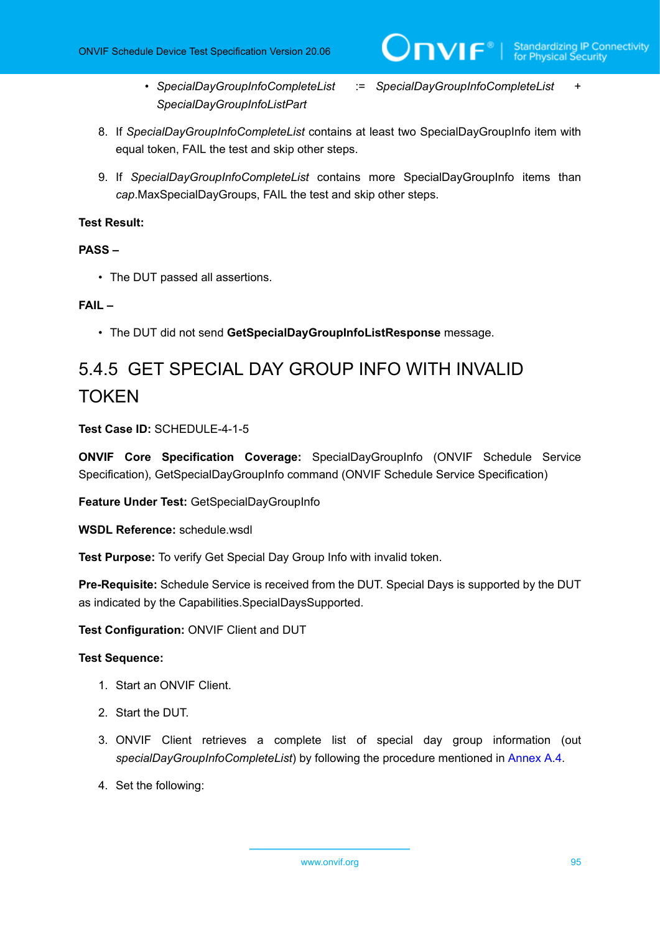- *SpecialDayGroupInfoCompleteList* := *SpecialDayGroupInfoCompleteList* + *SpecialDayGroupInfoListPart*
- 8. If *SpecialDayGroupInfoCompleteList* contains at least two SpecialDayGroupInfo item with equal token, FAIL the test and skip other steps.
- 9. If *SpecialDayGroupInfoCompleteList* contains more SpecialDayGroupInfo items than *cap*.MaxSpecialDayGroups, FAIL the test and skip other steps.

#### **PASS –**

• The DUT passed all assertions.

#### **FAIL –**

• The DUT did not send **GetSpecialDayGroupInfoListResponse** message.

# 5.4.5 GET SPECIAL DAY GROUP INFO WITH INVALID **TOKEN**

**Test Case ID:** SCHEDULE-4-1-5

**ONVIF Core Specification Coverage:** SpecialDayGroupInfo (ONVIF Schedule Service Specification), GetSpecialDayGroupInfo command (ONVIF Schedule Service Specification)

**Feature Under Test:** GetSpecialDayGroupInfo

**WSDL Reference:** schedule.wsdl

**Test Purpose:** To verify Get Special Day Group Info with invalid token.

**Pre-Requisite:** Schedule Service is received from the DUT. Special Days is supported by the DUT as indicated by the Capabilities.SpecialDaysSupported.

**Test Configuration:** ONVIF Client and DUT

- 1. Start an ONVIF Client.
- 2. Start the DUT.
- 3. ONVIF Client retrieves a complete list of special day group information (out *specialDayGroupInfoCompleteList*) by following the procedure mentioned in [Annex A.4.](#page-156-0)
- 4. Set the following: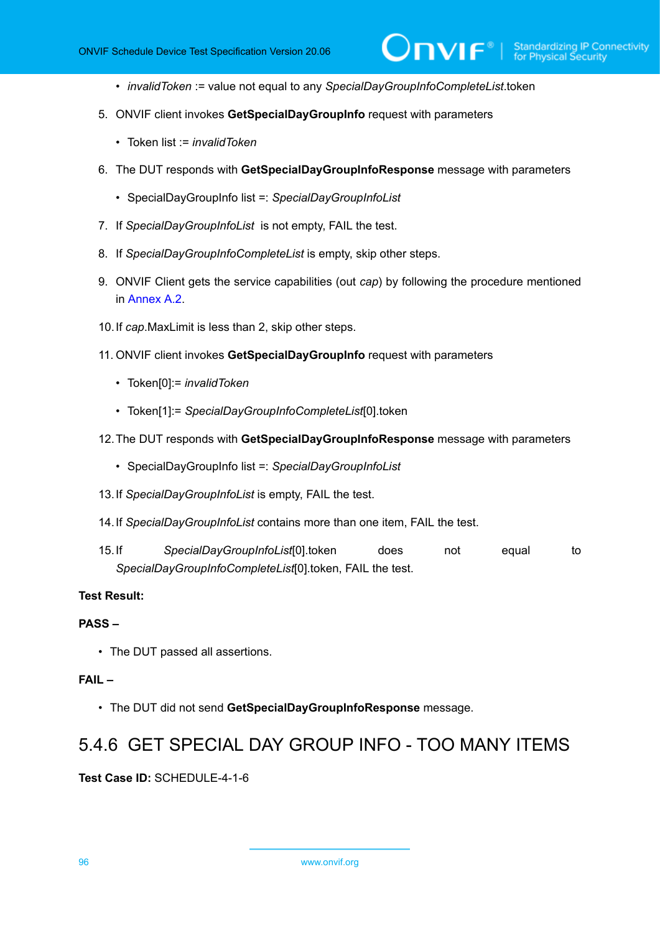• *invalidToken* := value not equal to any *SpecialDayGroupInfoCompleteList*.token

 $\mathsf{D}\mathbf{N}\mathsf{I}\mathsf{F}^\ast$ 

- 5. ONVIF client invokes **GetSpecialDayGroupInfo** request with parameters
	- Token list := *invalidToken*
- 6. The DUT responds with **GetSpecialDayGroupInfoResponse** message with parameters
	- SpecialDayGroupInfo list =: *SpecialDayGroupInfoList*
- 7. If *SpecialDayGroupInfoList* is not empty, FAIL the test.
- 8. If *SpecialDayGroupInfoCompleteList* is empty, skip other steps.
- 9. ONVIF Client gets the service capabilities (out *cap*) by following the procedure mentioned in Annex A 2
- 10.If *cap*.MaxLimit is less than 2, skip other steps.
- 11. ONVIF client invokes **GetSpecialDayGroupInfo** request with parameters
	- Token[0]:= *invalidToken*
	- Token[1]:= *SpecialDayGroupInfoCompleteList*[0].token
- 12.The DUT responds with **GetSpecialDayGroupInfoResponse** message with parameters
	- SpecialDayGroupInfo list =: *SpecialDayGroupInfoList*
- 13.If *SpecialDayGroupInfoList* is empty, FAIL the test.
- 14.If *SpecialDayGroupInfoList* contains more than one item, FAIL the test.
- 15.If *SpecialDayGroupInfoList*[0].token does not equal to *SpecialDayGroupInfoCompleteList*[0].token, FAIL the test.

#### **Test Result:**

#### **PASS –**

• The DUT passed all assertions.

#### **FAIL –**

• The DUT did not send **GetSpecialDayGroupInfoResponse** message.

### 5.4.6 GET SPECIAL DAY GROUP INFO - TOO MANY ITEMS

#### **Test Case ID:** SCHEDULE-4-1-6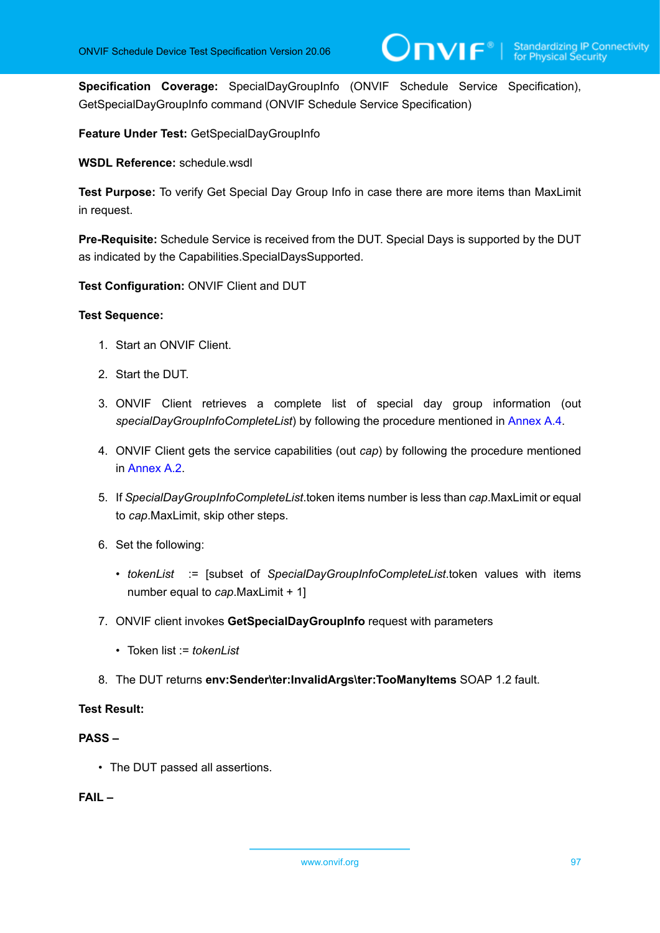**Specification Coverage:** SpecialDayGroupInfo (ONVIF Schedule Service Specification), GetSpecialDayGroupInfo command (ONVIF Schedule Service Specification)

**Feature Under Test:** GetSpecialDayGroupInfo

**WSDL Reference:** schedule.wsdl

**Test Purpose:** To verify Get Special Day Group Info in case there are more items than MaxLimit in request.

**Pre-Requisite:** Schedule Service is received from the DUT. Special Days is supported by the DUT as indicated by the Capabilities.SpecialDaysSupported.

**Test Configuration:** ONVIF Client and DUT

#### **Test Sequence:**

- 1. Start an ONVIF Client.
- 2. Start the DUT.
- 3. ONVIF Client retrieves a complete list of special day group information (out *specialDayGroupInfoCompleteList*) by following the procedure mentioned in [Annex A.4.](#page-156-0)
- 4. ONVIF Client gets the service capabilities (out *cap*) by following the procedure mentioned in [Annex A.2.](#page-155-0)
- 5. If *SpecialDayGroupInfoCompleteList*.token items number is less than *cap*.MaxLimit or equal to *cap*.MaxLimit, skip other steps.
- 6. Set the following:
	- *tokenList* := [subset of *SpecialDayGroupInfoCompleteList*.token values with items number equal to *cap*.MaxLimit + 1]
- 7. ONVIF client invokes **GetSpecialDayGroupInfo** request with parameters
	- Token list := *tokenl ist*
- 8. The DUT returns **env:Sender\ter:InvalidArgs\ter:TooManyItems** SOAP 1.2 fault.

#### **Test Result:**

#### **PASS –**

• The DUT passed all assertions.

#### **FAIL –**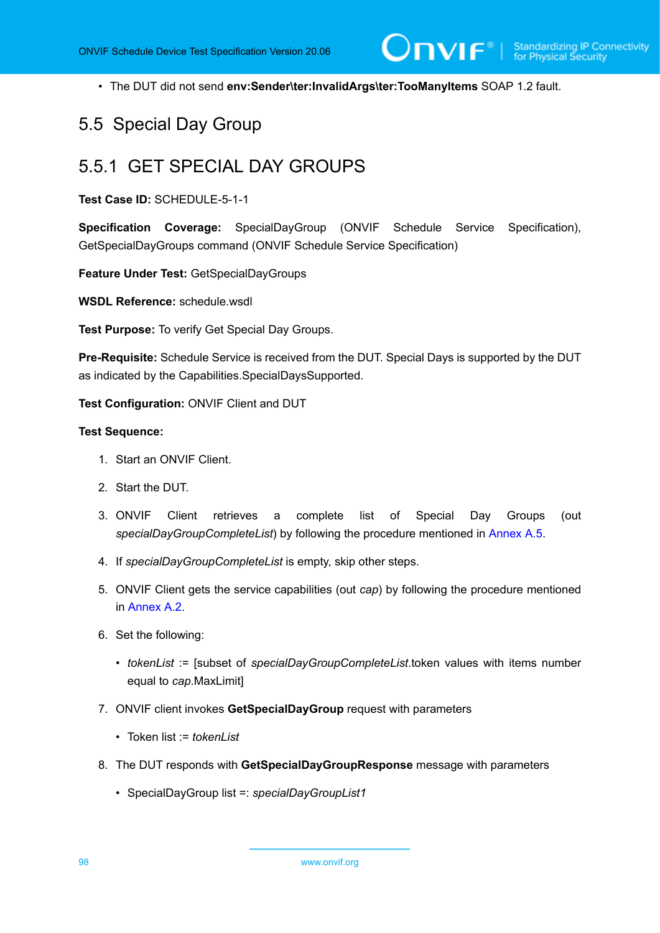• The DUT did not send **env:Sender\ter:InvalidArgs\ter:TooManyItems** SOAP 1.2 fault.

### 5.5 Special Day Group

### 5.5.1 GET SPECIAL DAY GROUPS

**Test Case ID:** SCHEDULE-5-1-1

**Specification Coverage:** SpecialDayGroup (ONVIF Schedule Service Specification), GetSpecialDayGroups command (ONVIF Schedule Service Specification)

**Feature Under Test:** GetSpecialDayGroups

**WSDL Reference:** schedule.wsdl

**Test Purpose:** To verify Get Special Day Groups.

**Pre-Requisite:** Schedule Service is received from the DUT. Special Days is supported by the DUT as indicated by the Capabilities.SpecialDaysSupported.

**Test Configuration:** ONVIF Client and DUT

- 1. Start an ONVIF Client.
- 2. Start the DUT.
- 3. ONVIF Client retrieves a complete list of Special Day Groups (out *specialDayGroupCompleteList*) by following the procedure mentioned in [Annex A.5](#page-158-0).
- 4. If *specialDayGroupCompleteList* is empty, skip other steps.
- 5. ONVIF Client gets the service capabilities (out *cap*) by following the procedure mentioned in [Annex A.2.](#page-155-0)
- 6. Set the following:
	- *tokenList* := [subset of *specialDayGroupCompleteList*.token values with items number equal to *cap*.MaxLimit]
- 7. ONVIF client invokes **GetSpecialDayGroup** request with parameters
	- Token list := *tokenList*
- 8. The DUT responds with **GetSpecialDayGroupResponse** message with parameters
	- SpecialDayGroup list =: *specialDayGroupList1*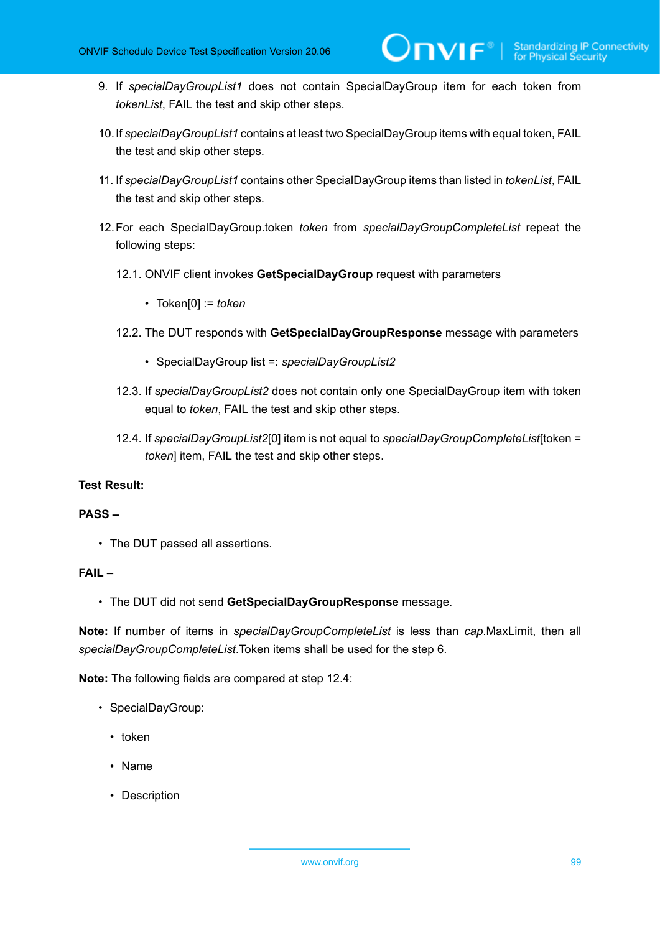- 9. If *specialDayGroupList1* does not contain SpecialDayGroup item for each token from *tokenList*, FAIL the test and skip other steps.
- 10.If *specialDayGroupList1* contains at least two SpecialDayGroup items with equal token, FAIL the test and skip other steps.
- 11. If *specialDayGroupList1* contains other SpecialDayGroup items than listed in *tokenList*, FAIL the test and skip other steps.
- 12.For each SpecialDayGroup.token *token* from *specialDayGroupCompleteList* repeat the following steps:
	- 12.1. ONVIF client invokes **GetSpecialDayGroup** request with parameters
		- Token[0] := *token*
	- 12.2. The DUT responds with **GetSpecialDayGroupResponse** message with parameters
		- SpecialDayGroup list =: *specialDayGroupList2*
	- 12.3. If *specialDayGroupList2* does not contain only one SpecialDayGroup item with token equal to *token*, FAIL the test and skip other steps.
	- 12.4. If *specialDayGroupList2*[0] item is not equal to *specialDayGroupCompleteList*[token = *token*] item, FAIL the test and skip other steps.

#### **PASS –**

• The DUT passed all assertions.

#### **FAIL –**

• The DUT did not send **GetSpecialDayGroupResponse** message.

**Note:** If number of items in *specialDayGroupCompleteList* is less than *cap*.MaxLimit, then all *specialDayGroupCompleteList*.Token items shall be used for the step 6.

**Note:** The following fields are compared at step 12.4:

- SpecialDayGroup:
	- token
	- Name
	- Description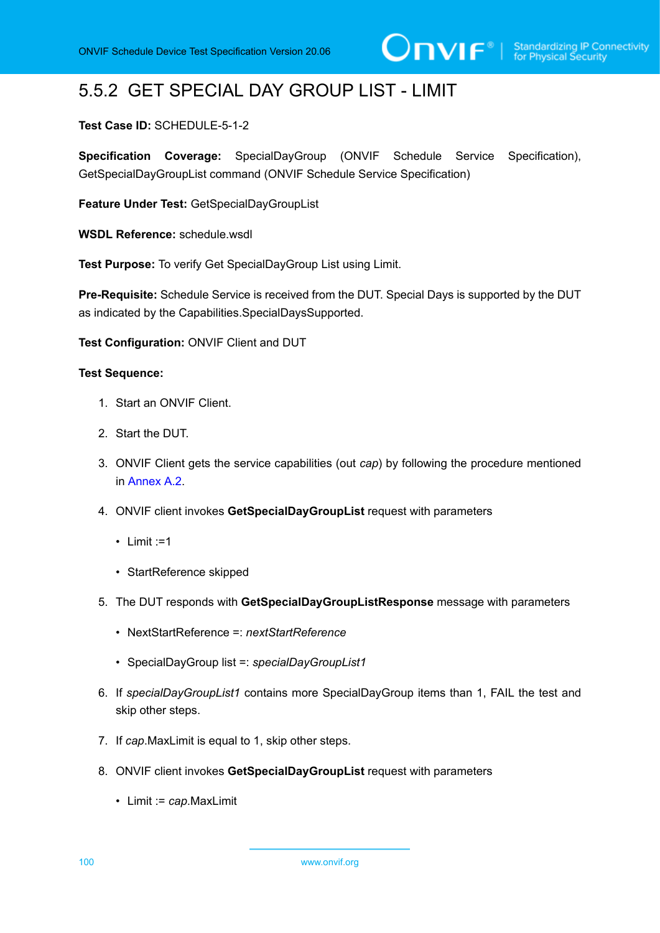# 5.5.2 GET SPECIAL DAY GROUP LIST - LIMIT

#### **Test Case ID:** SCHEDULE-5-1-2

**Specification Coverage:** SpecialDayGroup (ONVIF Schedule Service Specification), GetSpecialDayGroupList command (ONVIF Schedule Service Specification)

**Feature Under Test:** GetSpecialDayGroupList

**WSDL Reference:** schedule.wsdl

**Test Purpose:** To verify Get SpecialDayGroup List using Limit.

**Pre-Requisite:** Schedule Service is received from the DUT. Special Days is supported by the DUT as indicated by the Capabilities.SpecialDaysSupported.

**Test Configuration:** ONVIF Client and DUT

#### **Test Sequence:**

- 1. Start an ONVIF Client.
- 2. Start the DUT.
- 3. ONVIF Client gets the service capabilities (out *cap*) by following the procedure mentioned in [Annex A.2.](#page-155-0)
- 4. ONVIF client invokes **GetSpecialDayGroupList** request with parameters
	- $\cdot$  Limit :=1
	- StartReference skipped
- 5. The DUT responds with **GetSpecialDayGroupListResponse** message with parameters
	- NextStartReference =: *nextStartReference*
	- SpecialDayGroup list =: *specialDayGroupList1*
- 6. If *specialDayGroupList1* contains more SpecialDayGroup items than 1, FAIL the test and skip other steps.
- 7. If *cap*.MaxLimit is equal to 1, skip other steps.
- 8. ONVIF client invokes **GetSpecialDayGroupList** request with parameters
	- Limit := *cap*.MaxLimit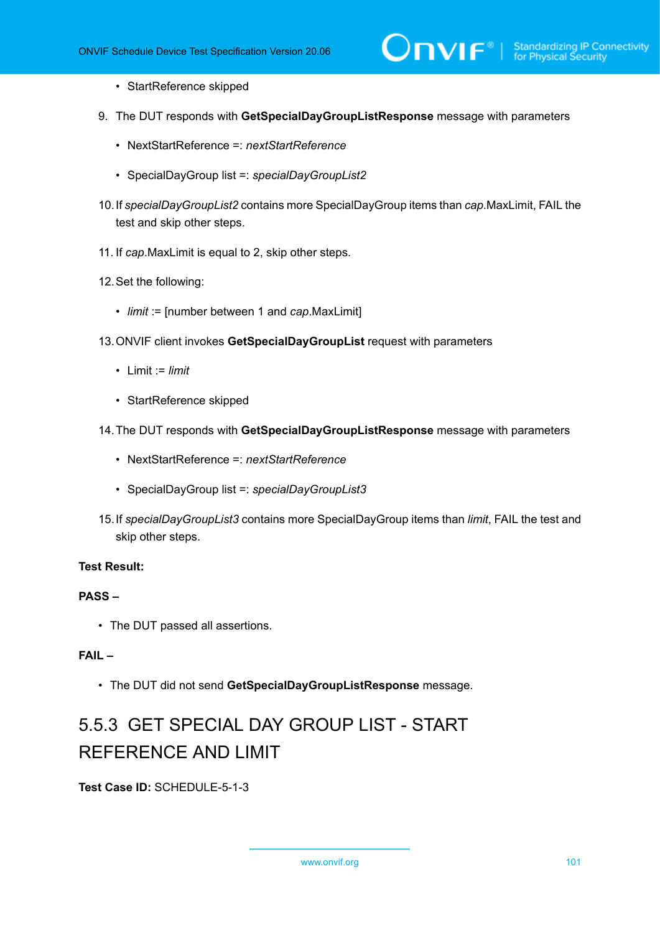- StartReference skipped
- 9. The DUT responds with **GetSpecialDayGroupListResponse** message with parameters
	- NextStartReference =: *nextStartReference*
	- SpecialDayGroup list =: *specialDayGroupList2*
- 10.If *specialDayGroupList2* contains more SpecialDayGroup items than *cap*.MaxLimit, FAIL the test and skip other steps.
- 11. If *cap*.MaxLimit is equal to 2, skip other steps.
- 12.Set the following:
	- *limit* := [number between 1 and *cap*.MaxLimit]
- 13.ONVIF client invokes **GetSpecialDayGroupList** request with parameters
	- Limit := *limit*
	- StartReference skipped
- 14.The DUT responds with **GetSpecialDayGroupListResponse** message with parameters
	- NextStartReference =: *nextStartReference*
	- SpecialDayGroup list =: *specialDayGroupList3*
- 15.If *specialDayGroupList3* contains more SpecialDayGroup items than *limit*, FAIL the test and skip other steps.

#### **PASS –**

• The DUT passed all assertions.

#### **FAIL –**

• The DUT did not send **GetSpecialDayGroupListResponse** message.

# 5.5.3 GET SPECIAL DAY GROUP LIST - START REFERENCE AND LIMIT

**Test Case ID:** SCHEDULE-5-1-3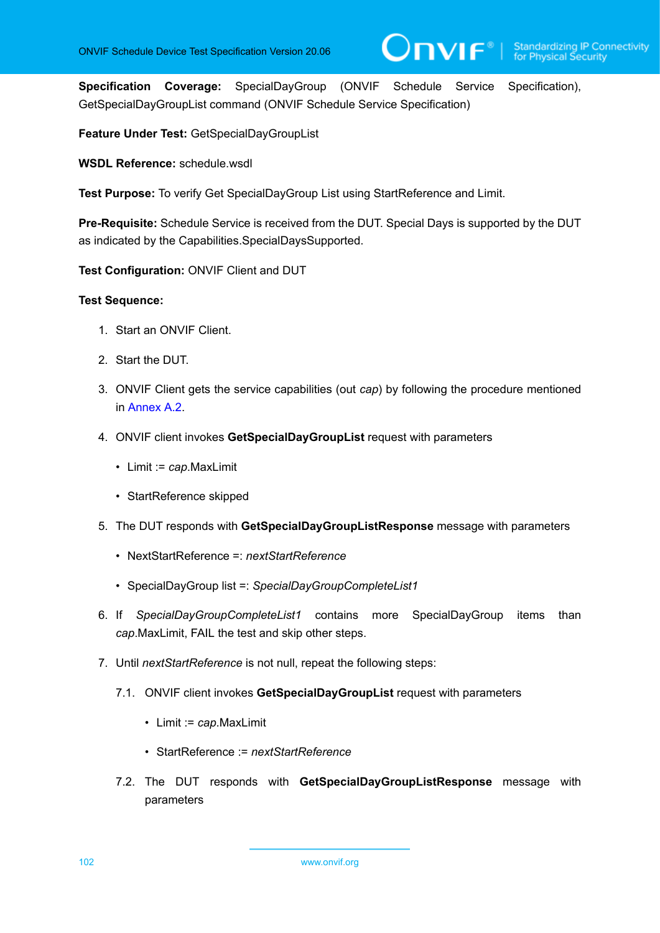**Specification Coverage:** SpecialDayGroup (ONVIF Schedule Service Specification), GetSpecialDayGroupList command (ONVIF Schedule Service Specification)

**Feature Under Test:** GetSpecialDayGroupList

**WSDL Reference:** schedule.wsdl

**Test Purpose:** To verify Get SpecialDayGroup List using StartReference and Limit.

**Pre-Requisite:** Schedule Service is received from the DUT. Special Days is supported by the DUT as indicated by the Capabilities.SpecialDaysSupported.

**Test Configuration:** ONVIF Client and DUT

#### **Test Sequence:**

- 1. Start an ONVIF Client.
- 2. Start the DUT.
- 3. ONVIF Client gets the service capabilities (out *cap*) by following the procedure mentioned in [Annex A.2.](#page-155-0)
- 4. ONVIF client invokes **GetSpecialDayGroupList** request with parameters
	- Limit := *cap*.MaxLimit
	- StartReference skipped
- 5. The DUT responds with **GetSpecialDayGroupListResponse** message with parameters
	- NextStartReference =: *nextStartReference*
	- SpecialDayGroup list =: *SpecialDayGroupCompleteList1*
- 6. If *SpecialDayGroupCompleteList1* contains more SpecialDayGroup items than *cap*.MaxLimit, FAIL the test and skip other steps.
- 7. Until *nextStartReference* is not null, repeat the following steps:
	- 7.1. ONVIF client invokes **GetSpecialDayGroupList** request with parameters
		- Limit := *cap*.MaxLimit
		- StartReference := *nextStartReference*
	- 7.2. The DUT responds with **GetSpecialDayGroupListResponse** message with parameters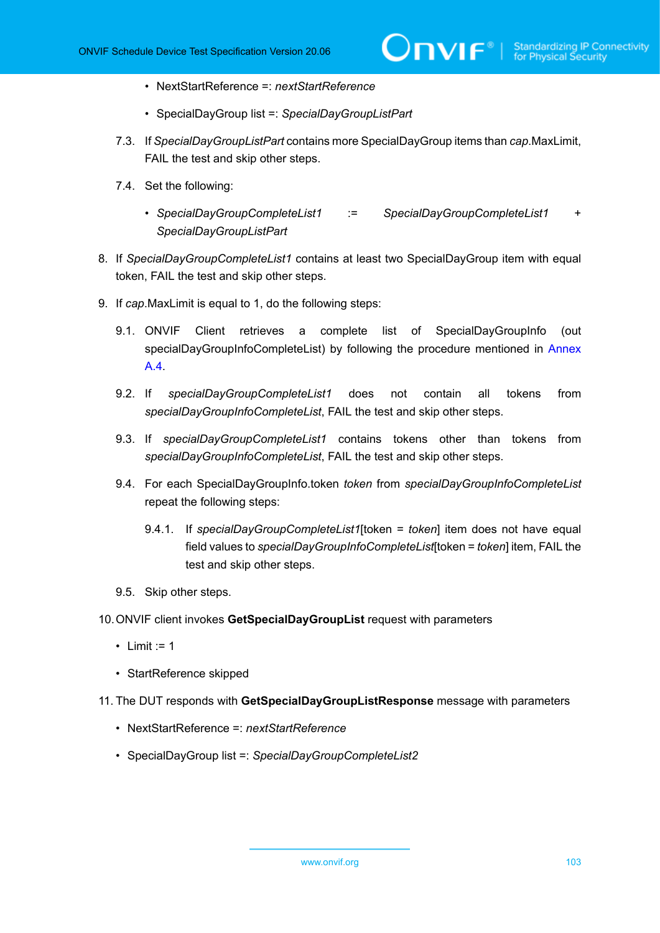- NextStartReference =: *nextStartReference*
- SpecialDayGroup list =: *SpecialDayGroupListPart*
- 7.3. If *SpecialDayGroupListPart* contains more SpecialDayGroup items than *cap*.MaxLimit, FAIL the test and skip other steps.
- 7.4. Set the following:
	- *SpecialDayGroupCompleteList1* := *SpecialDayGroupCompleteList1* + *SpecialDayGroupListPart*
- 8. If *SpecialDayGroupCompleteList1* contains at least two SpecialDayGroup item with equal token, FAIL the test and skip other steps.
- 9. If *cap*.MaxLimit is equal to 1, do the following steps:
	- 9.1. ONVIF Client retrieves a complete list of SpecialDayGroupInfo (out specialDayGroupInfoCompleteList) by following the procedure mentioned in [Annex](#page-156-0) [A.4](#page-156-0).
	- 9.2. If *specialDayGroupCompleteList1* does not contain all tokens from *specialDayGroupInfoCompleteList*, FAIL the test and skip other steps.
	- 9.3. If *specialDayGroupCompleteList1* contains tokens other than tokens from *specialDayGroupInfoCompleteList*, FAIL the test and skip other steps.
	- 9.4. For each SpecialDayGroupInfo.token *token* from *specialDayGroupInfoCompleteList* repeat the following steps:
		- 9.4.1. If *specialDayGroupCompleteList1*[token = *token*] item does not have equal field values to *specialDayGroupInfoCompleteList*[token = *token*] item, FAIL the test and skip other steps.
	- 9.5. Skip other steps.
- 10.ONVIF client invokes **GetSpecialDayGroupList** request with parameters
	- Limit  $:= 1$
	- StartReference skipped
- 11. The DUT responds with **GetSpecialDayGroupListResponse** message with parameters
	- NextStartReference =: *nextStartReference*
	- SpecialDayGroup list =: *SpecialDayGroupCompleteList2*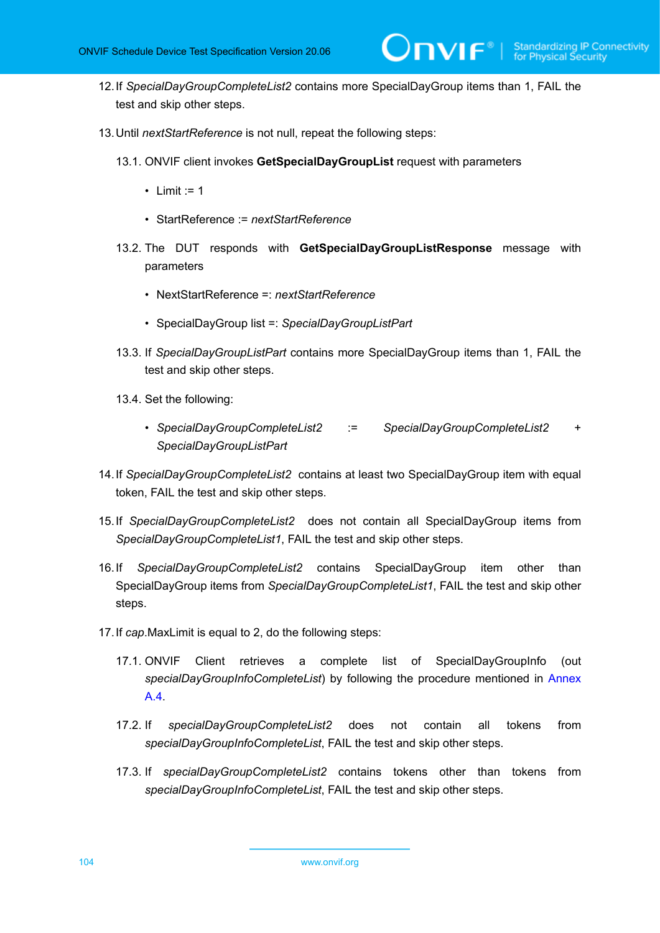- 12.If *SpecialDayGroupCompleteList2* contains more SpecialDayGroup items than 1, FAIL the test and skip other steps.
- 13.Until *nextStartReference* is not null, repeat the following steps:
	- 13.1. ONVIF client invokes **GetSpecialDayGroupList** request with parameters
		- Limit  $:= 1$
		- StartReference := *nextStartReference*
	- 13.2. The DUT responds with **GetSpecialDayGroupListResponse** message with parameters
		- NextStartReference =: *nextStartReference*
		- SpecialDayGroup list =: *SpecialDayGroupListPart*
	- 13.3. If *SpecialDayGroupListPart* contains more SpecialDayGroup items than 1, FAIL the test and skip other steps.
	- 13.4. Set the following:
		- *SpecialDayGroupCompleteList2* := *SpecialDayGroupCompleteList2* + *SpecialDayGroupListPart*
- 14.If *SpecialDayGroupCompleteList2* contains at least two SpecialDayGroup item with equal token, FAIL the test and skip other steps.
- 15.If *SpecialDayGroupCompleteList2* does not contain all SpecialDayGroup items from *SpecialDayGroupCompleteList1*, FAIL the test and skip other steps.
- 16.If *SpecialDayGroupCompleteList2* contains SpecialDayGroup item other than SpecialDayGroup items from *SpecialDayGroupCompleteList1*, FAIL the test and skip other steps.
- 17.If *cap*.MaxLimit is equal to 2, do the following steps:
	- 17.1. ONVIF Client retrieves a complete list of SpecialDayGroupInfo (out *specialDayGroupInfoCompleteList*) by following the procedure mentioned in [Annex](#page-156-0) [A.4](#page-156-0).
	- 17.2. If *specialDayGroupCompleteList2* does not contain all tokens from *specialDayGroupInfoCompleteList*, FAIL the test and skip other steps.
	- 17.3. If *specialDayGroupCompleteList2* contains tokens other than tokens from *specialDayGroupInfoCompleteList*, FAIL the test and skip other steps.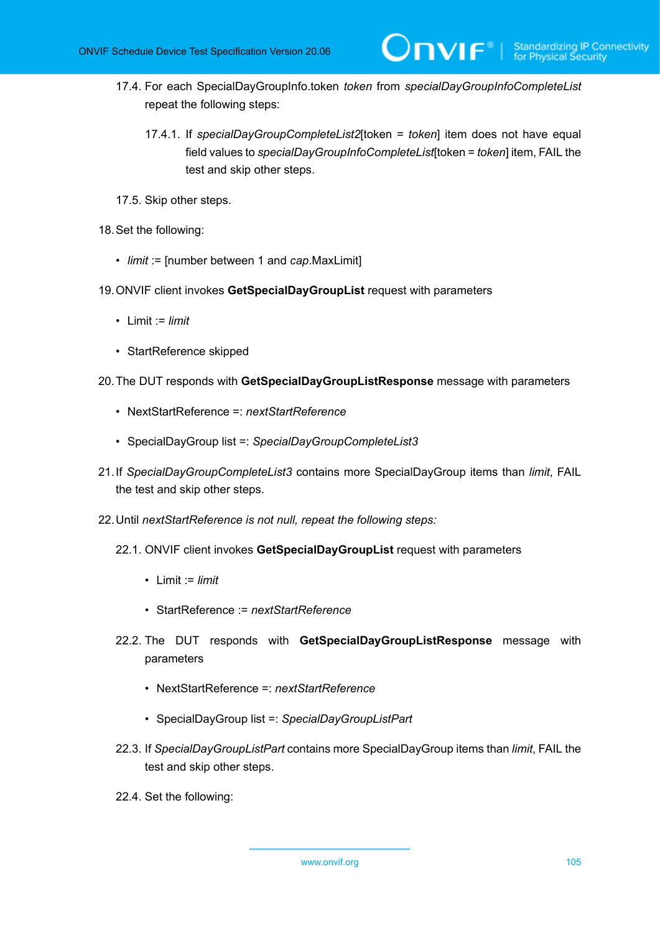- 17.4. For each SpecialDayGroupInfo.token *token* from *specialDayGroupInfoCompleteList* repeat the following steps:
	- 17.4.1. If *specialDayGroupCompleteList2*[token = *token*] item does not have equal field values to *specialDayGroupInfoCompleteList*[token = *token*] item, FAIL the test and skip other steps.

 $\partial$ DVIF $^{\circ}$ l

- 17.5. Skip other steps.
- 18.Set the following:
	- *limit* := [number between 1 and *cap*.MaxLimit]
- 19.ONVIF client invokes **GetSpecialDayGroupList** request with parameters
	- Limit := *limit*
	- StartReference skipped
- 20.The DUT responds with **GetSpecialDayGroupListResponse** message with parameters
	- NextStartReference =: *nextStartReference*
	- SpecialDayGroup list =: *SpecialDayGroupCompleteList3*
- 21.If *SpecialDayGroupCompleteList3* contains more SpecialDayGroup items than *limit*, FAIL the test and skip other steps.
- 22.Until *nextStartReference is not null, repeat the following steps:*
	- 22.1. ONVIF client invokes **GetSpecialDayGroupList** request with parameters
		- Limit := *limit*
		- StartReference := *nextStartReference*
	- 22.2. The DUT responds with **GetSpecialDayGroupListResponse** message with parameters
		- NextStartReference =: *nextStartReference*
		- SpecialDayGroup list =: *SpecialDayGroupListPart*
	- 22.3. If *SpecialDayGroupListPart* contains more SpecialDayGroup items than *limit*, FAIL the test and skip other steps.
	- 22.4. Set the following: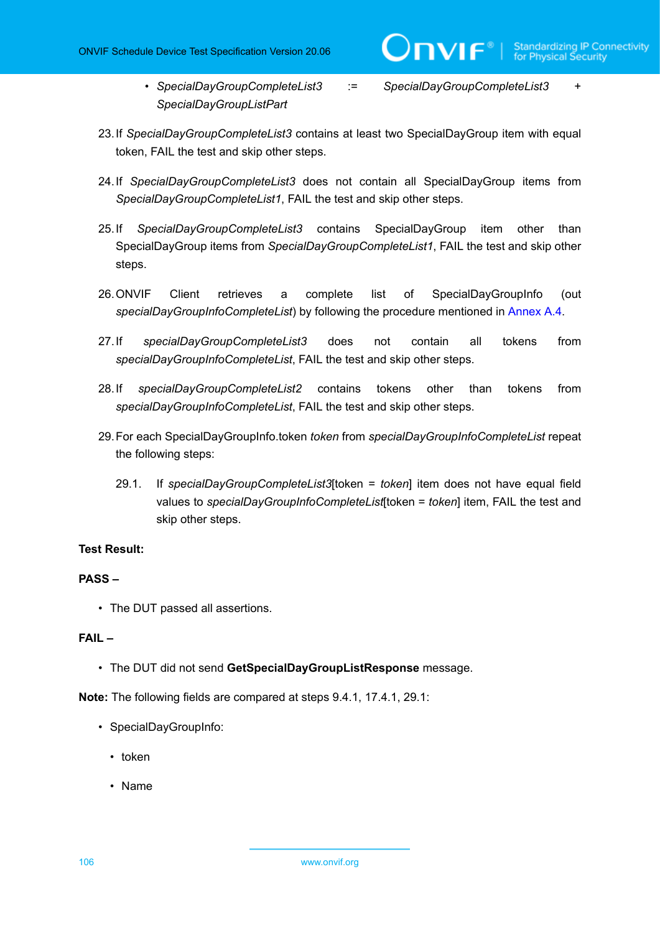• *SpecialDayGroupCompleteList3* := *SpecialDayGroupCompleteList3* + *SpecialDayGroupListPart*

 $\mathbf{V}$ 

- 23.If *SpecialDayGroupCompleteList3* contains at least two SpecialDayGroup item with equal token, FAIL the test and skip other steps.
- 24.If *SpecialDayGroupCompleteList3* does not contain all SpecialDayGroup items from *SpecialDayGroupCompleteList1*, FAIL the test and skip other steps.
- 25.If *SpecialDayGroupCompleteList3* contains SpecialDayGroup item other than SpecialDayGroup items from *SpecialDayGroupCompleteList1*, FAIL the test and skip other steps.
- 26.ONVIF Client retrieves a complete list of SpecialDayGroupInfo (out *specialDayGroupInfoCompleteList*) by following the procedure mentioned in [Annex A.4.](#page-156-0)
- 27.If *specialDayGroupCompleteList3* does not contain all tokens from *specialDayGroupInfoCompleteList*, FAIL the test and skip other steps.
- 28.If *specialDayGroupCompleteList2* contains tokens other than tokens from *specialDayGroupInfoCompleteList*, FAIL the test and skip other steps.
- 29.For each SpecialDayGroupInfo.token *token* from *specialDayGroupInfoCompleteList* repeat the following steps:
	- 29.1. If *specialDayGroupCompleteList3*[token = *token*] item does not have equal field values to *specialDayGroupInfoCompleteList*[token = *token*] item, FAIL the test and skip other steps.

#### **Test Result:**

#### **PASS –**

• The DUT passed all assertions.

#### **FAIL –**

• The DUT did not send **GetSpecialDayGroupListResponse** message.

**Note:** The following fields are compared at steps 9.4.1, 17.4.1, 29.1:

- SpecialDayGroupInfo:
	- token
	- Name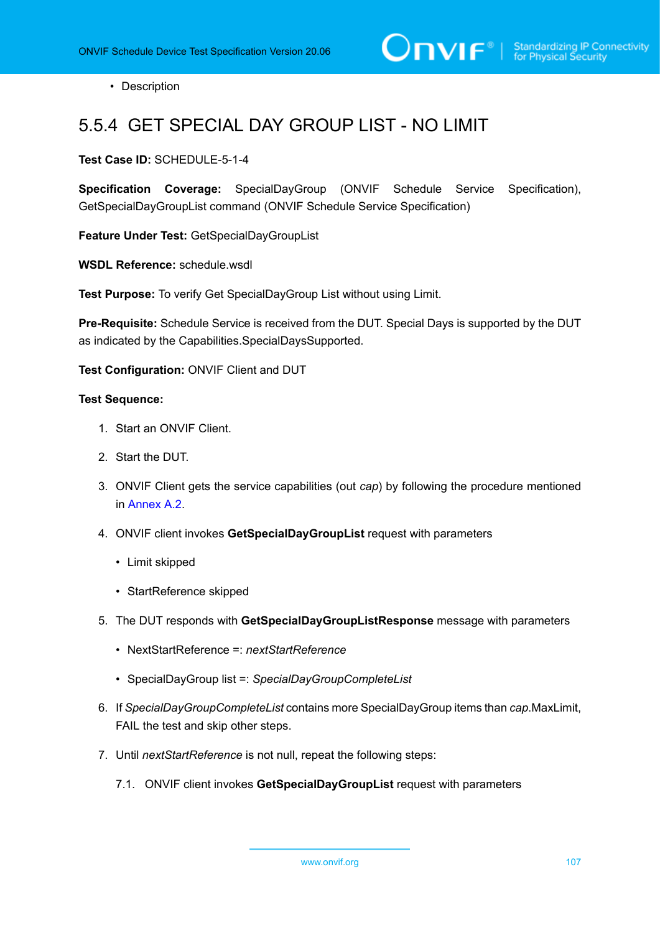• Description

## 5.5.4 GET SPECIAL DAY GROUP LIST - NO LIMIT

**Test Case ID:** SCHEDULE-5-1-4

**Specification Coverage:** SpecialDayGroup (ONVIF Schedule Service Specification), GetSpecialDayGroupList command (ONVIF Schedule Service Specification)

**Feature Under Test:** GetSpecialDayGroupList

**WSDL Reference:** schedule.wsdl

**Test Purpose:** To verify Get SpecialDayGroup List without using Limit.

**Pre-Requisite:** Schedule Service is received from the DUT. Special Days is supported by the DUT as indicated by the Capabilities.SpecialDaysSupported.

**Test Configuration:** ONVIF Client and DUT

- 1. Start an ONVIF Client.
- 2. Start the DUT.
- 3. ONVIF Client gets the service capabilities (out *cap*) by following the procedure mentioned in [Annex A.2.](#page-155-0)
- 4. ONVIF client invokes **GetSpecialDayGroupList** request with parameters
	- Limit skipped
	- StartReference skipped
- 5. The DUT responds with **GetSpecialDayGroupListResponse** message with parameters
	- NextStartReference =: *nextStartReference*
	- SpecialDayGroup list =: *SpecialDayGroupCompleteList*
- 6. If *SpecialDayGroupCompleteList* contains more SpecialDayGroup items than *cap*.MaxLimit, FAIL the test and skip other steps.
- 7. Until *nextStartReference* is not null, repeat the following steps:
	- 7.1. ONVIF client invokes **GetSpecialDayGroupList** request with parameters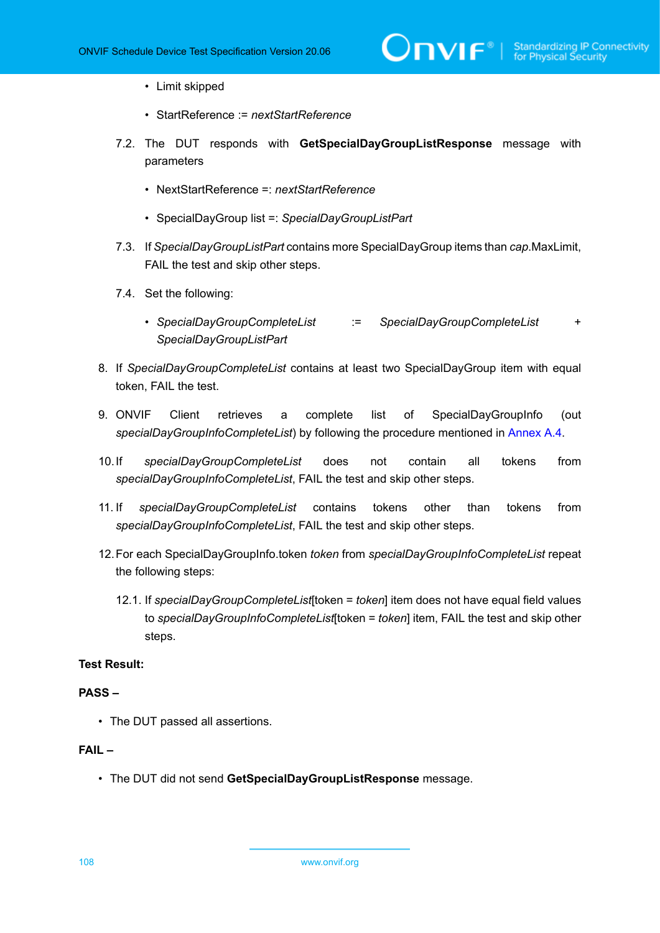- Limit skipped
- StartReference := *nextStartReference*
- 7.2. The DUT responds with **GetSpecialDayGroupListResponse** message with parameters
	- NextStartReference =: *nextStartReference*
	- SpecialDayGroup list =: *SpecialDayGroupListPart*
- 7.3. If *SpecialDayGroupListPart* contains more SpecialDayGroup items than *cap*.MaxLimit, FAIL the test and skip other steps.
- 7.4. Set the following:
	- *SpecialDayGroupCompleteList* := *SpecialDayGroupCompleteList* + *SpecialDayGroupListPart*
- 8. If *SpecialDayGroupCompleteList* contains at least two SpecialDayGroup item with equal token, FAIL the test.
- 9. ONVIF Client retrieves a complete list of SpecialDayGroupInfo (out *specialDayGroupInfoCompleteList*) by following the procedure mentioned in [Annex A.4.](#page-156-0)
- 10.If *specialDayGroupCompleteList* does not contain all tokens from *specialDayGroupInfoCompleteList*, FAIL the test and skip other steps.
- 11. If *specialDayGroupCompleteList* contains tokens other than tokens from *specialDayGroupInfoCompleteList*, FAIL the test and skip other steps.
- 12.For each SpecialDayGroupInfo.token *token* from *specialDayGroupInfoCompleteList* repeat the following steps:
	- 12.1. If *specialDayGroupCompleteList*[token = *token*] item does not have equal field values to *specialDayGroupInfoCompleteList*[token = *token*] item, FAIL the test and skip other steps.

#### **PASS –**

• The DUT passed all assertions.

#### **FAIL –**

• The DUT did not send **GetSpecialDayGroupListResponse** message.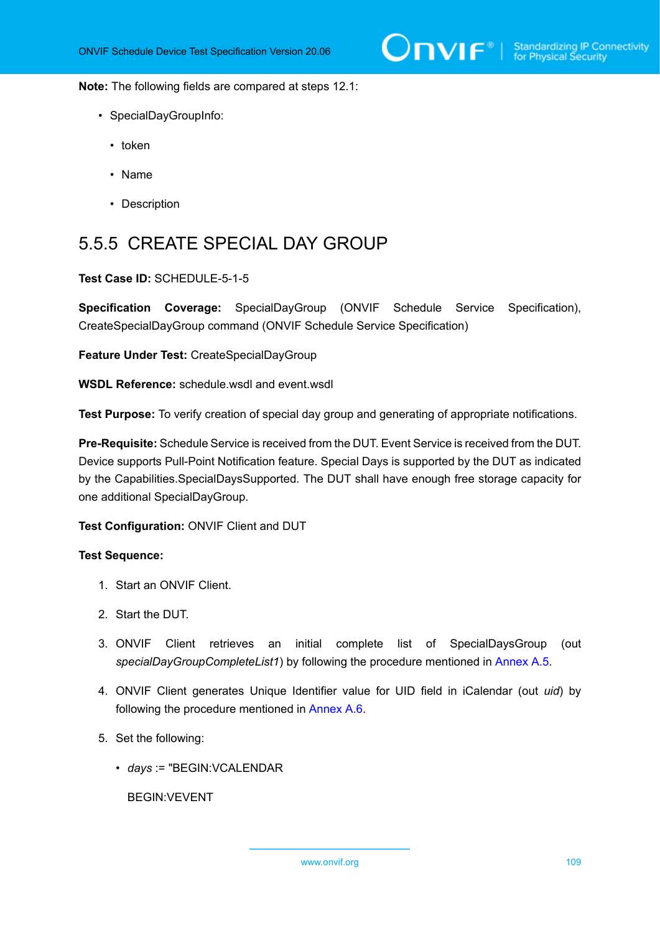**Note:** The following fields are compared at steps 12.1:

- SpecialDayGroupInfo:
	- token
	- Name
	- Description

# 5.5.5 CREATE SPECIAL DAY GROUP

### **Test Case ID:** SCHEDULE-5-1-5

**Specification Coverage:** SpecialDayGroup (ONVIF Schedule Service Specification), CreateSpecialDayGroup command (ONVIF Schedule Service Specification)

**Feature Under Test:** CreateSpecialDayGroup

**WSDL Reference:** schedule.wsdl and event.wsdl

**Test Purpose:** To verify creation of special day group and generating of appropriate notifications.

**Pre-Requisite:** Schedule Service is received from the DUT. Event Service is received from the DUT. Device supports Pull-Point Notification feature. Special Days is supported by the DUT as indicated by the Capabilities.SpecialDaysSupported. The DUT shall have enough free storage capacity for one additional SpecialDayGroup.

**Test Configuration:** ONVIF Client and DUT

#### **Test Sequence:**

- 1. Start an ONVIF Client.
- 2. Start the DUT.
- 3. ONVIF Client retrieves an initial complete list of SpecialDaysGroup (out *specialDayGroupCompleteList1*) by following the procedure mentioned in [Annex A.5](#page-158-0).
- 4. ONVIF Client generates Unique Identifier value for UID field in iCalendar (out *uid*) by following the procedure mentioned in [Annex A.6](#page-159-0).
- 5. Set the following:
	- *days* := "BEGIN:VCALENDAR

BEGIN:VEVENT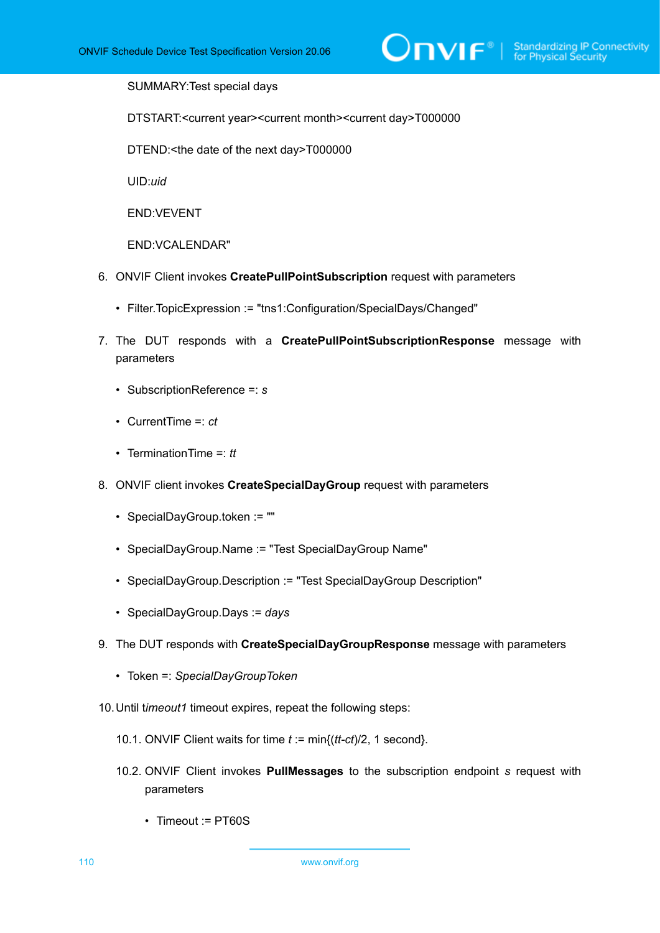SUMMARY:Test special days

DTSTART:<current year><current month><current day>T000000

DTEND:<the date of the next day>T000000

UID:*uid*

END:VEVENT

END:VCALENDAR"

- 6. ONVIF Client invokes **CreatePullPointSubscription** request with parameters
	- Filter.TopicExpression := "tns1:Configuration/SpecialDays/Changed"
- 7. The DUT responds with a **CreatePullPointSubscriptionResponse** message with parameters
	- SubscriptionReference =: *s*
	- CurrentTime =: *ct*
	- TerminationTime =: *tt*
- 8. ONVIF client invokes **CreateSpecialDayGroup** request with parameters
	- SpecialDayGroup.token := ""
	- SpecialDayGroup.Name := "Test SpecialDayGroup Name"
	- SpecialDayGroup.Description := "Test SpecialDayGroup Description"
	- SpecialDayGroup.Days := *days*
- 9. The DUT responds with **CreateSpecialDayGroupResponse** message with parameters
	- Token =: *SpecialDayGroupToken*
- 10.Until t*imeout1* timeout expires, repeat the following steps:
	- 10.1. ONVIF Client waits for time *t* := min{(*tt-ct*)/2, 1 second}.
	- 10.2. ONVIF Client invokes **PullMessages** to the subscription endpoint *s* request with parameters
		- Timeout := PT60S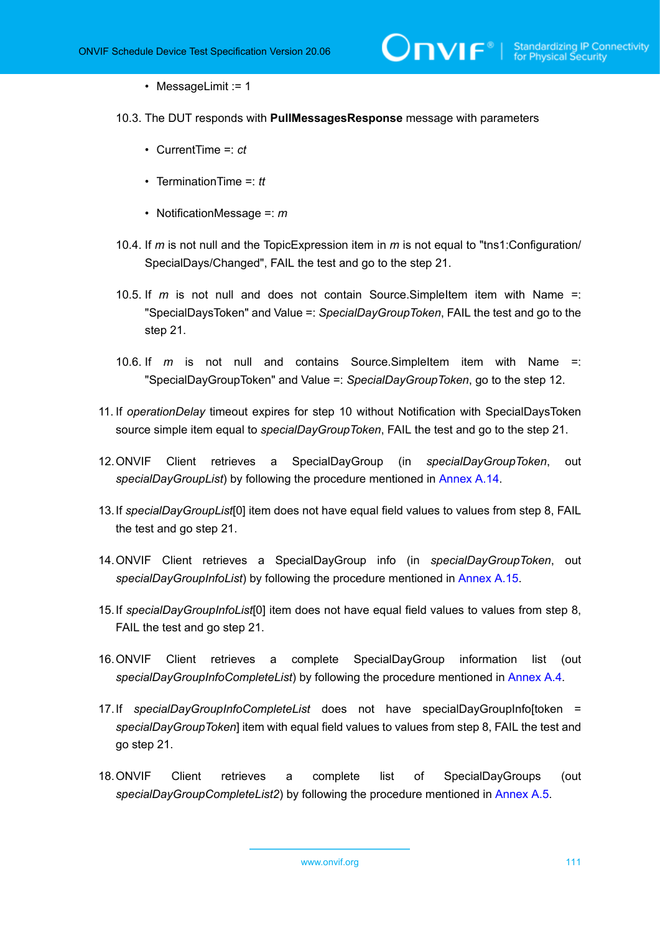$\mathsf{J}\mathsf{D}\mathsf{V}\mathsf{I}\mathsf{F}^\circ$  :

#### • MessageLimit := 1

- 10.3. The DUT responds with **PullMessagesResponse** message with parameters
	- CurrentTime =: *ct*
	- TerminationTime =: *tt*
	- NotificationMessage =: *m*
- 10.4. If *m* is not null and the TopicExpression item in *m* is not equal to "tns1:Configuration/ SpecialDays/Changed", FAIL the test and go to the step 21.
- 10.5. If *m* is not null and does not contain Source.SimpleItem item with Name =: "SpecialDaysToken" and Value =: *SpecialDayGroupToken*, FAIL the test and go to the step 21.
- 10.6. If *m* is not null and contains Source.SimpleItem item with Name =: "SpecialDayGroupToken" and Value =: *SpecialDayGroupToken*, go to the step 12.
- 11. If *operationDelay* timeout expires for step 10 without Notification with SpecialDaysToken source simple item equal to *specialDayGroupToken*, FAIL the test and go to the step 21.
- 12.ONVIF Client retrieves a SpecialDayGroup (in *specialDayGroupToken*, out *specialDayGroupList*) by following the procedure mentioned in [Annex A.14](#page-165-0).
- 13.If *specialDayGroupList*[0] item does not have equal field values to values from step 8, FAIL the test and go step 21.
- 14.ONVIF Client retrieves a SpecialDayGroup info (in *specialDayGroupToken*, out *specialDayGroupInfoList*) by following the procedure mentioned in [Annex A.15.](#page-166-0)
- 15.If *specialDayGroupInfoList*[0] item does not have equal field values to values from step 8, FAIL the test and go step 21.
- 16.ONVIF Client retrieves a complete SpecialDayGroup information list (out *specialDayGroupInfoCompleteList*) by following the procedure mentioned in [Annex A.4.](#page-156-0)
- 17.If *specialDayGroupInfoCompleteList* does not have specialDayGroupInfo[token = *specialDayGroupToken*] item with equal field values to values from step 8, FAIL the test and go step 21.
- 18.ONVIF Client retrieves a complete list of SpecialDayGroups (out *specialDayGroupCompleteList2*) by following the procedure mentioned in [Annex A.5](#page-158-0).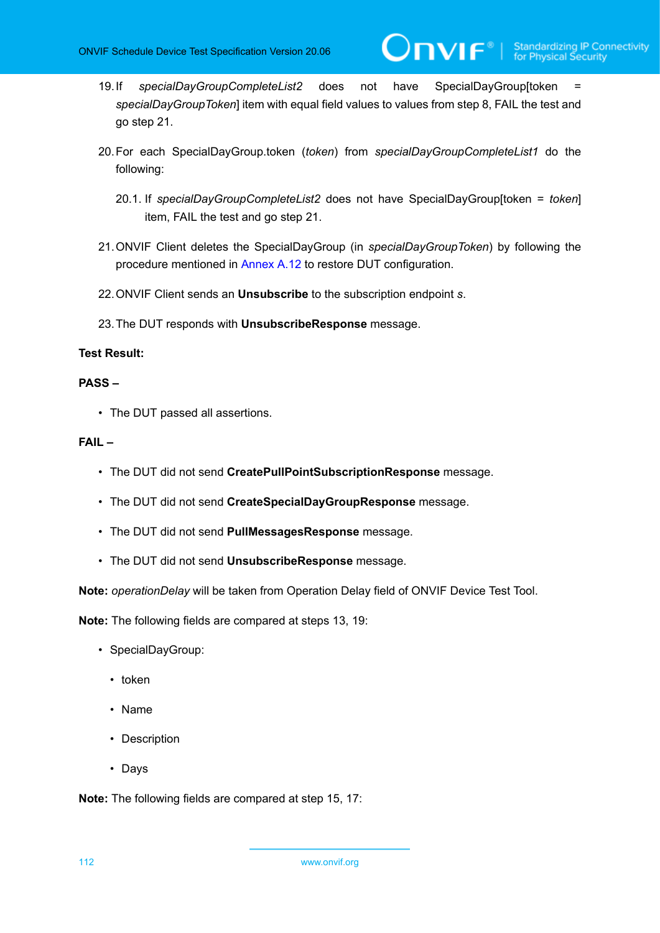**NVIF**®

- 19.If *specialDayGroupCompleteList2* does not have SpecialDayGroup[token *specialDayGroupToken*] item with equal field values to values from step 8, FAIL the test and go step 21.
- 20.For each SpecialDayGroup.token (*token*) from *specialDayGroupCompleteList1* do the following:
	- 20.1. If *specialDayGroupCompleteList2* does not have SpecialDayGroup[token = *token*] item, FAIL the test and go step 21.
- 21.ONVIF Client deletes the SpecialDayGroup (in *specialDayGroupToken*) by following the procedure mentioned in [Annex A.12](#page-164-0) to restore DUT configuration.
- 22.ONVIF Client sends an **Unsubscribe** to the subscription endpoint *s*.
- 23.The DUT responds with **UnsubscribeResponse** message.

# **Test Result:**

#### **PASS –**

• The DUT passed all assertions.

#### **FAIL –**

- The DUT did not send **CreatePullPointSubscriptionResponse** message.
- The DUT did not send **CreateSpecialDayGroupResponse** message.
- The DUT did not send **PullMessagesResponse** message.
- The DUT did not send **UnsubscribeResponse** message.

**Note:** *operationDelay* will be taken from Operation Delay field of ONVIF Device Test Tool.

**Note:** The following fields are compared at steps 13, 19:

- SpecialDayGroup:
	- token
	- Name
	- Description
	- Days

**Note:** The following fields are compared at step 15, 17: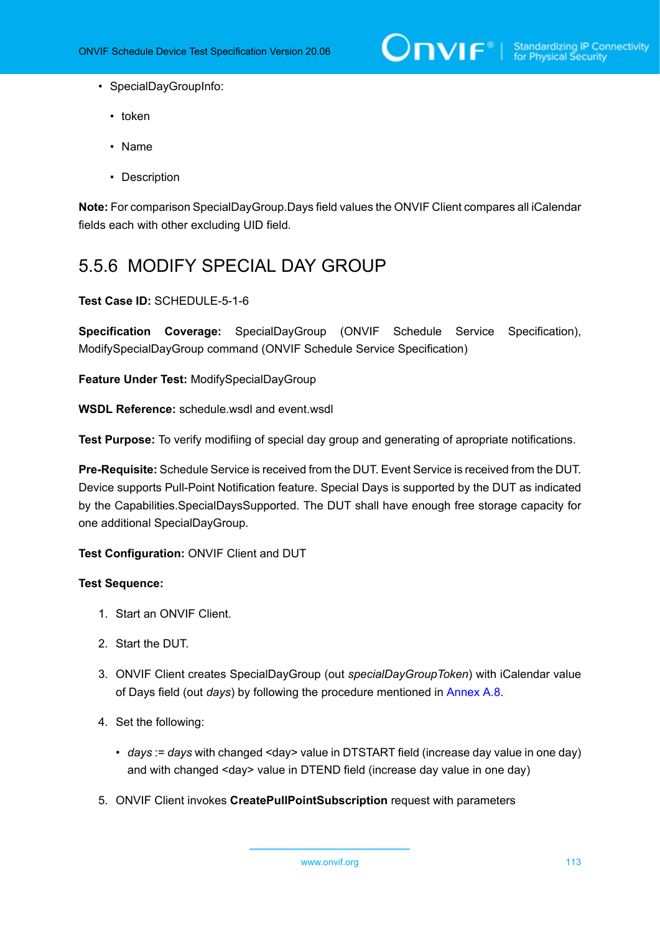

- SpecialDayGroupInfo:
	- token
	- Name
	- Description

**Note:** For comparison SpecialDayGroup.Days field values the ONVIF Client compares all iCalendar fields each with other excluding UID field.

# 5.5.6 MODIFY SPECIAL DAY GROUP

#### **Test Case ID:** SCHEDULE-5-1-6

**Specification Coverage:** SpecialDayGroup (ONVIF Schedule Service Specification), ModifySpecialDayGroup command (ONVIF Schedule Service Specification)

**Feature Under Test:** ModifySpecialDayGroup

**WSDL Reference:** schedule.wsdl and event.wsdl

**Test Purpose:** To verify modifiing of special day group and generating of apropriate notifications.

**Pre-Requisite:** Schedule Service is received from the DUT. Event Service is received from the DUT. Device supports Pull-Point Notification feature. Special Days is supported by the DUT as indicated by the Capabilities.SpecialDaysSupported. The DUT shall have enough free storage capacity for one additional SpecialDayGroup.

**Test Configuration:** ONVIF Client and DUT

- 1. Start an ONVIF Client.
- 2. Start the DUT.
- 3. ONVIF Client creates SpecialDayGroup (out *specialDayGroupToken*) with iCalendar value of Days field (out *days*) by following the procedure mentioned in [Annex A.8](#page-160-0).
- 4. Set the following:
	- *days* := *days* with changed <day> value in DTSTART field (increase day value in one day) and with changed <day> value in DTEND field (increase day value in one day)
- 5. ONVIF Client invokes **CreatePullPointSubscription** request with parameters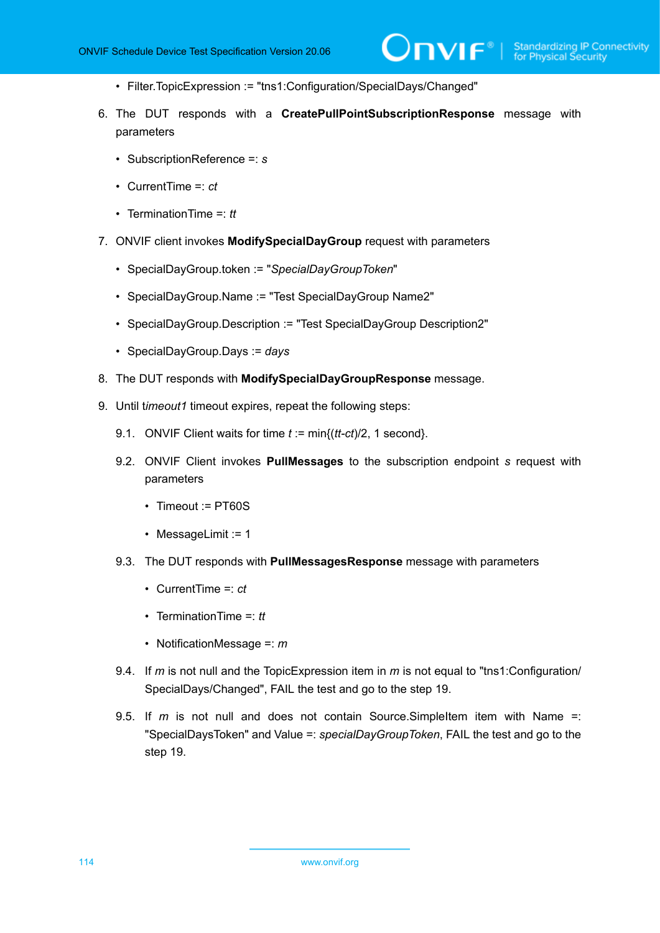- Filter.TopicExpression := "tns1:Configuration/SpecialDays/Changed"
- 6. The DUT responds with a **CreatePullPointSubscriptionResponse** message with parameters
	- SubscriptionReference =: *s*
	- CurrentTime =: *ct*
	- TerminationTime =: *tt*
- 7. ONVIF client invokes **ModifySpecialDayGroup** request with parameters
	- SpecialDayGroup.token := "*SpecialDayGroupToken*"
	- SpecialDayGroup.Name := "Test SpecialDayGroup Name2"
	- SpecialDayGroup.Description := "Test SpecialDayGroup Description2"
	- SpecialDayGroup.Days := *days*
- 8. The DUT responds with **ModifySpecialDayGroupResponse** message.
- 9. Until t*imeout1* timeout expires, repeat the following steps:
	- 9.1. ONVIF Client waits for time *t* := min{(*tt-ct*)/2, 1 second}.
	- 9.2. ONVIF Client invokes **PullMessages** to the subscription endpoint *s* request with parameters
		- Timeout := PT60S
		- MessageLimit := 1
	- 9.3. The DUT responds with **PullMessagesResponse** message with parameters
		- CurrentTime =: *ct*
		- TerminationTime =: *tt*
		- NotificationMessage =: *m*
	- 9.4. If *m* is not null and the TopicExpression item in *m* is not equal to "tns1:Configuration/ SpecialDays/Changed", FAIL the test and go to the step 19.
	- 9.5. If *m* is not null and does not contain Source.SimpleItem item with Name =: "SpecialDaysToken" and Value =: *specialDayGroupToken*, FAIL the test and go to the step 19.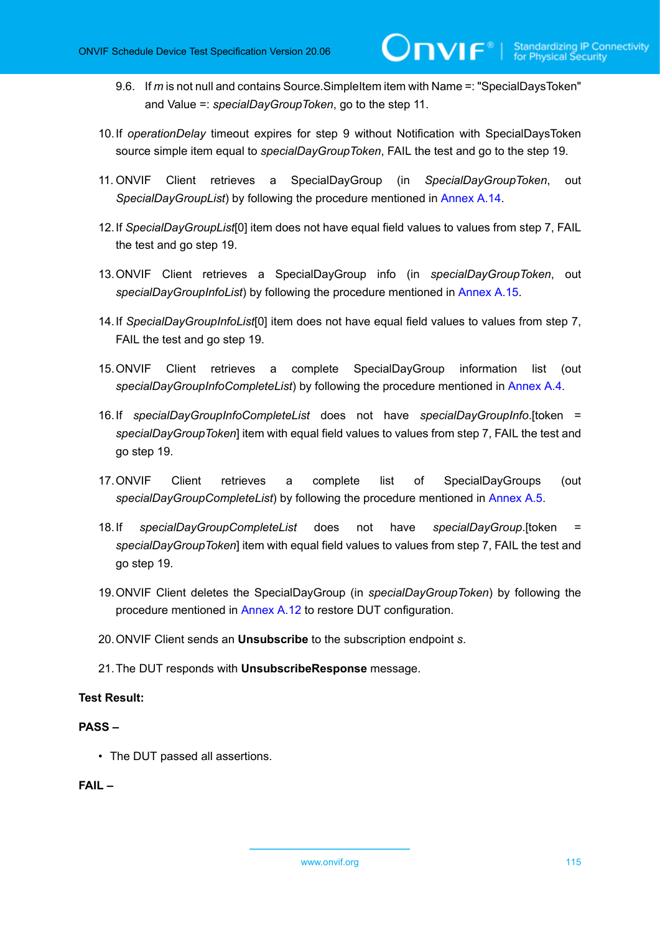9.6. If *m* is not null and contains Source.SimpleItem item with Name =: "SpecialDaysToken" and Value =: *specialDayGroupToken*, go to the step 11.

 $\mathsf{D}\mathbf{n}\mathsf{v}\mathsf{I}\mathsf{f}^\ast$ l

- 10.If *operationDelay* timeout expires for step 9 without Notification with SpecialDaysToken source simple item equal to *specialDayGroupToken*, FAIL the test and go to the step 19.
- 11. ONVIF Client retrieves a SpecialDayGroup (in *SpecialDayGroupToken*, out *SpecialDayGroupList*) by following the procedure mentioned in [Annex A.14](#page-165-0).
- 12.If *SpecialDayGroupList*[0] item does not have equal field values to values from step 7, FAIL the test and go step 19.
- 13.ONVIF Client retrieves a SpecialDayGroup info (in *specialDayGroupToken*, out *specialDayGroupInfoList*) by following the procedure mentioned in [Annex A.15.](#page-166-0)
- 14.If *SpecialDayGroupInfoList*[0] item does not have equal field values to values from step 7, FAIL the test and go step 19.
- 15.ONVIF Client retrieves a complete SpecialDayGroup information list (out *specialDayGroupInfoCompleteList*) by following the procedure mentioned in [Annex A.4.](#page-156-0)
- 16.If *specialDayGroupInfoCompleteList* does not have *specialDayGroupInfo*.[token = *specialDayGroupToken*] item with equal field values to values from step 7, FAIL the test and go step 19.
- 17.ONVIF Client retrieves a complete list of SpecialDayGroups (out *specialDayGroupCompleteList*) by following the procedure mentioned in [Annex A.5](#page-158-0).
- 18.If *specialDayGroupCompleteList* does not have *specialDayGroup*.[token = *specialDayGroupToken*] item with equal field values to values from step 7, FAIL the test and go step 19.
- 19.ONVIF Client deletes the SpecialDayGroup (in *specialDayGroupToken*) by following the procedure mentioned in [Annex A.12](#page-164-0) to restore DUT configuration.
- 20.ONVIF Client sends an **Unsubscribe** to the subscription endpoint *s*.
- 21.The DUT responds with **UnsubscribeResponse** message.

# **Test Result:**

# **PASS –**

• The DUT passed all assertions.

## **FAIL –**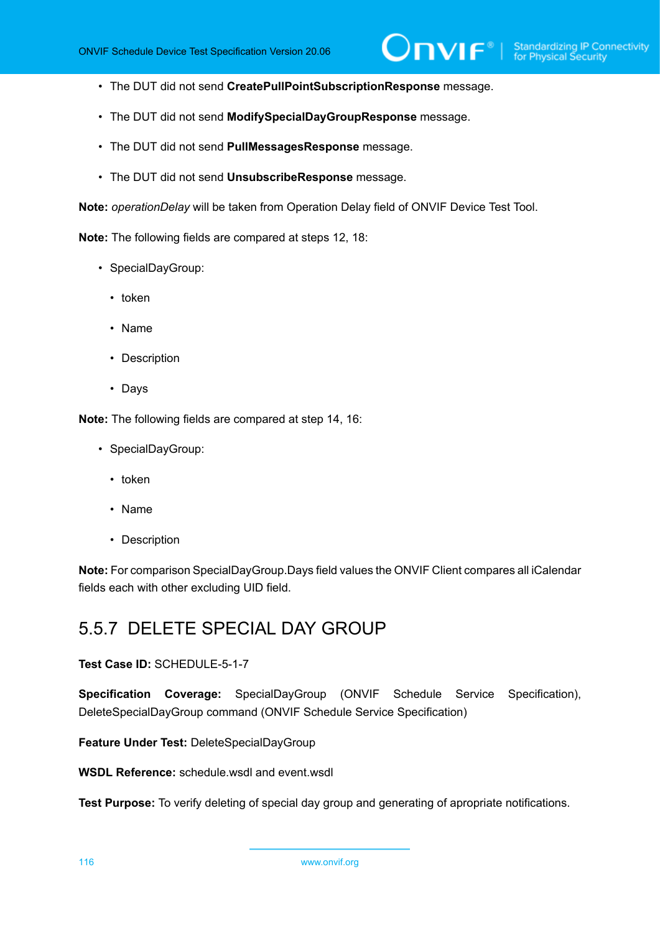- The DUT did not send **CreatePullPointSubscriptionResponse** message.
- The DUT did not send **ModifySpecialDayGroupResponse** message.
- The DUT did not send **PullMessagesResponse** message.
- The DUT did not send **UnsubscribeResponse** message.

**Note:** *operationDelay* will be taken from Operation Delay field of ONVIF Device Test Tool.

**Note:** The following fields are compared at steps 12, 18:

- SpecialDayGroup:
	- token
	- Name
	- Description
	- Days

**Note:** The following fields are compared at step 14, 16:

- SpecialDayGroup:
	- token
	- Name
	- Description

**Note:** For comparison SpecialDayGroup.Days field values the ONVIF Client compares all iCalendar fields each with other excluding UID field.

# 5.5.7 DELETE SPECIAL DAY GROUP

**Test Case ID:** SCHEDULE-5-1-7

**Specification Coverage:** SpecialDayGroup (ONVIF Schedule Service Specification), DeleteSpecialDayGroup command (ONVIF Schedule Service Specification)

**Feature Under Test:** DeleteSpecialDayGroup

**WSDL Reference:** schedule.wsdl and event.wsdl

**Test Purpose:** To verify deleting of special day group and generating of apropriate notifications.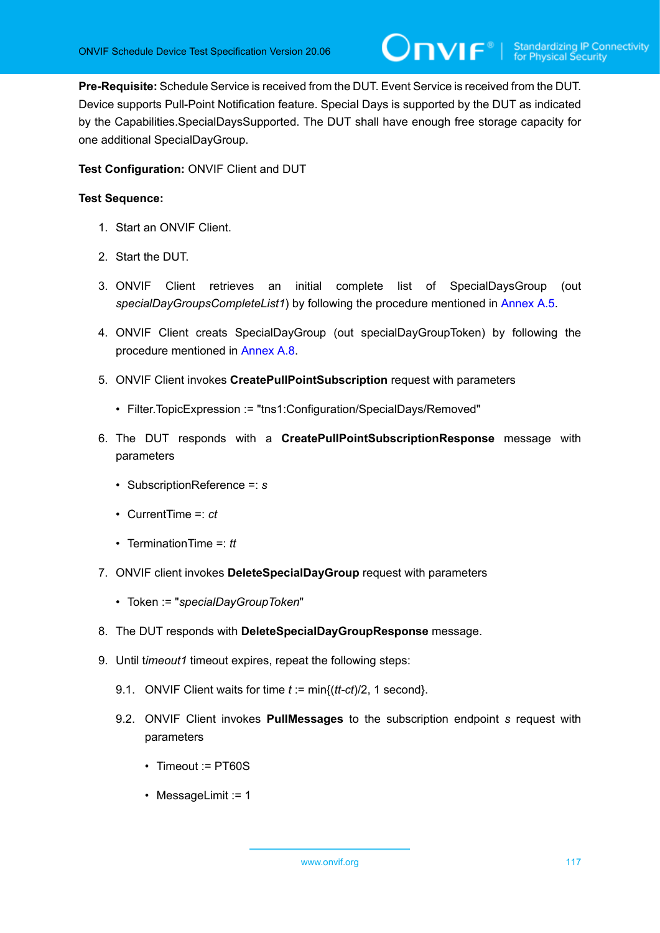**Pre-Requisite:** Schedule Service is received from the DUT. Event Service is received from the DUT. Device supports Pull-Point Notification feature. Special Days is supported by the DUT as indicated by the Capabilities.SpecialDaysSupported. The DUT shall have enough free storage capacity for one additional SpecialDayGroup.

# **Test Configuration:** ONVIF Client and DUT

- 1. Start an ONVIF Client.
- 2. Start the DUT.
- 3. ONVIF Client retrieves an initial complete list of SpecialDaysGroup (out *specialDayGroupsCompleteList1*) by following the procedure mentioned in [Annex A.5.](#page-158-0)
- 4. ONVIF Client creats SpecialDayGroup (out specialDayGroupToken) by following the procedure mentioned in [Annex A.8](#page-160-0).
- 5. ONVIF Client invokes **CreatePullPointSubscription** request with parameters
	- Filter.TopicExpression := "tns1:Configuration/SpecialDays/Removed"
- 6. The DUT responds with a **CreatePullPointSubscriptionResponse** message with parameters
	- SubscriptionReference =: *s*
	- CurrentTime =: *ct*
	- TerminationTime =: *tt*
- 7. ONVIF client invokes **DeleteSpecialDayGroup** request with parameters
	- Token := "*specialDayGroupToken*"
- 8. The DUT responds with **DeleteSpecialDayGroupResponse** message.
- 9. Until t*imeout1* timeout expires, repeat the following steps:
	- 9.1. ONVIF Client waits for time *t* := min{(*tt-ct*)/2, 1 second}.
	- 9.2. ONVIF Client invokes **PullMessages** to the subscription endpoint *s* request with parameters
		- Timeout := PT60S
		- MessageLimit := 1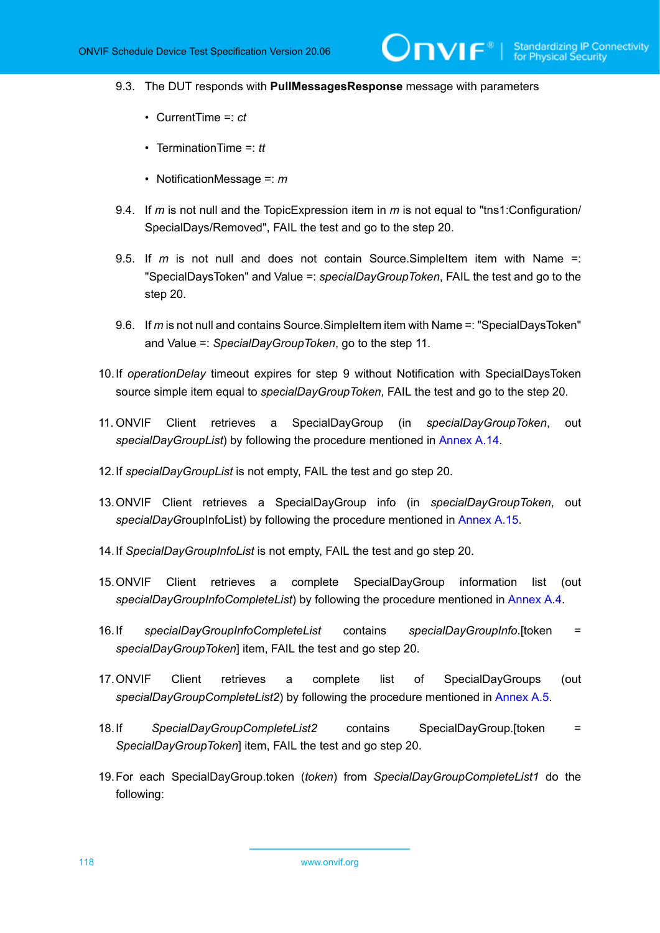$IVIF^*$ 

- 9.3. The DUT responds with **PullMessagesResponse** message with parameters
	- CurrentTime =: *ct*
	- TerminationTime =: *tt*
	- NotificationMessage =: *m*
- 9.4. If *m* is not null and the TopicExpression item in *m* is not equal to "tns1:Configuration/ SpecialDays/Removed", FAIL the test and go to the step 20.
- 9.5. If *m* is not null and does not contain Source.SimpleItem item with Name =: "SpecialDaysToken" and Value =: *specialDayGroupToken*, FAIL the test and go to the step 20.
- 9.6. If *m* is not null and contains Source.SimpleItem item with Name =: "SpecialDaysToken" and Value =: *SpecialDayGroupToken*, go to the step 11.
- 10.If *operationDelay* timeout expires for step 9 without Notification with SpecialDaysToken source simple item equal to *specialDayGroupToken*, FAIL the test and go to the step 20.
- 11. ONVIF Client retrieves a SpecialDayGroup (in *specialDayGroupToken*, out *specialDayGroupList*) by following the procedure mentioned in [Annex A.14](#page-165-0).
- 12.If *specialDayGroupList* is not empty, FAIL the test and go step 20.
- 13.ONVIF Client retrieves a SpecialDayGroup info (in *specialDayGroupToken*, out *specialDayG*roupInfoList) by following the procedure mentioned in [Annex A.15.](#page-166-0)
- 14.If *SpecialDayGroupInfoList* is not empty, FAIL the test and go step 20.
- 15.ONVIF Client retrieves a complete SpecialDayGroup information list (out *specialDayGroupInfoCompleteList*) by following the procedure mentioned in [Annex A.4.](#page-156-0)
- 16.If *specialDayGroupInfoCompleteList* contains *specialDayGroupInfo*.[token = *specialDayGroupToken*] item, FAIL the test and go step 20.
- 17.ONVIF Client retrieves a complete list of SpecialDayGroups (out *specialDayGroupCompleteList2*) by following the procedure mentioned in [Annex A.5](#page-158-0).
- 18.If *SpecialDayGroupCompleteList2* contains SpecialDayGroup.[token = *SpecialDayGroupToken*] item, FAIL the test and go step 20.
- 19.For each SpecialDayGroup.token (*token*) from *SpecialDayGroupCompleteList1* do the following: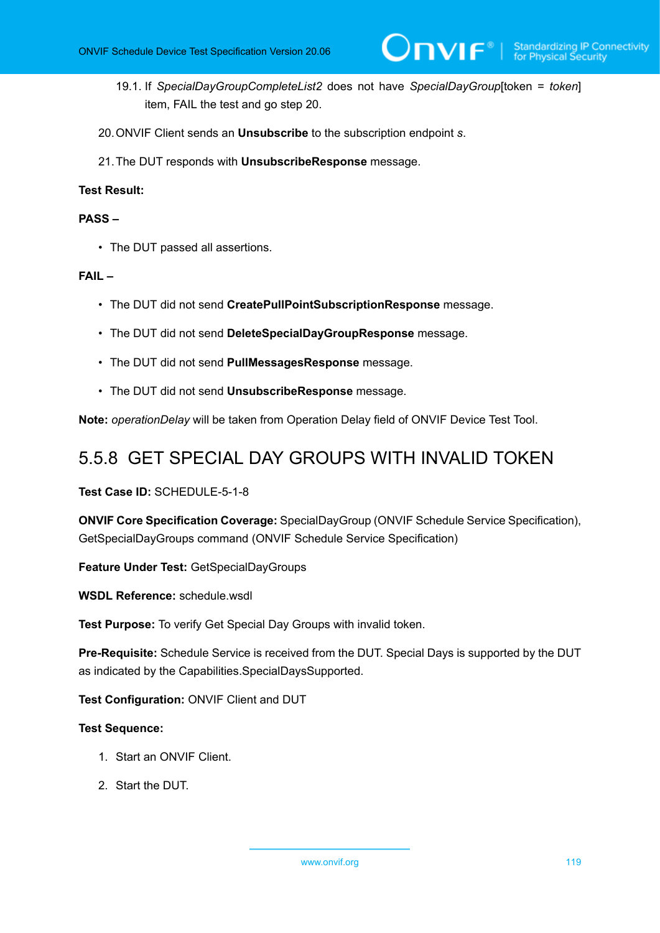- 19.1. If *SpecialDayGroupCompleteList2* does not have *SpecialDayGroup*[token = *token*] item, FAIL the test and go step 20.
- 20.ONVIF Client sends an **Unsubscribe** to the subscription endpoint *s*.
- 21.The DUT responds with **UnsubscribeResponse** message.

# **Test Result:**

# **PASS –**

• The DUT passed all assertions.

# **FAIL –**

- The DUT did not send **CreatePullPointSubscriptionResponse** message.
- The DUT did not send **DeleteSpecialDayGroupResponse** message.
- The DUT did not send **PullMessagesResponse** message.
- The DUT did not send **UnsubscribeResponse** message.

**Note:** *operationDelay* will be taken from Operation Delay field of ONVIF Device Test Tool.

# 5.5.8 GET SPECIAL DAY GROUPS WITH INVALID TOKEN

**Test Case ID:** SCHEDULE-5-1-8

**ONVIF Core Specification Coverage:** SpecialDayGroup (ONVIF Schedule Service Specification), GetSpecialDayGroups command (ONVIF Schedule Service Specification)

**Feature Under Test:** GetSpecialDayGroups

**WSDL Reference:** schedule.wsdl

**Test Purpose:** To verify Get Special Day Groups with invalid token.

**Pre-Requisite:** Schedule Service is received from the DUT. Special Days is supported by the DUT as indicated by the Capabilities.SpecialDaysSupported.

**Test Configuration:** ONVIF Client and DUT

- 1. Start an ONVIF Client.
- 2. Start the DUT.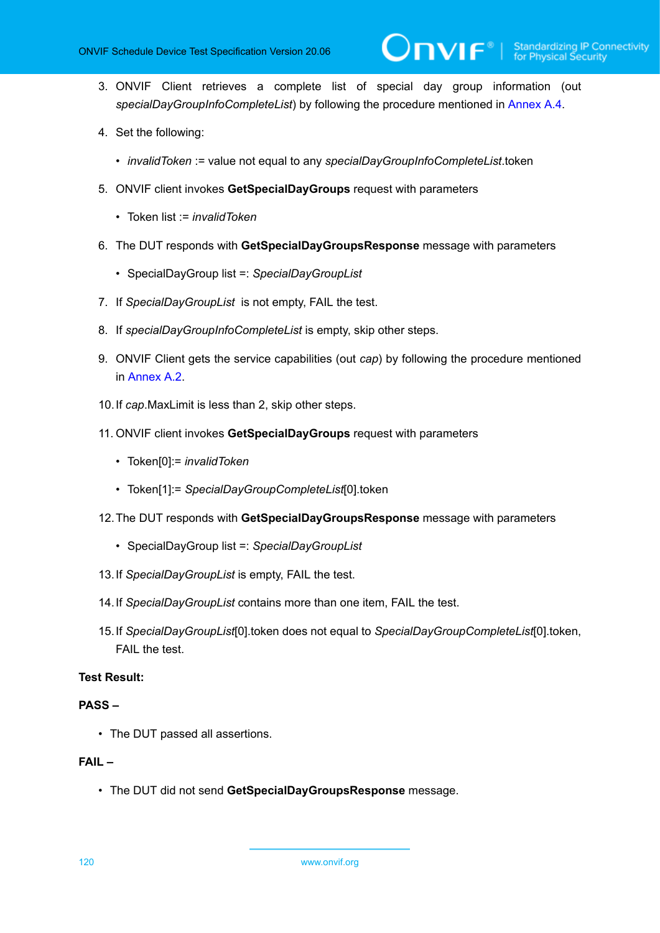- 3. ONVIF Client retrieves a complete list of special day group information (out *specialDayGroupInfoCompleteList*) by following the procedure mentioned in [Annex A.4.](#page-156-0)
- 4. Set the following:
	- *invalidToken* := value not equal to any *specialDayGroupInfoCompleteList*.token
- 5. ONVIF client invokes **GetSpecialDayGroups** request with parameters
	- Token list := *invalidToken*
- 6. The DUT responds with **GetSpecialDayGroupsResponse** message with parameters
	- SpecialDayGroup list =: *SpecialDayGroupList*
- 7. If *SpecialDayGroupList* is not empty, FAIL the test.
- 8. If *specialDayGroupInfoCompleteList* is empty, skip other steps.
- 9. ONVIF Client gets the service capabilities (out *cap*) by following the procedure mentioned in [Annex A.2.](#page-155-0)
- 10.If *cap*.MaxLimit is less than 2, skip other steps.
- 11. ONVIF client invokes **GetSpecialDayGroups** request with parameters
	- Token[0]:= *invalidToken*
	- Token[1]:= *SpecialDayGroupCompleteList*[0].token
- 12.The DUT responds with **GetSpecialDayGroupsResponse** message with parameters
	- SpecialDayGroup list =: *SpecialDayGroupList*
- 13.If *SpecialDayGroupList* is empty, FAIL the test.
- 14.If *SpecialDayGroupList* contains more than one item, FAIL the test.
- 15.If *SpecialDayGroupList*[0].token does not equal to *SpecialDayGroupCompleteList*[0].token, FAIL the test.

# **Test Result:**

#### **PASS –**

• The DUT passed all assertions.

### **FAIL –**

• The DUT did not send **GetSpecialDayGroupsResponse** message.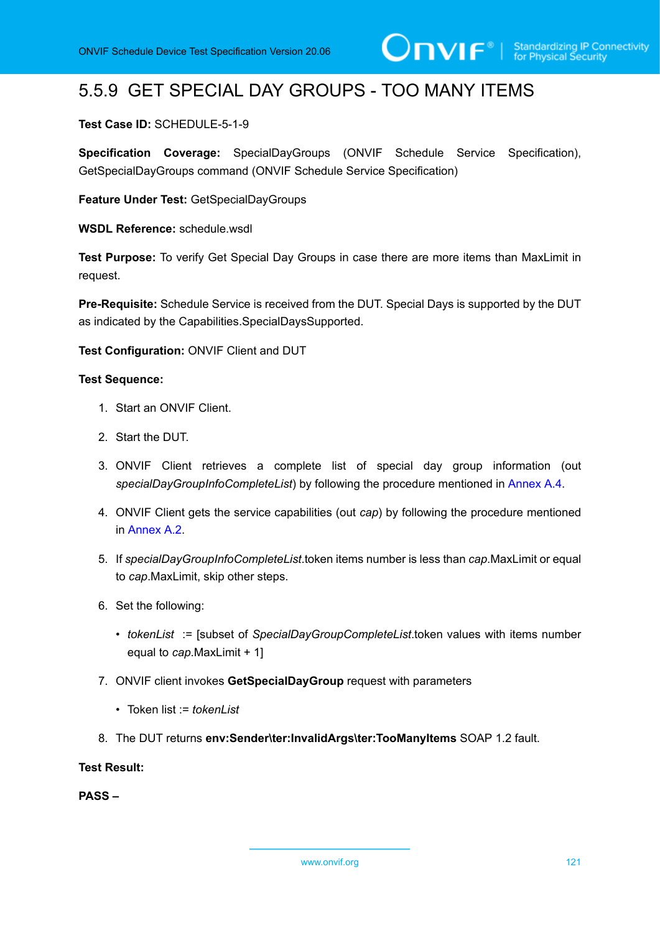# 5.5.9 GET SPECIAL DAY GROUPS - TOO MANY ITEMS

## **Test Case ID:** SCHEDULE-5-1-9

**Specification Coverage:** SpecialDayGroups (ONVIF Schedule Service Specification), GetSpecialDayGroups command (ONVIF Schedule Service Specification)

**Feature Under Test:** GetSpecialDayGroups

WSDL Reference: schedule wsdl

**Test Purpose:** To verify Get Special Day Groups in case there are more items than MaxLimit in request.

**Pre-Requisite:** Schedule Service is received from the DUT. Special Days is supported by the DUT as indicated by the Capabilities.SpecialDaysSupported.

**Test Configuration:** ONVIF Client and DUT

#### **Test Sequence:**

- 1. Start an ONVIF Client.
- 2. Start the DUT.
- 3. ONVIF Client retrieves a complete list of special day group information (out *specialDayGroupInfoCompleteList*) by following the procedure mentioned in [Annex A.4.](#page-156-0)
- 4. ONVIF Client gets the service capabilities (out *cap*) by following the procedure mentioned in [Annex A.2.](#page-155-0)
- 5. If *specialDayGroupInfoCompleteList*.token items number is less than *cap*.MaxLimit or equal to *cap*.MaxLimit, skip other steps.
- 6. Set the following:
	- *tokenList* := [subset of *SpecialDayGroupCompleteList*.token values with items number equal to *cap*.MaxLimit + 1]
- 7. ONVIF client invokes **GetSpecialDayGroup** request with parameters
	- Token list := *tokenList*
- 8. The DUT returns **env:Sender\ter:InvalidArgs\ter:TooManyItems** SOAP 1.2 fault.

### **Test Result:**

**PASS –**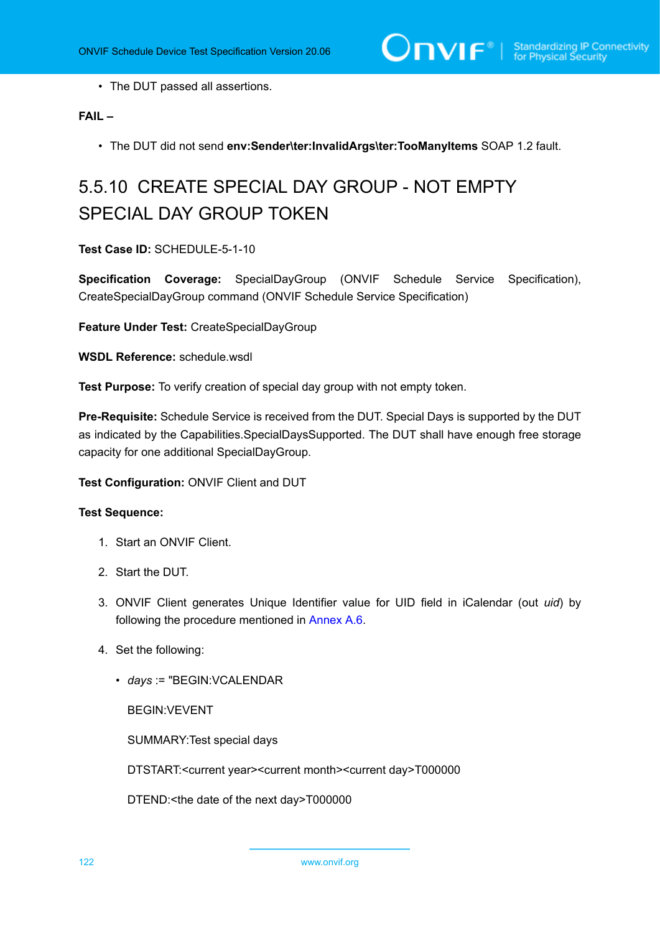• The DUT passed all assertions.

# **FAIL –**

• The DUT did not send **env:Sender\ter:InvalidArgs\ter:TooManyItems** SOAP 1.2 fault.

# 5.5.10 CREATE SPECIAL DAY GROUP - NOT EMPTY SPECIAL DAY GROUP TOKEN

**Test Case ID:** SCHEDULE-5-1-10

**Specification Coverage:** SpecialDayGroup (ONVIF Schedule Service Specification), CreateSpecialDayGroup command (ONVIF Schedule Service Specification)

**Feature Under Test:** CreateSpecialDayGroup

**WSDL Reference:** schedule.wsdl

**Test Purpose:** To verify creation of special day group with not empty token.

**Pre-Requisite:** Schedule Service is received from the DUT. Special Days is supported by the DUT as indicated by the Capabilities.SpecialDaysSupported. The DUT shall have enough free storage capacity for one additional SpecialDayGroup.

## **Test Configuration:** ONVIF Client and DUT

#### **Test Sequence:**

- 1. Start an ONVIF Client.
- 2. Start the DUT.
- 3. ONVIF Client generates Unique Identifier value for UID field in iCalendar (out *uid*) by following the procedure mentioned in [Annex A.6](#page-159-0).
- 4. Set the following:
	- *days* := "BEGIN:VCALENDAR

BEGIN:VEVENT

SUMMARY:Test special days

DTSTART:<current year><current month><current day>T000000

DTEND:<the date of the next day>T000000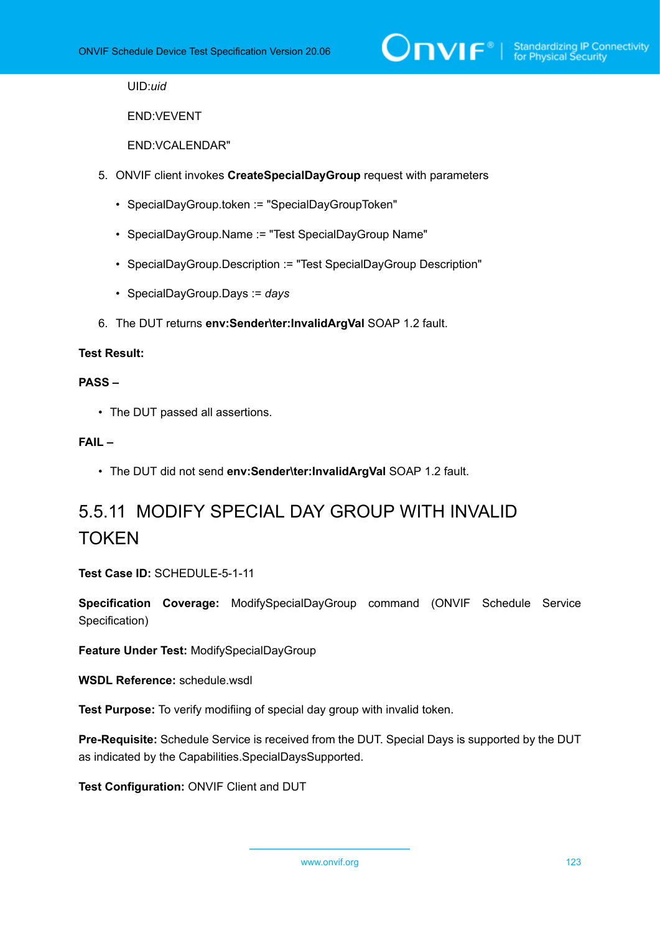

UID:*uid*

END:VEVENT

END:VCALENDAR"

- 5. ONVIF client invokes **CreateSpecialDayGroup** request with parameters
	- SpecialDayGroup.token := "SpecialDayGroupToken"
	- SpecialDayGroup.Name := "Test SpecialDayGroup Name"
	- SpecialDayGroup.Description := "Test SpecialDayGroup Description"
	- SpecialDayGroup.Days := *days*
- 6. The DUT returns **env:Sender\ter:InvalidArgVal** SOAP 1.2 fault.

### **Test Result:**

#### **PASS –**

• The DUT passed all assertions.

#### **FAIL –**

• The DUT did not send **env:Sender\ter:InvalidArgVal** SOAP 1.2 fault.

# 5.5.11 MODIFY SPECIAL DAY GROUP WITH INVALID TOKEN

**Test Case ID:** SCHEDULE-5-1-11

**Specification Coverage:** ModifySpecialDayGroup command (ONVIF Schedule Service Specification)

**Feature Under Test:** ModifySpecialDayGroup

**WSDL Reference:** schedule.wsdl

**Test Purpose:** To verify modifiing of special day group with invalid token.

**Pre-Requisite:** Schedule Service is received from the DUT. Special Days is supported by the DUT as indicated by the Capabilities.SpecialDaysSupported.

**Test Configuration:** ONVIF Client and DUT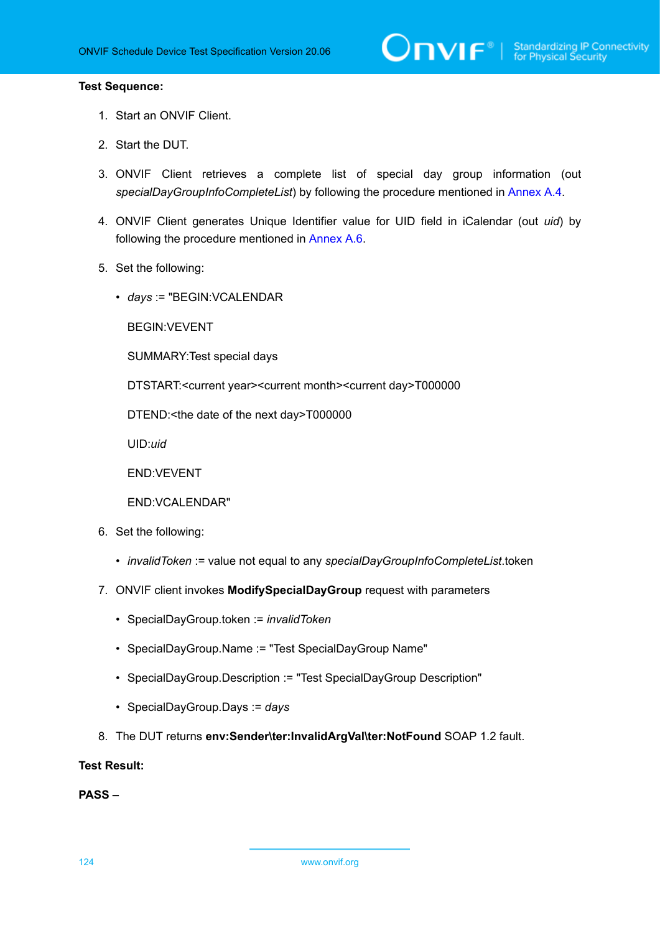#### **Test Sequence:**

- 1. Start an ONVIF Client.
- 2. Start the DUT.
- 3. ONVIF Client retrieves a complete list of special day group information (out *specialDayGroupInfoCompleteList*) by following the procedure mentioned in [Annex A.4.](#page-156-0)
- 4. ONVIF Client generates Unique Identifier value for UID field in iCalendar (out *uid*) by following the procedure mentioned in [Annex A.6](#page-159-0).
- 5. Set the following:
	- *days* := "BEGIN:VCALENDAR

BEGIN:VEVENT

SUMMARY:Test special days

DTSTART:<current year><current month><current day>T000000

DTEND:<the date of the next day>T000000

UID:*uid*

END:VEVENT

END:VCALENDAR"

- 6. Set the following:
	- *invalidToken* := value not equal to any *specialDayGroupInfoCompleteList*.token
- 7. ONVIF client invokes **ModifySpecialDayGroup** request with parameters
	- SpecialDayGroup.token := *invalidToken*
	- SpecialDayGroup.Name := "Test SpecialDayGroup Name"
	- SpecialDayGroup.Description := "Test SpecialDayGroup Description"
	- SpecialDayGroup.Days := *days*
- 8. The DUT returns **env:Sender\ter:InvalidArgVal\ter:NotFound** SOAP 1.2 fault.

**Test Result:**

**PASS –**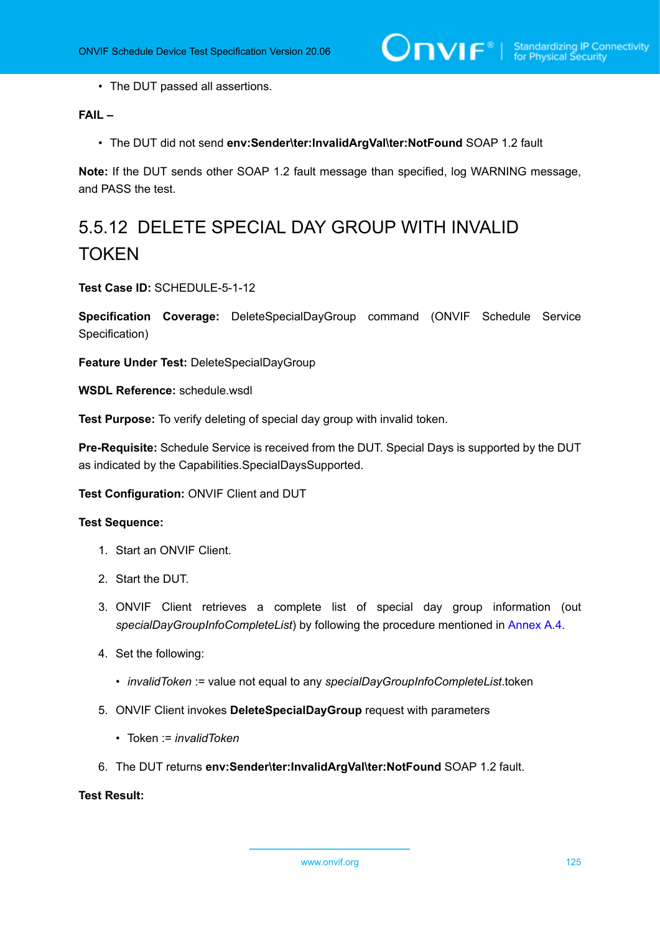• The DUT passed all assertions.

# **FAIL –**

• The DUT did not send **env:Sender\ter:InvalidArgVal\ter:NotFound** SOAP 1.2 fault

**Note:** If the DUT sends other SOAP 1.2 fault message than specified, log WARNING message, and PASS the test.

# 5.5.12 DELETE SPECIAL DAY GROUP WITH INVALID **TOKEN**

**Test Case ID:** SCHEDULE-5-1-12

**Specification Coverage:** DeleteSpecialDayGroup command (ONVIF Schedule Service Specification)

**Feature Under Test:** DeleteSpecialDayGroup

**WSDL Reference:** schedule.wsdl

**Test Purpose:** To verify deleting of special day group with invalid token.

**Pre-Requisite:** Schedule Service is received from the DUT. Special Days is supported by the DUT as indicated by the Capabilities.SpecialDaysSupported.

**Test Configuration:** ONVIF Client and DUT

#### **Test Sequence:**

- 1. Start an ONVIF Client.
- 2. Start the DUT.
- 3. ONVIF Client retrieves a complete list of special day group information (out *specialDayGroupInfoCompleteList*) by following the procedure mentioned in [Annex A.4.](#page-156-0)
- 4. Set the following:
	- *invalidToken* := value not equal to any *specialDayGroupInfoCompleteList*.token
- 5. ONVIF Client invokes **DeleteSpecialDayGroup** request with parameters
	- Token := *invalidToken*
- 6. The DUT returns **env:Sender\ter:InvalidArgVal\ter:NotFound** SOAP 1.2 fault.

# **Test Result:**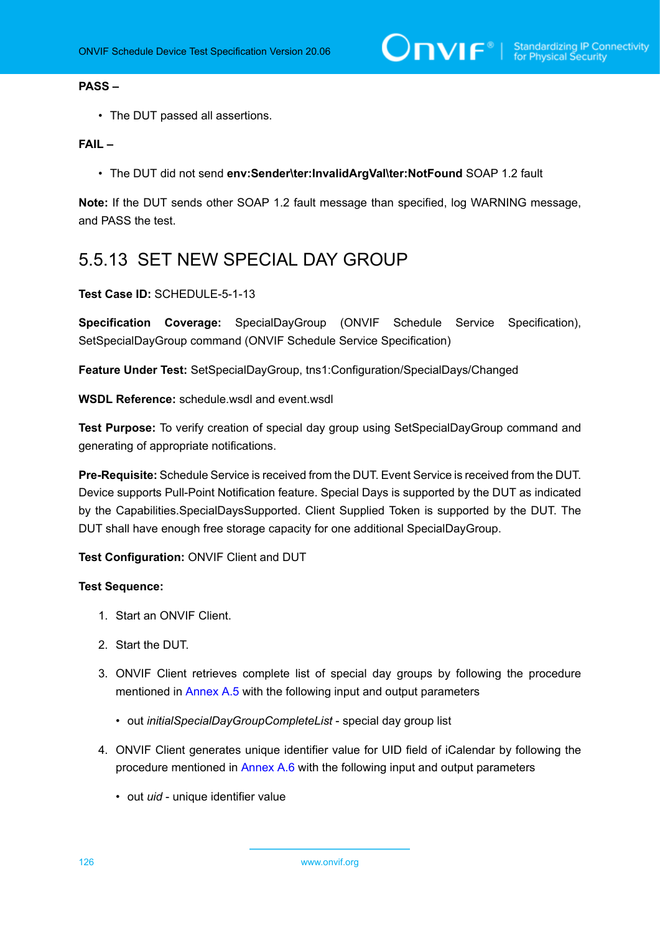#### **PASS –**

• The DUT passed all assertions.

### **FAIL –**

• The DUT did not send **env:Sender\ter:InvalidArgVal\ter:NotFound** SOAP 1.2 fault

**Note:** If the DUT sends other SOAP 1.2 fault message than specified, log WARNING message, and PASS the test.

# 5.5.13 SET NEW SPECIAL DAY GROUP

#### **Test Case ID:** SCHEDULE-5-1-13

**Specification Coverage:** SpecialDayGroup (ONVIF Schedule Service Specification), SetSpecialDayGroup command (ONVIF Schedule Service Specification)

**Feature Under Test:** SetSpecialDayGroup, tns1:Configuration/SpecialDays/Changed

**WSDL Reference:** schedule wsdl and event wsdl

**Test Purpose:** To verify creation of special day group using SetSpecialDayGroup command and generating of appropriate notifications.

**Pre-Requisite:** Schedule Service is received from the DUT. Event Service is received from the DUT. Device supports Pull-Point Notification feature. Special Days is supported by the DUT as indicated by the Capabilities.SpecialDaysSupported. Client Supplied Token is supported by the DUT. The DUT shall have enough free storage capacity for one additional SpecialDayGroup.

## **Test Configuration:** ONVIF Client and DUT

- 1. Start an ONVIF Client.
- 2. Start the DUT.
- 3. ONVIF Client retrieves complete list of special day groups by following the procedure mentioned in [Annex A.5](#page-158-0) with the following input and output parameters
	- out *initialSpecialDayGroupCompleteList* special day group list
- 4. ONVIF Client generates unique identifier value for UID field of iCalendar by following the procedure mentioned in [Annex A.6](#page-159-0) with the following input and output parameters
	- out *uid* unique identifier value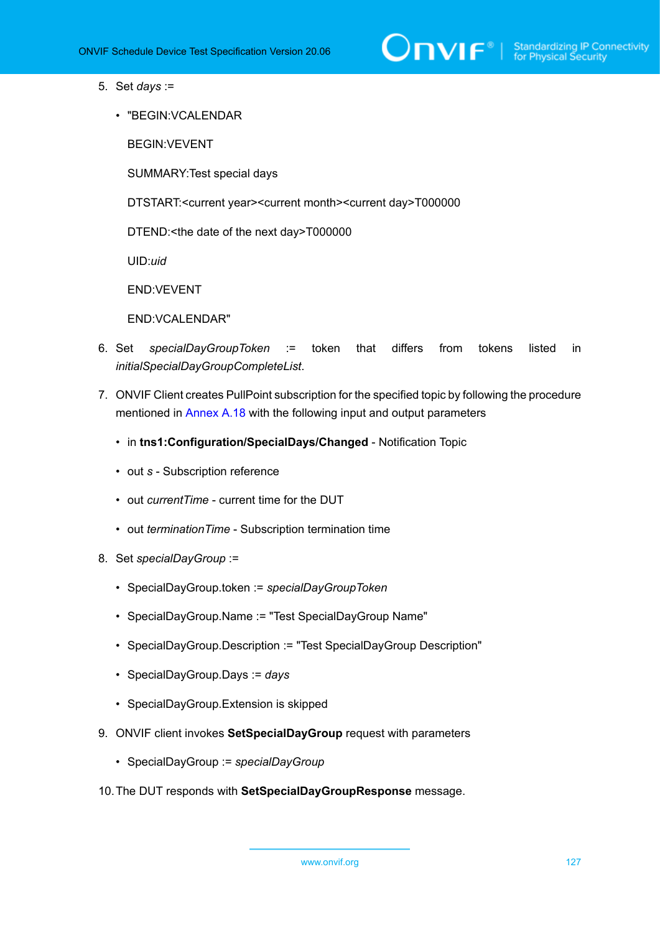

- 5. Set *days* :=
	- "BEGIN:VCALENDAR

BEGIN:VEVENT

SUMMARY:Test special days

DTSTART:<current year><current month><current day>T000000

DTEND:<the date of the next day>T000000

UID:*uid*

END:VEVENT

END:VCALENDAR"

- 6. Set *specialDayGroupToken* := token that differs from tokens listed in *initialSpecialDayGroupCompleteList*.
- 7. ONVIF Client creates PullPoint subscription for the specified topic by following the procedure mentioned in [Annex A.18](#page-171-0) with the following input and output parameters
	- in **tns1:Configuration/SpecialDays/Changed** Notification Topic
	- out *s* Subscription reference
	- out *currentTime* current time for the DUT
	- out *terminationTime* Subscription termination time
- 8. Set *specialDayGroup* :=
	- SpecialDayGroup.token := *specialDayGroupToken*
	- SpecialDayGroup.Name := "Test SpecialDayGroup Name"
	- SpecialDayGroup.Description := "Test SpecialDayGroup Description"
	- SpecialDayGroup.Days := *days*
	- SpecialDayGroup.Extension is skipped
- 9. ONVIF client invokes **SetSpecialDayGroup** request with parameters
	- SpecialDayGroup := *specialDayGroup*
- 10.The DUT responds with **SetSpecialDayGroupResponse** message.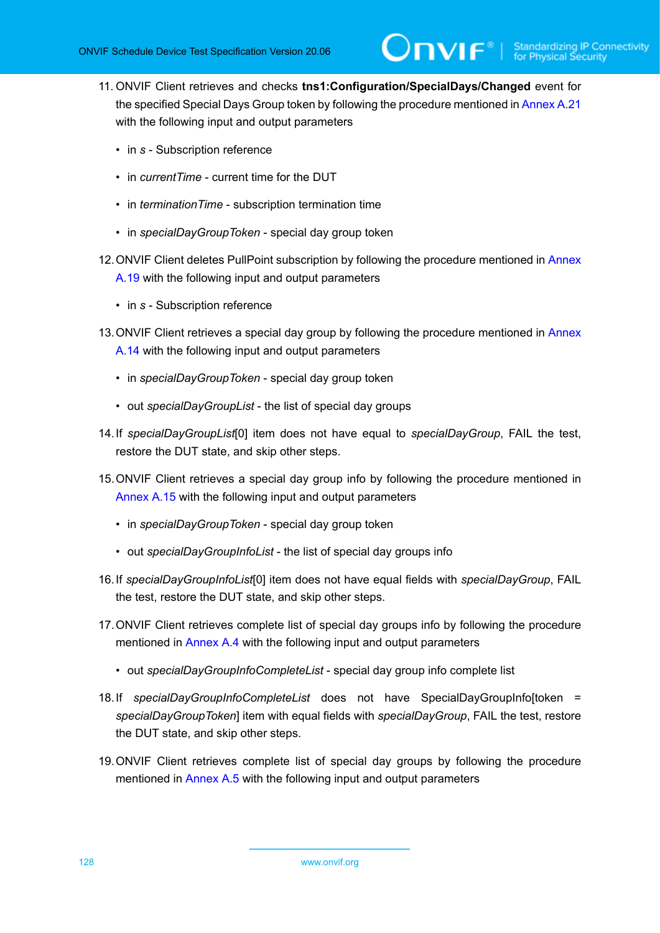- 11. ONVIF Client retrieves and checks **tns1:Configuration/SpecialDays/Changed** event for the specified Special Days Group token by following the procedure mentioned in [Annex A.21](#page-173-0) with the following input and output parameters
	- in *s* Subscription reference
	- in *currentTime* current time for the DUT
	- in *terminationTime* subscription termination time
	- in *specialDayGroupToken* special day group token
- 12. ONVIF Client deletes PullPoint subscription by following the procedure mentioned in [Annex](#page-172-0) [A.19](#page-172-0) with the following input and output parameters
	- in *s* Subscription reference
- 13. ONVIF Client retrieves a special day group by following the procedure mentioned in [Annex](#page-165-0) [A.14](#page-165-0) with the following input and output parameters
	- in *specialDayGroupToken* special day group token
	- out *specialDayGroupList* the list of special day groups
- <span id="page-127-0"></span>14.If *specialDayGroupList*[0] item does not have equal to *specialDayGroup*, FAIL the test, restore the DUT state, and skip other steps.
- 15.ONVIF Client retrieves a special day group info by following the procedure mentioned in [Annex A.15](#page-166-0) with the following input and output parameters
	- in *specialDayGroupToken* special day group token
	- out *specialDayGroupInfoList* the list of special day groups info
- <span id="page-127-1"></span>16.If *specialDayGroupInfoList*[0] item does not have equal fields with *specialDayGroup*, FAIL the test, restore the DUT state, and skip other steps.
- 17.ONVIF Client retrieves complete list of special day groups info by following the procedure mentioned in [Annex A.4](#page-156-0) with the following input and output parameters
	- out *specialDayGroupInfoCompleteList* special day group info complete list
- <span id="page-127-2"></span>18.If *specialDayGroupInfoCompleteList* does not have SpecialDayGroupInfo[token = *specialDayGroupToken*] item with equal fields with *specialDayGroup*, FAIL the test, restore the DUT state, and skip other steps.
- 19.ONVIF Client retrieves complete list of special day groups by following the procedure mentioned in [Annex A.5](#page-158-0) with the following input and output parameters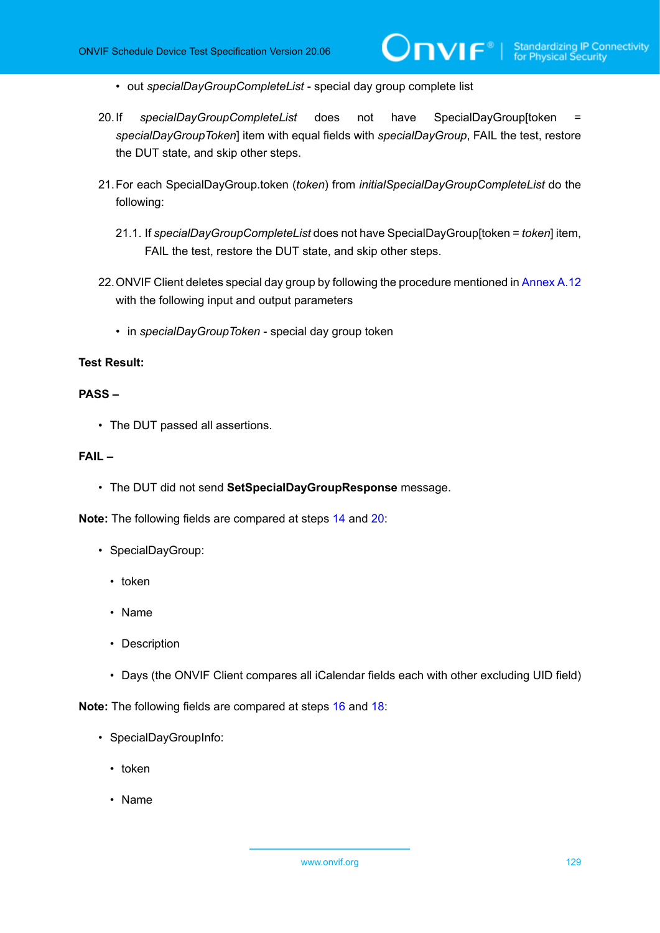- out *specialDayGroupCompleteList* special day group complete list
- <span id="page-128-0"></span>20.If *specialDayGroupCompleteList* does not have SpecialDayGroup[token = *specialDayGroupToken*] item with equal fields with *specialDayGroup*, FAIL the test, restore the DUT state, and skip other steps.
- 21.For each SpecialDayGroup.token (*token*) from *initialSpecialDayGroupCompleteList* do the following:
	- 21.1. If *specialDayGroupCompleteList* does not have SpecialDayGroup[token = *token*] item, FAIL the test, restore the DUT state, and skip other steps.
- 22.ONVIF Client deletes special day group by following the procedure mentioned in [Annex A.12](#page-164-0) with the following input and output parameters
	- in *specialDayGroupToken* special day group token

### **Test Result:**

# **PASS –**

• The DUT passed all assertions.

# **FAIL –**

• The DUT did not send **SetSpecialDayGroupResponse** message.

**Note:** The following fields are compared at steps [14](#page-127-0) and [20:](#page-128-0)

- SpecialDayGroup:
	- token
	- Name
	- Description
	- Days (the ONVIF Client compares all iCalendar fields each with other excluding UID field)

**Note:** The following fields are compared at steps [16](#page-127-1) and [18:](#page-127-2)

- SpecialDayGroupInfo:
	- token
	- Name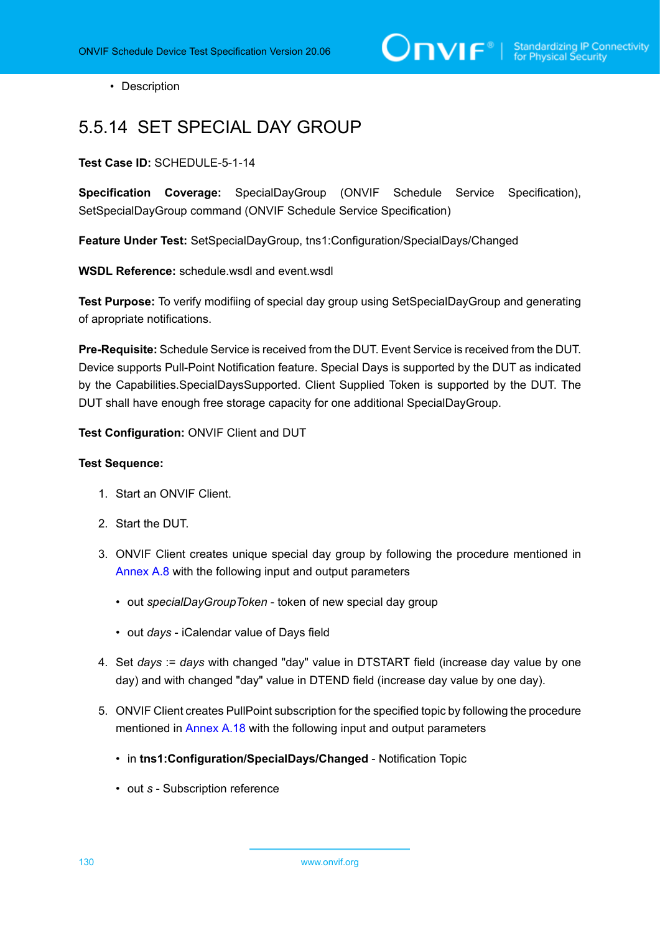• Description

# 5.5.14 SET SPECIAL DAY GROUP

**Test Case ID:** SCHEDULE-5-1-14

**Specification Coverage:** SpecialDayGroup (ONVIF Schedule Service Specification), SetSpecialDayGroup command (ONVIF Schedule Service Specification)

**Feature Under Test:** SetSpecialDayGroup, tns1:Configuration/SpecialDays/Changed

**WSDL Reference:** schedule.wsdl and event.wsdl

**Test Purpose:** To verify modifiing of special day group using SetSpecialDayGroup and generating of apropriate notifications.

**Pre-Requisite:** Schedule Service is received from the DUT. Event Service is received from the DUT. Device supports Pull-Point Notification feature. Special Days is supported by the DUT as indicated by the Capabilities.SpecialDaysSupported. Client Supplied Token is supported by the DUT. The DUT shall have enough free storage capacity for one additional SpecialDayGroup.

**Test Configuration:** ONVIF Client and DUT

#### **Test Sequence:**

- 1. Start an ONVIF Client.
- 2. Start the DUT.
- 3. ONVIF Client creates unique special day group by following the procedure mentioned in [Annex A.8](#page-160-0) with the following input and output parameters
	- out *specialDayGroupToken* token of new special day group
	- out *days* iCalendar value of Days field
- 4. Set *days* := *days* with changed "day" value in DTSTART field (increase day value by one day) and with changed "day" value in DTEND field (increase day value by one day).
- 5. ONVIF Client creates PullPoint subscription for the specified topic by following the procedure mentioned in [Annex A.18](#page-171-0) with the following input and output parameters
	- in **tns1:Configuration/SpecialDays/Changed** Notification Topic
	- out *s* Subscription reference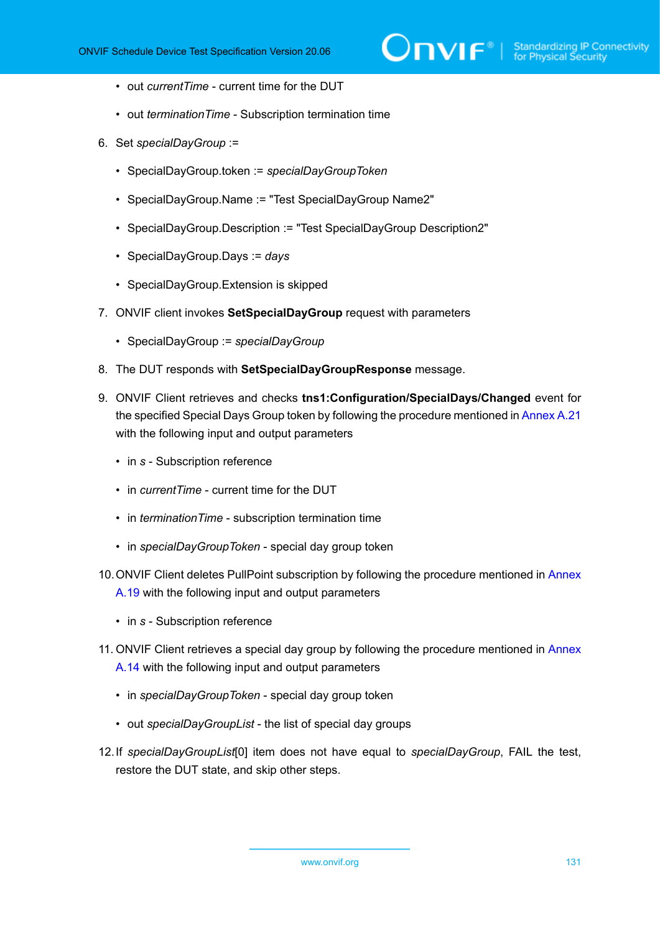- out *currentTime* current time for the DUT
- out *terminationTime* Subscription termination time
- 6. Set *specialDayGroup* :=
	- SpecialDayGroup.token := *specialDayGroupToken*
	- SpecialDayGroup.Name := "Test SpecialDayGroup Name2"
	- SpecialDayGroup.Description := "Test SpecialDayGroup Description2"
	- SpecialDayGroup.Days := *days*
	- SpecialDayGroup.Extension is skipped
- 7. ONVIF client invokes **SetSpecialDayGroup** request with parameters
	- SpecialDayGroup := *specialDayGroup*
- 8. The DUT responds with **SetSpecialDayGroupResponse** message.
- 9. ONVIF Client retrieves and checks **tns1:Configuration/SpecialDays/Changed** event for the specified Special Days Group token by following the procedure mentioned in [Annex A.21](#page-173-0) with the following input and output parameters
	- in *s* Subscription reference
	- in *currentTime* current time for the DUT
	- in *terminationTime* subscription termination time
	- in *specialDayGroupToken* special day group token
- 10. ONVIF Client deletes PullPoint subscription by following the procedure mentioned in [Annex](#page-172-0) [A.19](#page-172-0) with the following input and output parameters
	- in *s* Subscription reference
- 11. ONVIF Client retrieves a special day group by following the procedure mentioned in [Annex](#page-165-0) [A.14](#page-165-0) with the following input and output parameters
	- in *specialDayGroupToken* special day group token
	- out *specialDayGroupList* the list of special day groups
- <span id="page-130-0"></span>12.If *specialDayGroupList*[0] item does not have equal to *specialDayGroup*, FAIL the test, restore the DUT state, and skip other steps.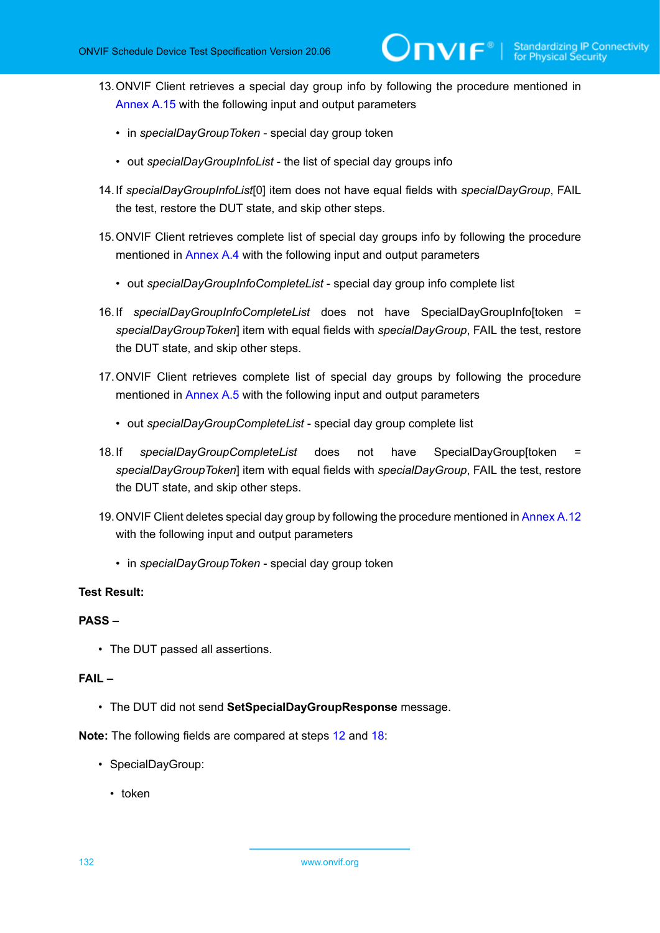- 13.ONVIF Client retrieves a special day group info by following the procedure mentioned in [Annex A.15](#page-166-0) with the following input and output parameters
	- in *specialDayGroupToken* special day group token
	- out *specialDayGroupInfoList* the list of special day groups info
- <span id="page-131-1"></span>14.If *specialDayGroupInfoList*[0] item does not have equal fields with *specialDayGroup*, FAIL the test, restore the DUT state, and skip other steps.
- 15.ONVIF Client retrieves complete list of special day groups info by following the procedure mentioned in [Annex A.4](#page-156-0) with the following input and output parameters
	- out *specialDayGroupInfoCompleteList* special day group info complete list
- <span id="page-131-2"></span>16.If *specialDayGroupInfoCompleteList* does not have SpecialDayGroupInfo[token = *specialDayGroupToken*] item with equal fields with *specialDayGroup*, FAIL the test, restore the DUT state, and skip other steps.
- 17.ONVIF Client retrieves complete list of special day groups by following the procedure mentioned in [Annex A.5](#page-158-0) with the following input and output parameters
	- out *specialDayGroupCompleteList* special day group complete list
- <span id="page-131-0"></span>18.If *specialDayGroupCompleteList* does not have SpecialDayGroup[token = *specialDayGroupToken*] item with equal fields with *specialDayGroup*, FAIL the test, restore the DUT state, and skip other steps.
- 19.ONVIF Client deletes special day group by following the procedure mentioned in [Annex A.12](#page-164-0) with the following input and output parameters
	- in *specialDayGroupToken* special day group token

## **Test Result:**

## **PASS –**

• The DUT passed all assertions.

## **FAIL –**

• The DUT did not send **SetSpecialDayGroupResponse** message.

**Note:** The following fields are compared at steps [12](#page-130-0) and [18:](#page-131-0)

- SpecialDayGroup:
	- token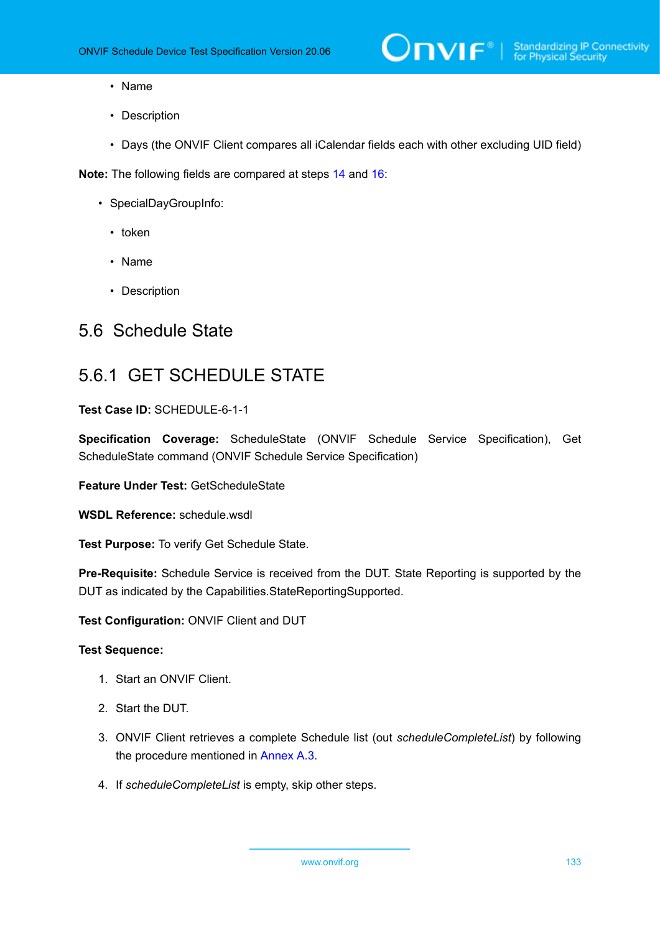- Name
- Description
- Days (the ONVIF Client compares all iCalendar fields each with other excluding UID field)

**Note:** The following fields are compared at steps [14](#page-131-1) and [16:](#page-131-2)

- SpecialDayGroupInfo:
	- token
	- Name
	- Description

# 5.6 Schedule State

# 5.6.1 GET SCHEDULE STATE

# **Test Case ID:** SCHEDULE-6-1-1

**Specification Coverage:** ScheduleState (ONVIF Schedule Service Specification), Get ScheduleState command (ONVIF Schedule Service Specification)

**Feature Under Test:** GetScheduleState

**WSDL Reference:** schedule.wsdl

**Test Purpose:** To verify Get Schedule State.

**Pre-Requisite:** Schedule Service is received from the DUT. State Reporting is supported by the DUT as indicated by the Capabilities.StateReportingSupported.

**Test Configuration:** ONVIF Client and DUT

- 1. Start an ONVIF Client.
- 2. Start the DUT.
- 3. ONVIF Client retrieves a complete Schedule list (out *scheduleCompleteList*) by following the procedure mentioned in [Annex A.3.](#page-155-1)
- 4. If *scheduleCompleteList* is empty, skip other steps.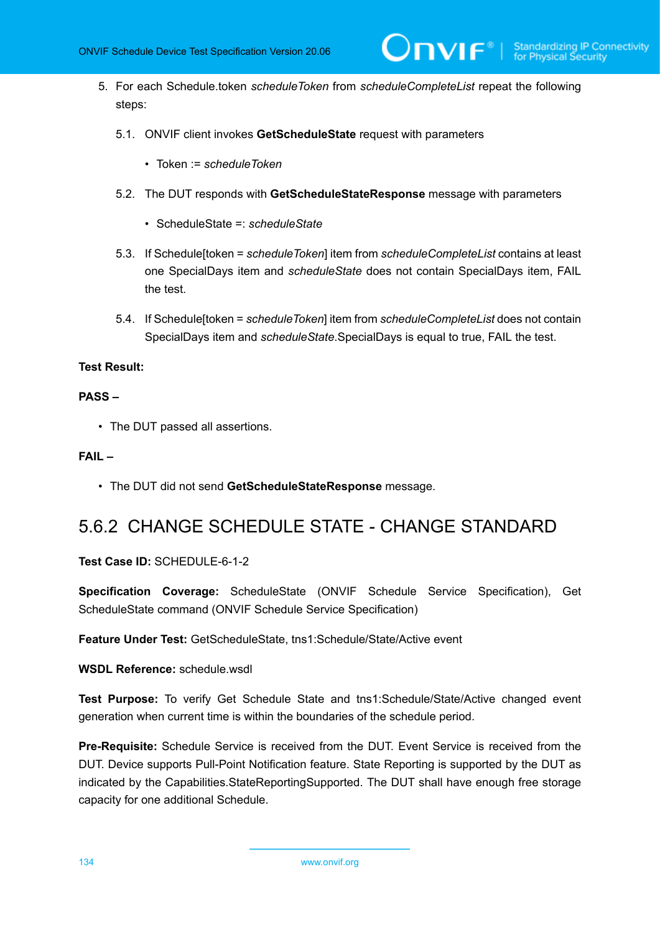5. For each Schedule.token *scheduleToken* from *scheduleCompleteList* repeat the following steps:

 $\bm{\mathsf{J}}$ nvif $^*$ l

- 5.1. ONVIF client invokes **GetScheduleState** request with parameters
	- Token := *scheduleToken*
- 5.2. The DUT responds with **GetScheduleStateResponse** message with parameters
	- ScheduleState =: *scheduleState*
- 5.3. If Schedule[token = *scheduleToken*] item from *scheduleCompleteList* contains at least one SpecialDays item and *scheduleState* does not contain SpecialDays item, FAIL the test.
- 5.4. If Schedule[token = *scheduleToken*] item from *scheduleCompleteList* does not contain SpecialDays item and *scheduleState*.SpecialDays is equal to true, FAIL the test.

#### **Test Result:**

### **PASS –**

• The DUT passed all assertions.

# **FAIL –**

• The DUT did not send **GetScheduleStateResponse** message.

# 5.6.2 CHANGE SCHEDULE STATE - CHANGE STANDARD

## **Test Case ID:** SCHEDULE-6-1-2

**Specification Coverage:** ScheduleState (ONVIF Schedule Service Specification), Get ScheduleState command (ONVIF Schedule Service Specification)

**Feature Under Test:** GetScheduleState, tns1:Schedule/State/Active event

**WSDL Reference:** schedule.wsdl

**Test Purpose:** To verify Get Schedule State and tns1:Schedule/State/Active changed event generation when current time is within the boundaries of the schedule period.

**Pre-Requisite:** Schedule Service is received from the DUT. Event Service is received from the DUT. Device supports Pull-Point Notification feature. State Reporting is supported by the DUT as indicated by the Capabilities.StateReportingSupported. The DUT shall have enough free storage capacity for one additional Schedule.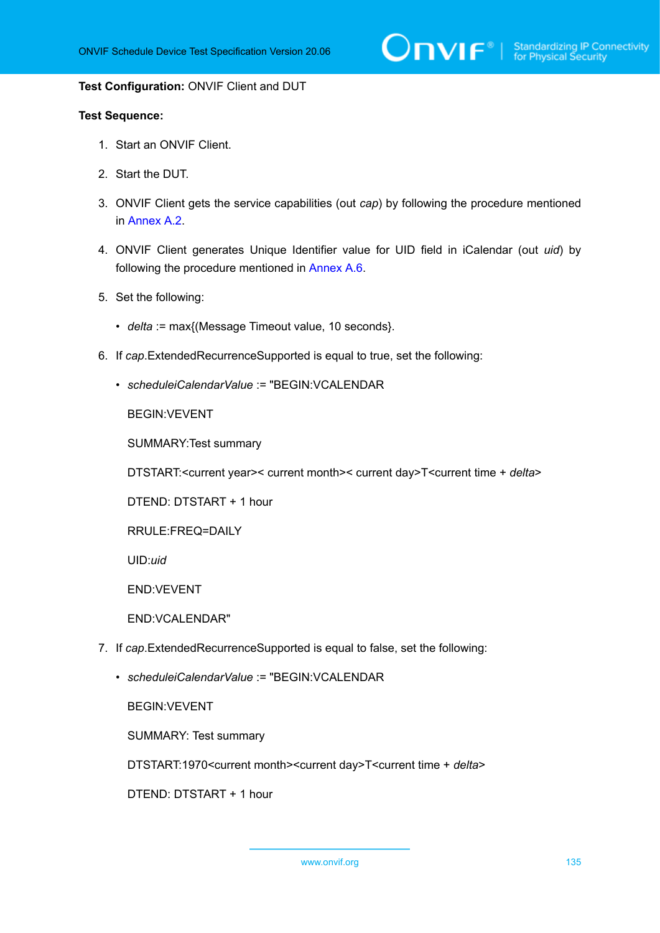#### **Test Configuration:** ONVIF Client and DUT

### **Test Sequence:**

- 1. Start an ONVIF Client.
- 2. Start the DUT.
- 3. ONVIF Client gets the service capabilities (out *cap*) by following the procedure mentioned in [Annex A.2.](#page-155-0)
- 4. ONVIF Client generates Unique Identifier value for UID field in iCalendar (out *uid*) by following the procedure mentioned in [Annex A.6](#page-159-0).
- 5. Set the following:
	- *delta* := max{(Message Timeout value, 10 seconds}.
- 6. If *cap*.ExtendedRecurrenceSupported is equal to true, set the following:
	- *scheduleiCalendarValue* := "BEGIN:VCALENDAR

BEGIN:VEVENT

SUMMARY:Test summary

DTSTART:<current year>< current month>< current day>T<current time + *delta*>

DTEND: DTSTART + 1 hour

RRULE:FREQ=DAILY

UID:*uid*

END:VEVENT

END:VCALENDAR"

- 7. If *cap*.ExtendedRecurrenceSupported is equal to false, set the following:
	- *scheduleiCalendarValue* := "BEGIN:VCALENDAR

BEGIN:VEVENT

SUMMARY: Test summary

DTSTART:1970<current month><current day>T<current time + *delta*>

DTEND: DTSTART + 1 hour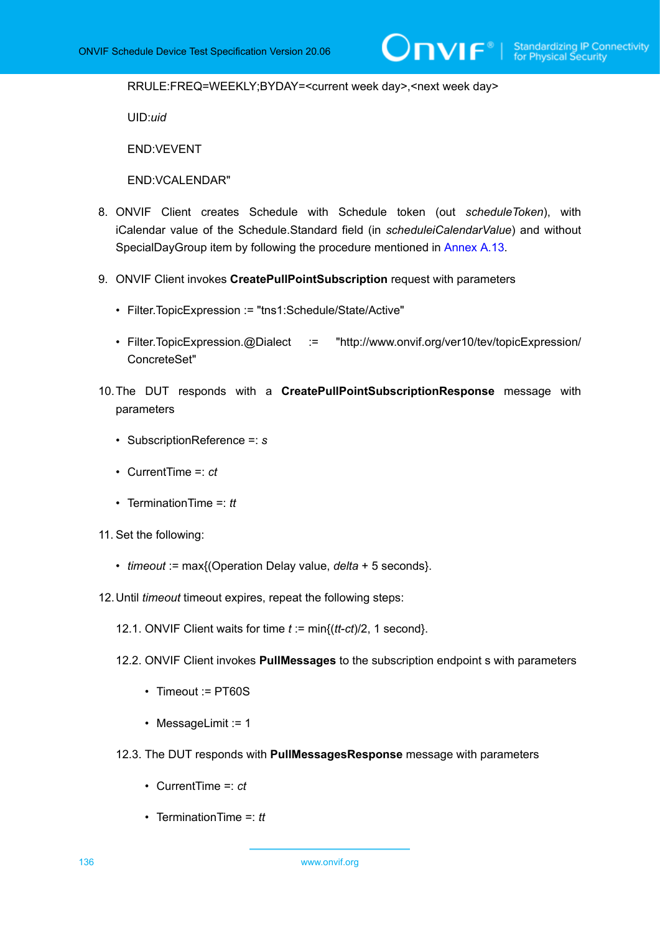RRULE:FREQ=WEEKLY;BYDAY=<current week day>,<next week day>

UID:*uid*

END:VEVENT

END:VCALENDAR"

- 8. ONVIF Client creates Schedule with Schedule token (out *scheduleToken*), with iCalendar value of the Schedule.Standard field (in *scheduleiCalendarValue*) and without SpecialDayGroup item by following the procedure mentioned in [Annex A.13](#page-164-1).
- 9. ONVIF Client invokes **CreatePullPointSubscription** request with parameters
	- Filter.TopicExpression := "tns1:Schedule/State/Active"
	- Filter.TopicExpression.@Dialect := "http://www.onvif.org/ver10/tev/topicExpression/ ConcreteSet"
- 10.The DUT responds with a **CreatePullPointSubscriptionResponse** message with parameters
	- SubscriptionReference =: *s*
	- CurrentTime =: *ct*
	- TerminationTime =: *tt*
- 11. Set the following:
	- *timeout* := max{(Operation Delay value, *delta* + 5 seconds}.
- 12.Until *timeout* timeout expires, repeat the following steps:
	- 12.1. ONVIF Client waits for time *t* := min{(*tt*-*ct*)/2, 1 second}.
	- 12.2. ONVIF Client invokes **PullMessages** to the subscription endpoint s with parameters
		- Timeout := PT60S
		- MessageLimit := 1
	- 12.3. The DUT responds with **PullMessagesResponse** message with parameters
		- CurrentTime =: *ct*
		- TerminationTime =: *tt*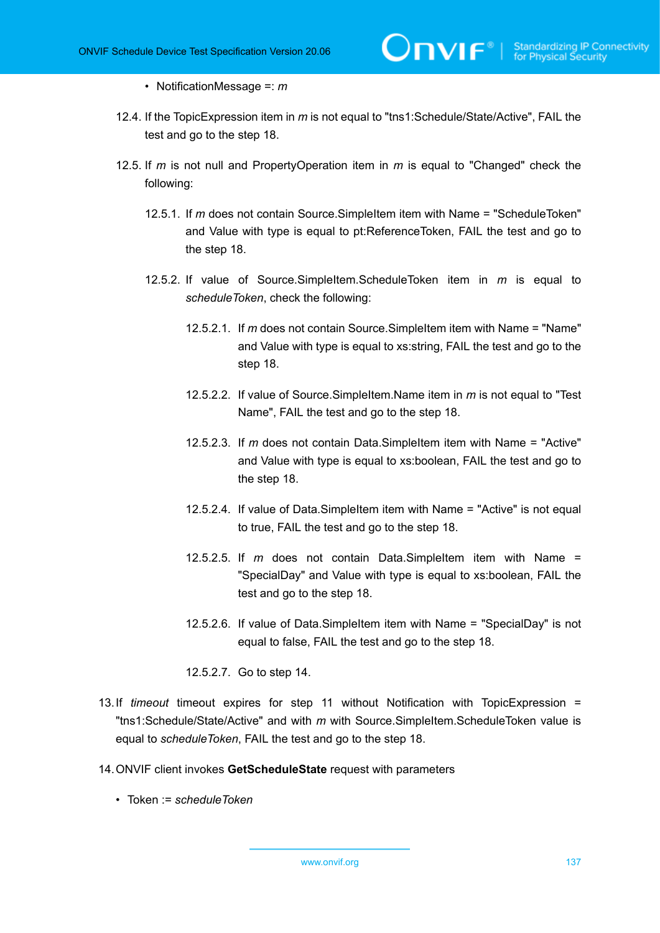- NotificationMessage =: *m*
- 12.4. If the TopicExpression item in *m* is not equal to "tns1:Schedule/State/Active", FAIL the test and go to the step 18.
- 12.5. If *m* is not null and PropertyOperation item in *m* is equal to "Changed" check the following:
	- 12.5.1. If *m* does not contain Source.SimpleItem item with Name = "ScheduleToken" and Value with type is equal to pt:ReferenceToken, FAIL the test and go to the step 18.
	- 12.5.2. If value of Source.SimpleItem.ScheduleToken item in *m* is equal to *scheduleToken*, check the following:
		- 12.5.2.1. If *m* does not contain Source.SimpleItem item with Name = "Name" and Value with type is equal to xs:string, FAIL the test and go to the step 18.
		- 12.5.2.2. If value of Source.SimpleItem.Name item in *m* is not equal to "Test Name", FAIL the test and go to the step 18.
		- 12.5.2.3. If *m* does not contain Data.SimpleItem item with Name = "Active" and Value with type is equal to xs:boolean, FAIL the test and go to the step 18.
		- 12.5.2.4. If value of Data.SimpleItem item with Name = "Active" is not equal to true, FAIL the test and go to the step 18.
		- 12.5.2.5. If *m* does not contain Data.SimpleItem item with Name = "SpecialDay" and Value with type is equal to xs:boolean, FAIL the test and go to the step 18.
		- 12.5.2.6. If value of Data.SimpleItem item with Name = "SpecialDay" is not equal to false, FAIL the test and go to the step 18.
		- 12.5.2.7. Go to step 14.
- 13.If *timeout* timeout expires for step 11 without Notification with TopicExpression = "tns1:Schedule/State/Active" and with *m* with Source.SimpleItem.ScheduleToken value is equal to *scheduleToken*, FAIL the test and go to the step 18.
- 14.ONVIF client invokes **GetScheduleState** request with parameters
	- Token := *scheduleToken*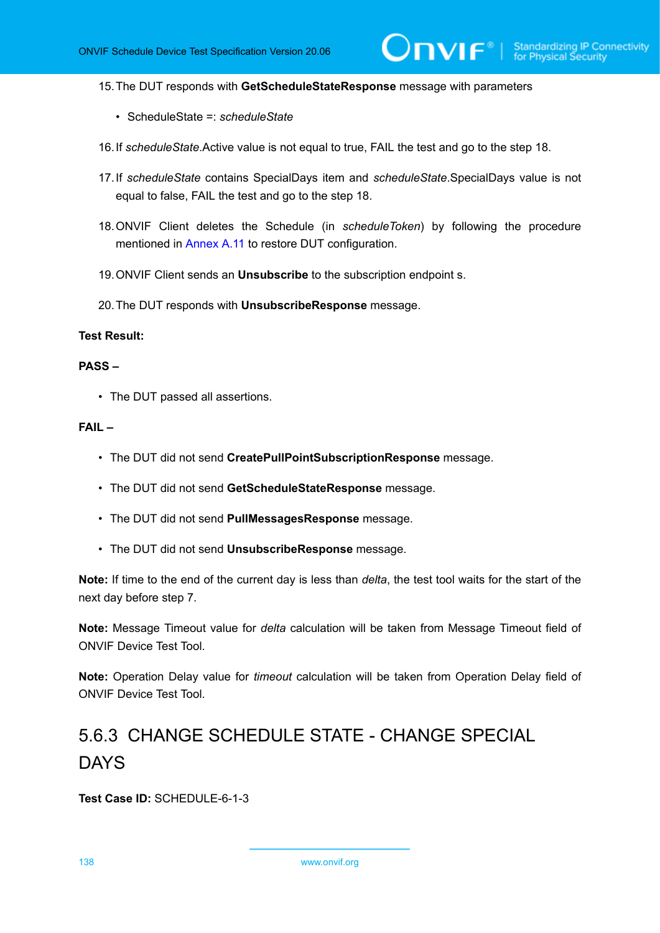$\mathsf{D}\mathbf{N}\mathsf{I}\mathsf{F}^\ast$ l

15.The DUT responds with **GetScheduleStateResponse** message with parameters

- ScheduleState =: *scheduleState*
- 16.If *scheduleState*.Active value is not equal to true, FAIL the test and go to the step 18.
- 17.If *scheduleState* contains SpecialDays item and *scheduleState*.SpecialDays value is not equal to false, FAIL the test and go to the step 18.
- 18.ONVIF Client deletes the Schedule (in *scheduleToken*) by following the procedure mentioned in [Annex](#page-163-0) A.11 to restore DUT configuration.
- 19.ONVIF Client sends an **Unsubscribe** to the subscription endpoint s.
- 20.The DUT responds with **UnsubscribeResponse** message.

# **Test Result:**

#### **PASS –**

• The DUT passed all assertions.

#### **FAIL –**

- The DUT did not send **CreatePullPointSubscriptionResponse** message.
- The DUT did not send **GetScheduleStateResponse** message.
- The DUT did not send **PullMessagesResponse** message.
- The DUT did not send **UnsubscribeResponse** message.

**Note:** If time to the end of the current day is less than *delta*, the test tool waits for the start of the next day before step 7.

**Note:** Message Timeout value for *delta* calculation will be taken from Message Timeout field of ONVIF Device Test Tool.

**Note:** Operation Delay value for *timeout* calculation will be taken from Operation Delay field of ONVIF Device Test Tool.

# 5.6.3 CHANGE SCHEDULE STATE - CHANGE SPECIAL DAYS

**Test Case ID:** SCHEDULE-6-1-3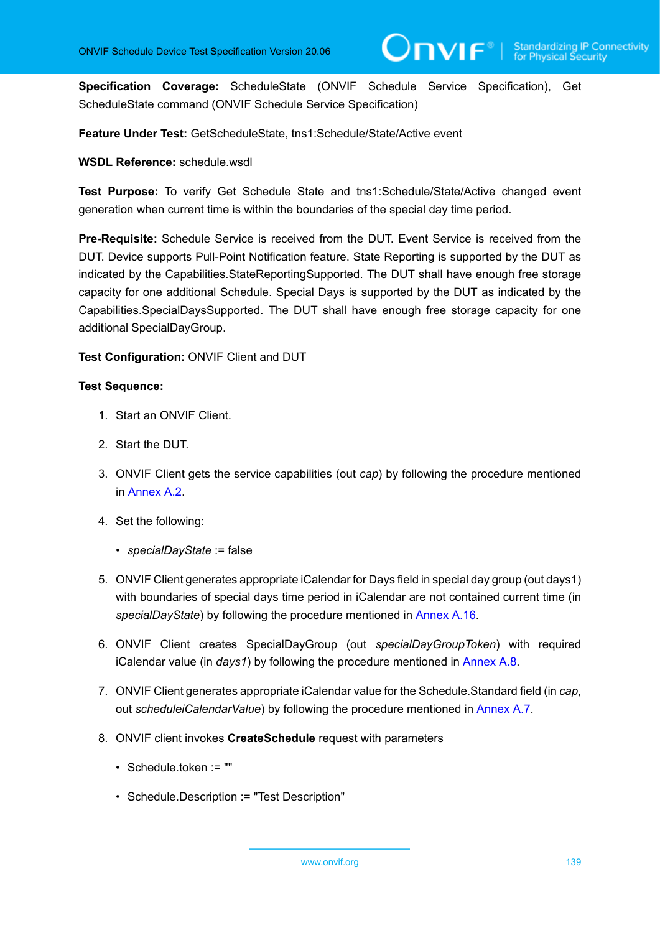**Specification Coverage:** ScheduleState (ONVIF Schedule Service Specification), Get ScheduleState command (ONVIF Schedule Service Specification)

**Feature Under Test:** GetScheduleState, tns1:Schedule/State/Active event

#### **WSDL Reference:** schedule.wsdl

**Test Purpose:** To verify Get Schedule State and tns1:Schedule/State/Active changed event generation when current time is within the boundaries of the special day time period.

**Pre-Requisite:** Schedule Service is received from the DUT. Event Service is received from the DUT. Device supports Pull-Point Notification feature. State Reporting is supported by the DUT as indicated by the Capabilities.StateReportingSupported. The DUT shall have enough free storage capacity for one additional Schedule. Special Days is supported by the DUT as indicated by the Capabilities.SpecialDaysSupported. The DUT shall have enough free storage capacity for one additional SpecialDayGroup.

**Test Configuration:** ONVIF Client and DUT

- 1. Start an ONVIF Client.
- 2. Start the DUT.
- 3. ONVIF Client gets the service capabilities (out *cap*) by following the procedure mentioned in [Annex A.2.](#page-155-0)
- 4. Set the following:
	- *specialDayState* := false
- 5. ONVIF Client generates appropriate iCalendar for Days field in special day group (out days1) with boundaries of special days time period in iCalendar are not contained current time (in *specialDayState*) by following the procedure mentioned in [Annex A.16](#page-167-0).
- 6. ONVIF Client creates SpecialDayGroup (out *specialDayGroupToken*) with required iCalendar value (in *days1*) by following the procedure mentioned in [Annex A.8](#page-160-0).
- 7. ONVIF Client generates appropriate iCalendar value for the Schedule.Standard field (in *cap*, out *scheduleiCalendarValue*) by following the procedure mentioned in [Annex A.7.](#page-159-1)
- 8. ONVIF client invokes **CreateSchedule** request with parameters
	- Schedule.token := ""
	- Schedule.Description := "Test Description"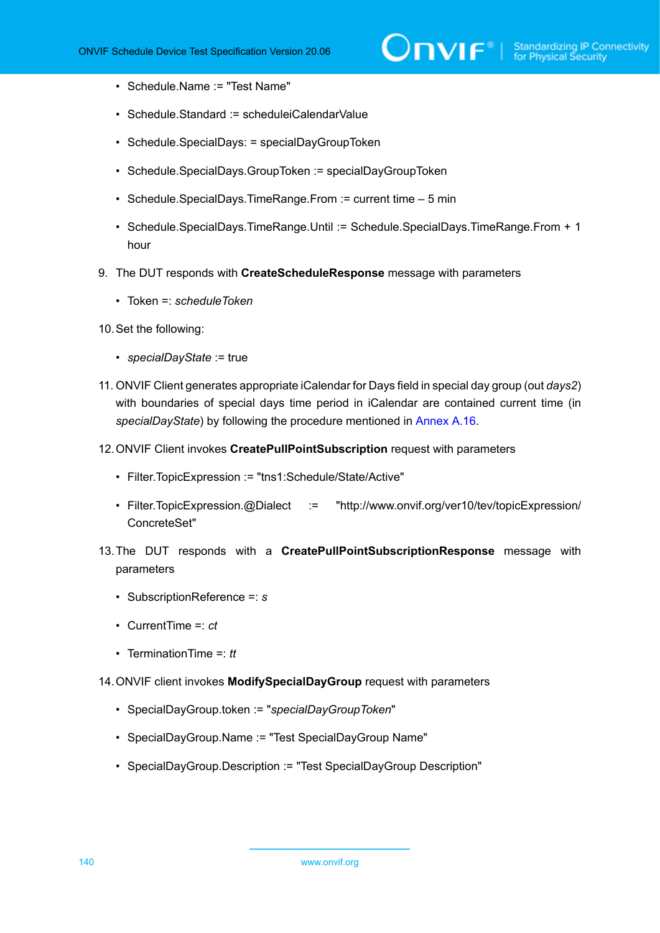- Schedule.Name := "Test Name"
- Schedule.Standard := scheduleiCalendarValue
- Schedule.SpecialDays: = specialDayGroupToken
- Schedule.SpecialDays.GroupToken := specialDayGroupToken
- Schedule.SpecialDays.TimeRange.From := current time 5 min
- Schedule.SpecialDays.TimeRange.Until := Schedule.SpecialDays.TimeRange.From + 1 hour
- 9. The DUT responds with **CreateScheduleResponse** message with parameters
	- Token =: *scheduleToken*
- 10.Set the following:
	- *specialDayState* := true
- 11. ONVIF Client generates appropriate iCalendar for Days field in special day group (out *days2*) with boundaries of special days time period in iCalendar are contained current time (in *specialDayState*) by following the procedure mentioned in [Annex A.16](#page-167-0).
- 12.ONVIF Client invokes **CreatePullPointSubscription** request with parameters
	- Filter.TopicExpression := "tns1:Schedule/State/Active"
	- Filter.TopicExpression.@Dialect := "http://www.onvif.org/ver10/tev/topicExpression/ ConcreteSet"
- 13.The DUT responds with a **CreatePullPointSubscriptionResponse** message with parameters
	- SubscriptionReference =: *s*
	- CurrentTime =: *ct*
	- TerminationTime =: *tt*
- 14.ONVIF client invokes **ModifySpecialDayGroup** request with parameters
	- SpecialDayGroup.token := "*specialDayGroupToken*"
	- SpecialDayGroup.Name := "Test SpecialDayGroup Name"
	- SpecialDayGroup.Description := "Test SpecialDayGroup Description"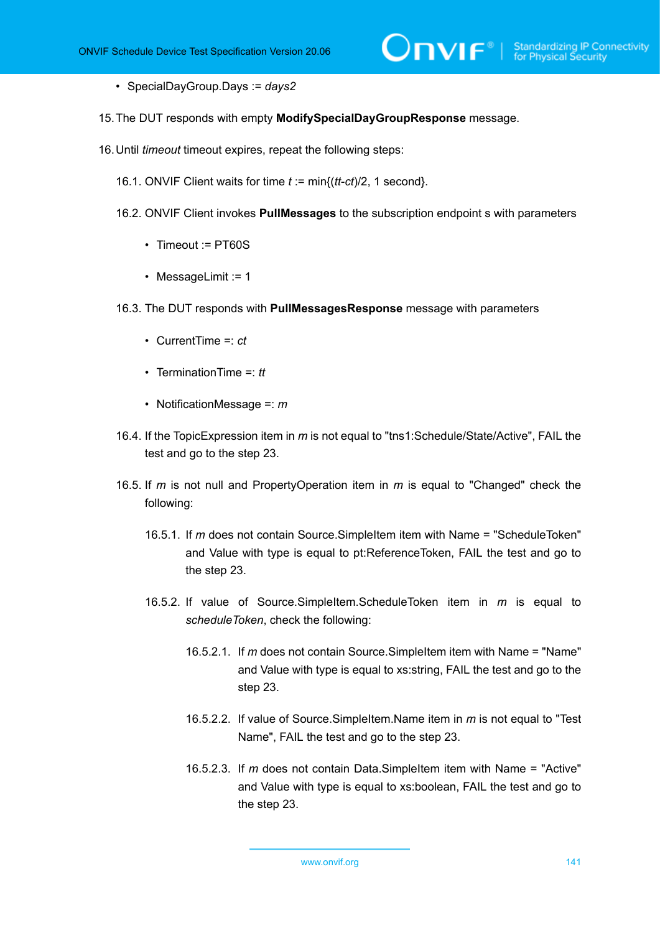- SpecialDayGroup.Days := *days2*
- 15.The DUT responds with empty **ModifySpecialDayGroupResponse** message.
- 16.Until *timeout* timeout expires, repeat the following steps:
	- 16.1. ONVIF Client waits for time *t* := min{(*tt*-*ct*)/2, 1 second}.
	- 16.2. ONVIF Client invokes **PullMessages** to the subscription endpoint s with parameters
		- Timeout := PT60S
		- MessageLimit := 1
	- 16.3. The DUT responds with **PullMessagesResponse** message with parameters
		- CurrentTime =: *ct*
		- TerminationTime =: *tt*
		- NotificationMessage =: *m*
	- 16.4. If the TopicExpression item in *m* is not equal to "tns1:Schedule/State/Active", FAIL the test and go to the step 23.
	- 16.5. If *m* is not null and PropertyOperation item in *m* is equal to "Changed" check the following:
		- 16.5.1. If *m* does not contain Source.SimpleItem item with Name = "ScheduleToken" and Value with type is equal to pt:ReferenceToken, FAIL the test and go to the step 23.
		- 16.5.2. If value of Source.SimpleItem.ScheduleToken item in *m* is equal to *scheduleToken*, check the following:
			- 16.5.2.1. If *m* does not contain Source.SimpleItem item with Name = "Name" and Value with type is equal to xs:string, FAIL the test and go to the step 23.
			- 16.5.2.2. If value of Source.SimpleItem.Name item in *m* is not equal to "Test Name", FAIL the test and go to the step 23.
			- 16.5.2.3. If *m* does not contain Data.SimpleItem item with Name = "Active" and Value with type is equal to xs:boolean, FAIL the test and go to the step 23.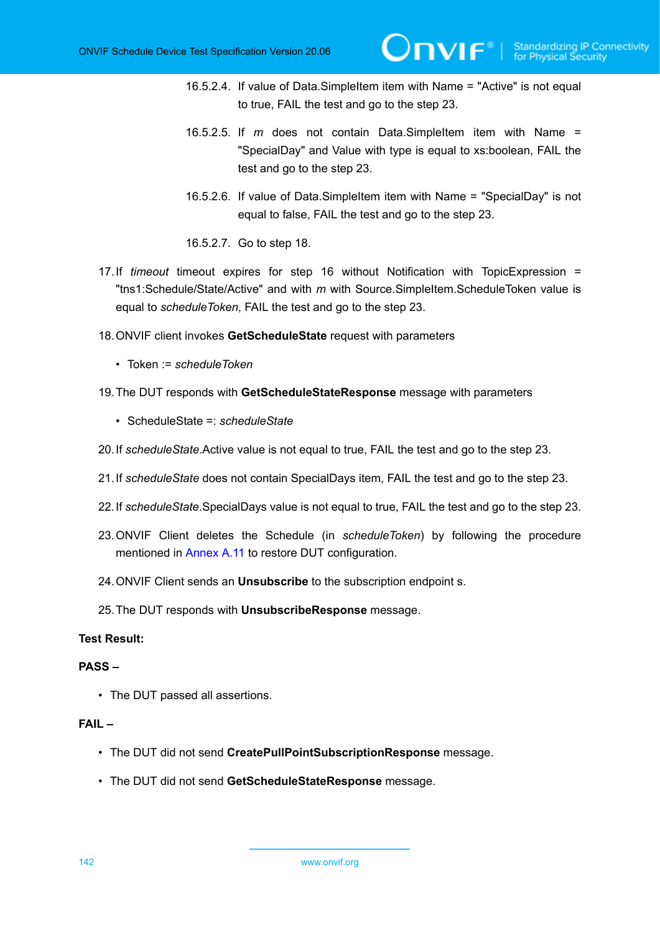- 16.5.2.4. If value of Data.SimpleItem item with Name = "Active" is not equal to true, FAIL the test and go to the step 23.
- 16.5.2.5. If *m* does not contain Data.SimpleItem item with Name = "SpecialDay" and Value with type is equal to xs:boolean, FAIL the test and go to the step 23.
- 16.5.2.6. If value of Data.SimpleItem item with Name = "SpecialDay" is not equal to false, FAIL the test and go to the step 23.
- 16.5.2.7. Go to step 18.
- 17.If *timeout* timeout expires for step 16 without Notification with TopicExpression = "tns1:Schedule/State/Active" and with *m* with Source.SimpleItem.ScheduleToken value is equal to *scheduleToken*, FAIL the test and go to the step 23.
- 18.ONVIF client invokes **GetScheduleState** request with parameters
	- Token := *scheduleToken*
- 19.The DUT responds with **GetScheduleStateResponse** message with parameters
	- ScheduleState =: *scheduleState*
- 20.If *scheduleState*.Active value is not equal to true, FAIL the test and go to the step 23.
- 21.If *scheduleState* does not contain SpecialDays item, FAIL the test and go to the step 23.
- 22.If *scheduleState*.SpecialDays value is not equal to true, FAIL the test and go to the step 23.
- 23.ONVIF Client deletes the Schedule (in *scheduleToken*) by following the procedure mentioned in [Annex](#page-163-0) A.11 to restore DUT configuration.
- 24.ONVIF Client sends an **Unsubscribe** to the subscription endpoint s.
- 25.The DUT responds with **UnsubscribeResponse** message.

# **Test Result:**

#### **PASS –**

• The DUT passed all assertions.

# **FAIL –**

- The DUT did not send **CreatePullPointSubscriptionResponse** message.
- The DUT did not send **GetScheduleStateResponse** message.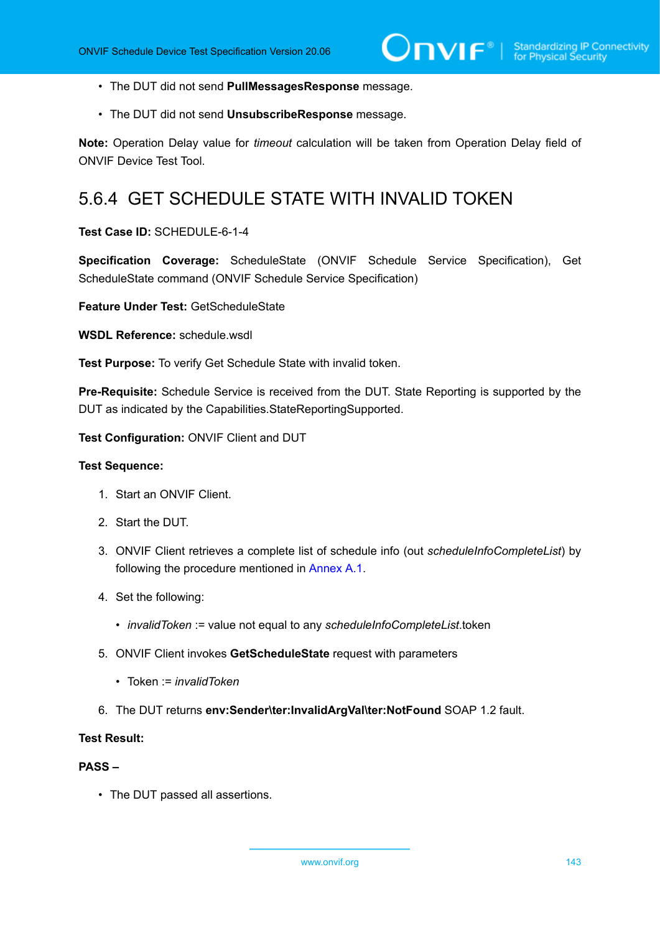- The DUT did not send **PullMessagesResponse** message.
- The DUT did not send **UnsubscribeResponse** message.

**Note:** Operation Delay value for *timeout* calculation will be taken from Operation Delay field of ONVIF Device Test Tool.

# 5.6.4 GET SCHEDULE STATE WITH INVALID TOKEN

## **Test Case ID:** SCHEDULE-6-1-4

**Specification Coverage:** ScheduleState (ONVIF Schedule Service Specification), Get ScheduleState command (ONVIF Schedule Service Specification)

**Feature Under Test:** GetScheduleState

**WSDL Reference:** schedule.wsdl

**Test Purpose:** To verify Get Schedule State with invalid token.

**Pre-Requisite:** Schedule Service is received from the DUT. State Reporting is supported by the DUT as indicated by the Capabilities.StateReportingSupported.

**Test Configuration:** ONVIF Client and DUT

#### **Test Sequence:**

- 1. Start an ONVIF Client.
- 2. Start the DUT.
- 3. ONVIF Client retrieves a complete list of schedule info (out *scheduleInfoCompleteList*) by following the procedure mentioned in [Annex A.1](#page-154-0).
- 4. Set the following:
	- *invalidToken* := value not equal to any *scheduleInfoCompleteList*.token
- 5. ONVIF Client invokes **GetScheduleState** request with parameters
	- Token := *invalidToken*
- 6. The DUT returns **env:Sender\ter:InvalidArgVal\ter:NotFound** SOAP 1.2 fault.

#### **Test Result:**

#### **PASS –**

• The DUT passed all assertions.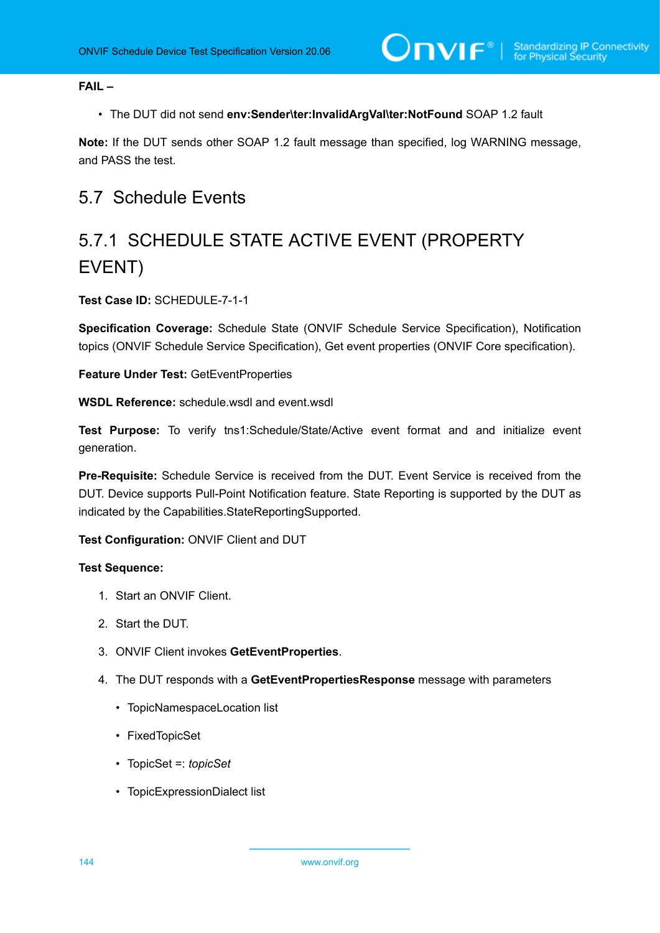**FAIL –**

• The DUT did not send **env:Sender\ter:InvalidArgVal\ter:NotFound** SOAP 1.2 fault

**Note:** If the DUT sends other SOAP 1.2 fault message than specified, log WARNING message, and PASS the test.

# 5.7 Schedule Events

# 5.7.1 SCHEDULE STATE ACTIVE EVENT (PROPERTY EVENT)

# **Test Case ID:** SCHEDULE-7-1-1

**Specification Coverage:** Schedule State (ONVIF Schedule Service Specification), Notification topics (ONVIF Schedule Service Specification), Get event properties (ONVIF Core specification).

**Feature Under Test:** GetEventProperties

**WSDL Reference:** schedule.wsdl and event.wsdl

**Test Purpose:** To verify tns1:Schedule/State/Active event format and and initialize event generation.

**Pre-Requisite:** Schedule Service is received from the DUT. Event Service is received from the DUT. Device supports Pull-Point Notification feature. State Reporting is supported by the DUT as indicated by the Capabilities.StateReportingSupported.

# **Test Configuration:** ONVIF Client and DUT

- 1. Start an ONVIF Client.
- 2. Start the DUT.
- 3. ONVIF Client invokes **GetEventProperties**.
- 4. The DUT responds with a **GetEventPropertiesResponse** message with parameters
	- TopicNamespaceLocation list
	- FixedTopicSet
	- TopicSet =: *topicSet*
	- TopicExpressionDialect list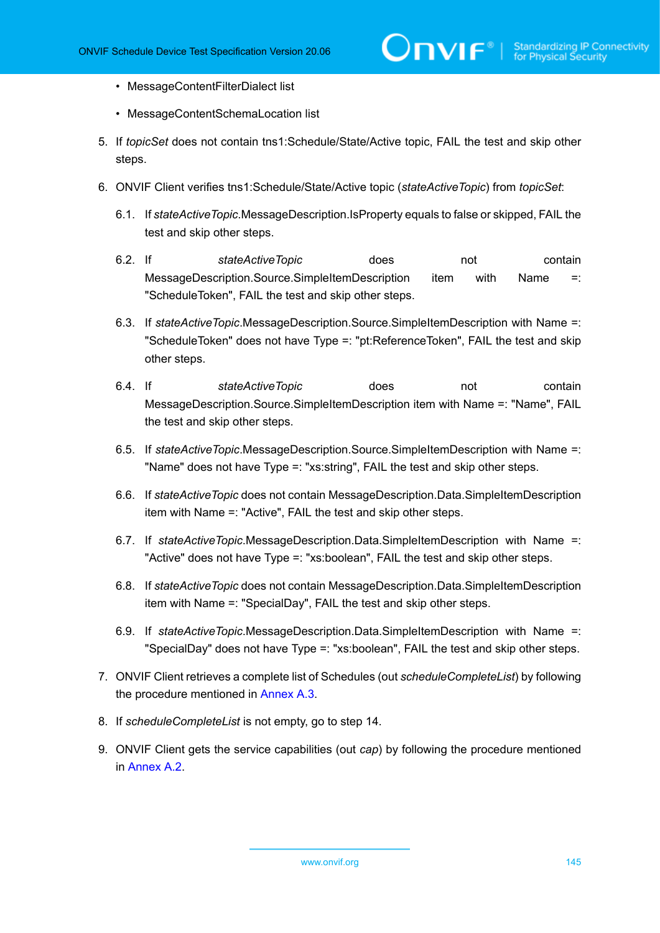- MessageContentFilterDialect list
- MessageContentSchemaLocation list
- 5. If *topicSet* does not contain tns1:Schedule/State/Active topic, FAIL the test and skip other steps.
- 6. ONVIF Client verifies tns1:Schedule/State/Active topic (*stateActiveTopic*) from *topicSet*:
	- 6.1. If *stateActiveTopic*.MessageDescription.IsProperty equals to false or skipped, FAIL the test and skip other steps.
	- 6.2. If *stateActiveTopic* does not contain MessageDescription.Source.SimpleItemDescription item with Name =: "ScheduleToken", FAIL the test and skip other steps.
	- 6.3. If *stateActiveTopic*.MessageDescription.Source.SimpleItemDescription with Name =: "ScheduleToken" does not have Type =: "pt:ReferenceToken", FAIL the test and skip other steps.
	- 6.4. If *stateActiveTopic* does not contain MessageDescription.Source.SimpleItemDescription item with Name =: "Name", FAIL the test and skip other steps.
	- 6.5. If *stateActiveTopic*.MessageDescription.Source.SimpleItemDescription with Name =: "Name" does not have Type =: "xs:string", FAIL the test and skip other steps.
	- 6.6. If *stateActiveTopic* does not contain MessageDescription.Data.SimpleItemDescription item with Name =: "Active", FAIL the test and skip other steps.
	- 6.7. If *stateActiveTopic*.MessageDescription.Data.SimpleItemDescription with Name =: "Active" does not have Type =: "xs:boolean", FAIL the test and skip other steps.
	- 6.8. If *stateActiveTopic* does not contain MessageDescription.Data.SimpleItemDescription item with Name =: "SpecialDay", FAIL the test and skip other steps.
	- 6.9. If *stateActiveTopic*.MessageDescription.Data.SimpleItemDescription with Name =: "SpecialDay" does not have Type =: "xs:boolean", FAIL the test and skip other steps.
- 7. ONVIF Client retrieves a complete list of Schedules (out *scheduleCompleteList*) by following the procedure mentioned in [Annex A.3.](#page-155-0)
- 8. If *scheduleCompleteList* is not empty, go to step 14.
- 9. ONVIF Client gets the service capabilities (out *cap*) by following the procedure mentioned in [Annex A.2.](#page-155-1)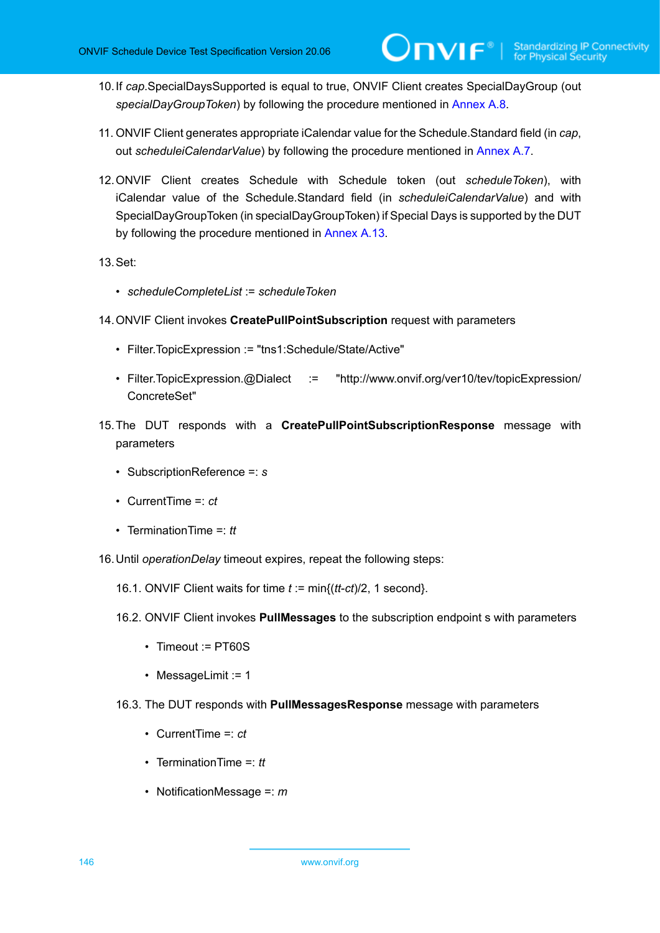- 10.If *cap*.SpecialDaysSupported is equal to true, ONVIF Client creates SpecialDayGroup (out *specialDayGroupToken*) by following the procedure mentioned in [Annex A.8](#page-160-0).
- 11. ONVIF Client generates appropriate iCalendar value for the Schedule.Standard field (in *cap*, out *scheduleiCalendarValue*) by following the procedure mentioned in [Annex A.7.](#page-159-0)
- 12.ONVIF Client creates Schedule with Schedule token (out *scheduleToken*), with iCalendar value of the Schedule.Standard field (in *scheduleiCalendarValue*) and with SpecialDayGroupToken (in specialDayGroupToken) if Special Days is supported by the DUT by following the procedure mentioned in [Annex A.13](#page-164-0).

13.Set:

- *scheduleCompleteList* := *scheduleToken*
- 14.ONVIF Client invokes **CreatePullPointSubscription** request with parameters
	- Filter.TopicExpression := "tns1:Schedule/State/Active"
	- Filter.TopicExpression.@Dialect := "http://www.onvif.org/ver10/tev/topicExpression/ ConcreteSet"
- 15.The DUT responds with a **CreatePullPointSubscriptionResponse** message with parameters
	- SubscriptionReference =: *s*
	- CurrentTime =: *ct*
	- TerminationTime =: *tt*
- 16.Until *operationDelay* timeout expires, repeat the following steps:
	- 16.1. ONVIF Client waits for time *t* := min{(*tt*-*ct*)/2, 1 second}.
	- 16.2. ONVIF Client invokes **PullMessages** to the subscription endpoint s with parameters
		- Timeout := PT60S
		- MessageLimit := 1
	- 16.3. The DUT responds with **PullMessagesResponse** message with parameters
		- CurrentTime =: *ct*
		- TerminationTime =: *tt*
		- NotificationMessage =: *m*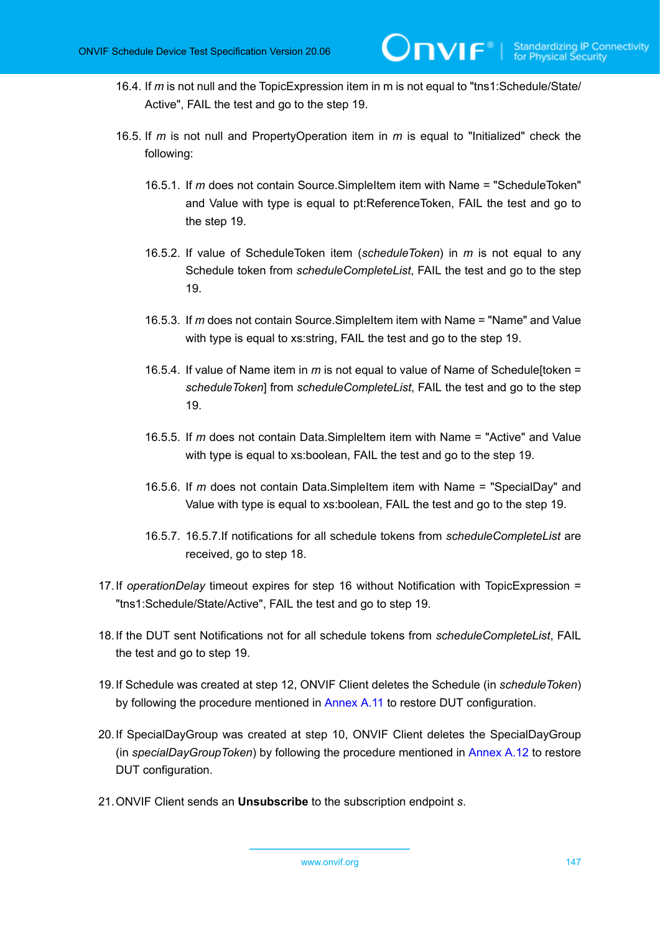- 16.4. If *m* is not null and the TopicExpression item in m is not equal to "tns1:Schedule/State/ Active", FAIL the test and go to the step 19.
- 16.5. If *m* is not null and PropertyOperation item in *m* is equal to "Initialized" check the following:
	- 16.5.1. If *m* does not contain Source.SimpleItem item with Name = "ScheduleToken" and Value with type is equal to pt:ReferenceToken, FAIL the test and go to the step 19.
	- 16.5.2. If value of ScheduleToken item (*scheduleToken*) in *m* is not equal to any Schedule token from *scheduleCompleteList*, FAIL the test and go to the step 19.
	- 16.5.3. If *m* does not contain Source.SimpleItem item with Name = "Name" and Value with type is equal to xs:string, FAIL the test and go to the step 19.
	- 16.5.4. If value of Name item in *m* is not equal to value of Name of Schedule[token = *scheduleToken*] from *scheduleCompleteList*, FAIL the test and go to the step 19.
	- 16.5.5. If *m* does not contain Data.SimpleItem item with Name = "Active" and Value with type is equal to xs:boolean, FAIL the test and go to the step 19.
	- 16.5.6. If *m* does not contain Data.SimpleItem item with Name = "SpecialDay" and Value with type is equal to xs:boolean, FAIL the test and go to the step 19.
	- 16.5.7. 16.5.7.If notifications for all schedule tokens from *scheduleCompleteList* are received, go to step 18.
- 17.If *operationDelay* timeout expires for step 16 without Notification with TopicExpression = "tns1:Schedule/State/Active", FAIL the test and go to step 19.
- 18.If the DUT sent Notifications not for all schedule tokens from *scheduleCompleteList*, FAIL the test and go to step 19.
- 19.If Schedule was created at step 12, ONVIF Client deletes the Schedule (in *scheduleToken*) by following the procedure mentioned in [Annex](#page-163-0) A.11 to restore DUT configuration.
- 20.If SpecialDayGroup was created at step 10, ONVIF Client deletes the SpecialDayGroup (in *specialDayGroupToken*) by following the procedure mentioned in [Annex A.12](#page-164-1) to restore DUT configuration.
- 21.ONVIF Client sends an **Unsubscribe** to the subscription endpoint *s*.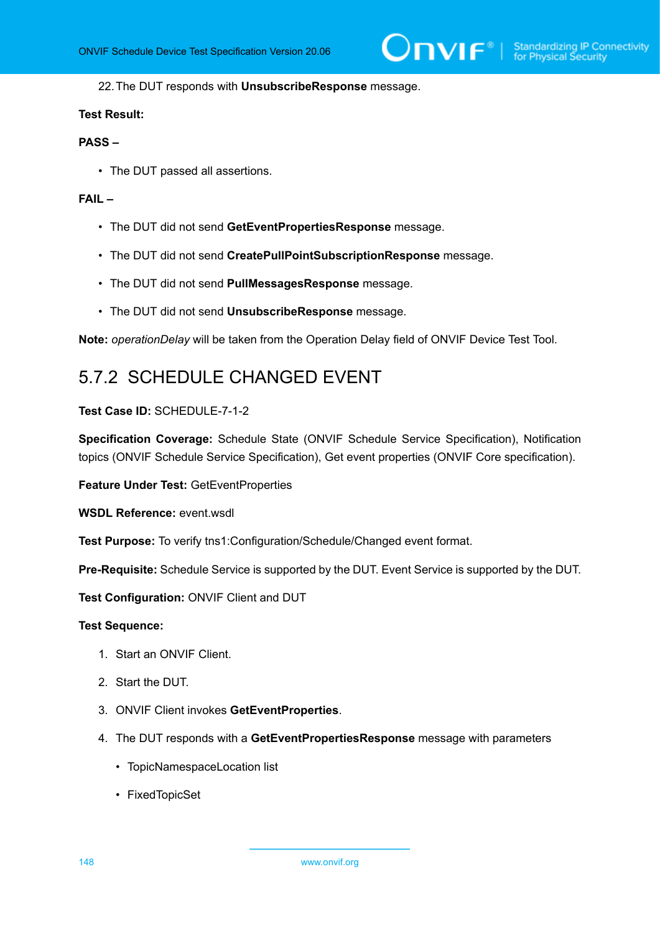### 22.The DUT responds with **UnsubscribeResponse** message.

## **Test Result:**

## **PASS –**

• The DUT passed all assertions.

### **FAIL –**

- The DUT did not send **GetEventPropertiesResponse** message.
- The DUT did not send **CreatePullPointSubscriptionResponse** message.
- The DUT did not send **PullMessagesResponse** message.
- The DUT did not send **UnsubscribeResponse** message.

**Note:** *operationDelay* will be taken from the Operation Delay field of ONVIF Device Test Tool.

## 5.7.2 SCHEDULE CHANGED EVENT

## **Test Case ID:** SCHEDULE-7-1-2

**Specification Coverage:** Schedule State (ONVIF Schedule Service Specification), Notification topics (ONVIF Schedule Service Specification), Get event properties (ONVIF Core specification).

**Feature Under Test:** GetEventProperties

**WSDL Reference:** event.wsdl

**Test Purpose:** To verify tns1:Configuration/Schedule/Changed event format.

**Pre-Requisite:** Schedule Service is supported by the DUT. Event Service is supported by the DUT.

**Test Configuration:** ONVIF Client and DUT

## **Test Sequence:**

- 1. Start an ONVIF Client.
- 2. Start the DUT.
- 3. ONVIF Client invokes **GetEventProperties**.
- 4. The DUT responds with a **GetEventPropertiesResponse** message with parameters
	- TopicNamespaceLocation list
	- FixedTopicSet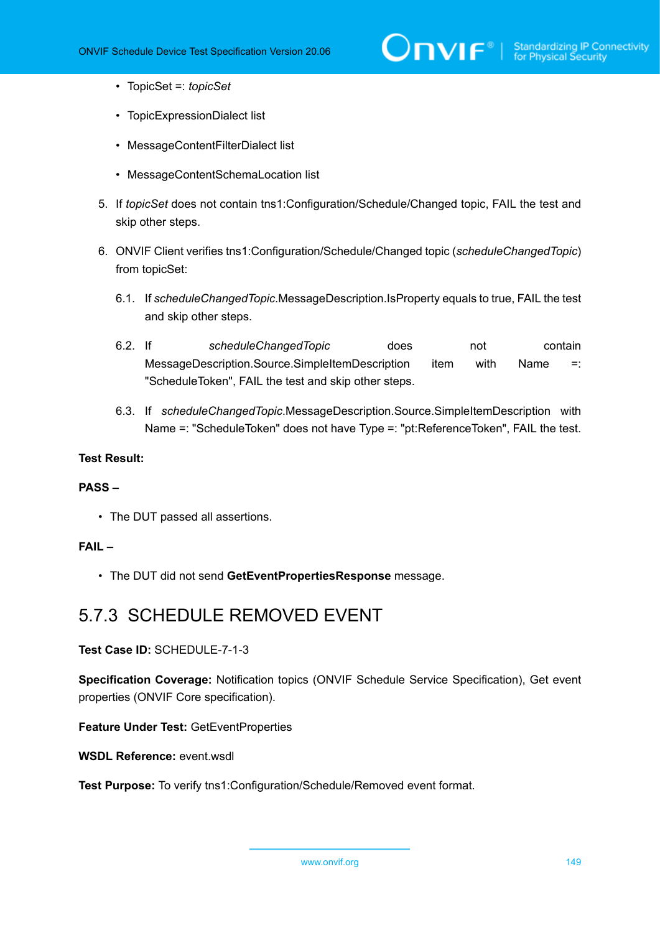# $\sum_{i} \prod_{j} \big\{ \big\}^{\mathbb{R}} \big| \sum_{i}^{\mathbb{S}}$  Standardizing IP Connectivity

- TopicSet =: *topicSet*
- TopicExpressionDialect list
- MessageContentFilterDialect list
- MessageContentSchemaLocation list
- 5. If *topicSet* does not contain tns1:Configuration/Schedule/Changed topic, FAIL the test and skip other steps.
- 6. ONVIF Client verifies tns1:Configuration/Schedule/Changed topic (*scheduleChangedTopic*) from topicSet:
	- 6.1. If *scheduleChangedTopic*.MessageDescription.IsProperty equals to true, FAIL the test and skip other steps.
	- 6.2. If *scheduleChangedTopic* does not contain MessageDescription.Source.SimpleItemDescription item with Name =: "ScheduleToken", FAIL the test and skip other steps.
	- 6.3. If *scheduleChangedTopic*.MessageDescription.Source.SimpleItemDescription with Name =: "ScheduleToken" does not have Type =: "pt:ReferenceToken", FAIL the test.

## **Test Result:**

## **PASS –**

• The DUT passed all assertions.

## **FAIL –**

• The DUT did not send **GetEventPropertiesResponse** message.

## 5.7.3 SCHEDULE REMOVED EVENT

**Test Case ID:** SCHEDULE-7-1-3

**Specification Coverage:** Notification topics (ONVIF Schedule Service Specification), Get event properties (ONVIF Core specification).

**Feature Under Test:** GetEventProperties

**WSDL Reference:** event.wsdl

**Test Purpose:** To verify tns1:Configuration/Schedule/Removed event format.

www.onvif.org 149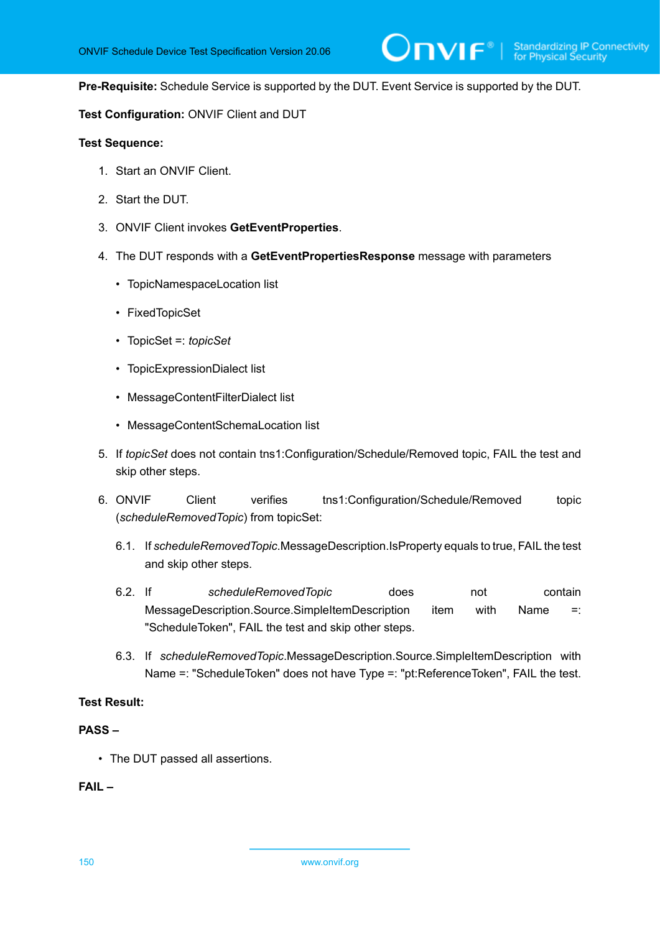**Pre-Requisite:** Schedule Service is supported by the DUT. Event Service is supported by the DUT.

 $\mathsf{D}\mathbf{N}\mathsf{I}\mathsf{F}^\ast$  :

### **Test Configuration:** ONVIF Client and DUT

#### **Test Sequence:**

- 1. Start an ONVIF Client.
- 2. Start the DUT.
- 3. ONVIF Client invokes **GetEventProperties**.
- 4. The DUT responds with a **GetEventPropertiesResponse** message with parameters
	- TopicNamespaceLocation list
	- FixedTopicSet
	- TopicSet =: *topicSet*
	- TopicExpressionDialect list
	- MessageContentFilterDialect list
	- MessageContentSchemaLocation list
- 5. If *topicSet* does not contain tns1:Configuration/Schedule/Removed topic, FAIL the test and skip other steps.
- 6. ONVIF Client verifies tns1:Configuration/Schedule/Removed topic (*scheduleRemovedTopic*) from topicSet:
	- 6.1. If *scheduleRemovedTopic*.MessageDescription.IsProperty equals to true, FAIL the test and skip other steps.
	- 6.2. If *scheduleRemovedTopic* does not contain MessageDescription.Source.SimpleItemDescription item with Name =: "ScheduleToken", FAIL the test and skip other steps.
	- 6.3. If *scheduleRemovedTopic*.MessageDescription.Source.SimpleItemDescription with Name =: "ScheduleToken" does not have Type =: "pt:ReferenceToken", FAIL the test.

#### **Test Result:**

## **PASS –**

• The DUT passed all assertions.

#### **FAIL –**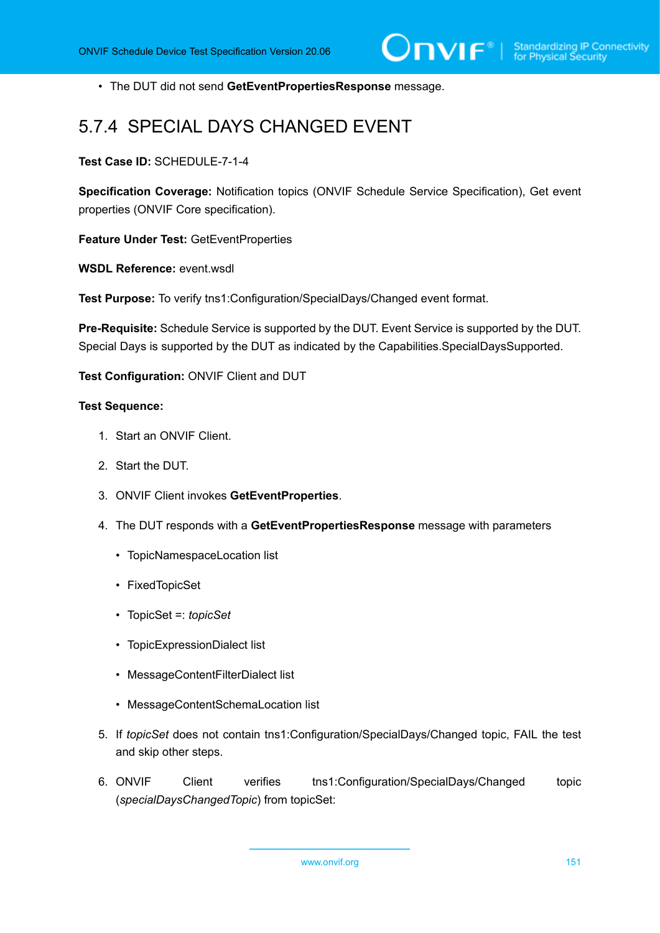• The DUT did not send **GetEventPropertiesResponse** message.

## 5.7.4 SPECIAL DAYS CHANGED EVENT

**Test Case ID:** SCHEDULE-7-1-4

**Specification Coverage:** Notification topics (ONVIF Schedule Service Specification), Get event properties (ONVIF Core specification).

**Feature Under Test:** GetEventProperties

**WSDL Reference:** event.wsdl

**Test Purpose:** To verify tns1:Configuration/SpecialDays/Changed event format.

**Pre-Requisite:** Schedule Service is supported by the DUT. Event Service is supported by the DUT. Special Days is supported by the DUT as indicated by the Capabilities.SpecialDaysSupported.

**Test Configuration:** ONVIF Client and DUT

## **Test Sequence:**

- 1. Start an ONVIF Client.
- 2. Start the DUT.
- 3. ONVIF Client invokes **GetEventProperties**.
- 4. The DUT responds with a **GetEventPropertiesResponse** message with parameters
	- TopicNamespaceLocation list
	- FixedTopicSet
	- TopicSet =: *topicSet*
	- TopicExpressionDialect list
	- MessageContentFilterDialect list
	- MessageContentSchemaLocation list
- 5. If *topicSet* does not contain tns1:Configuration/SpecialDays/Changed topic, FAIL the test and skip other steps.
- 6. ONVIF Client verifies tns1:Configuration/SpecialDays/Changed topic (*specialDaysChangedTopic*) from topicSet: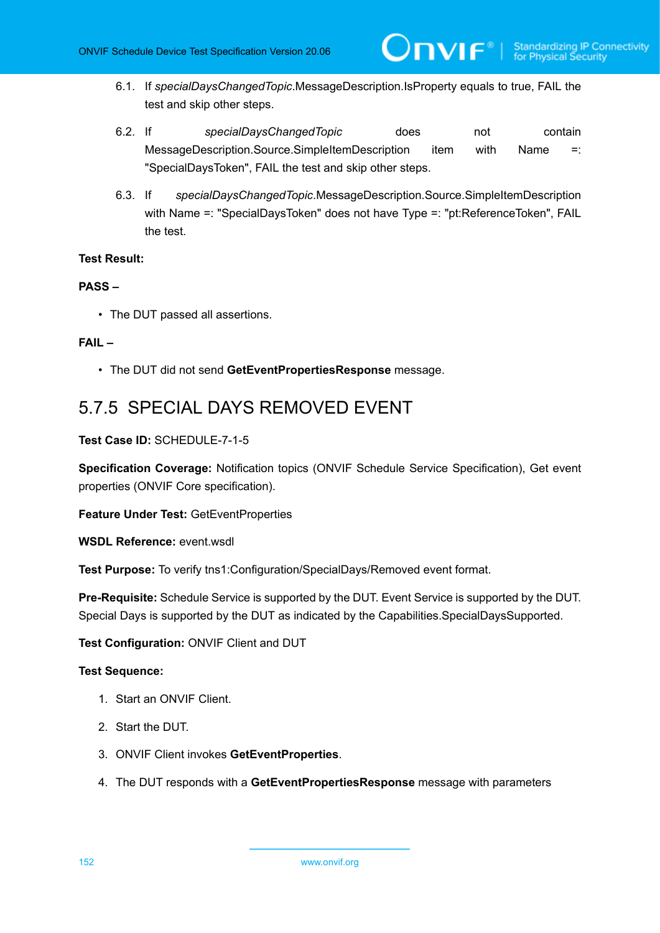6.1. If *specialDaysChangedTopic*.MessageDescription.IsProperty equals to true, FAIL the test and skip other steps.

 $\mathsf{D}\mathbf{N}\mathsf{I}\mathsf{F}^\ast$ l

- 6.2. If *specialDaysChangedTopic* does not contain MessageDescription.Source.SimpleItemDescription item with Name =: "SpecialDaysToken", FAIL the test and skip other steps.
- 6.3. If *specialDaysChangedTopic*.MessageDescription.Source.SimpleItemDescription with Name =: "SpecialDaysToken" does not have Type =: "pt:ReferenceToken", FAIL the test.

## **Test Result:**

## **PASS –**

• The DUT passed all assertions.

## **FAIL –**

• The DUT did not send **GetEventPropertiesResponse** message.

## 5.7.5 SPECIAL DAYS REMOVED EVENT

## **Test Case ID:** SCHEDULE-7-1-5

**Specification Coverage:** Notification topics (ONVIF Schedule Service Specification), Get event properties (ONVIF Core specification).

**Feature Under Test:** GetEventProperties

WSDL Reference: event wsdl

**Test Purpose:** To verify tns1:Configuration/SpecialDays/Removed event format.

**Pre-Requisite:** Schedule Service is supported by the DUT. Event Service is supported by the DUT. Special Days is supported by the DUT as indicated by the Capabilities.SpecialDaysSupported.

## **Test Configuration:** ONVIF Client and DUT

## **Test Sequence:**

- 1. Start an ONVIF Client.
- 2. Start the DUT.
- 3. ONVIF Client invokes **GetEventProperties**.
- 4. The DUT responds with a **GetEventPropertiesResponse** message with parameters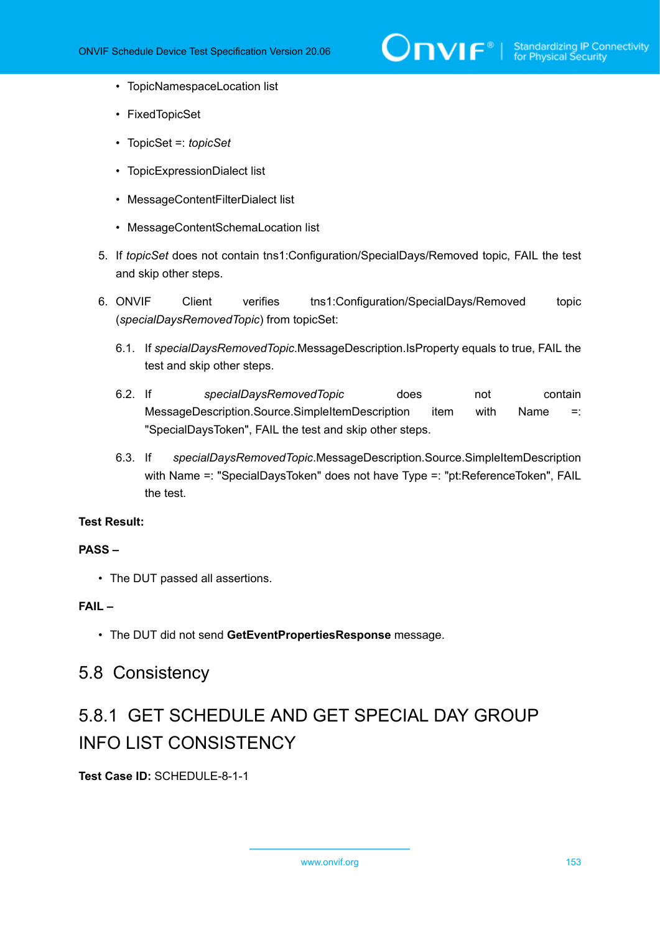

- TopicNamespaceLocation list
- FixedTopicSet
- TopicSet =: *topicSet*
- TopicExpressionDialect list
- MessageContentFilterDialect list
- MessageContentSchemaLocation list
- 5. If *topicSet* does not contain tns1:Configuration/SpecialDays/Removed topic, FAIL the test and skip other steps.
- 6. ONVIF Client verifies tns1:Configuration/SpecialDays/Removed topic (*specialDaysRemovedTopic*) from topicSet:
	- 6.1. If *specialDaysRemovedTopic*.MessageDescription.IsProperty equals to true, FAIL the test and skip other steps.
	- 6.2. If *specialDaysRemovedTopic* does not contain MessageDescription.Source.SimpleItemDescription item with Name =: "SpecialDaysToken", FAIL the test and skip other steps.
	- 6.3. If *specialDaysRemovedTopic*.MessageDescription.Source.SimpleItemDescription with Name =: "SpecialDaysToken" does not have Type =: "pt:ReferenceToken", FAIL the test.

## **Test Result:**

## **PASS –**

• The DUT passed all assertions.

## **FAIL –**

• The DUT did not send **GetEventPropertiesResponse** message.

## 5.8 Consistency

# 5.8.1 GET SCHEDULE AND GET SPECIAL DAY GROUP INFO LIST CONSISTENCY

**Test Case ID:** SCHEDULE-8-1-1

www.onvif.org 153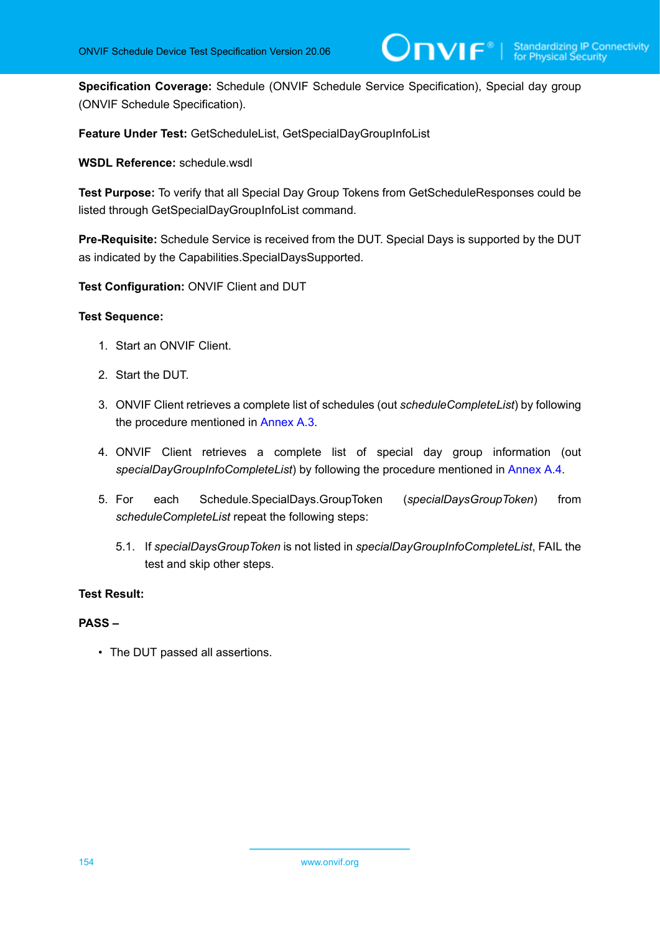**Specification Coverage:** Schedule (ONVIF Schedule Service Specification), Special day group (ONVIF Schedule Specification).

 $\mathsf{D}\mathbf{N}\mathsf{I}\mathsf{F}^\ast$ l

**Feature Under Test:** GetScheduleList, GetSpecialDayGroupInfoList

**WSDL Reference:** schedule.wsdl

**Test Purpose:** To verify that all Special Day Group Tokens from GetScheduleResponses could be listed through GetSpecialDayGroupInfoList command.

**Pre-Requisite:** Schedule Service is received from the DUT. Special Days is supported by the DUT as indicated by the Capabilities.SpecialDaysSupported.

**Test Configuration:** ONVIF Client and DUT

### **Test Sequence:**

- 1. Start an ONVIF Client.
- 2. Start the DUT.
- 3. ONVIF Client retrieves a complete list of schedules (out *scheduleCompleteList*) by following the procedure mentioned in [Annex A.3.](#page-155-0)
- 4. ONVIF Client retrieves a complete list of special day group information (out *specialDayGroupInfoCompleteList*) by following the procedure mentioned in [Annex A.4.](#page-156-0)
- 5. For each Schedule.SpecialDays.GroupToken (*specialDaysGroupToken*) from *scheduleCompleteList* repeat the following steps:
	- 5.1. If *specialDaysGroupToken* is not listed in *specialDayGroupInfoCompleteList*, FAIL the test and skip other steps.

## **Test Result:**

## **PASS –**

• The DUT passed all assertions.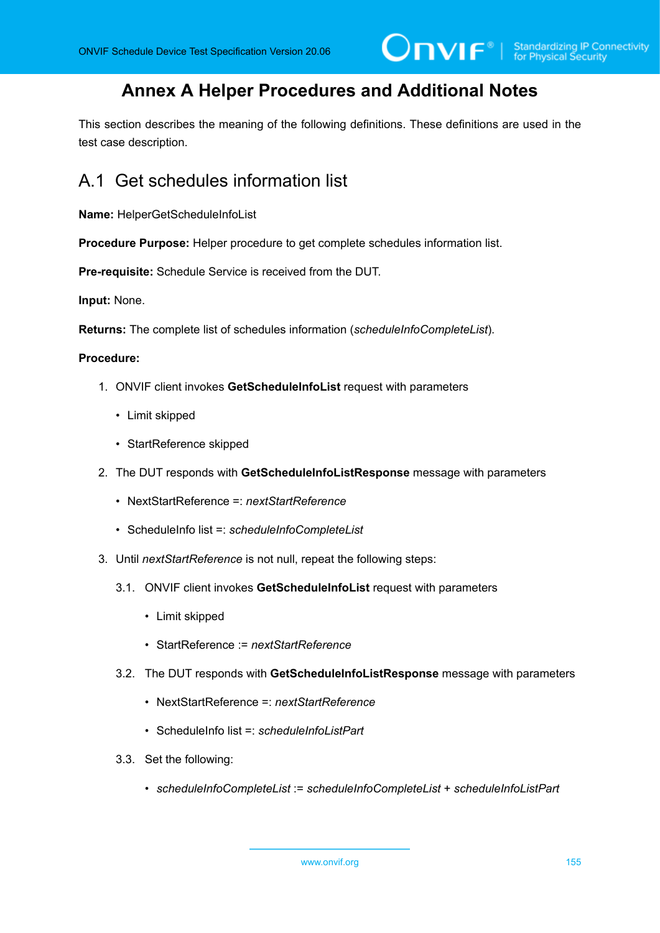## **Annex A Helper Procedures and Additional Notes**

This section describes the meaning of the following definitions. These definitions are used in the test case description.

## A.1 Get schedules information list

**Name:** HelperGetScheduleInfoList

**Procedure Purpose:** Helper procedure to get complete schedules information list.

**Pre-requisite:** Schedule Service is received from the DUT.

**Input:** None.

**Returns:** The complete list of schedules information (*scheduleInfoCompleteList*).

#### **Procedure:**

- 1. ONVIF client invokes **GetScheduleInfoList** request with parameters
	- Limit skipped
	- StartReference skipped
- 2. The DUT responds with **GetScheduleInfoListResponse** message with parameters
	- NextStartReference =: *nextStartReference*
	- ScheduleInfo list =: *scheduleInfoCompleteList*
- 3. Until *nextStartReference* is not null, repeat the following steps:
	- 3.1. ONVIF client invokes **GetScheduleInfoList** request with parameters
		- Limit skipped
		- StartReference := *nextStartReference*
	- 3.2. The DUT responds with **GetScheduleInfoListResponse** message with parameters
		- NextStartReference =: *nextStartReference*
		- ScheduleInfo list =: *scheduleInfoListPart*
	- 3.3. Set the following:
		- *scheduleInfoCompleteList* := *scheduleInfoCompleteList* + *scheduleInfoListPart*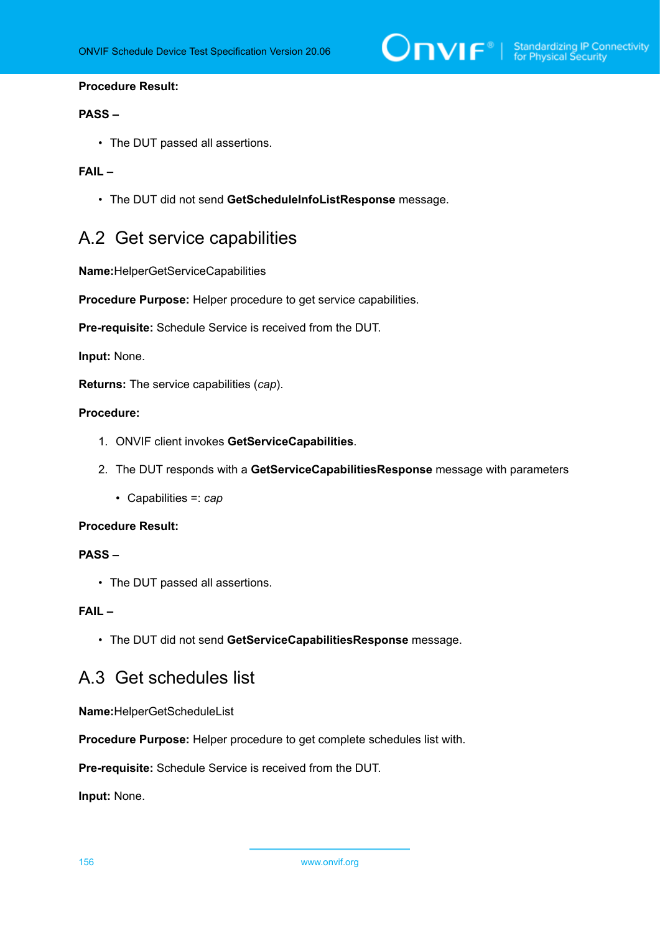

## **Procedure Result:**

### **PASS –**

• The DUT passed all assertions.

## **FAIL –**

• The DUT did not send **GetScheduleInfoListResponse** message.

## <span id="page-155-1"></span>A.2 Get service capabilities

**Name:**HelperGetServiceCapabilities

**Procedure Purpose:** Helper procedure to get service capabilities.

**Pre-requisite:** Schedule Service is received from the DUT.

## **Input:** None.

**Returns:** The service capabilities (*cap*).

## **Procedure:**

- 1. ONVIF client invokes **GetServiceCapabilities**.
- 2. The DUT responds with a **GetServiceCapabilitiesResponse** message with parameters
	- Capabilities =: *cap*

#### **Procedure Result:**

## **PASS –**

• The DUT passed all assertions.

## **FAIL –**

• The DUT did not send **GetServiceCapabilitiesResponse** message.

## <span id="page-155-0"></span>A.3 Get schedules list

**Name:**HelperGetScheduleList

**Procedure Purpose:** Helper procedure to get complete schedules list with.

**Pre-requisite:** Schedule Service is received from the DUT.

**Input:** None.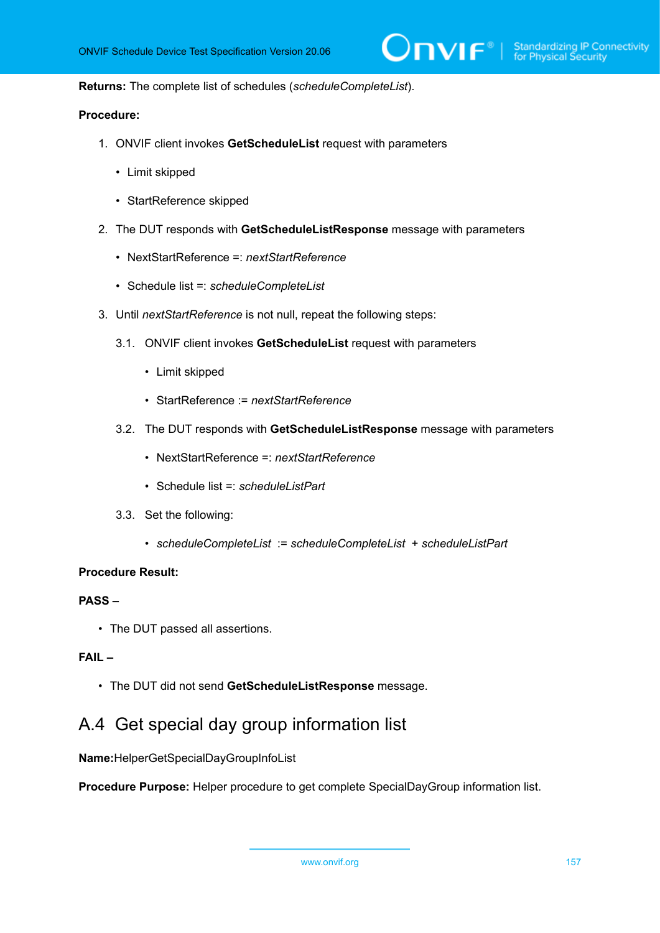**Returns:** The complete list of schedules (*scheduleCompleteList*).

## **Procedure:**

- 1. ONVIF client invokes **GetScheduleList** request with parameters
	- Limit skipped
	- StartReference skipped
- 2. The DUT responds with **GetScheduleListResponse** message with parameters
	- NextStartReference =: *nextStartReference*
	- Schedule list =: *scheduleCompleteList*
- 3. Until *nextStartReference* is not null, repeat the following steps:
	- 3.1. ONVIF client invokes **GetScheduleList** request with parameters
		- Limit skipped
		- StartReference := *nextStartReference*
	- 3.2. The DUT responds with **GetScheduleListResponse** message with parameters
		- NextStartReference =: *nextStartReference*
		- Schedule list =: *scheduleListPart*
	- 3.3. Set the following:
		- *scheduleCompleteList* := *scheduleCompleteList* + *scheduleListPart*

#### **Procedure Result:**

## **PASS –**

• The DUT passed all assertions.

## **FAIL –**

• The DUT did not send **GetScheduleListResponse** message.

## <span id="page-156-0"></span>A.4 Get special day group information list

**Name:**HelperGetSpecialDayGroupInfoList

**Procedure Purpose:** Helper procedure to get complete SpecialDayGroup information list.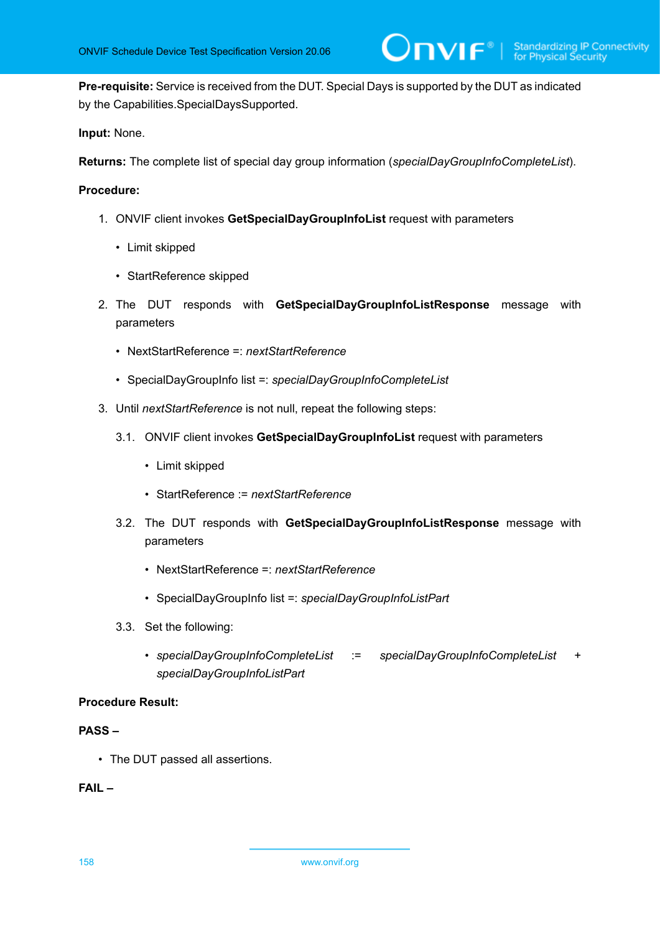**Pre-requisite:** Service is received from the DUT. Special Days is supported by the DUT as indicated by the Capabilities.SpecialDaysSupported.

## **Input:** None.

**Returns:** The complete list of special day group information (*specialDayGroupInfoCompleteList*).

## **Procedure:**

- 1. ONVIF client invokes **GetSpecialDayGroupInfoList** request with parameters
	- Limit skipped
	- StartReference skipped
- 2. The DUT responds with **GetSpecialDayGroupInfoListResponse** message with parameters
	- NextStartReference =: *nextStartReference*
	- SpecialDayGroupInfo list =: *specialDayGroupInfoCompleteList*
- 3. Until *nextStartReference* is not null, repeat the following steps:
	- 3.1. ONVIF client invokes **GetSpecialDayGroupInfoList** request with parameters
		- Limit skipped
		- StartReference := *nextStartReference*
	- 3.2. The DUT responds with **GetSpecialDayGroupInfoListResponse** message with parameters
		- NextStartReference =: *nextStartReference*
		- SpecialDayGroupInfo list =: *specialDayGroupInfoListPart*
	- 3.3. Set the following:
		- *specialDayGroupInfoCompleteList* := *specialDayGroupInfoCompleteList* + *specialDayGroupInfoListPart*

## **Procedure Result:**

## **PASS –**

• The DUT passed all assertions.

## **FAIL –**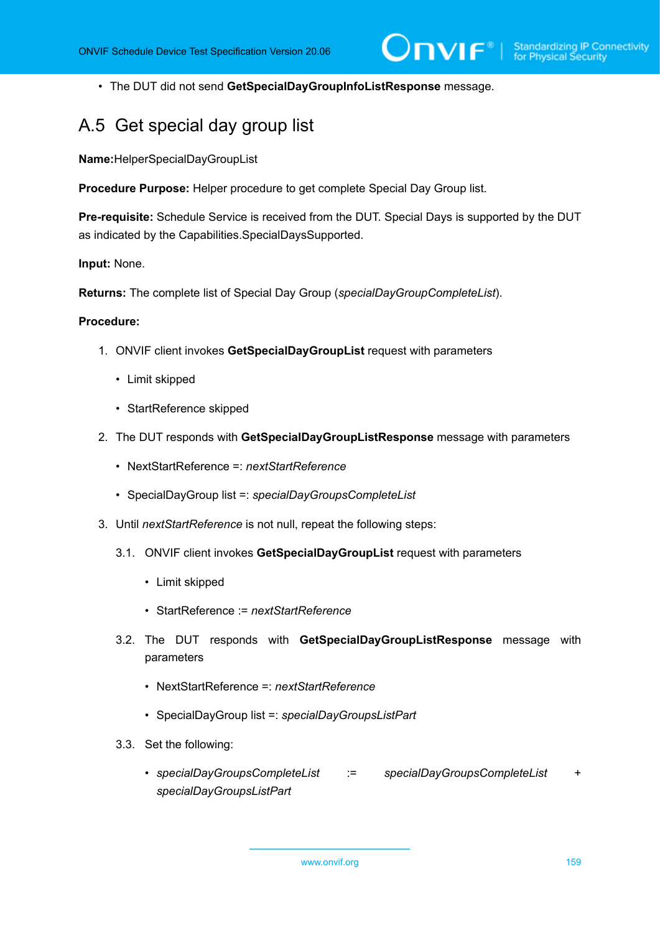• The DUT did not send **GetSpecialDayGroupInfoListResponse** message.

## A.5 Get special day group list

**Name:**HelperSpecialDayGroupList

**Procedure Purpose:** Helper procedure to get complete Special Day Group list.

**Pre-requisite:** Schedule Service is received from the DUT. Special Days is supported by the DUT as indicated by the Capabilities.SpecialDaysSupported.

**Input:** None.

**Returns:** The complete list of Special Day Group (*specialDayGroupCompleteList*).

#### **Procedure:**

- 1. ONVIF client invokes **GetSpecialDayGroupList** request with parameters
	- Limit skipped
	- StartReference skipped
- 2. The DUT responds with **GetSpecialDayGroupListResponse** message with parameters
	- NextStartReference =: *nextStartReference*
	- SpecialDayGroup list =: *specialDayGroupsCompleteList*
- 3. Until *nextStartReference* is not null, repeat the following steps:
	- 3.1. ONVIF client invokes **GetSpecialDayGroupList** request with parameters
		- Limit skipped
		- StartReference := *nextStartReference*
	- 3.2. The DUT responds with **GetSpecialDayGroupListResponse** message with parameters
		- NextStartReference =: *nextStartReference*
		- SpecialDayGroup list =: *specialDayGroupsListPart*
	- 3.3. Set the following:
		- *specialDayGroupsCompleteList* := *specialDayGroupsCompleteList* + *specialDayGroupsListPart*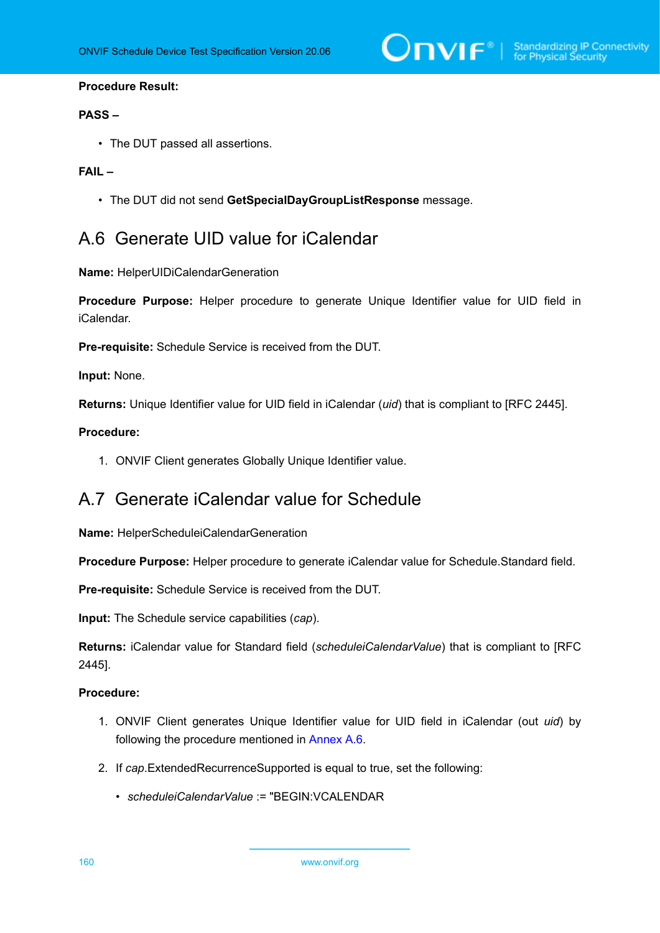## **Procedure Result:**

## **PASS –**

• The DUT passed all assertions.

## **FAIL –**

• The DUT did not send **GetSpecialDayGroupListResponse** message.

## <span id="page-159-1"></span>A.6 Generate UID value for iCalendar

**Name:** HelperUIDiCalendarGeneration

**Procedure Purpose:** Helper procedure to generate Unique Identifier value for UID field in iCalendar.

**Pre-requisite:** Schedule Service is received from the DUT.

**Input:** None.

**Returns:** Unique Identifier value for UID field in iCalendar (*uid*) that is compliant to [RFC 2445].

## **Procedure:**

1. ONVIF Client generates Globally Unique Identifier value.

## <span id="page-159-0"></span>A.7 Generate iCalendar value for Schedule

**Name:** HelperScheduleiCalendarGeneration

**Procedure Purpose:** Helper procedure to generate iCalendar value for Schedule.Standard field.

**Pre-requisite:** Schedule Service is received from the DUT.

**Input:** The Schedule service capabilities (*cap*).

**Returns:** iCalendar value for Standard field (*scheduleiCalendarValue*) that is compliant to [RFC 2445].

## **Procedure:**

- 1. ONVIF Client generates Unique Identifier value for UID field in iCalendar (out *uid*) by following the procedure mentioned in [Annex A.6](#page-159-1).
- 2. If *cap*.ExtendedRecurrenceSupported is equal to true, set the following:
	- *scheduleiCalendarValue* := "BEGIN:VCALENDAR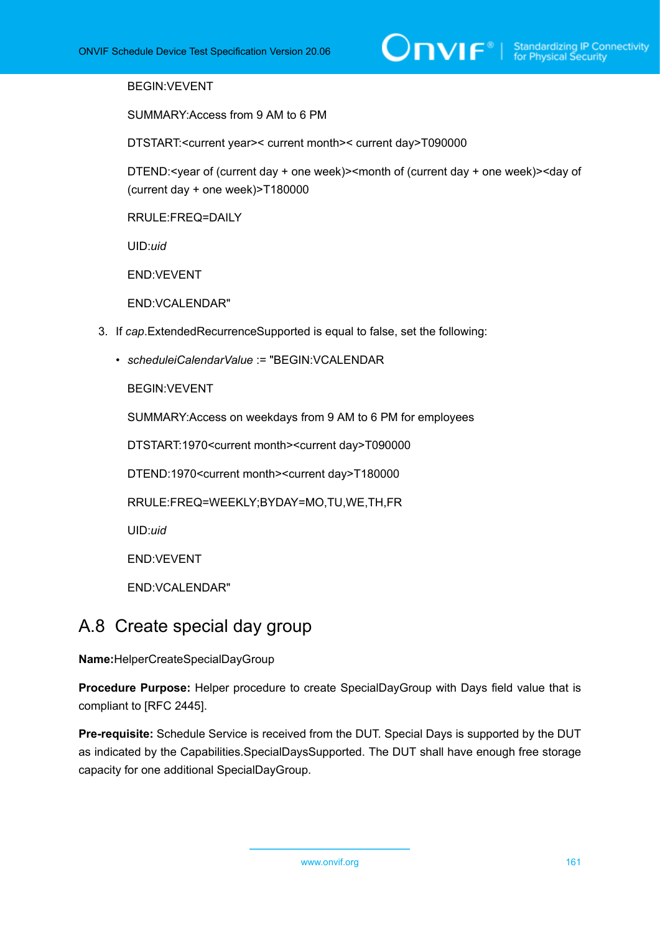## BEGIN:VEVENT

SUMMARY:Access from 9 AM to 6 PM

DTSTART:<current year>< current month>< current day>T090000

DTEND:<year of (current day + one week)><month of (current day + one week)><day of (current day + one week)>T180000

RRULE:FREQ=DAILY

UID:*uid*

END:VEVENT

END:VCALENDAR"

- 3. If *cap*.ExtendedRecurrenceSupported is equal to false, set the following:
	- *scheduleiCalendarValue* := "BEGIN:VCALENDAR

BEGIN:VEVENT

SUMMARY:Access on weekdays from 9 AM to 6 PM for employees

DTSTART:1970<current month><current day>T090000

DTEND:1970<current month><current day>T180000

RRULE:FREQ=WEEKLY;BYDAY=MO,TU,WE,TH,FR

UID:*uid*

END:VEVENT

END:VCALENDAR"

## <span id="page-160-0"></span>A.8 Create special day group

**Name:**HelperCreateSpecialDayGroup

**Procedure Purpose:** Helper procedure to create SpecialDayGroup with Days field value that is compliant to [RFC 2445].

**Pre-requisite:** Schedule Service is received from the DUT. Special Days is supported by the DUT as indicated by the Capabilities.SpecialDaysSupported. The DUT shall have enough free storage capacity for one additional SpecialDayGroup.

www.onvif.org 161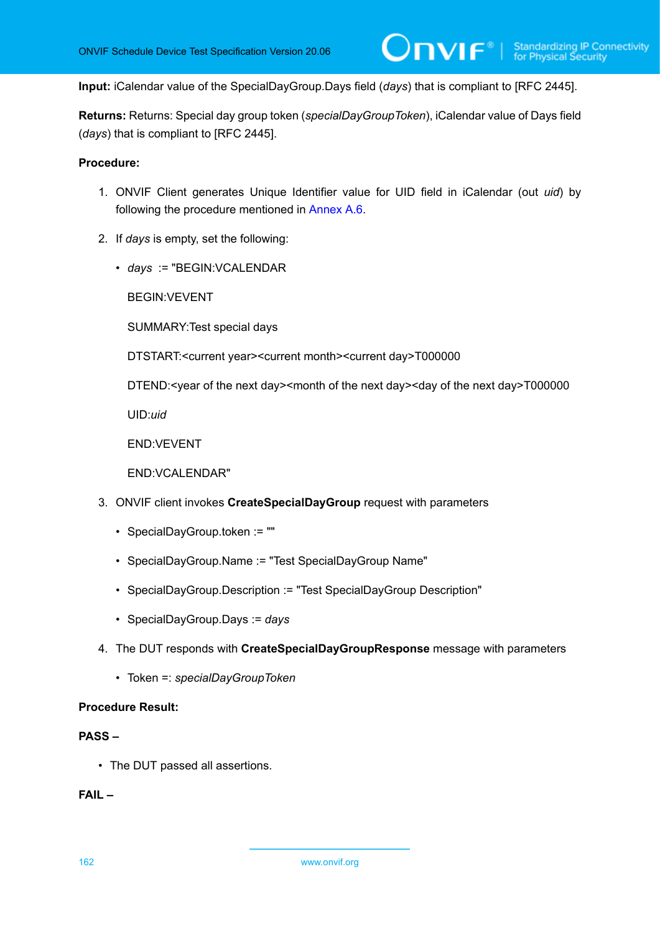**Input:** iCalendar value of the SpecialDayGroup.Days field (*days*) that is compliant to [RFC 2445].

**Returns:** Returns: Special day group token (*specialDayGroupToken*), iCalendar value of Days field (*days*) that is compliant to [RFC 2445].

### **Procedure:**

- 1. ONVIF Client generates Unique Identifier value for UID field in iCalendar (out *uid*) by following the procedure mentioned in [Annex A.6](#page-159-1).
- 2. If *days* is empty, set the following:
	- *days* := "BEGIN:VCALENDAR

BEGIN:VEVENT

SUMMARY:Test special days

DTSTART:<current year><current month><current day>T000000

DTEND:<year of the next day><month of the next day><day of the next day>T000000

UID:*uid*

END:VEVENT

END:VCALENDAR"

- 3. ONVIF client invokes **CreateSpecialDayGroup** request with parameters
	- SpecialDayGroup.token := ""
	- SpecialDayGroup.Name := "Test SpecialDayGroup Name"
	- SpecialDayGroup.Description := "Test SpecialDayGroup Description"
	- SpecialDayGroup.Days := *days*
- 4. The DUT responds with **CreateSpecialDayGroupResponse** message with parameters
	- Token =: *specialDayGroupToken*

## **Procedure Result:**

## **PASS –**

• The DUT passed all assertions.

## **FAIL –**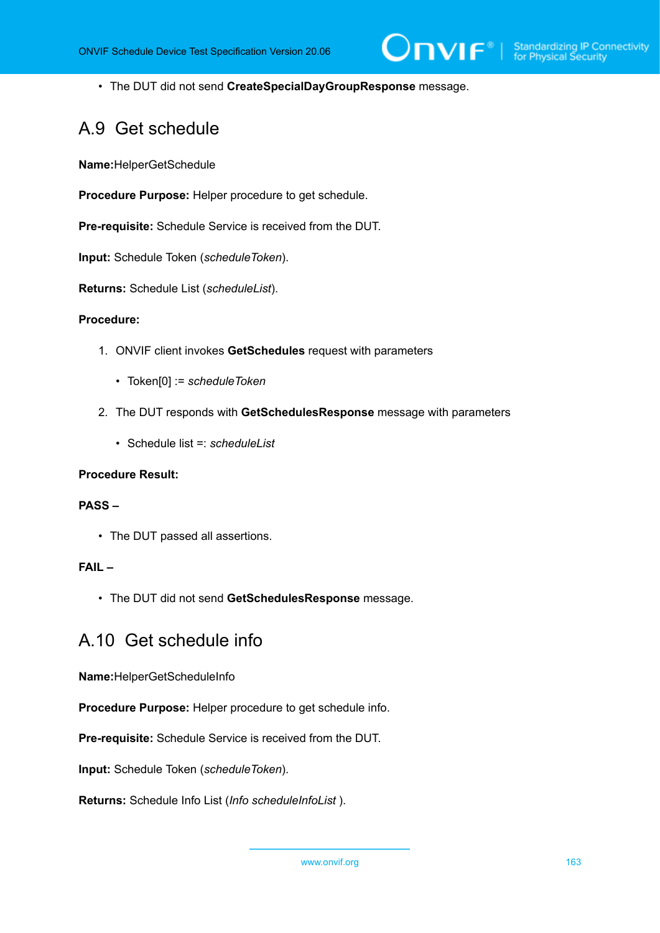• The DUT did not send **CreateSpecialDayGroupResponse** message.

## A.9 Get schedule

**Name:**HelperGetSchedule

**Procedure Purpose:** Helper procedure to get schedule.

**Pre-requisite:** Schedule Service is received from the DUT.

**Input:** Schedule Token (*scheduleToken*).

**Returns:** Schedule List (*scheduleList*).

#### **Procedure:**

- 1. ONVIF client invokes **GetSchedules** request with parameters
	- Token[0] := *scheduleToken*
- 2. The DUT responds with **GetSchedulesResponse** message with parameters
	- Schedule list =: *scheduleList*

## **Procedure Result:**

## **PASS –**

• The DUT passed all assertions.

## **FAIL –**

• The DUT did not send **GetSchedulesResponse** message.

## A.10 Get schedule info

**Name:**HelperGetScheduleInfo

**Procedure Purpose:** Helper procedure to get schedule info.

**Pre-requisite:** Schedule Service is received from the DUT.

**Input:** Schedule Token (*scheduleToken*).

**Returns:** Schedule Info List (*Info scheduleInfoList* ).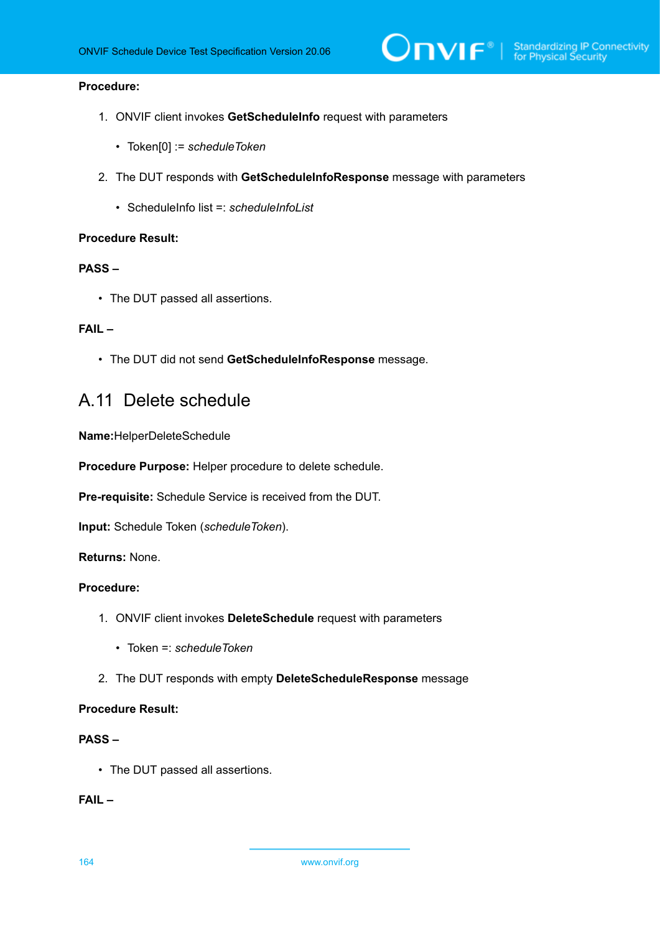## **Procedure:**

- 1. ONVIF client invokes **GetScheduleInfo** request with parameters
	- Token[0] := *scheduleToken*
- 2. The DUT responds with **GetScheduleInfoResponse** message with parameters
	- ScheduleInfo list =: *scheduleInfoList*

## **Procedure Result:**

### **PASS –**

• The DUT passed all assertions.

## **FAIL –**

• The DUT did not send **GetScheduleInfoResponse** message.

## <span id="page-163-0"></span>A.11 Delete schedule

**Name:**HelperDeleteSchedule

**Procedure Purpose:** Helper procedure to delete schedule.

**Pre-requisite:** Schedule Service is received from the DUT.

**Input:** Schedule Token (*scheduleToken*).

**Returns:** None.

## **Procedure:**

- 1. ONVIF client invokes **DeleteSchedule** request with parameters
	- Token =: *scheduleToken*
- 2. The DUT responds with empty **DeleteScheduleResponse** message

## **Procedure Result:**

## **PASS –**

• The DUT passed all assertions.

**FAIL –**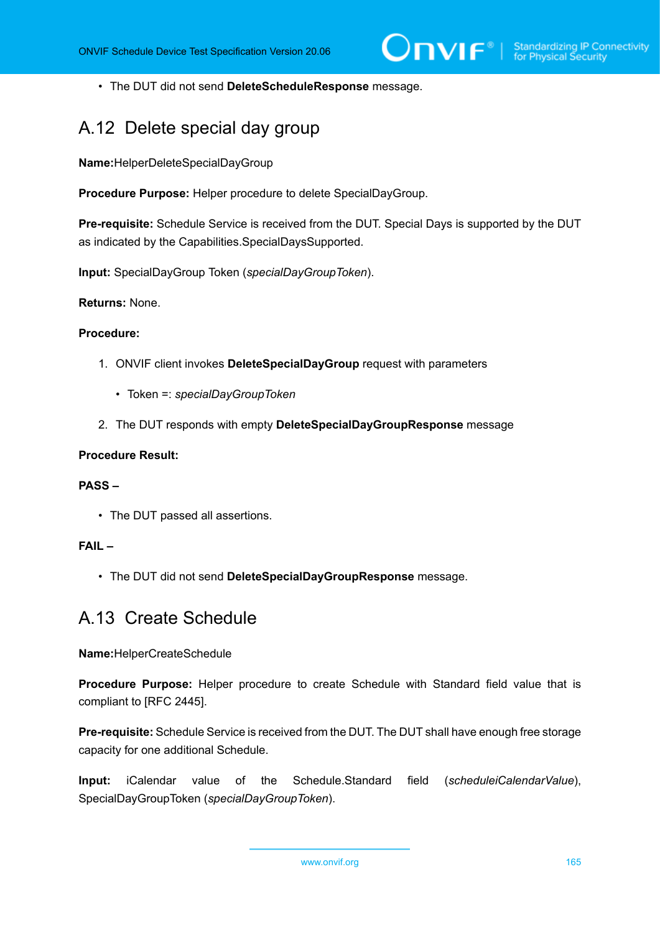• The DUT did not send **DeleteScheduleResponse** message.

## <span id="page-164-1"></span>A.12 Delete special day group

**Name:**HelperDeleteSpecialDayGroup

**Procedure Purpose:** Helper procedure to delete SpecialDayGroup.

**Pre-requisite:** Schedule Service is received from the DUT. Special Days is supported by the DUT as indicated by the Capabilities.SpecialDaysSupported.

**Input:** SpecialDayGroup Token (*specialDayGroupToken*).

**Returns:** None.

## **Procedure:**

- 1. ONVIF client invokes **DeleteSpecialDayGroup** request with parameters
	- Token =: *specialDayGroupToken*
- 2. The DUT responds with empty **DeleteSpecialDayGroupResponse** message

## **Procedure Result:**

## **PASS –**

• The DUT passed all assertions.

## **FAIL –**

• The DUT did not send **DeleteSpecialDayGroupResponse** message.

## <span id="page-164-0"></span>A.13 Create Schedule

**Name:**HelperCreateSchedule

**Procedure Purpose:** Helper procedure to create Schedule with Standard field value that is compliant to [RFC 2445].

**Pre-requisite:** Schedule Service is received from the DUT. The DUT shall have enough free storage capacity for one additional Schedule.

**Input:** iCalendar value of the Schedule.Standard field (*scheduleiCalendarValue*), SpecialDayGroupToken (*specialDayGroupToken*).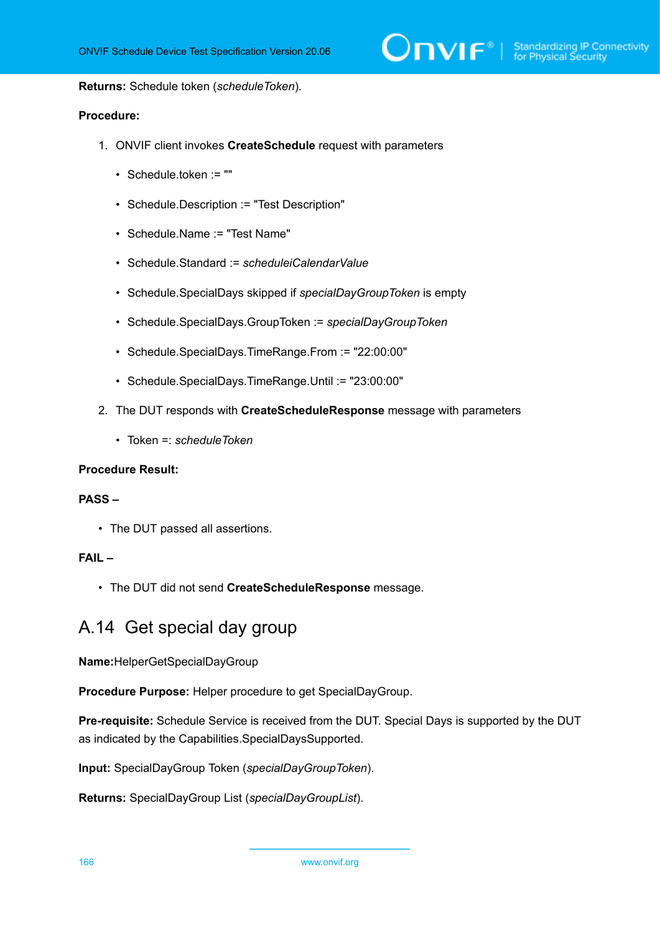**Returns:** Schedule token (*scheduleToken*).

## **Procedure:**

- 1. ONVIF client invokes **CreateSchedule** request with parameters
	- Schedule.token := ""
	- Schedule.Description := "Test Description"
	- Schedule.Name := "Test Name"
	- Schedule.Standard := *scheduleiCalendarValue*
	- Schedule.SpecialDays skipped if *specialDayGroupToken* is empty
	- Schedule.SpecialDays.GroupToken := *specialDayGroupToken*
	- Schedule.SpecialDays.TimeRange.From := "22:00:00"
	- Schedule.SpecialDays.TimeRange.Until := "23:00:00"
- 2. The DUT responds with **CreateScheduleResponse** message with parameters
	- Token =: *scheduleToken*

#### **Procedure Result:**

## **PASS –**

• The DUT passed all assertions.

## **FAIL –**

• The DUT did not send **CreateScheduleResponse** message.

## A.14 Get special day group

**Name:**HelperGetSpecialDayGroup

**Procedure Purpose:** Helper procedure to get SpecialDayGroup.

**Pre-requisite:** Schedule Service is received from the DUT. Special Days is supported by the DUT as indicated by the Capabilities.SpecialDaysSupported.

**Input:** SpecialDayGroup Token (*specialDayGroupToken*).

**Returns:** SpecialDayGroup List (*specialDayGroupList*).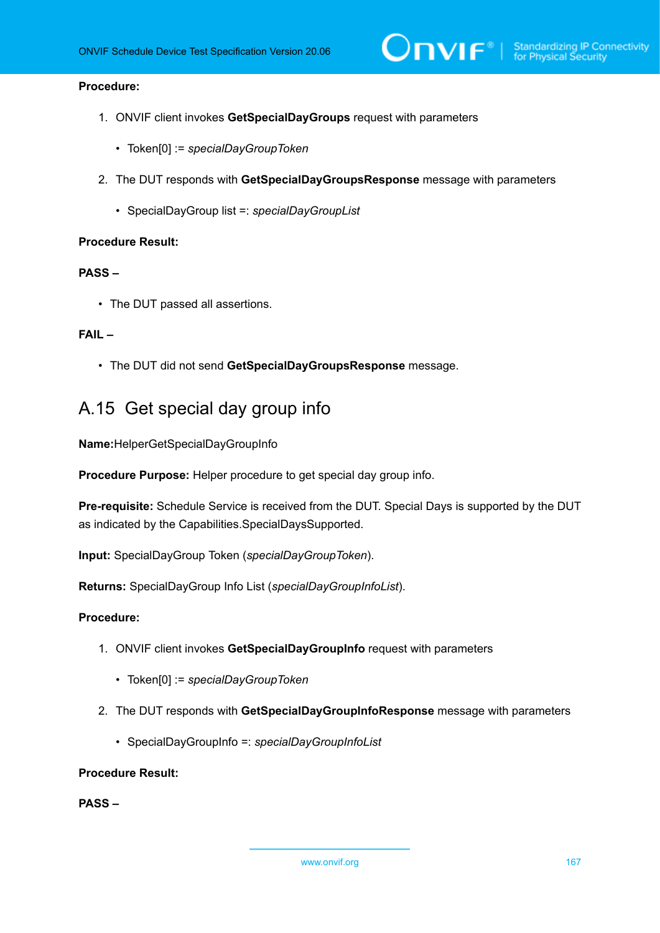## **Procedure:**

- 1. ONVIF client invokes **GetSpecialDayGroups** request with parameters
	- Token[0] := *specialDayGroupToken*
- 2. The DUT responds with **GetSpecialDayGroupsResponse** message with parameters
	- SpecialDayGroup list =: *specialDayGroupList*

### **Procedure Result:**

## **PASS –**

• The DUT passed all assertions.

## **FAIL –**

• The DUT did not send **GetSpecialDayGroupsResponse** message.

## A.15 Get special day group info

**Name:**HelperGetSpecialDayGroupInfo

**Procedure Purpose:** Helper procedure to get special day group info.

**Pre-requisite:** Schedule Service is received from the DUT. Special Days is supported by the DUT as indicated by the Capabilities.SpecialDaysSupported.

**Input:** SpecialDayGroup Token (*specialDayGroupToken*).

**Returns:** SpecialDayGroup Info List (*specialDayGroupInfoList*).

## **Procedure:**

- 1. ONVIF client invokes **GetSpecialDayGroupInfo** request with parameters
	- Token[0] := *specialDayGroupToken*
- 2. The DUT responds with **GetSpecialDayGroupInfoResponse** message with parameters
	- SpecialDayGroupInfo =: *specialDayGroupInfoList*

#### **Procedure Result:**

**PASS –**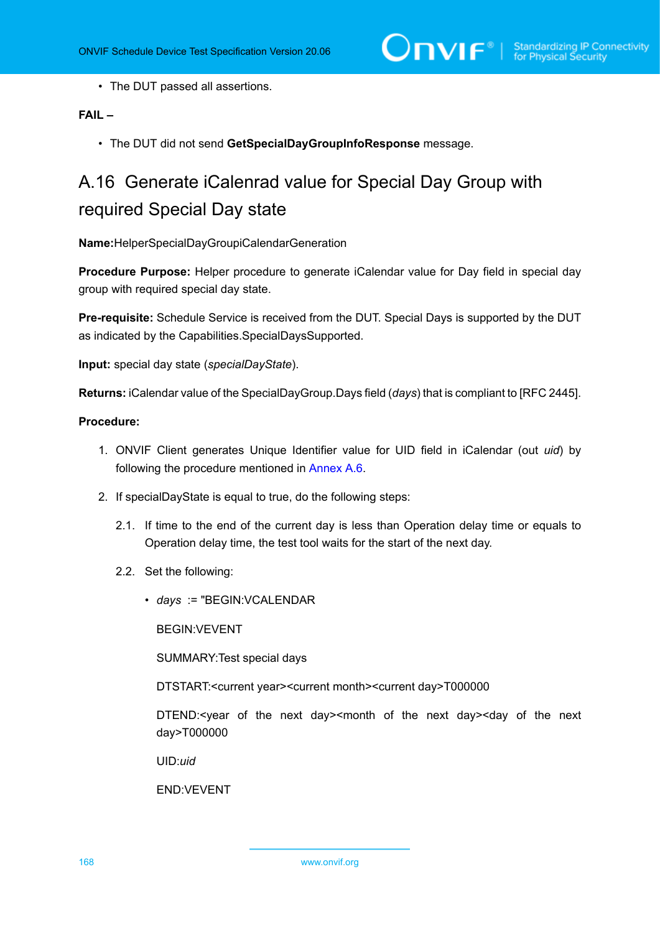• The DUT passed all assertions.

## **FAIL –**

• The DUT did not send **GetSpecialDayGroupInfoResponse** message.

# A.16 Generate iCalenrad value for Special Day Group with required Special Day state

**Name:**HelperSpecialDayGroupiCalendarGeneration

**Procedure Purpose:** Helper procedure to generate iCalendar value for Day field in special day group with required special day state.

**Pre-requisite:** Schedule Service is received from the DUT. Special Days is supported by the DUT as indicated by the Capabilities.SpecialDaysSupported.

**Input:** special day state (*specialDayState*).

**Returns:** iCalendar value of the SpecialDayGroup.Days field (*days*) that is compliant to [RFC 2445].

### **Procedure:**

- 1. ONVIF Client generates Unique Identifier value for UID field in iCalendar (out *uid*) by following the procedure mentioned in [Annex A.6](#page-159-1).
- 2. If specialDayState is equal to true, do the following steps:
	- 2.1. If time to the end of the current day is less than Operation delay time or equals to Operation delay time, the test tool waits for the start of the next day.
	- 2.2. Set the following:
		- *days* := "BEGIN:VCALENDAR

BEGIN:VEVENT

SUMMARY:Test special days

DTSTART:<current year><current month><current day>T000000

DTEND:<year of the next day><month of the next day><day of the next day>T000000

UID:*uid*

END:VEVENT

168 www.onvif.org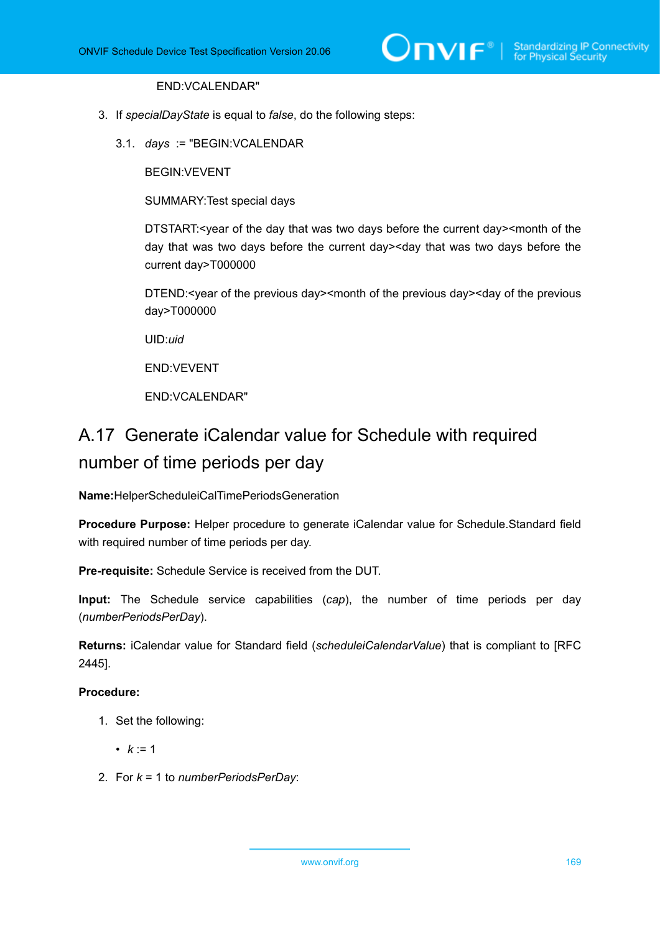## END:VCALENDAR"

- 3. If *specialDayState* is equal to *false*, do the following steps:
	- 3.1. *days* := "BEGIN:VCALENDAR

BEGIN:VEVENT

SUMMARY:Test special days

DTSTART:<year of the day that was two days before the current day><month of the day that was two days before the current day><day that was two days before the current day>T000000

DTEND:<year of the previous day><month of the previous day><day of the previous day>T000000

UID:*uid*

END:VEVENT

END:VCALENDAR"

# A.17 Generate iCalendar value for Schedule with required number of time periods per day

**Name:**HelperScheduleiCalTimePeriodsGeneration

**Procedure Purpose:** Helper procedure to generate iCalendar value for Schedule.Standard field with required number of time periods per day.

**Pre-requisite:** Schedule Service is received from the DUT.

**Input:** The Schedule service capabilities (*cap*), the number of time periods per day (*numberPeriodsPerDay*).

**Returns:** iCalendar value for Standard field (*scheduleiCalendarValue*) that is compliant to [RFC 2445].

## **Procedure:**

- 1. Set the following:
	- $k := 1$
- 2. For *k* = 1 to *numberPeriodsPerDay*: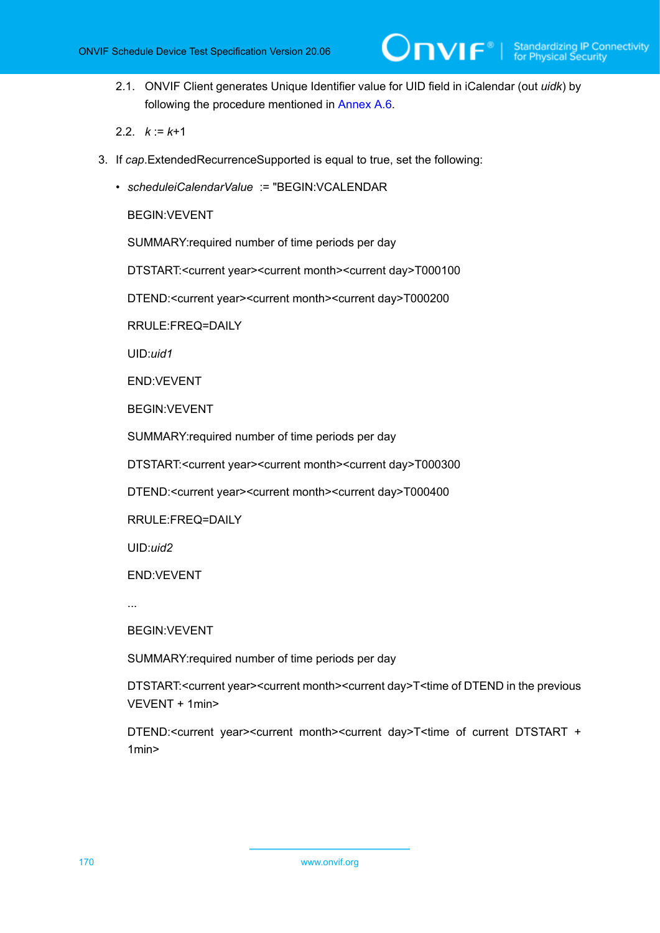

- 2.1. ONVIF Client generates Unique Identifier value for UID field in iCalendar (out *uidk*) by following the procedure mentioned in [Annex A.6.](#page-159-1)
- 2.2.  $k := k+1$
- 3. If *cap*.ExtendedRecurrenceSupported is equal to true, set the following:
	- *scheduleiCalendarValue* := "BEGIN:VCALENDAR

BEGIN:VEVENT

SUMMARY:required number of time periods per day

DTSTART:<current year><current month><current day>T000100

DTEND:<current year><current month><current day>T000200

RRULE:FREQ=DAILY

UID:*uid1*

END:VEVENT

BEGIN:VEVENT

SUMMARY:required number of time periods per day

DTSTART:<current year><current month><current day>T000300

DTEND:<current year><current month><current day>T000400

RRULE:FREQ=DAILY

UID:*uid2*

END:VEVENT

...

BEGIN:VEVENT

SUMMARY:required number of time periods per day

DTSTART:<current year><current month><current day>T<time of DTEND in the previous VEVENT + 1min>

DTEND:<current year><current month><current day>T<time of current DTSTART + 1min>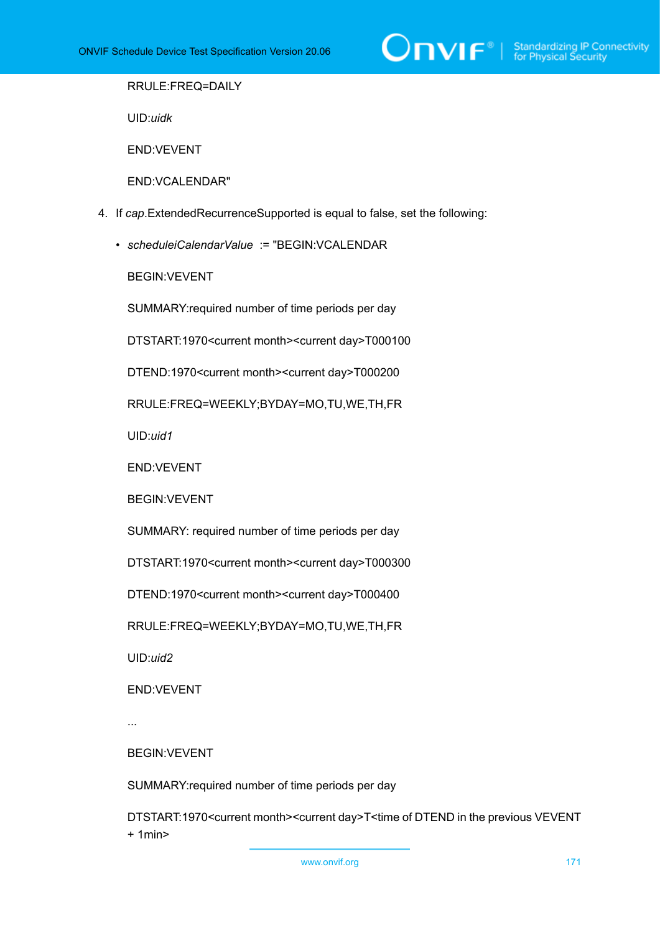

RRULE:FREQ=DAILY

UID:*uidk*

END:VEVENT

END:VCALENDAR"

- 4. If *cap*.ExtendedRecurrenceSupported is equal to false, set the following:
	- *scheduleiCalendarValue* := "BEGIN:VCALENDAR

BEGIN:VEVENT

SUMMARY:required number of time periods per day

DTSTART:1970<current month><current day>T000100

DTEND:1970<current month><current day>T000200

RRULE:FREQ=WEEKLY;BYDAY=MO,TU,WE,TH,FR

UID:*uid1*

END:VEVENT

BEGIN:VEVENT

SUMMARY: required number of time periods per day

DTSTART:1970<current month><current day>T000300

DTEND:1970<current month><current day>T000400

RRULE:FREQ=WEEKLY;BYDAY=MO,TU,WE,TH,FR

UID:*uid2*

END:VEVENT

...

BEGIN:VEVENT

SUMMARY:required number of time periods per day

DTSTART:1970<current month><current day>T<time of DTEND in the previous VEVENT + 1min>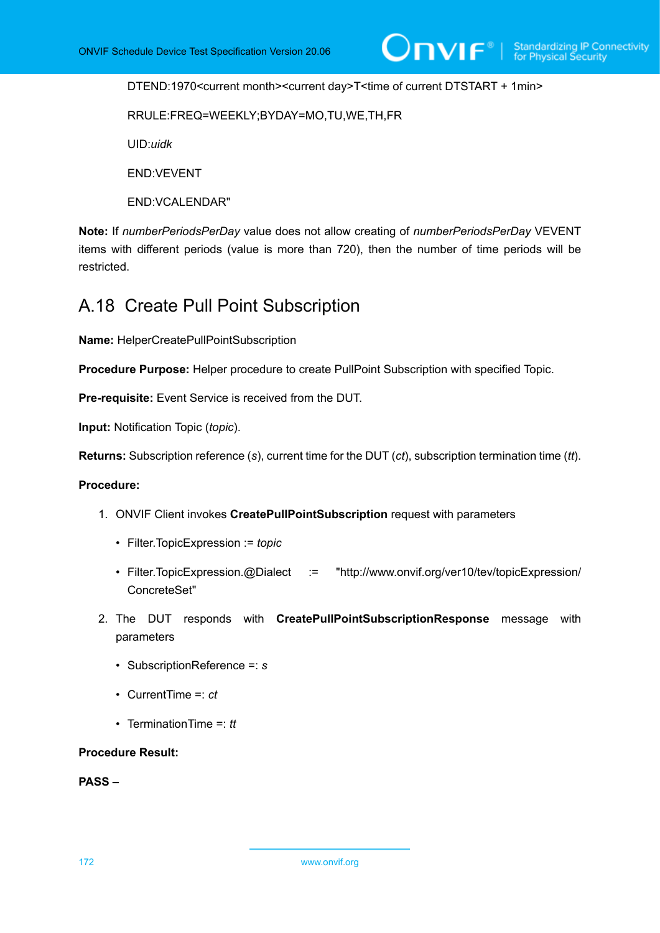DTEND:1970<current month><current day>T<time of current DTSTART + 1min>

RRULE:FREQ=WEEKLY;BYDAY=MO,TU,WE,TH,FR

UID:*uidk*

END:VEVENT

END:VCALENDAR"

**Note:** If *numberPeriodsPerDay* value does not allow creating of *numberPeriodsPerDay* VEVENT items with different periods (value is more than 720), then the number of time periods will be restricted.

## A.18 Create Pull Point Subscription

**Name:** HelperCreatePullPointSubscription

**Procedure Purpose:** Helper procedure to create PullPoint Subscription with specified Topic.

**Pre-requisite:** Event Service is received from the DUT.

**Input:** Notification Topic (*topic*).

**Returns:** Subscription reference (*s*), current time for the DUT (*ct*), subscription termination time (*tt*).

## **Procedure:**

- 1. ONVIF Client invokes **CreatePullPointSubscription** request with parameters
	- Filter.TopicExpression := *topic*
	- Filter.TopicExpression.@Dialect := "http://www.onvif.org/ver10/tev/topicExpression/ ConcreteSet"
- 2. The DUT responds with **CreatePullPointSubscriptionResponse** message with parameters
	- SubscriptionReference =: *s*
	- CurrentTime =: *ct*
	- TerminationTime =: *tt*

**Procedure Result:**

**PASS –**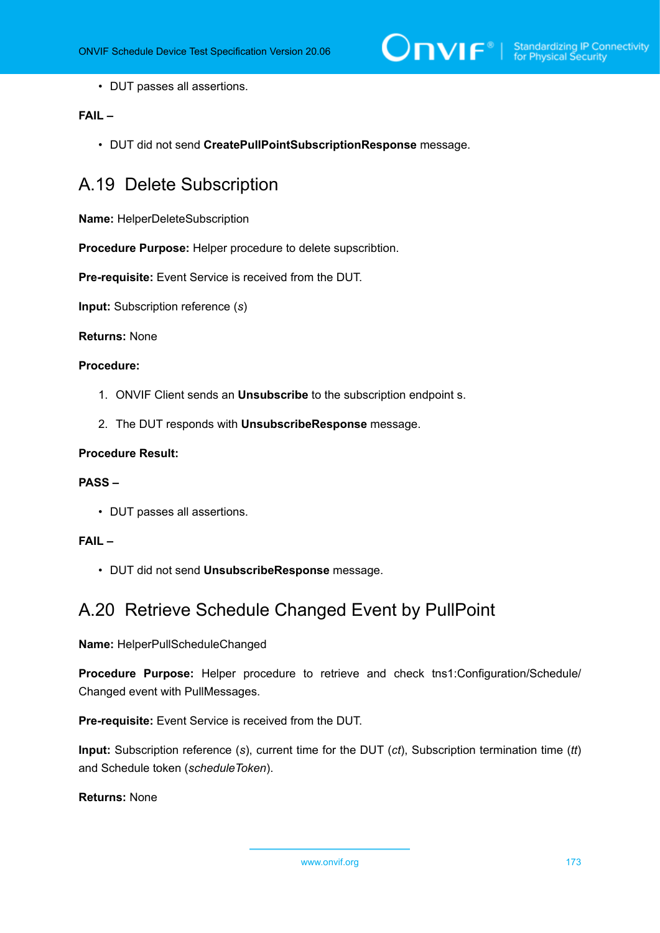

• DUT passes all assertions.

## **FAIL –**

• DUT did not send **CreatePullPointSubscriptionResponse** message.

## A.19 Delete Subscription

**Name:** HelperDeleteSubscription

**Procedure Purpose:** Helper procedure to delete supscribtion.

**Pre-requisite:** Event Service is received from the DUT.

**Input:** Subscription reference (*s*)

## **Returns:** None

## **Procedure:**

- 1. ONVIF Client sends an **Unsubscribe** to the subscription endpoint s.
- 2. The DUT responds with **UnsubscribeResponse** message.

## **Procedure Result:**

## **PASS –**

• DUT passes all assertions.

#### **FAIL –**

• DUT did not send **UnsubscribeResponse** message.

## A.20 Retrieve Schedule Changed Event by PullPoint

**Name:** HelperPullScheduleChanged

**Procedure Purpose:** Helper procedure to retrieve and check tns1:Configuration/Schedule/ Changed event with PullMessages.

**Pre-requisite:** Event Service is received from the DUT.

**Input:** Subscription reference (*s*), current time for the DUT (*ct*), Subscription termination time (*tt*) and Schedule token (*scheduleToken*).

**Returns:** None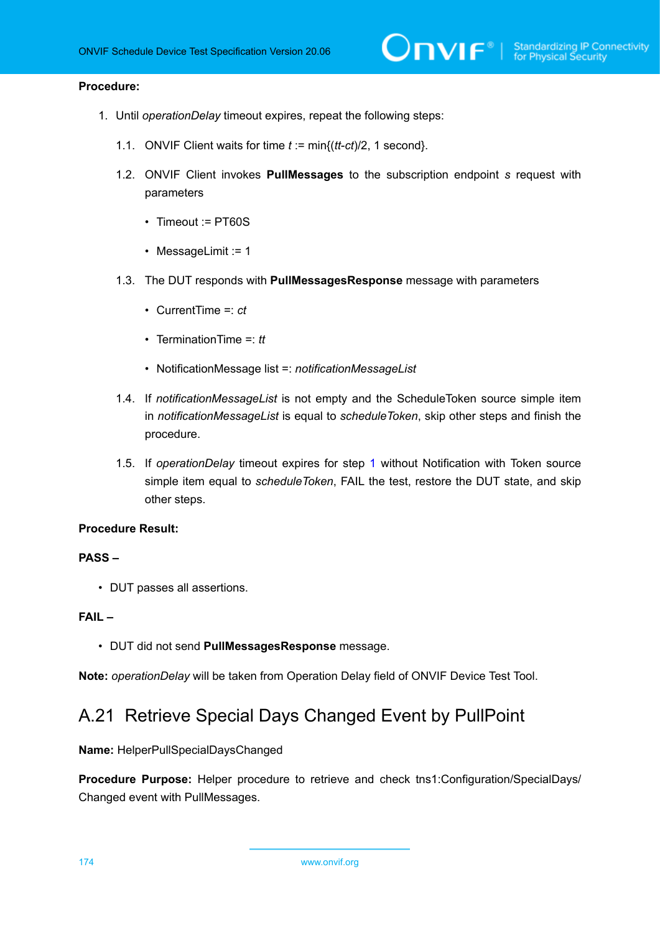## **Procedure:**

- <span id="page-173-0"></span>1. Until *operationDelay* timeout expires, repeat the following steps:
	- 1.1. ONVIF Client waits for time *t* := min{(*tt*-*ct*)/2, 1 second}.
	- 1.2. ONVIF Client invokes **PullMessages** to the subscription endpoint *s* request with parameters
		- Timeout := PT60S
		- MessageLimit := 1
	- 1.3. The DUT responds with **PullMessagesResponse** message with parameters
		- CurrentTime =: *ct*
		- TerminationTime =: *tt*
		- NotificationMessage list =: *notificationMessageList*
	- 1.4. If *notificationMessageList* is not empty and the ScheduleToken source simple item in *notificationMessageList* is equal to *scheduleToken*, skip other steps and finish the procedure.
	- 1.5. If *operationDelay* timeout expires for step [1](#page-173-0) without Notification with Token source simple item equal to *scheduleToken*, FAIL the test, restore the DUT state, and skip other steps.

#### **Procedure Result:**

## **PASS –**

• DUT passes all assertions.

## **FAIL –**

• DUT did not send **PullMessagesResponse** message.

**Note:** *operationDelay* will be taken from Operation Delay field of ONVIF Device Test Tool.

## A.21 Retrieve Special Days Changed Event by PullPoint

#### **Name:** HelperPullSpecialDaysChanged

**Procedure Purpose:** Helper procedure to retrieve and check tns1:Configuration/SpecialDays/ Changed event with PullMessages.